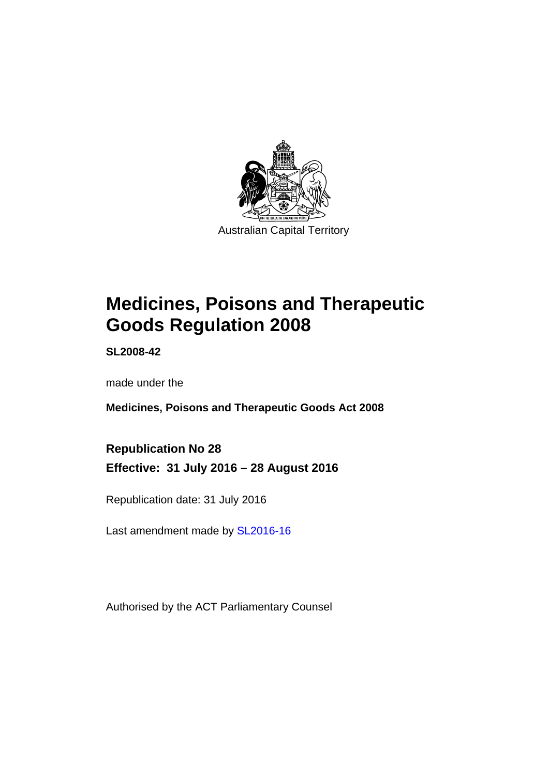

# **Medicines, Poisons and Therapeutic Goods Regulation 2008**

**SL2008-42** 

made under the

**Medicines, Poisons and Therapeutic Goods Act 2008** 

**Republication No 28 Effective: 31 July 2016 – 28 August 2016** 

Republication date: 31 July 2016

Last amendment made by [SL2016-16](http://www.legislation.act.gov.au/sl/2016-16)

Authorised by the ACT Parliamentary Counsel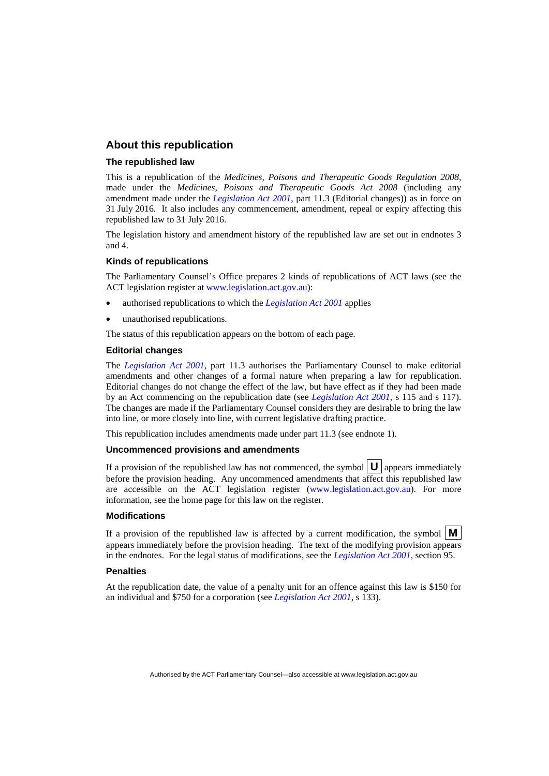### **About this republication**

#### **The republished law**

This is a republication of the *Medicines, Poisons and Therapeutic Goods Regulation 2008*, made under the *Medicines, Poisons and Therapeutic Goods Act 2008* (including any amendment made under the *[Legislation Act 2001](http://www.legislation.act.gov.au/a/2001-14)*, part 11.3 (Editorial changes)) as in force on 31 July 2016*.* It also includes any commencement, amendment, repeal or expiry affecting this republished law to 31 July 2016.

The legislation history and amendment history of the republished law are set out in endnotes 3 and 4.

#### **Kinds of republications**

The Parliamentary Counsel's Office prepares 2 kinds of republications of ACT laws (see the ACT legislation register at [www.legislation.act.gov.au](http://www.legislation.act.gov.au/)):

- authorised republications to which the *[Legislation Act 2001](http://www.legislation.act.gov.au/a/2001-14)* applies
- unauthorised republications.

The status of this republication appears on the bottom of each page.

#### **Editorial changes**

The *[Legislation Act 2001](http://www.legislation.act.gov.au/a/2001-14)*, part 11.3 authorises the Parliamentary Counsel to make editorial amendments and other changes of a formal nature when preparing a law for republication. Editorial changes do not change the effect of the law, but have effect as if they had been made by an Act commencing on the republication date (see *[Legislation Act 2001](http://www.legislation.act.gov.au/a/2001-14)*, s 115 and s 117). The changes are made if the Parliamentary Counsel considers they are desirable to bring the law into line, or more closely into line, with current legislative drafting practice.

This republication includes amendments made under part 11.3 (see endnote 1).

#### **Uncommenced provisions and amendments**

If a provision of the republished law has not commenced, the symbol  $\mathbf{U}$  appears immediately before the provision heading. Any uncommenced amendments that affect this republished law are accessible on the ACT legislation register [\(www.legislation.act.gov.au\)](http://www.legislation.act.gov.au/). For more information, see the home page for this law on the register.

### **Modifications**

If a provision of the republished law is affected by a current modification, the symbol  $\mathbf{M}$ appears immediately before the provision heading. The text of the modifying provision appears in the endnotes. For the legal status of modifications, see the *[Legislation Act 2001](http://www.legislation.act.gov.au/a/2001-14)*, section 95.

#### **Penalties**

At the republication date, the value of a penalty unit for an offence against this law is \$150 for an individual and \$750 for a corporation (see *[Legislation Act 2001](http://www.legislation.act.gov.au/a/2001-14)*, s 133).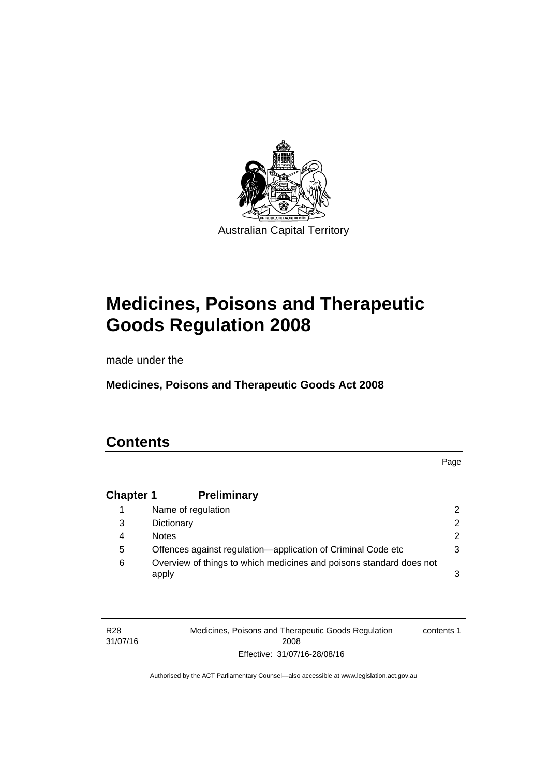

# **Medicines, Poisons and Therapeutic Goods Regulation 2008**

made under the

**Medicines, Poisons and Therapeutic Goods Act 2008** 

# **Contents**

Page

# **Chapter 1 [Preliminary](#page-25-0)**

|   | Name of regulation                                                           |   |
|---|------------------------------------------------------------------------------|---|
| 3 | Dictionary                                                                   |   |
| 4 | <b>Notes</b>                                                                 | 2 |
| 5 | Offences against regulation-application of Criminal Code etc                 |   |
| 6 | Overview of things to which medicines and poisons standard does not<br>apply |   |

R28 31/07/16 Medicines, Poisons and Therapeutic Goods Regulation 2008 Effective: 31/07/16-28/08/16 contents 1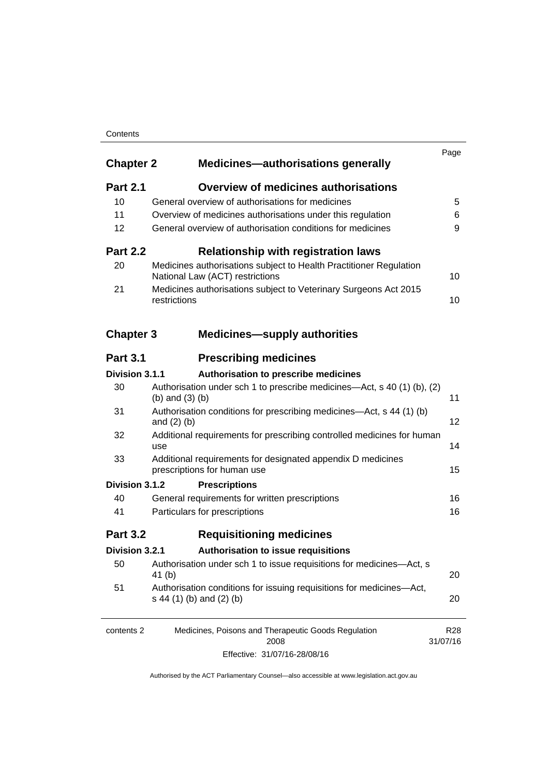### **Contents**

| <b>Chapter 2</b> | <b>Medicines-authorisations generally</b>                                                             | Page                        |
|------------------|-------------------------------------------------------------------------------------------------------|-----------------------------|
| <b>Part 2.1</b>  | <b>Overview of medicines authorisations</b>                                                           |                             |
| 10               | General overview of authorisations for medicines                                                      | 5                           |
| 11               | Overview of medicines authorisations under this regulation                                            | 6                           |
| 12               | General overview of authorisation conditions for medicines                                            | 9                           |
| <b>Part 2.2</b>  | <b>Relationship with registration laws</b>                                                            |                             |
| 20               | Medicines authorisations subject to Health Practitioner Regulation<br>National Law (ACT) restrictions | 10                          |
| 21               | Medicines authorisations subject to Veterinary Surgeons Act 2015<br>restrictions                      | 10                          |
| <b>Chapter 3</b> | <b>Medicines-supply authorities</b>                                                                   |                             |
| <b>Part 3.1</b>  | <b>Prescribing medicines</b>                                                                          |                             |
| Division 3.1.1   | Authorisation to prescribe medicines                                                                  |                             |
| 30               | Authorisation under sch 1 to prescribe medicines—Act, s 40 (1) (b), (2)<br>(b) and $(3)$ (b)          | 11                          |
| 31               | Authorisation conditions for prescribing medicines—Act, s 44 (1) (b)<br>and $(2)$ $(b)$               | 12                          |
| 32               | Additional requirements for prescribing controlled medicines for human<br>use                         | 14                          |
| 33               | Additional requirements for designated appendix D medicines<br>prescriptions for human use            | 15                          |
| Division 3.1.2   | <b>Prescriptions</b>                                                                                  |                             |
| 40               | General requirements for written prescriptions                                                        | 16                          |
| 41               | Particulars for prescriptions                                                                         | 16                          |
| <b>Part 3.2</b>  | <b>Requisitioning medicines</b>                                                                       |                             |
| Division 3.2.1   | Authorisation to issue requisitions                                                                   |                             |
| 50               | Authorisation under sch 1 to issue requisitions for medicines-Act, s<br>41 (b)                        | 20                          |
| 51               | Authorisation conditions for issuing requisitions for medicines-Act,<br>s 44 (1) (b) and (2) (b)      | 20                          |
| contents 2       | Medicines, Poisons and Therapeutic Goods Regulation<br>2008                                           | R <sub>28</sub><br>31/07/16 |
|                  |                                                                                                       |                             |

Effective: 31/07/16-28/08/16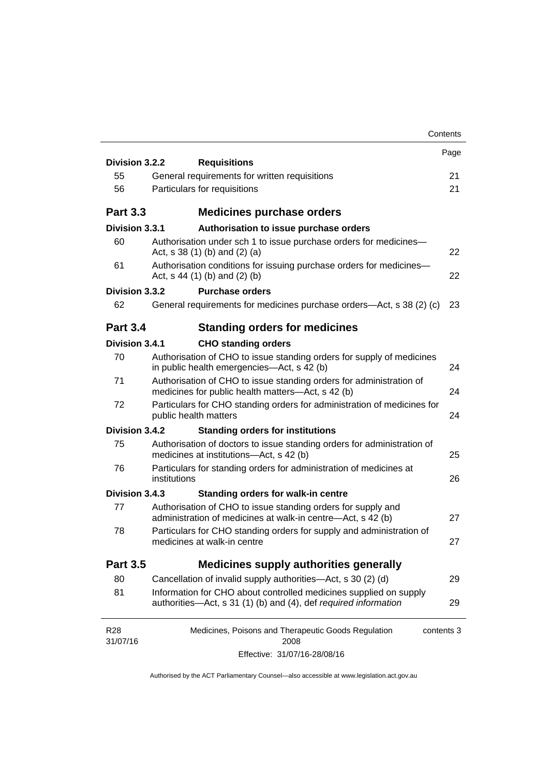|                        |                                                                                                                                      | Contents |
|------------------------|--------------------------------------------------------------------------------------------------------------------------------------|----------|
| Division 3.2.2         |                                                                                                                                      | Page     |
| 55                     | <b>Requisitions</b><br>General requirements for written requisitions                                                                 | 21       |
| 56                     | Particulars for requisitions                                                                                                         | 21       |
|                        |                                                                                                                                      |          |
| <b>Part 3.3</b>        | <b>Medicines purchase orders</b>                                                                                                     |          |
| Division 3.3.1         | Authorisation to issue purchase orders                                                                                               |          |
| 60                     | Authorisation under sch 1 to issue purchase orders for medicines-<br>Act, $s$ 38 (1) (b) and (2) (a)                                 | 22       |
| 61                     | Authorisation conditions for issuing purchase orders for medicines-<br>Act, $s$ 44 (1) (b) and (2) (b)                               | 22       |
| Division 3.3.2         | <b>Purchase orders</b>                                                                                                               |          |
| 62                     | General requirements for medicines purchase orders—Act, s 38 (2) (c)                                                                 | 23       |
| <b>Part 3.4</b>        | <b>Standing orders for medicines</b>                                                                                                 |          |
| Division 3.4.1         | <b>CHO standing orders</b>                                                                                                           |          |
| 70                     | Authorisation of CHO to issue standing orders for supply of medicines<br>in public health emergencies—Act, s 42 (b)                  | 24       |
| 71                     | Authorisation of CHO to issue standing orders for administration of<br>medicines for public health matters-Act, s 42 (b)             | 24       |
| 72                     | Particulars for CHO standing orders for administration of medicines for<br>public health matters                                     | 24       |
| Division 3.4.2         | <b>Standing orders for institutions</b>                                                                                              |          |
| 75                     | Authorisation of doctors to issue standing orders for administration of<br>medicines at institutions-Act, s 42 (b)                   | 25       |
| 76                     | Particulars for standing orders for administration of medicines at<br>institutions                                                   | 26       |
| Division 3.4.3         | <b>Standing orders for walk-in centre</b>                                                                                            |          |
| 77                     | Authorisation of CHO to issue standing orders for supply and<br>administration of medicines at walk-in centre-Act, s 42 (b)          | 27       |
| 78                     | Particulars for CHO standing orders for supply and administration of<br>medicines at walk-in centre                                  | 27       |
| <b>Part 3.5</b>        | <b>Medicines supply authorities generally</b>                                                                                        |          |
| 80                     | Cancellation of invalid supply authorities—Act, s 30 (2) (d)                                                                         | 29       |
| 81                     | Information for CHO about controlled medicines supplied on supply<br>authorities-Act, s 31 (1) (b) and (4), def required information | 29       |
| <b>R28</b><br>31/07/16 | Medicines, Poisons and Therapeutic Goods Regulation<br>contents 3<br>2008                                                            |          |
|                        | Effective: 31/07/16-28/08/16                                                                                                         |          |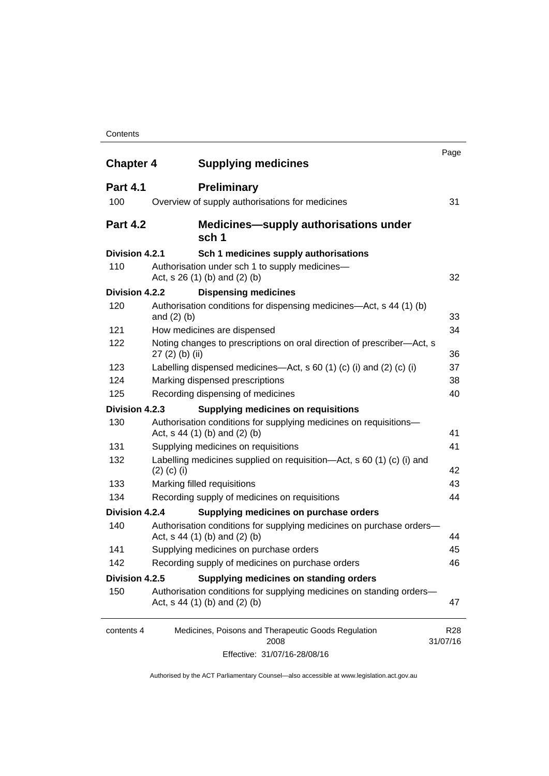#### **Contents**

| <b>Chapter 4</b> | <b>Supplying medicines</b>                                                                              | Page                        |
|------------------|---------------------------------------------------------------------------------------------------------|-----------------------------|
| <b>Part 4.1</b>  | <b>Preliminary</b>                                                                                      |                             |
| 100              | Overview of supply authorisations for medicines                                                         | 31                          |
| <b>Part 4.2</b>  | <b>Medicines—supply authorisations under</b><br>sch 1                                                   |                             |
| Division 4.2.1   | Sch 1 medicines supply authorisations                                                                   |                             |
| 110              | Authorisation under sch 1 to supply medicines-<br>Act, s 26 (1) (b) and (2) (b)                         | 32                          |
| Division 4.2.2   | <b>Dispensing medicines</b>                                                                             |                             |
| 120              | Authorisation conditions for dispensing medicines—Act, s 44 (1) (b)<br>and $(2)$ $(b)$                  | 33                          |
| 121              | How medicines are dispensed                                                                             | 34                          |
| 122              | Noting changes to prescriptions on oral direction of prescriber-Act, s<br>$27(2)$ (b) (ii)              | 36                          |
| 123              | Labelling dispensed medicines—Act, s 60 (1) (c) (i) and (2) (c) (i)                                     | 37                          |
| 124              | Marking dispensed prescriptions                                                                         | 38                          |
| 125              | Recording dispensing of medicines                                                                       | 40                          |
| Division 4.2.3   | <b>Supplying medicines on requisitions</b>                                                              |                             |
| 130              | Authorisation conditions for supplying medicines on requisitions-<br>Act, $s$ 44 (1) (b) and (2) (b)    | 41                          |
| 131              | Supplying medicines on requisitions                                                                     | 41                          |
| 132              | Labelling medicines supplied on requisition-Act, s 60 (1) (c) (i) and<br>$(2)$ (c) (i)                  | 42                          |
| 133              | Marking filled requisitions                                                                             | 43                          |
| 134              | Recording supply of medicines on requisitions                                                           | 44                          |
| Division 4.2.4   | Supplying medicines on purchase orders                                                                  |                             |
| 140              | Authorisation conditions for supplying medicines on purchase orders-<br>Act, $s$ 44 (1) (b) and (2) (b) | 44                          |
| 141              | Supplying medicines on purchase orders                                                                  | 45                          |
| 142              | Recording supply of medicines on purchase orders                                                        | 46                          |
| Division 4.2.5   | Supplying medicines on standing orders                                                                  |                             |
| 150              | Authorisation conditions for supplying medicines on standing orders-<br>Act, $s$ 44 (1) (b) and (2) (b) | 47                          |
| contents 4       | Medicines, Poisons and Therapeutic Goods Regulation<br>2008                                             | R <sub>28</sub><br>31/07/16 |
|                  | Effective: 31/07/16-28/08/16                                                                            |                             |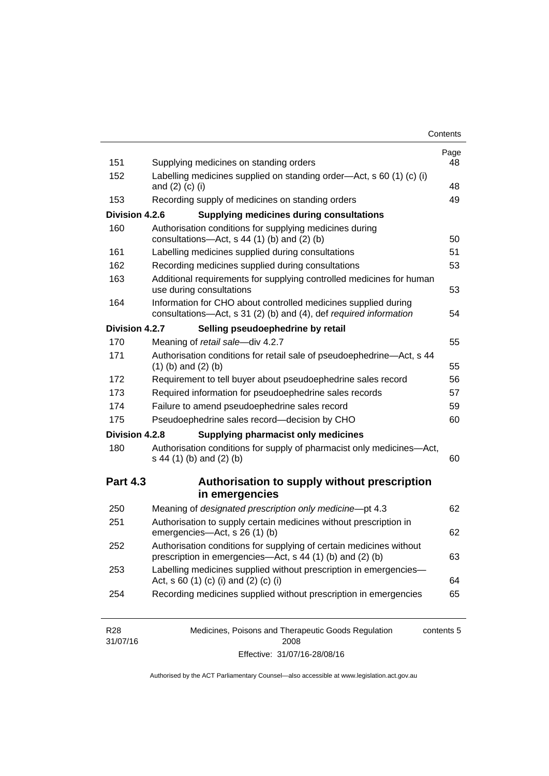| Contents |
|----------|
|----------|

| 151                    | Supplying medicines on standing orders                                                                                              | Page<br>48 |
|------------------------|-------------------------------------------------------------------------------------------------------------------------------------|------------|
| 152                    | Labelling medicines supplied on standing order-Act, s 60 (1) (c) (i)<br>and $(2)$ $(c)$ $(i)$                                       | 48         |
| 153                    | Recording supply of medicines on standing orders                                                                                    | 49         |
| Division 4.2.6         | <b>Supplying medicines during consultations</b>                                                                                     |            |
| 160                    | Authorisation conditions for supplying medicines during                                                                             |            |
|                        | consultations-Act, s 44 (1) (b) and (2) (b)                                                                                         | 50         |
| 161                    | Labelling medicines supplied during consultations                                                                                   | 51         |
| 162                    | Recording medicines supplied during consultations                                                                                   | 53         |
| 163                    | Additional requirements for supplying controlled medicines for human<br>use during consultations                                    | 53         |
| 164                    | Information for CHO about controlled medicines supplied during<br>consultations-Act, s 31 (2) (b) and (4), def required information | 54         |
| Division 4.2.7         | Selling pseudoephedrine by retail                                                                                                   |            |
| 170                    | Meaning of retail sale-div 4.2.7                                                                                                    | 55         |
| 171                    | Authorisation conditions for retail sale of pseudoephedrine-Act, s 44<br>$(1)$ (b) and $(2)$ (b)                                    | 55         |
| 172                    | Requirement to tell buyer about pseudoephedrine sales record                                                                        | 56         |
| 173                    | Required information for pseudoephedrine sales records                                                                              | 57         |
| 174                    | Failure to amend pseudoephedrine sales record                                                                                       | 59         |
| 175                    | Pseudoephedrine sales record-decision by CHO                                                                                        | 60         |
| Division 4.2.8         | <b>Supplying pharmacist only medicines</b>                                                                                          |            |
| 180                    | Authorisation conditions for supply of pharmacist only medicines-Act,                                                               |            |
|                        | s 44 (1) (b) and (2) (b)                                                                                                            | 60         |
|                        | Authorisation to supply without prescription                                                                                        |            |
|                        | in emergencies                                                                                                                      |            |
| 250                    | Meaning of designated prescription only medicine-pt 4.3                                                                             | 62         |
| 251                    | Authorisation to supply certain medicines without prescription in<br>emergencies-Act, s 26 (1) (b)                                  |            |
| 252                    | Authorisation conditions for supplying of certain medicines without<br>prescription in emergencies—Act, s 44 (1) (b) and (2) (b)    | 62<br>63   |
| <b>Part 4.3</b><br>253 | Labelling medicines supplied without prescription in emergencies-<br>Act, s 60 (1) (c) (i) and (2) (c) (i)                          | 64         |

| R <sub>28</sub> | Medicines, Poisons and Therapeutic Goods Regulation | contents 5 |
|-----------------|-----------------------------------------------------|------------|
| 31/07/16        | 2008                                                |            |
|                 | Effective: 31/07/16-28/08/16                        |            |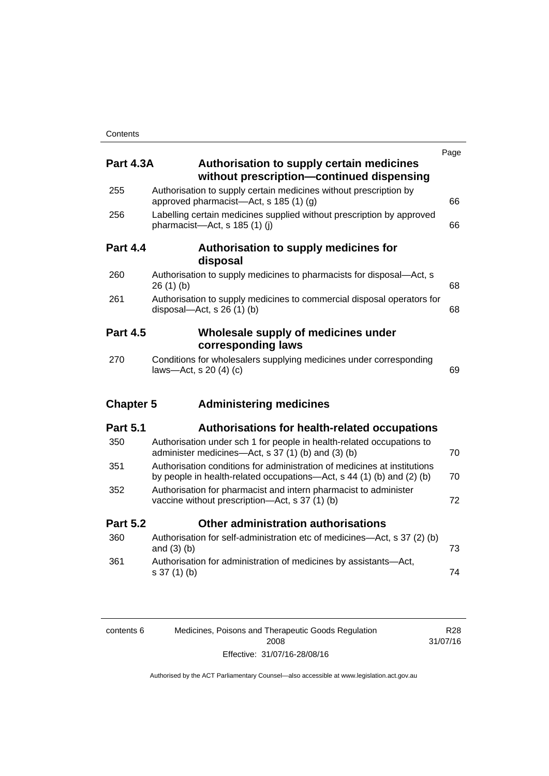|                  |                                                                                                                                                   | Page |
|------------------|---------------------------------------------------------------------------------------------------------------------------------------------------|------|
| <b>Part 4.3A</b> | Authorisation to supply certain medicines<br>without prescription-continued dispensing                                                            |      |
| 255              | Authorisation to supply certain medicines without prescription by<br>approved pharmacist-Act, s 185 (1) (g)                                       | 66   |
| 256              | Labelling certain medicines supplied without prescription by approved<br>pharmacist-Act, s 185 (1) (j)                                            | 66   |
| <b>Part 4.4</b>  | Authorisation to supply medicines for<br>disposal                                                                                                 |      |
| 260              | Authorisation to supply medicines to pharmacists for disposal-Act, s<br>26(1)(b)                                                                  | 68   |
| 261              | Authorisation to supply medicines to commercial disposal operators for<br>disposal- $-\text{Act}$ , s 26 (1) (b)                                  | 68   |
| <b>Part 4.5</b>  | Wholesale supply of medicines under<br>corresponding laws                                                                                         |      |
| 270              | Conditions for wholesalers supplying medicines under corresponding<br>laws-Act, s 20 (4) (c)                                                      | 69   |
| <b>Chapter 5</b> | <b>Administering medicines</b>                                                                                                                    |      |
| <b>Part 5.1</b>  | <b>Authorisations for health-related occupations</b>                                                                                              |      |
| 350              | Authorisation under sch 1 for people in health-related occupations to<br>administer medicines-Act, s 37 (1) (b) and (3) (b)                       | 70   |
| 351              | Authorisation conditions for administration of medicines at institutions<br>by people in health-related occupations—Act, s 44 (1) (b) and (2) (b) | 70   |
| 352              | Authorisation for pharmacist and intern pharmacist to administer<br>vaccine without prescription—Act, s 37 (1) (b)                                | 72   |
| <b>Part 5.2</b>  | Other administration authorisations                                                                                                               |      |
| 360              | Authorisation for self-administration etc of medicines-Act, s 37 (2) (b)<br>and $(3)$ $(b)$                                                       | 73   |
| 361              | Authorisation for administration of medicines by assistants-Act,<br>$s 37(1)$ (b)                                                                 | 74   |
|                  |                                                                                                                                                   |      |
|                  |                                                                                                                                                   |      |

| contents 6 | Medicines, Poisons and Therapeutic Goods Regulation | R28      |
|------------|-----------------------------------------------------|----------|
|            | 2008                                                | 31/07/16 |
|            | Effective: 31/07/16-28/08/16                        |          |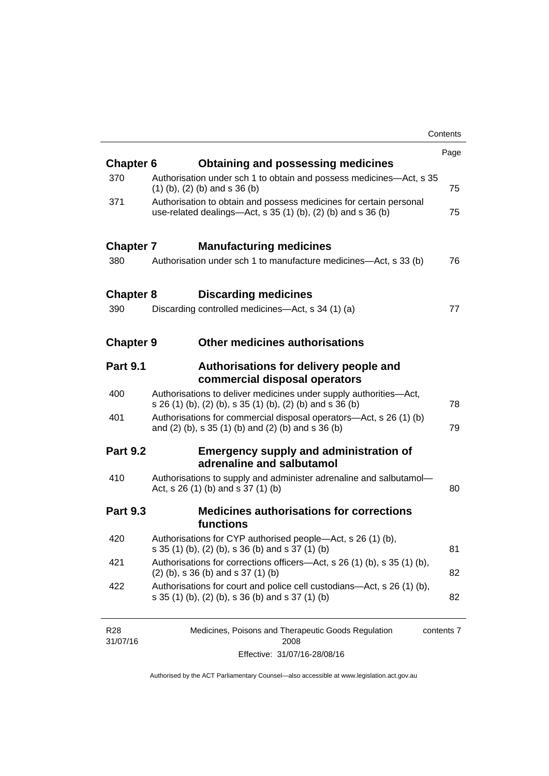|                  |                                                                                                                                       | Contents |
|------------------|---------------------------------------------------------------------------------------------------------------------------------------|----------|
|                  |                                                                                                                                       | Page     |
| <b>Chapter 6</b> | <b>Obtaining and possessing medicines</b>                                                                                             |          |
| 370              | Authorisation under sch 1 to obtain and possess medicines—Act, s 35<br>$(1)$ (b), (2) (b) and s 36 (b)                                | 75       |
| 371              | Authorisation to obtain and possess medicines for certain personal<br>use-related dealings—Act, s $35(1)(b)$ , $(2)(b)$ and s $36(b)$ | 75       |
| <b>Chapter 7</b> | <b>Manufacturing medicines</b>                                                                                                        |          |
| 380              | Authorisation under sch 1 to manufacture medicines—Act, s 33 (b)                                                                      | 76       |
| <b>Chapter 8</b> | <b>Discarding medicines</b>                                                                                                           |          |
| 390              | Discarding controlled medicines—Act, s 34 (1) (a)                                                                                     | 77       |
| <b>Chapter 9</b> | <b>Other medicines authorisations</b>                                                                                                 |          |
| <b>Part 9.1</b>  | Authorisations for delivery people and<br>commercial disposal operators                                                               |          |
| 400              | Authorisations to deliver medicines under supply authorities-Act,<br>s 26 (1) (b), (2) (b), s 35 (1) (b), (2) (b) and s 36 (b)        | 78       |
| 401              | Authorisations for commercial disposal operators—Act, s 26 (1) (b)<br>and (2) (b), s 35 (1) (b) and (2) (b) and s 36 (b)              | 79       |
| <b>Part 9.2</b>  | <b>Emergency supply and administration of</b><br>adrenaline and salbutamol                                                            |          |
| 410              | Authorisations to supply and administer adrenaline and salbutamol-<br>Act, s 26 (1) (b) and s 37 (1) (b)                              | 80       |
| <b>Part 9.3</b>  | <b>Medicines authorisations for corrections</b><br>functions                                                                          |          |
| 420              | Authorisations for CYP authorised people-Act, s 26 (1) (b),<br>s 35 (1) (b), (2) (b), s 36 (b) and s 37 (1) (b)                       | 81       |
| 421              | Authorisations for corrections officers—Act, s 26 (1) (b), s 35 (1) (b),<br>$(2)$ (b), s 36 (b) and s 37 (1) (b)                      | 82       |
| 422              | Authorisations for court and police cell custodians—Act, s 26 (1) (b),<br>s 35 (1) (b), (2) (b), s 36 (b) and s 37 (1) (b)            | 82       |
|                  |                                                                                                                                       |          |

| R28      | Medicines, Poisons and Therapeutic Goods Regulation | contents 7 |
|----------|-----------------------------------------------------|------------|
| 31/07/16 | 2008                                                |            |
|          | Effective: 31/07/16-28/08/16                        |            |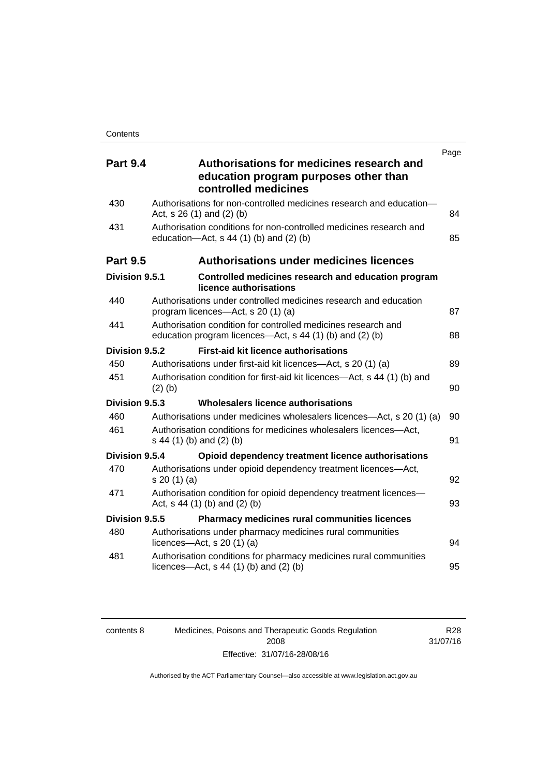| <b>Part 9.4</b> | Page<br>Authorisations for medicines research and                                                                         |    |
|-----------------|---------------------------------------------------------------------------------------------------------------------------|----|
|                 | education program purposes other than<br>controlled medicines                                                             |    |
| 430             | Authorisations for non-controlled medicines research and education-<br>Act, $s$ 26 (1) and (2) (b)                        | 84 |
| 431             | Authorisation conditions for non-controlled medicines research and<br>education- $Act$ , s 44 (1) (b) and (2) (b)         | 85 |
| <b>Part 9.5</b> | <b>Authorisations under medicines licences</b>                                                                            |    |
| Division 9.5.1  | Controlled medicines research and education program<br>licence authorisations                                             |    |
| 440             | Authorisations under controlled medicines research and education<br>program licences—Act, s 20 (1) (a)                    | 87 |
| 441             | Authorisation condition for controlled medicines research and<br>education program licences—Act, s 44 (1) (b) and (2) (b) | 88 |
| Division 9.5.2  | <b>First-aid kit licence authorisations</b>                                                                               |    |
| 450             | Authorisations under first-aid kit licences—Act, s 20 (1) (a)                                                             | 89 |
| 451             | Authorisation condition for first-aid kit licences—Act, s 44 (1) (b) and<br>$(2)$ (b)                                     | 90 |
| Division 9.5.3  | Wholesalers licence authorisations                                                                                        |    |
| 460             | Authorisations under medicines wholesalers licences—Act, s 20 (1) (a)                                                     | 90 |
| 461             | Authorisation conditions for medicines wholesalers licences-Act,<br>s 44 (1) (b) and (2) (b)                              | 91 |
| Division 9.5.4  | Opioid dependency treatment licence authorisations                                                                        |    |
| 470             | Authorisations under opioid dependency treatment licences-Act,<br>s 20 (1) (a)                                            | 92 |
| 471             | Authorisation condition for opioid dependency treatment licences-<br>Act, s 44 (1) (b) and (2) (b)                        | 93 |
| Division 9.5.5  | <b>Pharmacy medicines rural communities licences</b>                                                                      |    |
| 480             | Authorisations under pharmacy medicines rural communities<br>licences- $-\text{Act}$ , s 20 (1) (a)                       | 94 |
| 481             | Authorisation conditions for pharmacy medicines rural communities<br>licences—Act, $s$ 44 (1) (b) and (2) (b)             | 95 |

| contents 8 |  |
|------------|--|
|            |  |
|            |  |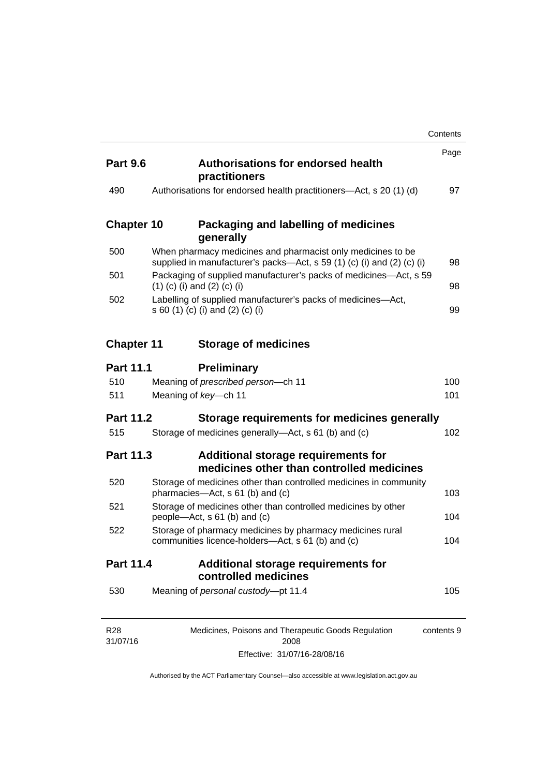|                             |                                                                                                                                       | Contents   |
|-----------------------------|---------------------------------------------------------------------------------------------------------------------------------------|------------|
| <b>Part 9.6</b>             | <b>Authorisations for endorsed health</b><br>practitioners                                                                            | Page       |
| 490                         | Authorisations for endorsed health practitioners—Act, s 20 (1) (d)                                                                    | 97         |
| <b>Chapter 10</b>           | Packaging and labelling of medicines<br>generally                                                                                     |            |
| 500                         | When pharmacy medicines and pharmacist only medicines to be<br>supplied in manufacturer's packs—Act, s 59 (1) (c) (i) and (2) (c) (i) | 98         |
| 501                         | Packaging of supplied manufacturer's packs of medicines—Act, s 59<br>$(1)$ (c) (i) and (2) (c) (i)                                    | 98         |
| 502                         | Labelling of supplied manufacturer's packs of medicines-Act,<br>s 60 (1) (c) (i) and (2) (c) (i)                                      | 99         |
| <b>Chapter 11</b>           | <b>Storage of medicines</b>                                                                                                           |            |
| <b>Part 11.1</b>            | <b>Preliminary</b>                                                                                                                    |            |
| 510                         | Meaning of prescribed person-ch 11                                                                                                    | 100        |
| 511                         | Meaning of key-ch 11                                                                                                                  | 101        |
| <b>Part 11.2</b>            | Storage requirements for medicines generally                                                                                          |            |
| 515                         | Storage of medicines generally-Act, s 61 (b) and (c)                                                                                  | 102        |
| <b>Part 11.3</b>            | Additional storage requirements for<br>medicines other than controlled medicines                                                      |            |
| 520                         | Storage of medicines other than controlled medicines in community<br>pharmacies—Act, s 61 (b) and (c)                                 | 103        |
| 521                         | Storage of medicines other than controlled medicines by other<br>people—Act, s 61 (b) and (c)                                         | 104        |
| 522                         | Storage of pharmacy medicines by pharmacy medicines rural<br>communities licence-holders—Act, s 61 (b) and (c)                        | 104        |
| Part 11.4                   | <b>Additional storage requirements for</b><br>controlled medicines                                                                    |            |
| 530                         | Meaning of personal custody-pt 11.4                                                                                                   | 105        |
| R <sub>28</sub><br>31/07/16 | Medicines, Poisons and Therapeutic Goods Regulation<br>2008                                                                           | contents 9 |

Effective: 31/07/16-28/08/16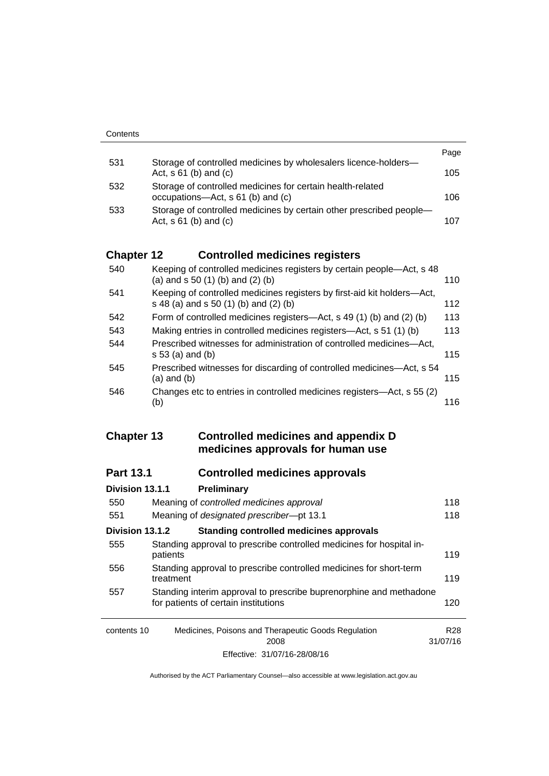|     |                                                                                                   | Page |
|-----|---------------------------------------------------------------------------------------------------|------|
| 531 | Storage of controlled medicines by wholesalers licence-holders-<br>Act, $s \, 61$ (b) and (c)     | 105  |
| 532 | Storage of controlled medicines for certain health-related<br>occupations—Act, s 61 (b) and (c)   | 106  |
| 533 | Storage of controlled medicines by certain other prescribed people-<br>Act, $s \, 61$ (b) and (c) | 107  |

# **Chapter 12 [Controlled medicines registers](#page-133-0)**

| 540 | Keeping of controlled medicines registers by certain people—Act, s 48<br>(a) and $s$ 50 (1) (b) and (2) (b)      | 110 |
|-----|------------------------------------------------------------------------------------------------------------------|-----|
| 541 | Keeping of controlled medicines registers by first-aid kit holders-Act,<br>s 48 (a) and s 50 (1) (b) and (2) (b) | 112 |
| 542 | Form of controlled medicines registers—Act, s 49 (1) (b) and (2) (b)                                             | 113 |
| 543 | Making entries in controlled medicines registers-Act, s 51 (1) (b)                                               | 113 |
| 544 | Prescribed witnesses for administration of controlled medicines—Act,<br>$s 53$ (a) and (b)                       | 115 |
| 545 | Prescribed witnesses for discarding of controlled medicines—Act, s 54<br>$(a)$ and $(b)$                         | 115 |
| 546 | Changes etc to entries in controlled medicines registers—Act, s 55 (2)<br>(b)                                    | 116 |

## **Chapter 13 [Controlled medicines and appendix D](#page-141-0)  [medicines approvals for human use](#page-141-0)**

# **Part 13.1 [Controlled medicines approvals](#page-141-1)**

|                                                                    | Division 13.1.1 | Preliminary                                                                                                |          |
|--------------------------------------------------------------------|-----------------|------------------------------------------------------------------------------------------------------------|----------|
|                                                                    | 550             | Meaning of controlled medicines approval                                                                   | 118      |
|                                                                    | 551             | Meaning of designated prescriber-pt 13.1                                                                   | 118      |
|                                                                    | Division 13.1.2 | <b>Standing controlled medicines approvals</b>                                                             |          |
|                                                                    | 555             | Standing approval to prescribe controlled medicines for hospital in-<br>patients                           | 119      |
|                                                                    | 556             | Standing approval to prescribe controlled medicines for short-term<br>treatment                            | 119      |
|                                                                    | 557             | Standing interim approval to prescribe buprenorphine and methadone<br>for patients of certain institutions | 120      |
| Medicines, Poisons and Therapeutic Goods Regulation<br>contents 10 |                 | R28                                                                                                        |          |
|                                                                    |                 | 2008                                                                                                       | 31/07/16 |
|                                                                    |                 | Effective: 31/07/16-28/08/16                                                                               |          |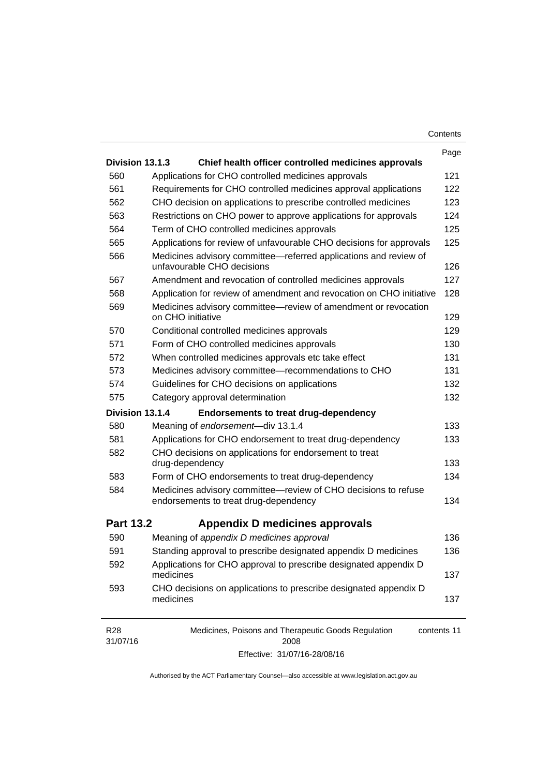| Contents |  |
|----------|--|
|----------|--|

|                                                                       |                                                                                                | Page        |
|-----------------------------------------------------------------------|------------------------------------------------------------------------------------------------|-------------|
| Division 13.1.3                                                       | Chief health officer controlled medicines approvals                                            |             |
| 560                                                                   | Applications for CHO controlled medicines approvals                                            | 121         |
| 561                                                                   | Requirements for CHO controlled medicines approval applications                                | 122         |
| 562<br>CHO decision on applications to prescribe controlled medicines |                                                                                                | 123         |
| 563                                                                   | Restrictions on CHO power to approve applications for approvals                                | 124         |
| 564                                                                   | Term of CHO controlled medicines approvals                                                     | 125         |
| 565                                                                   | Applications for review of unfavourable CHO decisions for approvals                            | 125         |
| 566                                                                   | Medicines advisory committee-referred applications and review of<br>unfavourable CHO decisions | 126         |
| 567                                                                   | Amendment and revocation of controlled medicines approvals                                     | 127         |
| 568                                                                   | Application for review of amendment and revocation on CHO initiative                           | 128         |
| 569                                                                   | Medicines advisory committee—review of amendment or revocation<br>on CHO initiative            | 129         |
| 570                                                                   | Conditional controlled medicines approvals                                                     | 129         |
| 571                                                                   | Form of CHO controlled medicines approvals                                                     | 130         |
| 572                                                                   | When controlled medicines approvals etc take effect                                            | 131         |
| 573                                                                   | Medicines advisory committee-recommendations to CHO                                            | 131         |
| 574                                                                   | Guidelines for CHO decisions on applications                                                   | 132         |
| 575                                                                   | Category approval determination                                                                | 132         |
| Division 13.1.4                                                       | <b>Endorsements to treat drug-dependency</b>                                                   |             |
| 580                                                                   | Meaning of endorsement-div 13.1.4                                                              | 133         |
| 581                                                                   | Applications for CHO endorsement to treat drug-dependency                                      | 133         |
| 582                                                                   | CHO decisions on applications for endorsement to treat<br>drug-dependency                      | 133         |
| 583                                                                   | Form of CHO endorsements to treat drug-dependency                                              | 134         |
| 584                                                                   | Medicines advisory committee-review of CHO decisions to refuse                                 |             |
|                                                                       | endorsements to treat drug-dependency                                                          | 134         |
| <b>Part 13.2</b>                                                      | Appendix D medicines approvals                                                                 |             |
| 590                                                                   | Meaning of appendix D medicines approval                                                       | 136         |
| 591                                                                   | Standing approval to prescribe designated appendix D medicines                                 | 136         |
| 592                                                                   | Applications for CHO approval to prescribe designated appendix D<br>medicines                  | 137         |
| 593                                                                   | CHO decisions on applications to prescribe designated appendix D<br>medicines                  | 137         |
| R <sub>28</sub><br>31/07/16                                           | Medicines, Poisons and Therapeutic Goods Regulation<br>2008                                    | contents 11 |

Effective: 31/07/16-28/08/16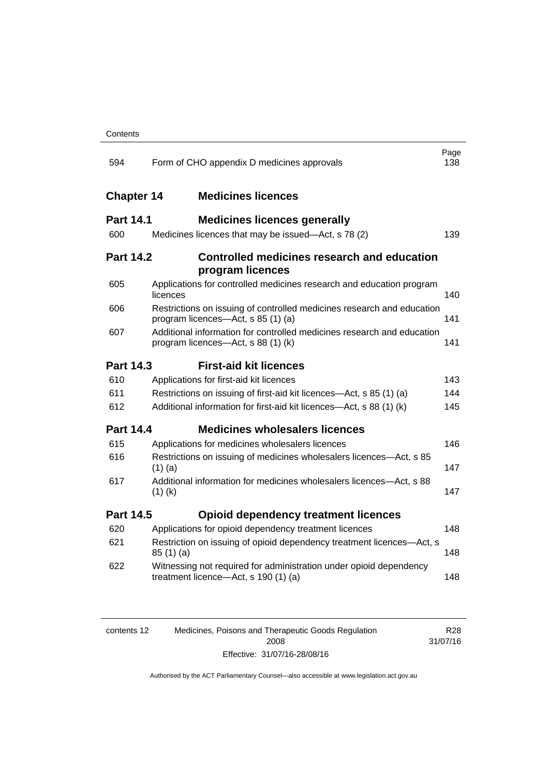| 594               | Page<br>Form of CHO appendix D medicines approvals<br>138                                                    |     |  |  |  |
|-------------------|--------------------------------------------------------------------------------------------------------------|-----|--|--|--|
| <b>Chapter 14</b> | <b>Medicines licences</b>                                                                                    |     |  |  |  |
| <b>Part 14.1</b>  | <b>Medicines licences generally</b>                                                                          |     |  |  |  |
| 600               | Medicines licences that may be issued-Act, s 78 (2)                                                          | 139 |  |  |  |
| <b>Part 14.2</b>  | <b>Controlled medicines research and education</b><br>program licences                                       |     |  |  |  |
| 605               | Applications for controlled medicines research and education program<br>licences                             | 140 |  |  |  |
| 606               | Restrictions on issuing of controlled medicines research and education<br>program licences-Act, s 85 (1) (a) | 141 |  |  |  |
| 607               | Additional information for controlled medicines research and education<br>program licences—Act, s 88 (1) (k) | 141 |  |  |  |
| <b>Part 14.3</b>  | <b>First-aid kit licences</b>                                                                                |     |  |  |  |
| 610               | Applications for first-aid kit licences                                                                      | 143 |  |  |  |
| 611               | Restrictions on issuing of first-aid kit licences—Act, s 85 (1) (a)                                          | 144 |  |  |  |
| 612               | Additional information for first-aid kit licences-Act, s 88 (1) (k)                                          | 145 |  |  |  |
| <b>Part 14.4</b>  | <b>Medicines wholesalers licences</b>                                                                        |     |  |  |  |
| 615               | Applications for medicines wholesalers licences                                                              | 146 |  |  |  |
| 616               | Restrictions on issuing of medicines wholesalers licences-Act, s 85<br>$(1)$ (a)                             | 147 |  |  |  |
| 617               | Additional information for medicines wholesalers licences—Act, s 88<br>$(1)$ (k)                             | 147 |  |  |  |
| <b>Part 14.5</b>  | <b>Opioid dependency treatment licences</b>                                                                  |     |  |  |  |
| 620               | Applications for opioid dependency treatment licences                                                        | 148 |  |  |  |
| 621               | Restriction on issuing of opioid dependency treatment licences-Act, s<br>85(1)(a)                            | 148 |  |  |  |
| 622               | Witnessing not required for administration under opioid dependency<br>treatment licence-Act, s 190 (1) (a)   | 148 |  |  |  |
|                   |                                                                                                              |     |  |  |  |

| contents 12 | Medicines, Poisons and Therapeutic Goods Regulation | R28      |
|-------------|-----------------------------------------------------|----------|
|             | 2008                                                | 31/07/16 |
|             | Effective: 31/07/16-28/08/16                        |          |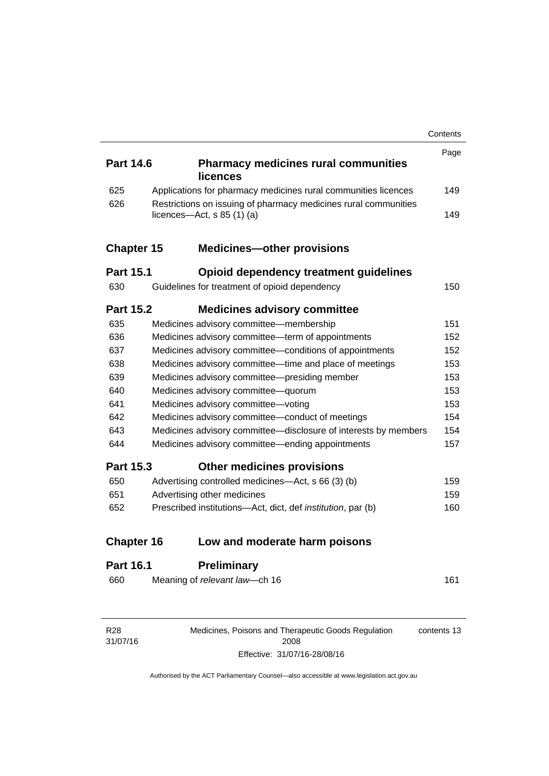|                   |  |                                                                     | Contents |
|-------------------|--|---------------------------------------------------------------------|----------|
|                   |  |                                                                     | Page     |
| <b>Part 14.6</b>  |  | <b>Pharmacy medicines rural communities</b><br>licences             |          |
| 625               |  | Applications for pharmacy medicines rural communities licences      | 149      |
| 626               |  | Restrictions on issuing of pharmacy medicines rural communities     |          |
|                   |  | licences- $-\text{Act}$ , s 85 (1) (a)                              | 149      |
| <b>Chapter 15</b> |  | <b>Medicines-other provisions</b>                                   |          |
| <b>Part 15.1</b>  |  | Opioid dependency treatment guidelines                              |          |
| 630               |  | Guidelines for treatment of opioid dependency                       | 150      |
| <b>Part 15.2</b>  |  | <b>Medicines advisory committee</b>                                 |          |
| 635               |  | Medicines advisory committee-membership                             | 151      |
| 636               |  | Medicines advisory committee-term of appointments                   | 152      |
| 637               |  | Medicines advisory committee-conditions of appointments             | 152      |
| 638               |  | Medicines advisory committee—time and place of meetings             | 153      |
| 639               |  | Medicines advisory committee-presiding member                       | 153      |
| 640               |  | Medicines advisory committee-quorum                                 | 153      |
| 641               |  | Medicines advisory committee-voting                                 | 153      |
| 642               |  | Medicines advisory committee-conduct of meetings                    | 154      |
| 643               |  | Medicines advisory committee-disclosure of interests by members     | 154      |
| 644               |  | Medicines advisory committee—ending appointments                    | 157      |
| <b>Part 15.3</b>  |  | <b>Other medicines provisions</b>                                   |          |
| 650               |  | Advertising controlled medicines—Act, s 66 (3) (b)                  | 159      |
| 651               |  | Advertising other medicines                                         | 159      |
| 652               |  | Prescribed institutions-Act, dict, def <i>institution</i> , par (b) | 160      |
| <b>Chapter 16</b> |  | Low and moderate harm poisons                                       |          |
| <b>Part 16.1</b>  |  | <b>Preliminary</b>                                                  |          |
| 660               |  | Meaning of relevant law-ch 16                                       | 161      |
|                   |  |                                                                     |          |

Medicines, Poisons and Therapeutic Goods Regulation 2008 Effective: 31/07/16-28/08/16

contents 13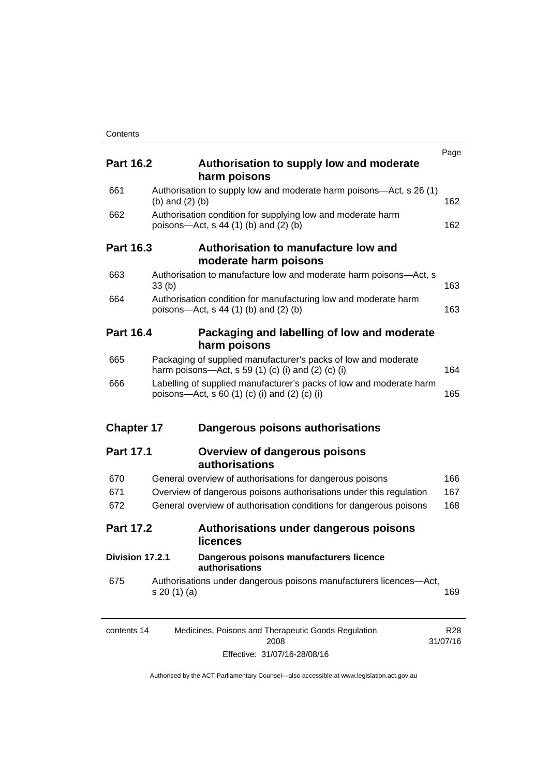| <b>Part 16.2</b>  |                   | Authorisation to supply low and moderate<br>harm poisons                                                             | Page |
|-------------------|-------------------|----------------------------------------------------------------------------------------------------------------------|------|
| 661               | (b) and $(2)$ (b) | Authorisation to supply low and moderate harm poisons—Act, s 26 (1)                                                  | 162  |
| 662               |                   | Authorisation condition for supplying low and moderate harm<br>poisons-Act, $s$ 44 (1) (b) and (2) (b)               | 162  |
| <b>Part 16.3</b>  |                   | Authorisation to manufacture low and<br>moderate harm poisons                                                        |      |
| 663               | 33(b)             | Authorisation to manufacture low and moderate harm poisons-Act, s                                                    | 163  |
| 664               |                   | Authorisation condition for manufacturing low and moderate harm<br>poisons—Act, s 44 (1) (b) and (2) (b)             | 163  |
| <b>Part 16.4</b>  |                   | Packaging and labelling of low and moderate<br>harm poisons                                                          |      |
| 665               |                   | Packaging of supplied manufacturer's packs of low and moderate<br>harm poisons—Act, s 59 (1) (c) (i) and (2) (c) (i) | 164  |
| 666               |                   | Labelling of supplied manufacturer's packs of low and moderate harm<br>poisons—Act, s 60 (1) (c) (i) and (2) (c) (i) | 165  |
| <b>Chapter 17</b> |                   | Dangerous poisons authorisations                                                                                     |      |
| <b>Part 17.1</b>  |                   | <b>Overview of dangerous poisons</b><br>authorisations                                                               |      |
| 670               |                   | General overview of authorisations for dangerous poisons                                                             | 166  |
| 671               |                   | Overview of dangerous poisons authorisations under this regulation                                                   | 167  |
| 672               |                   | General overview of authorisation conditions for dangerous poisons                                                   | 168  |
| <b>Part 17.2</b>  |                   | Authorisations under dangerous poisons<br><b>licences</b>                                                            |      |
| Division 17.2.1   |                   | Dangerous poisons manufacturers licence<br>authorisations                                                            |      |
|                   |                   | Authorisations under dangerous poisons manufacturers licences-Act,                                                   |      |

| contents 14 | Medicines, Poisons and Therapeutic Goods Regulation | R28      |
|-------------|-----------------------------------------------------|----------|
|             | 2008                                                | 31/07/16 |
|             | Effective: 31/07/16-28/08/16                        |          |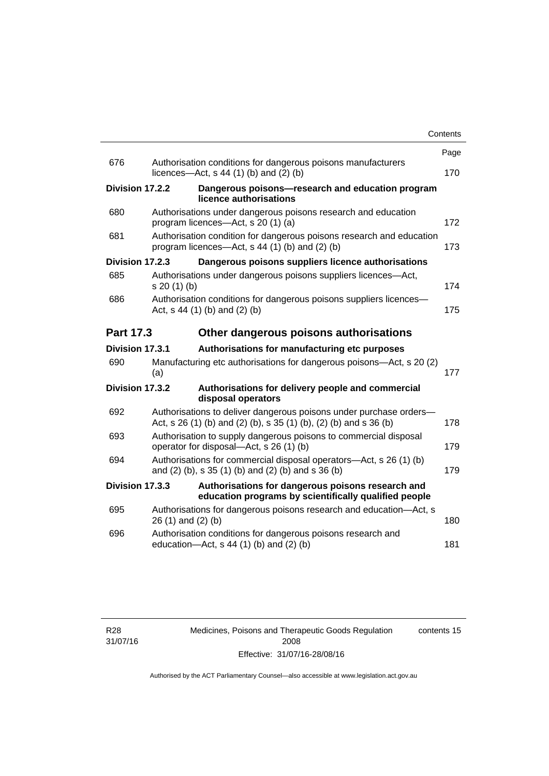|                 |                                                            |                                                                                                                                         | Contents |
|-----------------|------------------------------------------------------------|-----------------------------------------------------------------------------------------------------------------------------------------|----------|
|                 |                                                            |                                                                                                                                         | Page     |
| 676             |                                                            | Authorisation conditions for dangerous poisons manufacturers<br>licences- $-\text{Act}$ , s 44 (1) (b) and (2) (b)                      | 170      |
| Division 17.2.2 |                                                            | Dangerous poisons-research and education program<br>licence authorisations                                                              |          |
| 680             |                                                            | Authorisations under dangerous poisons research and education<br>program licences-Act, s 20 (1) (a)                                     | 172      |
| 681             |                                                            | Authorisation condition for dangerous poisons research and education<br>program licences—Act, s 44 (1) (b) and (2) (b)                  | 173      |
| Division 17.2.3 |                                                            | Dangerous poisons suppliers licence authorisations                                                                                      |          |
| 685             | s 20(1)(b)                                                 | Authorisations under dangerous poisons suppliers licences—Act,                                                                          | 174      |
| 686             |                                                            | Authorisation conditions for dangerous poisons suppliers licences-<br>Act, $s$ 44 (1) (b) and (2) (b)                                   | 175      |
|                 | <b>Part 17.3</b><br>Other dangerous poisons authorisations |                                                                                                                                         |          |
| Division 17.3.1 |                                                            | Authorisations for manufacturing etc purposes                                                                                           |          |
| 690             | (a)                                                        | Manufacturing etc authorisations for dangerous poisons-Act, s 20 (2)                                                                    | 177      |
| Division 17.3.2 |                                                            | Authorisations for delivery people and commercial<br>disposal operators                                                                 |          |
| 692             |                                                            | Authorisations to deliver dangerous poisons under purchase orders-<br>Act, s 26 (1) (b) and (2) (b), s 35 (1) (b), (2) (b) and s 36 (b) | 178      |
| 693             |                                                            | Authorisation to supply dangerous poisons to commercial disposal<br>operator for disposal—Act, s 26 (1) (b)                             | 179      |
| 694             |                                                            | Authorisations for commercial disposal operators—Act, s 26 (1) (b)<br>and (2) (b), s 35 (1) (b) and (2) (b) and s 36 (b)                | 179      |
| Division 17.3.3 |                                                            | Authorisations for dangerous poisons research and<br>education programs by scientifically qualified people                              |          |
| 695             | 26 (1) and (2) (b)                                         | Authorisations for dangerous poisons research and education-Act, s                                                                      | 180      |
| 696             |                                                            | Authorisation conditions for dangerous poisons research and<br>education- $Act$ , s 44 (1) (b) and (2) (b)                              | 181      |
|                 |                                                            |                                                                                                                                         |          |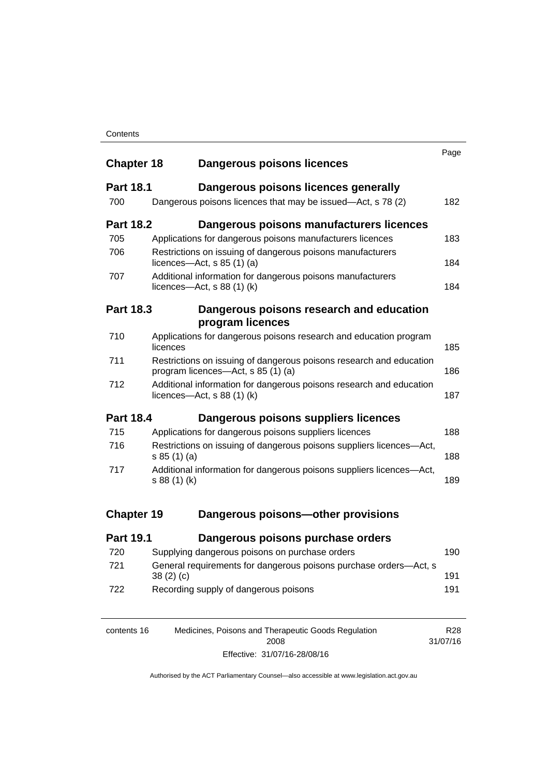### **Contents**

| <b>Chapter 18</b> | <b>Dangerous poisons licences</b>                                                                             | Page |
|-------------------|---------------------------------------------------------------------------------------------------------------|------|
| <b>Part 18.1</b>  | Dangerous poisons licences generally                                                                          |      |
| 700               | Dangerous poisons licences that may be issued-Act, s 78 (2)                                                   | 182  |
| <b>Part 18.2</b>  | Dangerous poisons manufacturers licences                                                                      |      |
| 705               | Applications for dangerous poisons manufacturers licences                                                     | 183  |
| 706               | Restrictions on issuing of dangerous poisons manufacturers<br>licences- $-\text{Act}$ , s 85 (1) (a)          | 184  |
| 707               | Additional information for dangerous poisons manufacturers<br>licences—Act, $s$ 88 (1) (k)                    | 184  |
| <b>Part 18.3</b>  | Dangerous poisons research and education<br>program licences                                                  |      |
| 710               | Applications for dangerous poisons research and education program<br>licences                                 | 185  |
| 711               | Restrictions on issuing of dangerous poisons research and education<br>program licences—Act, s 85 (1) (a)     | 186  |
| 712               | Additional information for dangerous poisons research and education<br>licences- $-\text{Act}$ , s 88 (1) (k) | 187  |
| <b>Part 18.4</b>  | Dangerous poisons suppliers licences                                                                          |      |
| 715               | Applications for dangerous poisons suppliers licences                                                         | 188  |
| 716               | Restrictions on issuing of dangerous poisons suppliers licences-Act,<br>s 85(1)(a)                            | 188  |
| 717               | Additional information for dangerous poisons suppliers licences-Act,<br>s 88 (1) (k)                          | 189  |
| <b>Chapter 19</b> | Dangerous poisons-other provisions                                                                            |      |
| <b>Part 19.1</b>  | Dangerous poisons purchase orders                                                                             |      |
| 720               | Supplying dangerous poisons on purchase orders                                                                | 190  |
| 721               | General requirements for dangerous poisons purchase orders-Act, s<br>38(2)(c)                                 | 191  |
| 722               | Recording supply of dangerous poisons                                                                         | 191  |

| contents 16 | Medicines, Poisons and Therapeutic Goods Regulation | R28      |
|-------------|-----------------------------------------------------|----------|
|             | 2008                                                | 31/07/16 |
|             | Effective: 31/07/16-28/08/16                        |          |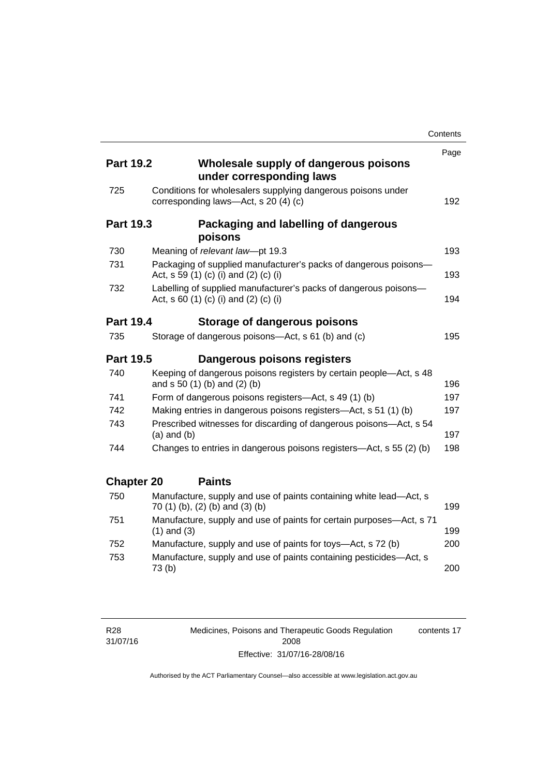|                   |                                                                                                           | Contents |
|-------------------|-----------------------------------------------------------------------------------------------------------|----------|
|                   |                                                                                                           | Page     |
| <b>Part 19.2</b>  | Wholesale supply of dangerous poisons<br>under corresponding laws                                         |          |
| 725               | Conditions for wholesalers supplying dangerous poisons under<br>corresponding laws-Act, s 20 (4) (c)      | 192      |
| <b>Part 19.3</b>  | Packaging and labelling of dangerous<br>poisons                                                           |          |
| 730               | Meaning of relevant law-pt 19.3                                                                           | 193      |
| 731               | Packaging of supplied manufacturer's packs of dangerous poisons-<br>Act, s 59 (1) (c) (i) and (2) (c) (i) | 193      |
| 732               | Labelling of supplied manufacturer's packs of dangerous poisons-<br>Act, s 60 (1) (c) (i) and (2) (c) (i) | 194      |
| <b>Part 19.4</b>  | Storage of dangerous poisons                                                                              |          |
| 735               | Storage of dangerous poisons-Act, s 61 (b) and (c)                                                        | 195      |
| <b>Part 19.5</b>  | Dangerous poisons registers                                                                               |          |
| 740               | Keeping of dangerous poisons registers by certain people—Act, s 48<br>and $s 50 (1) (b)$ and $(2) (b)$    | 196      |
| 741               | Form of dangerous poisons registers-Act, s 49 (1) (b)                                                     | 197      |
| 742               | Making entries in dangerous poisons registers—Act, s 51 (1) (b)                                           | 197      |
| 743               | Prescribed witnesses for discarding of dangerous poisons-Act, s 54<br>$(a)$ and $(b)$                     | 197      |
| 744               | Changes to entries in dangerous poisons registers—Act, s 55 (2) (b)                                       | 198      |
| <b>Chapter 20</b> | <b>Paints</b>                                                                                             |          |
| 750               | Manufacture, supply and use of paints containing white lead-Act, s<br>70 (1) (b), (2) (b) and (3) (b)     | 199      |
| 751               | Manufacture, supply and use of paints for certain purposes—Act, s 71<br>$(1)$ and $(3)$                   | 199      |
| 752               | Manufacture, supply and use of paints for toys-Act, s 72 (b)                                              | 200      |
| 753               | Manufacture, supply and use of paints containing pesticides-Act, s<br>73(b)                               | 200      |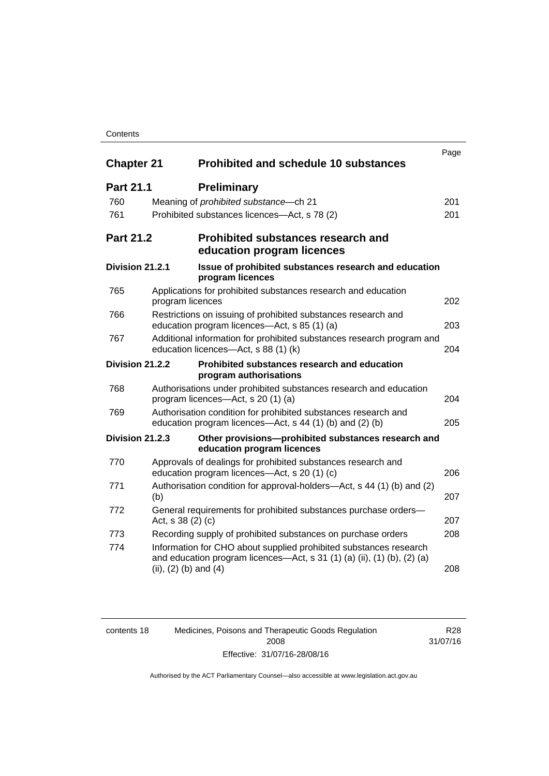### **Contents**

| <b>Chapter 21</b> |                           | <b>Prohibited and schedule 10 substances</b>                                                                                                                 | Page |
|-------------------|---------------------------|--------------------------------------------------------------------------------------------------------------------------------------------------------------|------|
| <b>Part 21.1</b>  |                           | <b>Preliminary</b>                                                                                                                                           |      |
| 760               |                           | Meaning of prohibited substance-ch 21                                                                                                                        | 201  |
| 761               |                           | Prohibited substances licences-Act, s 78 (2)                                                                                                                 | 201  |
| <b>Part 21.2</b>  |                           | <b>Prohibited substances research and</b><br>education program licences                                                                                      |      |
| Division 21.2.1   |                           | Issue of prohibited substances research and education<br>program licences                                                                                    |      |
| 765               | program licences          | Applications for prohibited substances research and education                                                                                                | 202  |
| 766               |                           | Restrictions on issuing of prohibited substances research and<br>education program licences-Act, s 85 (1) (a)                                                | 203  |
| 767               |                           | Additional information for prohibited substances research program and<br>education licences-Act, s 88 (1) (k)                                                | 204  |
| Division 21.2.2   |                           | Prohibited substances research and education<br>program authorisations                                                                                       |      |
| 768               |                           | Authorisations under prohibited substances research and education<br>program licences—Act, s 20 (1) (a)                                                      | 204  |
| 769               |                           | Authorisation condition for prohibited substances research and<br>education program licences—Act, s 44 (1) (b) and (2) (b)                                   | 205  |
| Division 21.2.3   |                           | Other provisions-prohibited substances research and<br>education program licences                                                                            |      |
| 770               |                           | Approvals of dealings for prohibited substances research and<br>education program licences—Act, s 20 (1) (c)                                                 | 206  |
| 771               | (b)                       | Authorisation condition for approval-holders—Act, s 44 (1) (b) and (2)                                                                                       | 207  |
| 772               | Act, s 38 (2) (c)         | General requirements for prohibited substances purchase orders-                                                                                              | 207  |
| 773               |                           | Recording supply of prohibited substances on purchase orders                                                                                                 | 208  |
| 774               | (ii), $(2)$ (b) and $(4)$ | Information for CHO about supplied prohibited substances research<br>and education program licences—Act, s 31 $(1)$ $(a)$ $(ii)$ , $(1)$ $(b)$ , $(2)$ $(a)$ | 208  |

| contents 18 | Medicines, Poisons and Therapeutic Goods Regulation | R28      |
|-------------|-----------------------------------------------------|----------|
|             | 2008                                                | 31/07/16 |
|             | Effective: 31/07/16-28/08/16                        |          |

Authorised by the ACT Parliamentary Counsel—also accessible at www.legislation.act.gov.au

R28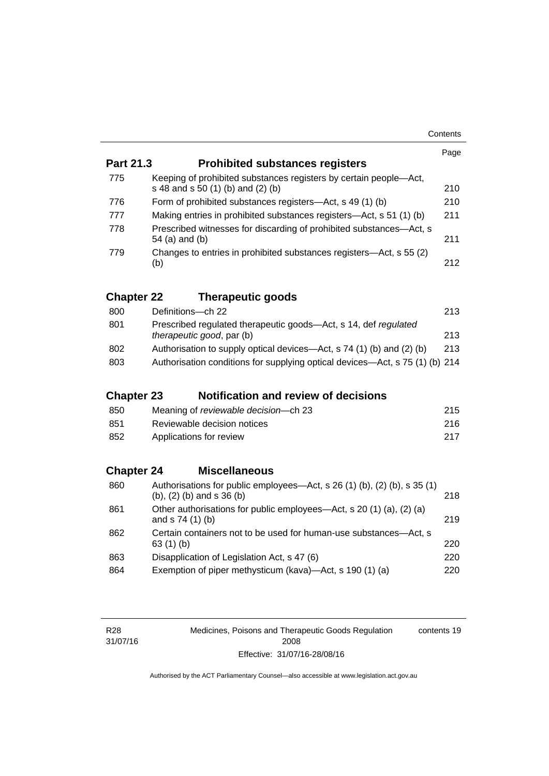|                   |                                                                                                                | Page |
|-------------------|----------------------------------------------------------------------------------------------------------------|------|
| <b>Part 21.3</b>  | <b>Prohibited substances registers</b>                                                                         |      |
| 775               | Keeping of prohibited substances registers by certain people-Act,<br>s 48 and s 50 (1) (b) and (2) (b)         | 210  |
| 776               | Form of prohibited substances registers-Act, s 49 (1) (b)                                                      | 210  |
| 777               | Making entries in prohibited substances registers—Act, s 51 (1) (b)                                            | 211  |
| 778               | Prescribed witnesses for discarding of prohibited substances—Act, s<br>54 (a) and (b)                          | 211  |
| 779               | Changes to entries in prohibited substances registers—Act, s 55 (2)<br>(b)                                     | 212  |
| <b>Chapter 22</b> | <b>Therapeutic goods</b>                                                                                       |      |
| 800               | Definitions-ch 22                                                                                              | 213  |
| 801               | Prescribed regulated therapeutic goods-Act, s 14, def regulated<br>therapeutic good, par (b)                   | 213  |
| 802               | Authorisation to supply optical devices—Act, s 74 (1) (b) and (2) (b)                                          | 213  |
| 803               | Authorisation conditions for supplying optical devices—Act, s 75 (1) (b) 214                                   |      |
|                   |                                                                                                                |      |
| <b>Chapter 23</b> | <b>Notification and review of decisions</b>                                                                    |      |
| 850               | Meaning of reviewable decision-ch 23                                                                           | 215  |
| 851               | Reviewable decision notices                                                                                    | 216  |
| 852               | Applications for review                                                                                        | 217  |
|                   |                                                                                                                |      |
| <b>Chapter 24</b> | <b>Miscellaneous</b>                                                                                           |      |
| 860               | Authorisations for public employees—Act, s 26 (1) (b), (2) (b), s 35 (1)<br>$(b)$ , $(2)$ $(b)$ and s 36 $(b)$ | 218  |
| 861               | Other authorisations for public employees—Act, s 20 (1) (a), (2) (a)<br>and s 74 (1) (b)                       | 219  |
| 862               | Certain containers not to be used for human-use substances—Act, s<br>63 $(1)$ $(b)$                            | 220  |
| 863               | Disapplication of Legislation Act, s 47 (6)                                                                    | 220  |
| 864               | Exemption of piper methysticum (kava)—Act, s 190 (1) (a)                                                       | 220  |
|                   |                                                                                                                |      |

| R28      |  |
|----------|--|
| 31/07/16 |  |

Medicines, Poisons and Therapeutic Goods Regulation 2008 Effective: 31/07/16-28/08/16 contents 19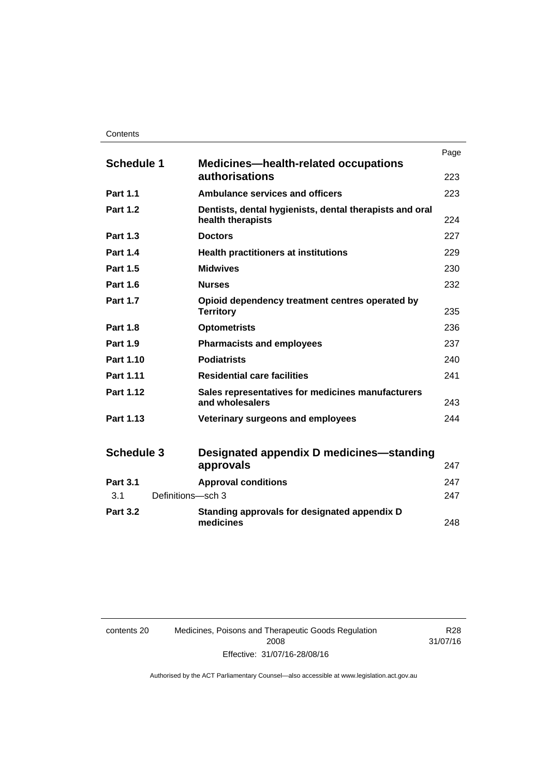|                          |                                                                              | Page |
|--------------------------|------------------------------------------------------------------------------|------|
| <b>Schedule 1</b>        | <b>Medicines—health-related occupations</b><br>authorisations                | 223  |
| <b>Part 1.1</b>          | <b>Ambulance services and officers</b>                                       | 223  |
| <b>Part 1.2</b>          | Dentists, dental hygienists, dental therapists and oral<br>health therapists | 224  |
| <b>Part 1.3</b>          | <b>Doctors</b>                                                               | 227  |
| <b>Part 1.4</b>          | <b>Health practitioners at institutions</b>                                  | 229  |
| <b>Part 1.5</b>          | <b>Midwives</b>                                                              | 230  |
| <b>Part 1.6</b>          | <b>Nurses</b>                                                                | 232  |
| <b>Part 1.7</b>          | Opioid dependency treatment centres operated by<br><b>Territory</b>          | 235  |
| <b>Part 1.8</b>          | <b>Optometrists</b>                                                          | 236  |
| <b>Part 1.9</b>          | <b>Pharmacists and employees</b>                                             | 237  |
| Part 1.10                | <b>Podiatrists</b>                                                           | 240  |
| Part 1.11                | <b>Residential care facilities</b>                                           | 241  |
| <b>Part 1.12</b>         | Sales representatives for medicines manufacturers<br>and wholesalers         | 243  |
| Part 1.13                | Veterinary surgeons and employees                                            | 244  |
| <b>Schedule 3</b>        | Designated appendix D medicines—standing<br>approvals                        | 247  |
| <b>Part 3.1</b>          | <b>Approval conditions</b>                                                   | 247  |
| Definitions-sch 3<br>3.1 |                                                                              | 247  |
| <b>Part 3.2</b>          | Standing approvals for designated appendix D<br>medicines                    | 248  |

| contents 20 | Medicines, Poisons and Therapeutic Goods Regulation |
|-------------|-----------------------------------------------------|
|             | 2008                                                |
|             | Effective: 31/07/16-28/08/16                        |

R28 31/07/16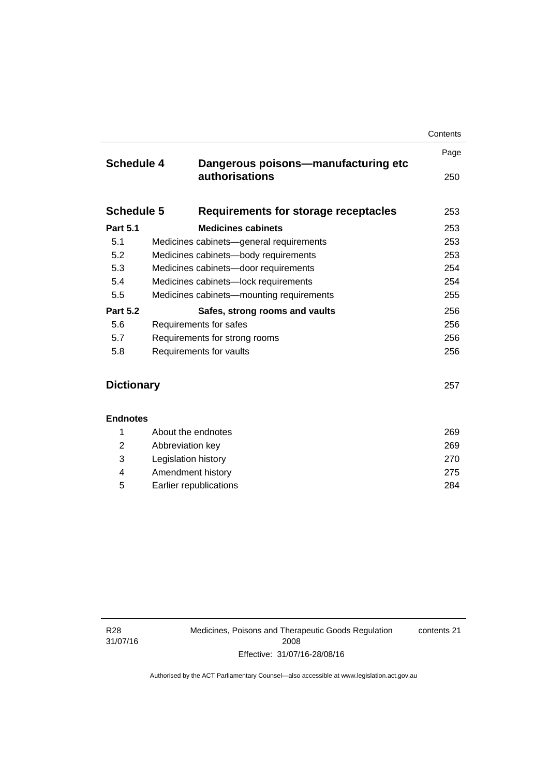|                                                | Contents                                                                                                                                                                                                         |
|------------------------------------------------|------------------------------------------------------------------------------------------------------------------------------------------------------------------------------------------------------------------|
|                                                | Page                                                                                                                                                                                                             |
| authorisations                                 | 250                                                                                                                                                                                                              |
| Requirements for storage receptacles           | 253                                                                                                                                                                                                              |
| <b>Medicines cabinets</b>                      | 253                                                                                                                                                                                                              |
| 5.1<br>Medicines cabinets-general requirements |                                                                                                                                                                                                                  |
| Medicines cabinets-body requirements           | 253                                                                                                                                                                                                              |
| Medicines cabinets-door requirements           | 254                                                                                                                                                                                                              |
| Medicines cabinets-lock requirements           |                                                                                                                                                                                                                  |
| Medicines cabinets-mounting requirements       | 255                                                                                                                                                                                                              |
| Safes, strong rooms and vaults                 | 256                                                                                                                                                                                                              |
| Requirements for safes                         |                                                                                                                                                                                                                  |
| 5.7<br>Requirements for strong rooms           |                                                                                                                                                                                                                  |
| Requirements for vaults                        | 256                                                                                                                                                                                                              |
|                                                |                                                                                                                                                                                                                  |
| <b>Dictionary</b>                              |                                                                                                                                                                                                                  |
|                                                |                                                                                                                                                                                                                  |
|                                                | 269                                                                                                                                                                                                              |
|                                                | 269                                                                                                                                                                                                              |
|                                                | 270                                                                                                                                                                                                              |
|                                                | 275                                                                                                                                                                                                              |
|                                                | 284                                                                                                                                                                                                              |
|                                                | <b>Schedule 4</b><br>Dangerous poisons-manufacturing etc<br><b>Schedule 5</b><br><b>Endnotes</b><br>About the endnotes<br>Abbreviation key<br>Legislation history<br>Amendment history<br>Earlier republications |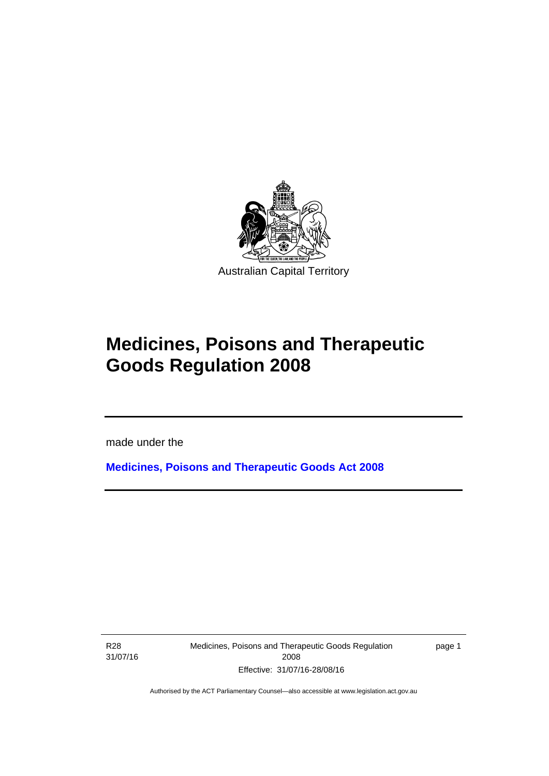

# **Medicines, Poisons and Therapeutic Goods Regulation 2008**

made under the

**[Medicines, Poisons and Therapeutic Goods Act 2008](http://www.legislation.act.gov.au/a/2008-26)**

R28 31/07/16

l

Medicines, Poisons and Therapeutic Goods Regulation 2008 Effective: 31/07/16-28/08/16

page 1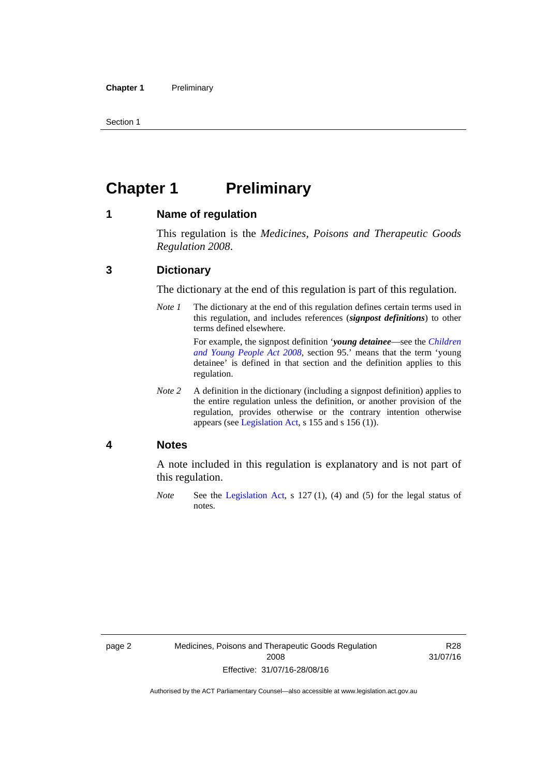Section 1

# <span id="page-25-0"></span>**Chapter 1 Preliminary**

### <span id="page-25-1"></span>**1 Name of regulation**

This regulation is the *Medicines, Poisons and Therapeutic Goods Regulation 2008*.

## <span id="page-25-2"></span>**3 Dictionary**

The dictionary at the end of this regulation is part of this regulation.

*Note 1* The dictionary at the end of this regulation defines certain terms used in this regulation, and includes references (*signpost definitions*) to other terms defined elsewhere. For example, the signpost definition '*young detainee*—see the *[Children](http://www.legislation.act.gov.au/a/2008-19)* 

*[and Young People Act 2008](http://www.legislation.act.gov.au/a/2008-19)*, section 95.' means that the term 'young detainee' is defined in that section and the definition applies to this regulation.

*Note 2* A definition in the dictionary (including a signpost definition) applies to the entire regulation unless the definition, or another provision of the regulation, provides otherwise or the contrary intention otherwise appears (see [Legislation Act,](http://www.legislation.act.gov.au/a/2001-14) s 155 and s 156 (1)).

### <span id="page-25-3"></span>**4 Notes**

A note included in this regulation is explanatory and is not part of this regulation.

*Note* See the [Legislation Act,](http://www.legislation.act.gov.au/a/2001-14) s 127 (1), (4) and (5) for the legal status of notes.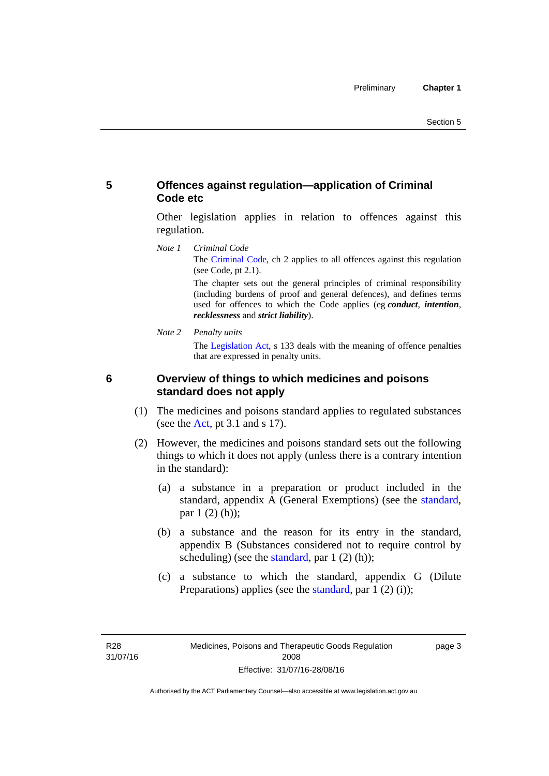# <span id="page-26-0"></span>**5 Offences against regulation—application of Criminal Code etc**

Other legislation applies in relation to offences against this regulation.

*Note 1 Criminal Code* The [Criminal Code](http://www.legislation.act.gov.au/a/2002-51), ch 2 applies to all offences against this regulation (see Code, pt 2.1).

> The chapter sets out the general principles of criminal responsibility (including burdens of proof and general defences), and defines terms used for offences to which the Code applies (eg *conduct*, *intention*, *recklessness* and *strict liability*).

*Note 2 Penalty units* 

The [Legislation Act](http://www.legislation.act.gov.au/a/2001-14), s 133 deals with the meaning of offence penalties that are expressed in penalty units.

# <span id="page-26-1"></span>**6 Overview of things to which medicines and poisons standard does not apply**

- (1) The medicines and poisons standard applies to regulated substances (see the  $Act$ , pt 3.1 and s 17).
- (2) However, the medicines and poisons standard sets out the following things to which it does not apply (unless there is a contrary intention in the standard):
	- (a) a substance in a preparation or product included in the standard, appendix A (General Exemptions) (see the [standard](http://www.comlaw.gov.au/Series/F2012L01200), par 1 (2) (h));
	- (b) a substance and the reason for its entry in the standard, appendix B (Substances considered not to require control by scheduling) (see the [standard,](http://www.comlaw.gov.au/Series/F2012L01200) par  $1(2)(h)$ );
	- (c) a substance to which the standard, appendix G (Dilute Preparations) applies (see the [standard,](http://www.comlaw.gov.au/Series/F2012L01200) par 1 (2) (i));

R28 31/07/16 page 3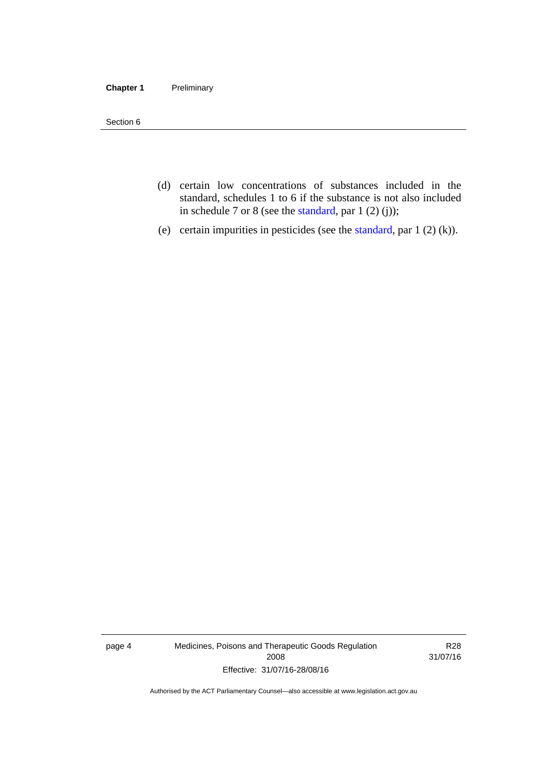#### **Chapter 1** Preliminary

Section 6

- (d) certain low concentrations of substances included in the standard, schedules 1 to 6 if the substance is not also included in schedule 7 or 8 (see the [standard,](http://www.comlaw.gov.au/Series/F2012L01200) par 1 (2) (j));
- (e) certain impurities in pesticides (see the [standard,](http://www.comlaw.gov.au/Series/F2012L01200) par  $1(2)(k)$ ).

page 4 Medicines, Poisons and Therapeutic Goods Regulation 2008 Effective: 31/07/16-28/08/16

R28 31/07/16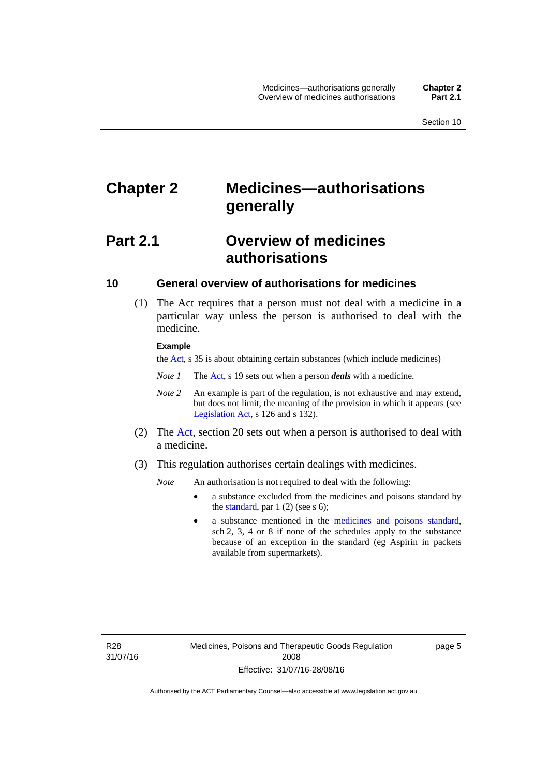# <span id="page-28-0"></span>**Chapter 2 Medicines—authorisations generally**

# <span id="page-28-1"></span>**Part 2.1 Overview of medicines authorisations**

## <span id="page-28-2"></span>**10 General overview of authorisations for medicines**

 (1) The Act requires that a person must not deal with a medicine in a particular way unless the person is authorised to deal with the medicine.

#### **Example**

the [Act](http://www.legislation.act.gov.au/a/2008-26/default.asp), s 35 is about obtaining certain substances (which include medicines)

- *Note 1* The [Act,](http://www.legislation.act.gov.au/a/2008-26/default.asp) s 19 sets out when a person *deals* with a medicine.
- *Note 2* An example is part of the regulation, is not exhaustive and may extend, but does not limit, the meaning of the provision in which it appears (see [Legislation Act,](http://www.legislation.act.gov.au/a/2001-14) s 126 and s 132).
- (2) The [Act](http://www.legislation.act.gov.au/a/2008-26/default.asp), section 20 sets out when a person is authorised to deal with a medicine.
- (3) This regulation authorises certain dealings with medicines.

*Note* An authorisation is not required to deal with the following:

- a substance excluded from the medicines and poisons standard by the [standard,](http://www.comlaw.gov.au/Series/F2012L01200) par  $1(2)$  (see s 6);
- a substance mentioned in the [medicines and poisons standard,](http://www.comlaw.gov.au/Series/F2012L01200) sch 2, 3, 4 or 8 if none of the schedules apply to the substance because of an exception in the standard (eg Aspirin in packets available from supermarkets).

R28 31/07/16 page 5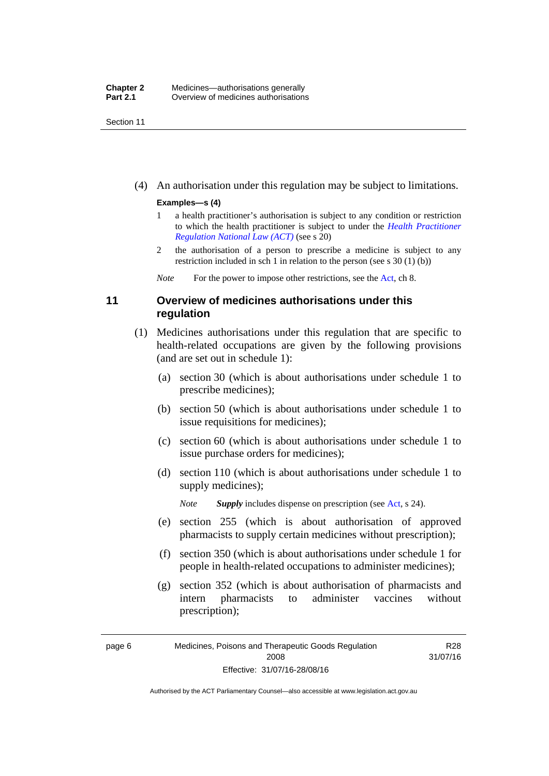Section 11

(4) An authorisation under this regulation may be subject to limitations.

### **Examples—s (4)**

- 1 a health practitioner's authorisation is subject to any condition or restriction to which the health practitioner is subject to under the *[Health Practitioner](http://www.legislation.act.gov.au/a/db_39269/default.asp)  [Regulation National Law \(ACT\)](http://www.legislation.act.gov.au/a/db_39269/default.asp)* (see s 20)
- 2 the authorisation of a person to prescribe a medicine is subject to any restriction included in sch 1 in relation to the person (see s 30 (1) (b))

*Note* For the power to impose other restrictions, see the [Act](http://www.legislation.act.gov.au/a/2008-26/default.asp), ch 8.

# <span id="page-29-0"></span>**11 Overview of medicines authorisations under this regulation**

- (1) Medicines authorisations under this regulation that are specific to health-related occupations are given by the following provisions (and are set out in schedule 1):
	- (a) section 30 (which is about authorisations under schedule 1 to prescribe medicines);
	- (b) section 50 (which is about authorisations under schedule 1 to issue requisitions for medicines);
	- (c) section 60 (which is about authorisations under schedule 1 to issue purchase orders for medicines);
	- (d) section 110 (which is about authorisations under schedule 1 to supply medicines);

*Note Supply* includes dispense on prescription (see [Act,](http://www.legislation.act.gov.au/a/2008-26/default.asp) s 24).

- (e) section 255 (which is about authorisation of approved pharmacists to supply certain medicines without prescription);
- (f) section 350 (which is about authorisations under schedule 1 for people in health-related occupations to administer medicines);
- (g) section 352 (which is about authorisation of pharmacists and intern pharmacists to administer vaccines without prescription);

R28 31/07/16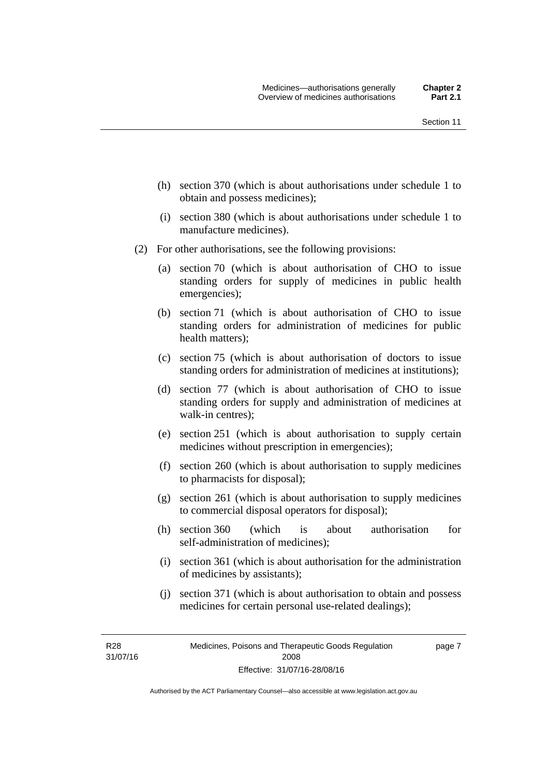- (h) section 370 (which is about authorisations under schedule 1 to obtain and possess medicines);
- (i) section 380 (which is about authorisations under schedule 1 to manufacture medicines).
- (2) For other authorisations, see the following provisions:
	- (a) section 70 (which is about authorisation of CHO to issue standing orders for supply of medicines in public health emergencies);
	- (b) section 71 (which is about authorisation of CHO to issue standing orders for administration of medicines for public health matters);
	- (c) section 75 (which is about authorisation of doctors to issue standing orders for administration of medicines at institutions);
	- (d) section 77 (which is about authorisation of CHO to issue standing orders for supply and administration of medicines at walk-in centres);
	- (e) section 251 (which is about authorisation to supply certain medicines without prescription in emergencies);
	- (f) section 260 (which is about authorisation to supply medicines to pharmacists for disposal);
	- (g) section 261 (which is about authorisation to supply medicines to commercial disposal operators for disposal);
	- (h) section 360 (which is about authorisation for self-administration of medicines);
	- (i) section 361 (which is about authorisation for the administration of medicines by assistants);
	- (j) section 371 (which is about authorisation to obtain and possess medicines for certain personal use-related dealings);

R28 31/07/16 page 7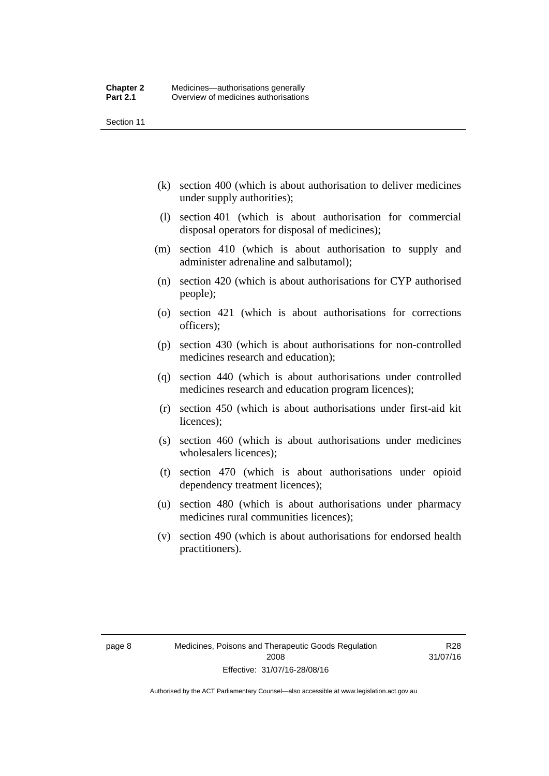Section 11

- (k) section 400 (which is about authorisation to deliver medicines under supply authorities);
- (l) section 401 (which is about authorisation for commercial disposal operators for disposal of medicines);
- (m) section 410 (which is about authorisation to supply and administer adrenaline and salbutamol);
- (n) section 420 (which is about authorisations for CYP authorised people);
- (o) section 421 (which is about authorisations for corrections officers);
- (p) section 430 (which is about authorisations for non-controlled medicines research and education);
- (q) section 440 (which is about authorisations under controlled medicines research and education program licences);
- (r) section 450 (which is about authorisations under first-aid kit licences);
- (s) section 460 (which is about authorisations under medicines wholesalers licences);
- (t) section 470 (which is about authorisations under opioid dependency treatment licences);
- (u) section 480 (which is about authorisations under pharmacy medicines rural communities licences);
- (v) section 490 (which is about authorisations for endorsed health practitioners).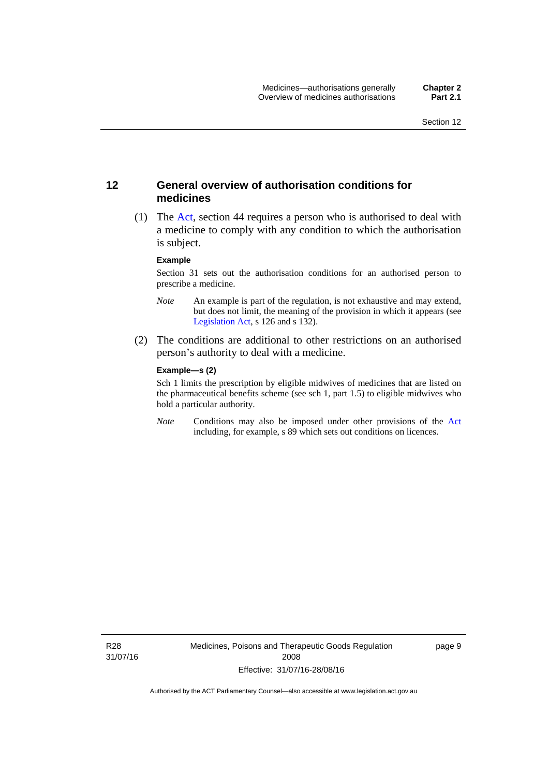## <span id="page-32-0"></span>**12 General overview of authorisation conditions for medicines**

 (1) The [Act](http://www.legislation.act.gov.au/a/2008-26/default.asp), section 44 requires a person who is authorised to deal with a medicine to comply with any condition to which the authorisation is subject.

#### **Example**

Section 31 sets out the authorisation conditions for an authorised person to prescribe a medicine.

- *Note* An example is part of the regulation, is not exhaustive and may extend, but does not limit, the meaning of the provision in which it appears (see [Legislation Act,](http://www.legislation.act.gov.au/a/2001-14) s 126 and s 132).
- (2) The conditions are additional to other restrictions on an authorised person's authority to deal with a medicine.

#### **Example—s (2)**

Sch 1 limits the prescription by eligible midwives of medicines that are listed on the pharmaceutical benefits scheme (see sch 1, part 1.5) to eligible midwives who hold a particular authority.

*Note* Conditions may also be imposed under other provisions of the [Act](http://www.legislation.act.gov.au/a/2008-26/default.asp) including, for example, s 89 which sets out conditions on licences.

R28 31/07/16 Medicines, Poisons and Therapeutic Goods Regulation 2008 Effective: 31/07/16-28/08/16

page 9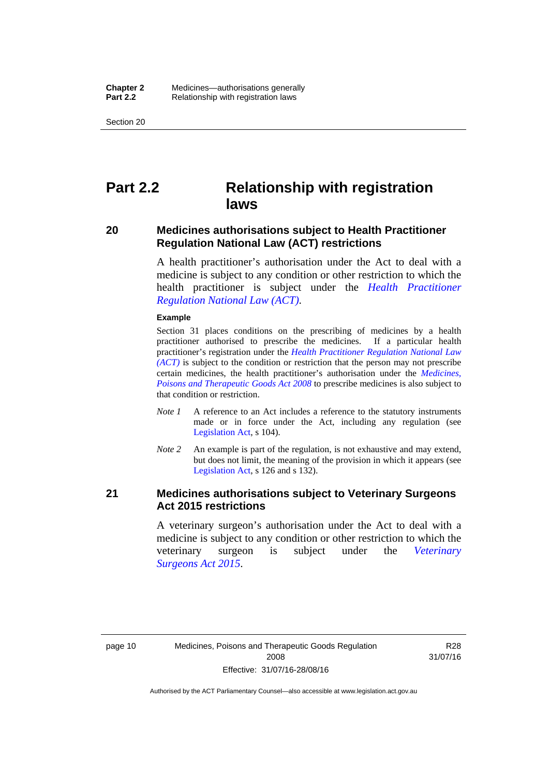Section 20

# <span id="page-33-0"></span>**Part 2.2 Relationship with registration laws**

## <span id="page-33-1"></span>**20 Medicines authorisations subject to Health Practitioner Regulation National Law (ACT) restrictions**

A health practitioner's authorisation under the Act to deal with a medicine is subject to any condition or other restriction to which the health practitioner is subject under the *[Health Practitioner](http://www.legislation.act.gov.au/a/db_39269/default.asp)  [Regulation National Law \(ACT\)](http://www.legislation.act.gov.au/a/db_39269/default.asp)*.

#### **Example**

Section 31 places conditions on the prescribing of medicines by a health practitioner authorised to prescribe the medicines. If a particular health practitioner's registration under the *[Health Practitioner Regulation National Law](http://www.legislation.act.gov.au/a/db_39269/default.asp)  [\(ACT\)](http://www.legislation.act.gov.au/a/db_39269/default.asp)* is subject to the condition or restriction that the person may not prescribe certain medicines, the health practitioner's authorisation under the *[Medicines,](http://www.legislation.act.gov.au/a/2008-26)  [Poisons and Therapeutic Goods Act 2008](http://www.legislation.act.gov.au/a/2008-26)* to prescribe medicines is also subject to that condition or restriction.

- *Note 1* A reference to an Act includes a reference to the statutory instruments made or in force under the Act, including any regulation (see [Legislation Act,](http://www.legislation.act.gov.au/a/2001-14) s 104).
- *Note 2* An example is part of the regulation, is not exhaustive and may extend, but does not limit, the meaning of the provision in which it appears (see [Legislation Act,](http://www.legislation.act.gov.au/a/2001-14) s 126 and s 132).

## <span id="page-33-2"></span>**21 Medicines authorisations subject to Veterinary Surgeons Act 2015 restrictions**

A veterinary surgeon's authorisation under the Act to deal with a medicine is subject to any condition or other restriction to which the veterinary surgeon is subject under the *[Veterinary](http://www.legislation.act.gov.au/a/2015-29/default.asp)  [Surgeons Act 2015](http://www.legislation.act.gov.au/a/2015-29/default.asp)*.

R28 31/07/16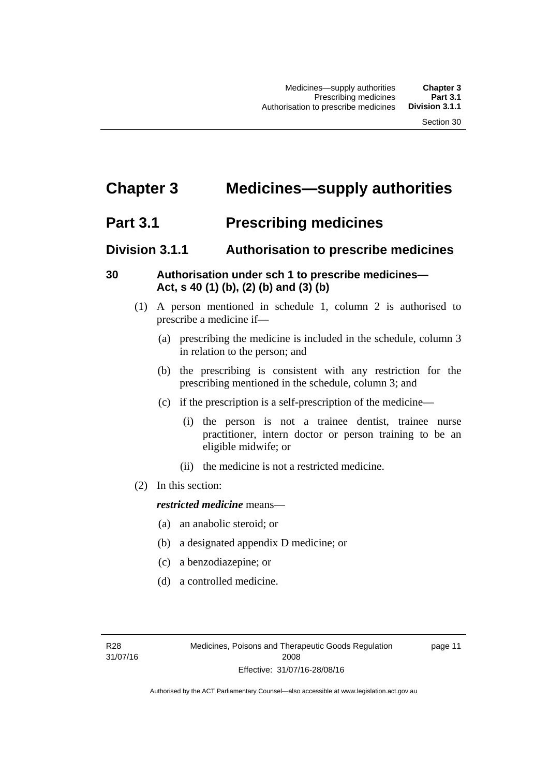# <span id="page-34-0"></span>**Chapter 3 Medicines—supply authorities**

# <span id="page-34-1"></span>**Part 3.1 Prescribing medicines**

# <span id="page-34-2"></span>**Division 3.1.1 Authorisation to prescribe medicines**

# <span id="page-34-3"></span>**30 Authorisation under sch 1 to prescribe medicines— Act, s 40 (1) (b), (2) (b) and (3) (b)**

- (1) A person mentioned in schedule 1, column 2 is authorised to prescribe a medicine if—
	- (a) prescribing the medicine is included in the schedule, column 3 in relation to the person; and
	- (b) the prescribing is consistent with any restriction for the prescribing mentioned in the schedule, column 3; and
	- (c) if the prescription is a self-prescription of the medicine—
		- (i) the person is not a trainee dentist, trainee nurse practitioner, intern doctor or person training to be an eligible midwife; or
		- (ii) the medicine is not a restricted medicine.
- (2) In this section:

# *restricted medicine* means—

- (a) an anabolic steroid; or
- (b) a designated appendix D medicine; or
- (c) a benzodiazepine; or
- (d) a controlled medicine.

page 11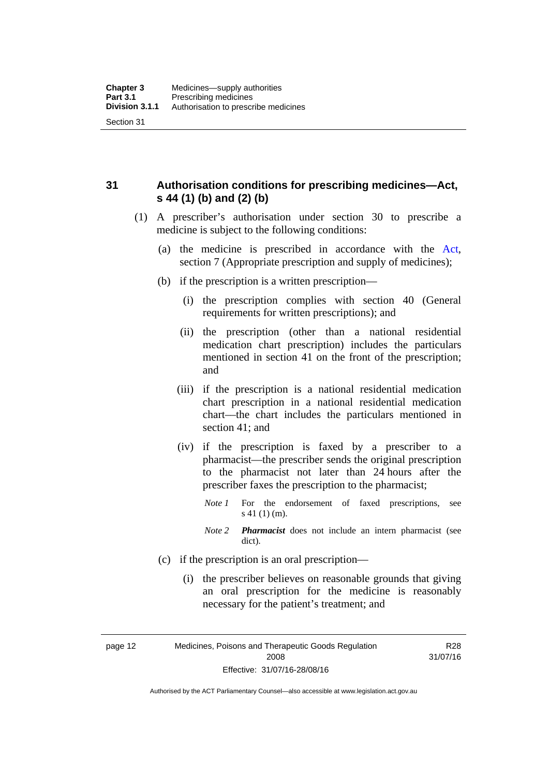<span id="page-35-0"></span>**31 Authorisation conditions for prescribing medicines—Act, s 44 (1) (b) and (2) (b)** 

- (1) A prescriber's authorisation under section 30 to prescribe a medicine is subject to the following conditions:
	- (a) the medicine is prescribed in accordance with the [Act](http://www.legislation.act.gov.au/a/2008-26/default.asp), section 7 (Appropriate prescription and supply of medicines);
	- (b) if the prescription is a written prescription—
		- (i) the prescription complies with section 40 (General requirements for written prescriptions); and
		- (ii) the prescription (other than a national residential medication chart prescription) includes the particulars mentioned in section 41 on the front of the prescription; and
		- (iii) if the prescription is a national residential medication chart prescription in a national residential medication chart––the chart includes the particulars mentioned in section 41; and
		- (iv) if the prescription is faxed by a prescriber to a pharmacist—the prescriber sends the original prescription to the pharmacist not later than 24 hours after the prescriber faxes the prescription to the pharmacist;
			- *Note 1* For the endorsement of faxed prescriptions, see s 41 (1) (m).
			- *Note 2 Pharmacist* does not include an intern pharmacist (see dict).
	- (c) if the prescription is an oral prescription—
		- (i) the prescriber believes on reasonable grounds that giving an oral prescription for the medicine is reasonably necessary for the patient's treatment; and

page 12 Medicines, Poisons and Therapeutic Goods Regulation 2008 Effective: 31/07/16-28/08/16

R28 31/07/16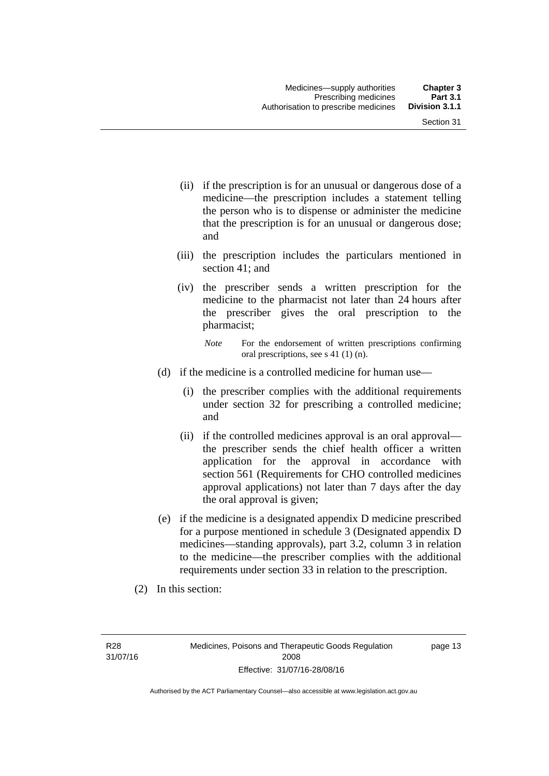- (ii) if the prescription is for an unusual or dangerous dose of a medicine—the prescription includes a statement telling the person who is to dispense or administer the medicine that the prescription is for an unusual or dangerous dose; and
- (iii) the prescription includes the particulars mentioned in section 41; and
- (iv) the prescriber sends a written prescription for the medicine to the pharmacist not later than 24 hours after the prescriber gives the oral prescription to the pharmacist;

- (d) if the medicine is a controlled medicine for human use—
	- (i) the prescriber complies with the additional requirements under section 32 for prescribing a controlled medicine; and
	- (ii) if the controlled medicines approval is an oral approval the prescriber sends the chief health officer a written application for the approval in accordance with section 561 (Requirements for CHO controlled medicines approval applications) not later than 7 days after the day the oral approval is given;
- (e) if the medicine is a designated appendix D medicine prescribed for a purpose mentioned in schedule 3 (Designated appendix D medicines—standing approvals), part 3.2, column 3 in relation to the medicine—the prescriber complies with the additional requirements under section 33 in relation to the prescription.
- (2) In this section:

R28 31/07/16 page 13

*Note* For the endorsement of written prescriptions confirming oral prescriptions, see s 41 (1) (n).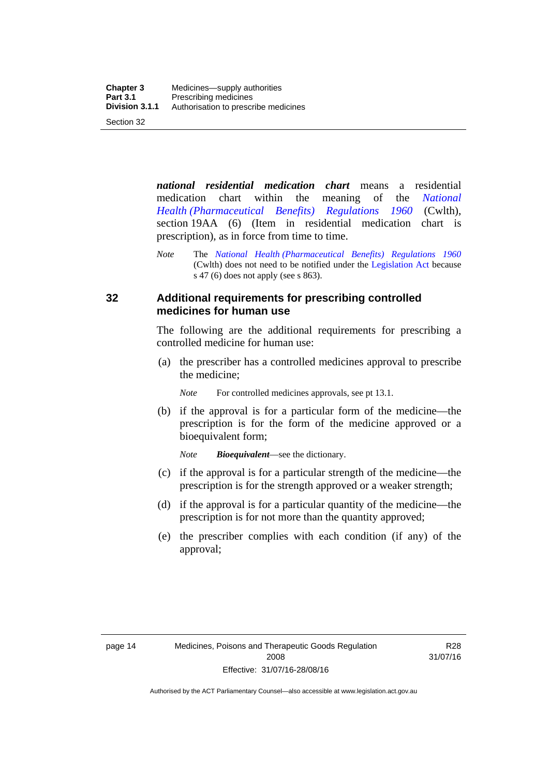*national residential medication chart* means a residential medication chart within the meaning of the *[National](http://www.comlaw.gov.au/Series/F1996B02844)  [Health \(Pharmaceutical Benefits\) Regulations 1960](http://www.comlaw.gov.au/Series/F1996B02844)* (Cwlth), section 19AA (6) (Item in residential medication chart is prescription), as in force from time to time.

## **32 Additional requirements for prescribing controlled medicines for human use**

The following are the additional requirements for prescribing a controlled medicine for human use:

 (a) the prescriber has a controlled medicines approval to prescribe the medicine;

*Note* For controlled medicines approvals, see pt 13.1.

 (b) if the approval is for a particular form of the medicine—the prescription is for the form of the medicine approved or a bioequivalent form;

*Note Bioequivalent*—see the dictionary.

- (c) if the approval is for a particular strength of the medicine—the prescription is for the strength approved or a weaker strength;
- (d) if the approval is for a particular quantity of the medicine—the prescription is for not more than the quantity approved;
- (e) the prescriber complies with each condition (if any) of the approval;

*Note* The *[National Health \(Pharmaceutical Benefits\) Regulations 1960](http://www.comlaw.gov.au/Series/F1996B02844)* (Cwlth) does not need to be notified under the [Legislation Act](http://www.legislation.act.gov.au/a/2001-14) because s 47 (6) does not apply (see s 863).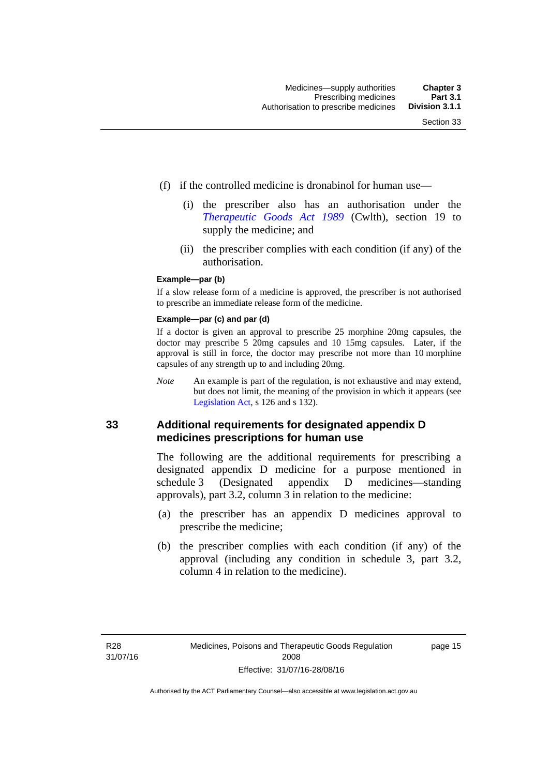- (f) if the controlled medicine is dronabinol for human use—
	- (i) the prescriber also has an authorisation under the *[Therapeutic Goods Act 1989](http://www.comlaw.gov.au/Series/C2004A03952)* (Cwlth), section 19 to supply the medicine; and
	- (ii) the prescriber complies with each condition (if any) of the authorisation.

#### **Example—par (b)**

If a slow release form of a medicine is approved, the prescriber is not authorised to prescribe an immediate release form of the medicine.

#### **Example—par (c) and par (d)**

If a doctor is given an approval to prescribe 25 morphine 20mg capsules, the doctor may prescribe 5 20mg capsules and 10 15mg capsules. Later, if the approval is still in force, the doctor may prescribe not more than 10 morphine capsules of any strength up to and including 20mg.

*Note* An example is part of the regulation, is not exhaustive and may extend, but does not limit, the meaning of the provision in which it appears (see [Legislation Act,](http://www.legislation.act.gov.au/a/2001-14) s 126 and s 132).

#### **33 Additional requirements for designated appendix D medicines prescriptions for human use**

The following are the additional requirements for prescribing a designated appendix D medicine for a purpose mentioned in schedule 3 (Designated appendix D medicines—standing approvals), part 3.2, column 3 in relation to the medicine:

- (a) the prescriber has an appendix D medicines approval to prescribe the medicine;
- (b) the prescriber complies with each condition (if any) of the approval (including any condition in schedule 3, part 3.2, column 4 in relation to the medicine).

page 15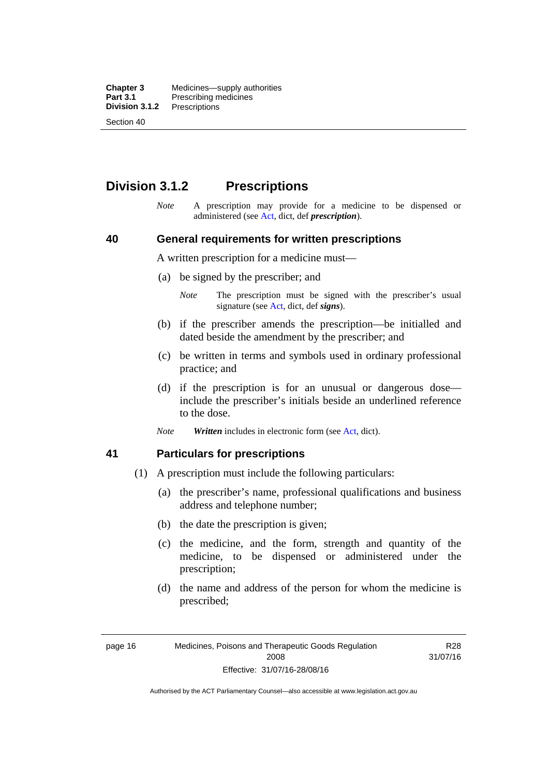**Chapter 3** Medicines—supply authorities<br>**Part 3.1** Prescribing medicines **Part 3.1** Prescribing medicines<br>**Division 3.1.2** Prescriptions **Division 3.1.2** Prescriptions Section 40

# **Division 3.1.2 Prescriptions**

*Note* A prescription may provide for a medicine to be dispensed or administered (see [Act](http://www.legislation.act.gov.au/a/2008-26/default.asp), dict, def *prescription*).

#### **40 General requirements for written prescriptions**

A written prescription for a medicine must—

- (a) be signed by the prescriber; and
	- *Note* The prescription must be signed with the prescriber's usual signature (see [Act](http://www.legislation.act.gov.au/a/2008-26/default.asp), dict, def *signs*).
- (b) if the prescriber amends the prescription—be initialled and dated beside the amendment by the prescriber; and
- (c) be written in terms and symbols used in ordinary professional practice; and
- (d) if the prescription is for an unusual or dangerous dose include the prescriber's initials beside an underlined reference to the dose.
- *Note Written* includes in electronic form (see [Act,](http://www.legislation.act.gov.au/a/2008-26/default.asp) dict).

#### **41 Particulars for prescriptions**

- (1) A prescription must include the following particulars:
	- (a) the prescriber's name, professional qualifications and business address and telephone number;
	- (b) the date the prescription is given;
	- (c) the medicine, and the form, strength and quantity of the medicine, to be dispensed or administered under the prescription;
	- (d) the name and address of the person for whom the medicine is prescribed;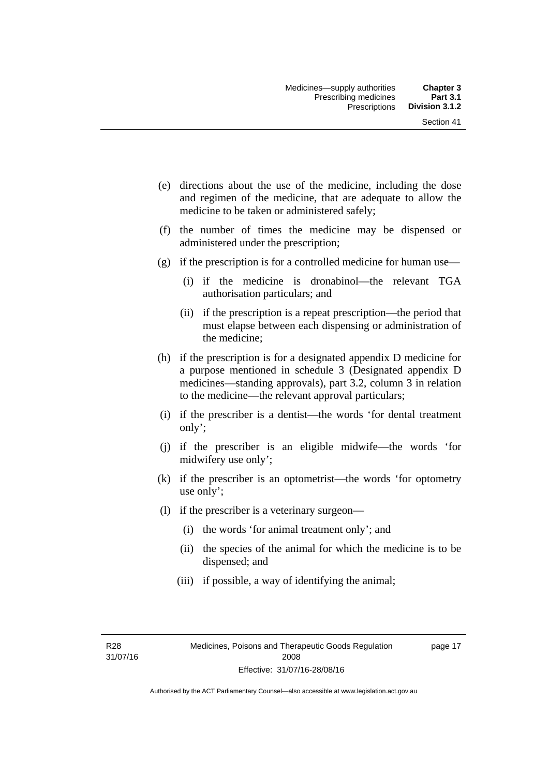- (e) directions about the use of the medicine, including the dose and regimen of the medicine, that are adequate to allow the medicine to be taken or administered safely;
- (f) the number of times the medicine may be dispensed or administered under the prescription;
- (g) if the prescription is for a controlled medicine for human use—
	- (i) if the medicine is dronabinol—the relevant TGA authorisation particulars; and
	- (ii) if the prescription is a repeat prescription—the period that must elapse between each dispensing or administration of the medicine;
- (h) if the prescription is for a designated appendix D medicine for a purpose mentioned in schedule 3 (Designated appendix D medicines—standing approvals), part 3.2, column 3 in relation to the medicine—the relevant approval particulars;
- (i) if the prescriber is a dentist—the words 'for dental treatment only';
- (j) if the prescriber is an eligible midwife—the words 'for midwifery use only';
- (k) if the prescriber is an optometrist—the words 'for optometry use only';
- (l) if the prescriber is a veterinary surgeon—
	- (i) the words 'for animal treatment only'; and
	- (ii) the species of the animal for which the medicine is to be dispensed; and
	- (iii) if possible, a way of identifying the animal;

R28 31/07/16 page 17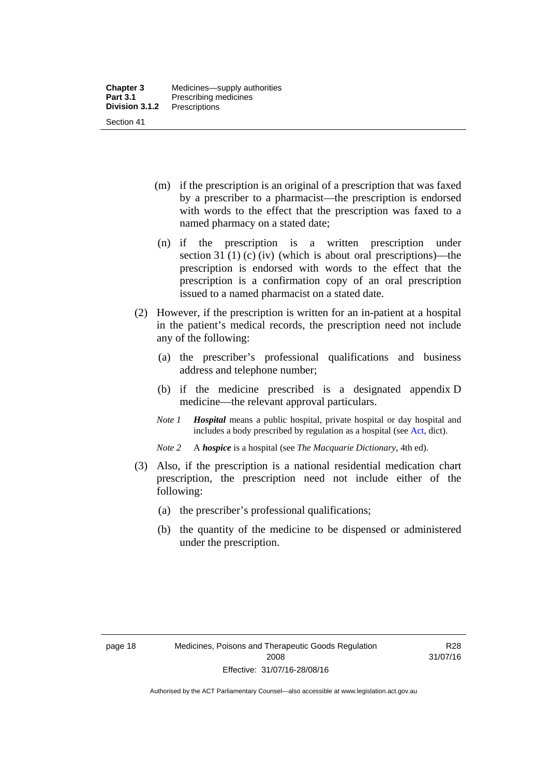- (m) if the prescription is an original of a prescription that was faxed by a prescriber to a pharmacist—the prescription is endorsed with words to the effect that the prescription was faxed to a named pharmacy on a stated date;
- (n) if the prescription is a written prescription under section 31 (1) (c) (iv) (which is about oral prescriptions)—the prescription is endorsed with words to the effect that the prescription is a confirmation copy of an oral prescription issued to a named pharmacist on a stated date.
- (2) However, if the prescription is written for an in-patient at a hospital in the patient's medical records, the prescription need not include any of the following:
	- (a) the prescriber's professional qualifications and business address and telephone number;
	- (b) if the medicine prescribed is a designated appendix D medicine—the relevant approval particulars.
	- *Note 1 Hospital* means a public hospital, private hospital or day hospital and includes a body prescribed by regulation as a hospital (see [Act,](http://www.legislation.act.gov.au/a/2008-26/default.asp) dict).
	- *Note 2* A *hospice* is a hospital (see *The Macquarie Dictionary*, 4th ed).
- (3) Also, if the prescription is a national residential medication chart prescription, the prescription need not include either of the following:
	- (a) the prescriber's professional qualifications;
	- (b) the quantity of the medicine to be dispensed or administered under the prescription.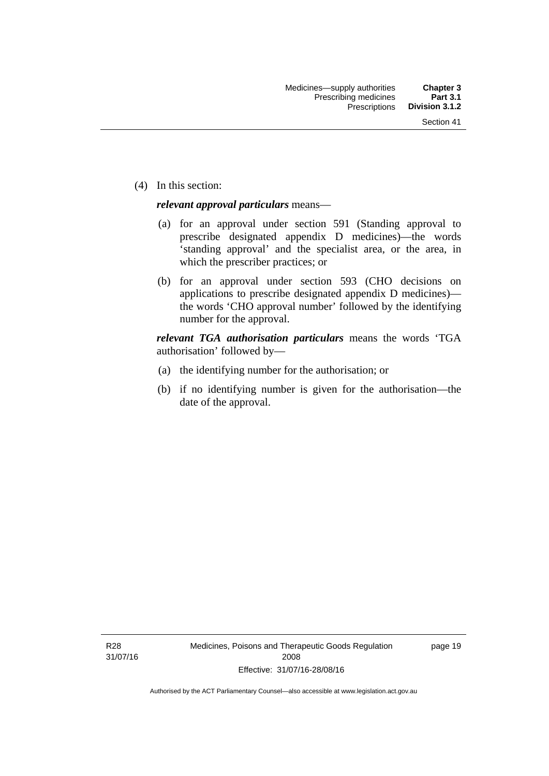(4) In this section:

#### *relevant approval particulars* means—

- (a) for an approval under section 591 (Standing approval to prescribe designated appendix D medicines)—the words 'standing approval' and the specialist area, or the area, in which the prescriber practices; or
- (b) for an approval under section 593 (CHO decisions on applications to prescribe designated appendix D medicines) the words 'CHO approval number' followed by the identifying number for the approval.

*relevant TGA authorisation particulars* means the words 'TGA authorisation' followed by—

- (a) the identifying number for the authorisation; or
- (b) if no identifying number is given for the authorisation—the date of the approval.

page 19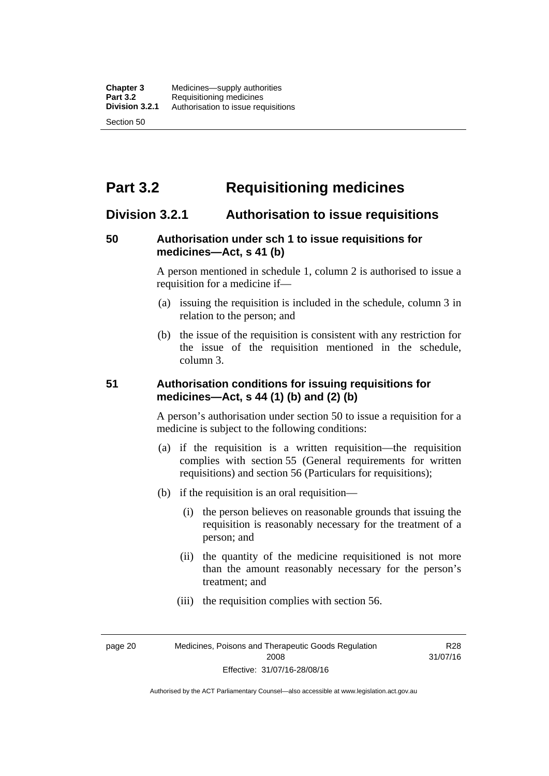# **Part 3.2 Requisitioning medicines**

# **Division 3.2.1 Authorisation to issue requisitions**

## **50 Authorisation under sch 1 to issue requisitions for medicines—Act, s 41 (b)**

A person mentioned in schedule 1, column 2 is authorised to issue a requisition for a medicine if—

- (a) issuing the requisition is included in the schedule, column 3 in relation to the person; and
- (b) the issue of the requisition is consistent with any restriction for the issue of the requisition mentioned in the schedule, column 3.

#### **51 Authorisation conditions for issuing requisitions for medicines—Act, s 44 (1) (b) and (2) (b)**

A person's authorisation under section 50 to issue a requisition for a medicine is subject to the following conditions:

- (a) if the requisition is a written requisition—the requisition complies with section 55 (General requirements for written requisitions) and section 56 (Particulars for requisitions);
- (b) if the requisition is an oral requisition—
	- (i) the person believes on reasonable grounds that issuing the requisition is reasonably necessary for the treatment of a person; and
	- (ii) the quantity of the medicine requisitioned is not more than the amount reasonably necessary for the person's treatment; and
	- (iii) the requisition complies with section 56.

page 20 Medicines, Poisons and Therapeutic Goods Regulation 2008 Effective: 31/07/16-28/08/16

R28 31/07/16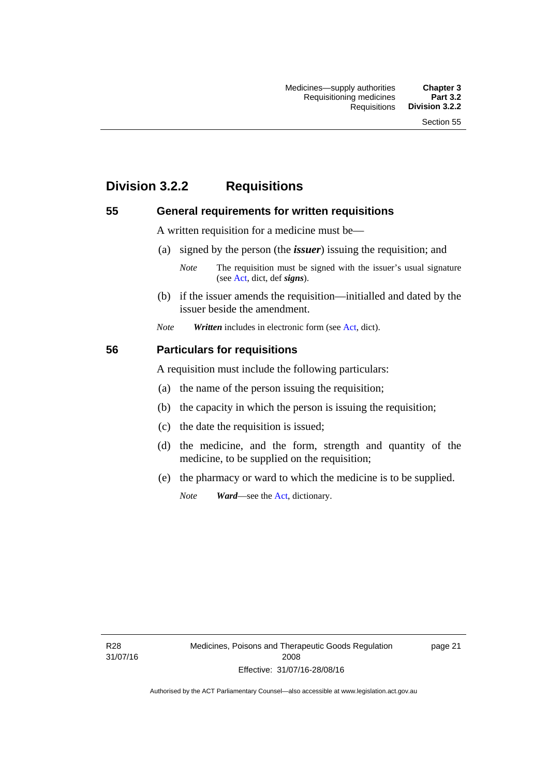# **Division 3.2.2 Requisitions**

#### **55 General requirements for written requisitions**

A written requisition for a medicine must be—

(a) signed by the person (the *issuer*) issuing the requisition; and

 (b) if the issuer amends the requisition—initialled and dated by the issuer beside the amendment.

*Note Written* includes in electronic form (see [Act,](http://www.legislation.act.gov.au/a/2008-26/default.asp) dict).

#### **56 Particulars for requisitions**

A requisition must include the following particulars:

- (a) the name of the person issuing the requisition;
- (b) the capacity in which the person is issuing the requisition;
- (c) the date the requisition is issued;
- (d) the medicine, and the form, strength and quantity of the medicine, to be supplied on the requisition;
- (e) the pharmacy or ward to which the medicine is to be supplied.

*Note Ward*—see the [Act](http://www.legislation.act.gov.au/a/2008-26/default.asp), dictionary.

R28 31/07/16

*Note* The requisition must be signed with the issuer's usual signature (see [Act](http://www.legislation.act.gov.au/a/2008-26/default.asp), dict, def *signs*).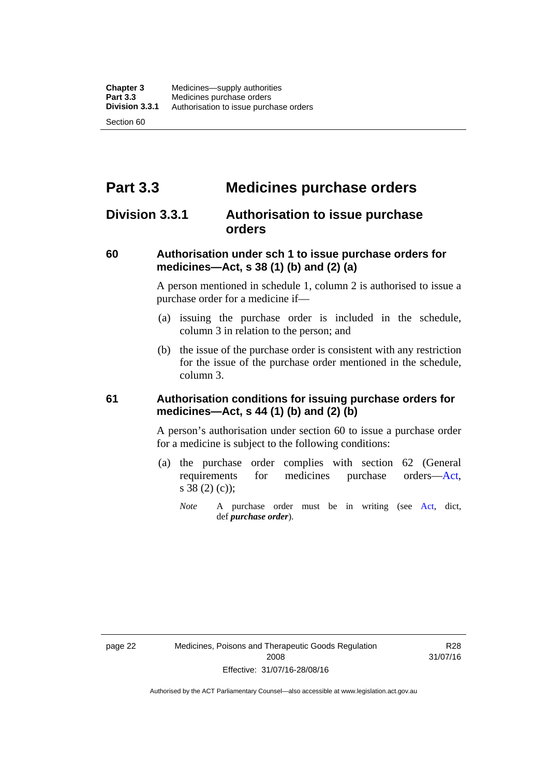# **Part 3.3 Medicines purchase orders**

# **Division 3.3.1 Authorisation to issue purchase orders**

## **60 Authorisation under sch 1 to issue purchase orders for medicines—Act, s 38 (1) (b) and (2) (a)**

A person mentioned in schedule 1, column 2 is authorised to issue a purchase order for a medicine if—

- (a) issuing the purchase order is included in the schedule, column 3 in relation to the person; and
- (b) the issue of the purchase order is consistent with any restriction for the issue of the purchase order mentioned in the schedule, column 3.

#### **61 Authorisation conditions for issuing purchase orders for medicines—Act, s 44 (1) (b) and (2) (b)**

A person's authorisation under section 60 to issue a purchase order for a medicine is subject to the following conditions:

- (a) the purchase order complies with section 62 (General requirements for medicines purchase orders[—Act](http://www.legislation.act.gov.au/a/2008-26/default.asp), s 38 (2) (c));
	- *Note* A purchase order must be in writing (see [Act,](http://www.legislation.act.gov.au/a/2008-26/default.asp) dict, def *purchase order*).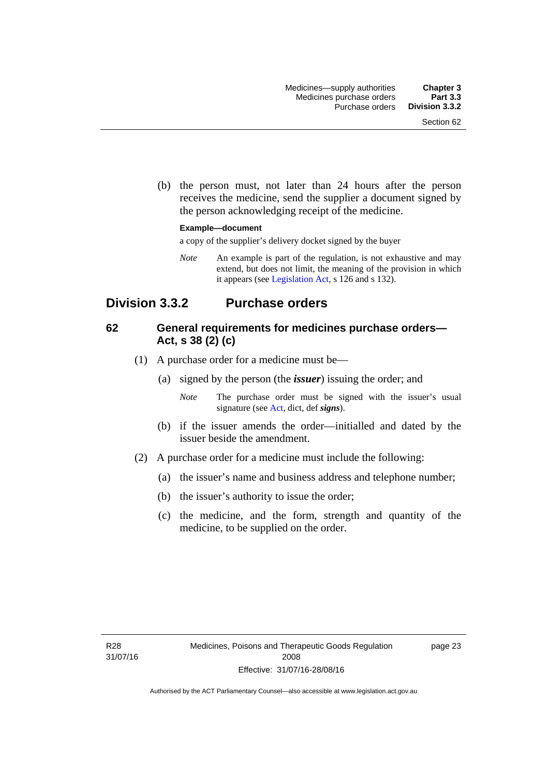(b) the person must, not later than 24 hours after the person receives the medicine, send the supplier a document signed by the person acknowledging receipt of the medicine.

#### **Example—document**

a copy of the supplier's delivery docket signed by the buyer

*Note* An example is part of the regulation, is not exhaustive and may extend, but does not limit, the meaning of the provision in which it appears (see [Legislation Act,](http://www.legislation.act.gov.au/a/2001-14) s 126 and s 132).

# **Division 3.3.2 Purchase orders**

## **62 General requirements for medicines purchase orders— Act, s 38 (2) (c)**

- (1) A purchase order for a medicine must be—
	- (a) signed by the person (the *issuer*) issuing the order; and
		- *Note* The purchase order must be signed with the issuer's usual signature (see [Act](http://www.legislation.act.gov.au/a/2008-26/default.asp), dict, def *signs*).
	- (b) if the issuer amends the order—initialled and dated by the issuer beside the amendment.
- (2) A purchase order for a medicine must include the following:
	- (a) the issuer's name and business address and telephone number;
	- (b) the issuer's authority to issue the order;
	- (c) the medicine, and the form, strength and quantity of the medicine, to be supplied on the order.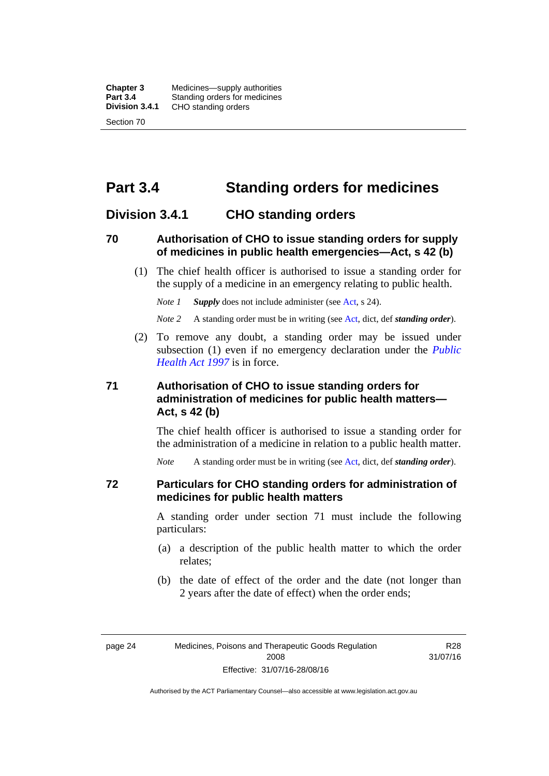**Chapter 3** Medicines—supply authorities<br>**Part 3.4** Standing orders for medicines **Part 3.4 Standing orders for medicines<br>
<b>Division 3.4.1** CHO standing orders **Division 3.4.1** CHO standing orders Section 70

# **Part 3.4 Standing orders for medicines**

## **Division 3.4.1 CHO standing orders**

#### **70 Authorisation of CHO to issue standing orders for supply of medicines in public health emergencies—Act, s 42 (b)**

 (1) The chief health officer is authorised to issue a standing order for the supply of a medicine in an emergency relating to public health.

*Note 1 Supply* does not include administer (see [Act,](http://www.legislation.act.gov.au/a/2008-26/default.asp) s 24).

*Note 2* A standing order must be in writing (see [Act](http://www.legislation.act.gov.au/a/2008-26/default.asp), dict, def *standing order*).

 (2) To remove any doubt, a standing order may be issued under subsection (1) even if no emergency declaration under the *[Public](http://www.legislation.act.gov.au/a/1997-69)  [Health Act 1997](http://www.legislation.act.gov.au/a/1997-69)* is in force.

## **71 Authorisation of CHO to issue standing orders for administration of medicines for public health matters— Act, s 42 (b)**

The chief health officer is authorised to issue a standing order for the administration of a medicine in relation to a public health matter.

*Note* A standing order must be in writing (see [Act](http://www.legislation.act.gov.au/a/2008-26/default.asp), dict, def *standing order*).

#### **72 Particulars for CHO standing orders for administration of medicines for public health matters**

A standing order under section 71 must include the following particulars:

- (a) a description of the public health matter to which the order relates;
- (b) the date of effect of the order and the date (not longer than 2 years after the date of effect) when the order ends;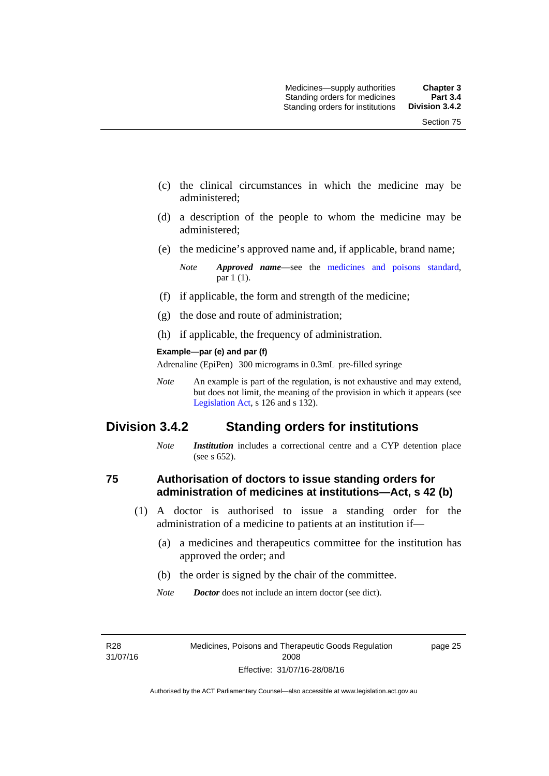- (c) the clinical circumstances in which the medicine may be administered;
- (d) a description of the people to whom the medicine may be administered;
- (e) the medicine's approved name and, if applicable, brand name;

- (f) if applicable, the form and strength of the medicine;
- (g) the dose and route of administration;
- (h) if applicable, the frequency of administration.

#### **Example—par (e) and par (f)**

Adrenaline (EpiPen) 300 micrograms in 0.3mL pre-filled syringe

*Note* An example is part of the regulation, is not exhaustive and may extend, but does not limit, the meaning of the provision in which it appears (see [Legislation Act,](http://www.legislation.act.gov.au/a/2001-14) s 126 and s 132).

## **Division 3.4.2 Standing orders for institutions**

*Note Institution* includes a correctional centre and a CYP detention place (see s 652).

#### **75 Authorisation of doctors to issue standing orders for administration of medicines at institutions—Act, s 42 (b)**

- (1) A doctor is authorised to issue a standing order for the administration of a medicine to patients at an institution if—
	- (a) a medicines and therapeutics committee for the institution has approved the order; and
	- (b) the order is signed by the chair of the committee.
	- *Note Doctor* does not include an intern doctor (see dict).

R28 31/07/16 page 25

*Note Approved name*—see the [medicines and poisons standard,](http://www.comlaw.gov.au/Series/F2012L01200) par 1 (1).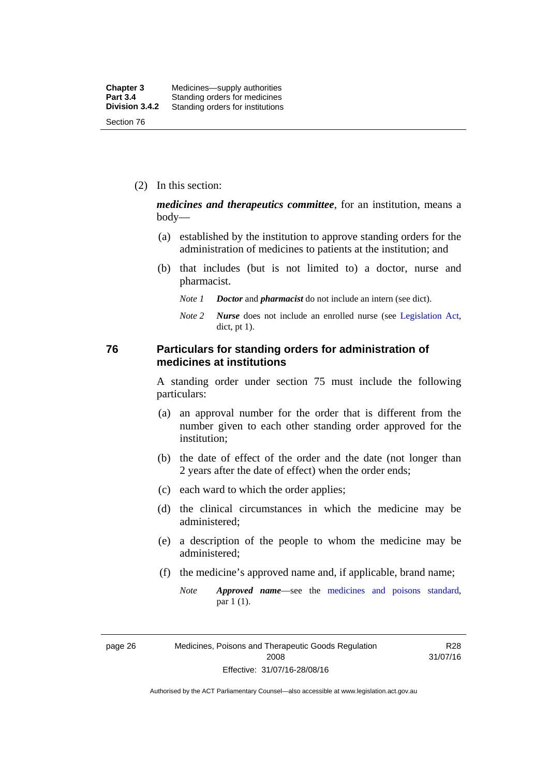(2) In this section:

*medicines and therapeutics committee*, for an institution, means a body—

- (a) established by the institution to approve standing orders for the administration of medicines to patients at the institution; and
- (b) that includes (but is not limited to) a doctor, nurse and pharmacist.
	- *Note 1 Doctor* and *pharmacist* do not include an intern (see dict).
	- *Note 2 Nurse* does not include an enrolled nurse (see [Legislation Act,](http://www.legislation.act.gov.au/a/2001-14) dict, pt 1).

#### **76 Particulars for standing orders for administration of medicines at institutions**

A standing order under section 75 must include the following particulars:

- (a) an approval number for the order that is different from the number given to each other standing order approved for the institution;
- (b) the date of effect of the order and the date (not longer than 2 years after the date of effect) when the order ends;
- (c) each ward to which the order applies;
- (d) the clinical circumstances in which the medicine may be administered;
- (e) a description of the people to whom the medicine may be administered;
- (f) the medicine's approved name and, if applicable, brand name;
	- *Note Approved name*—see the [medicines and poisons standard,](http://www.comlaw.gov.au/Series/F2012L01200) par 1 (1).

page 26 Medicines, Poisons and Therapeutic Goods Regulation 2008 Effective: 31/07/16-28/08/16

R28 31/07/16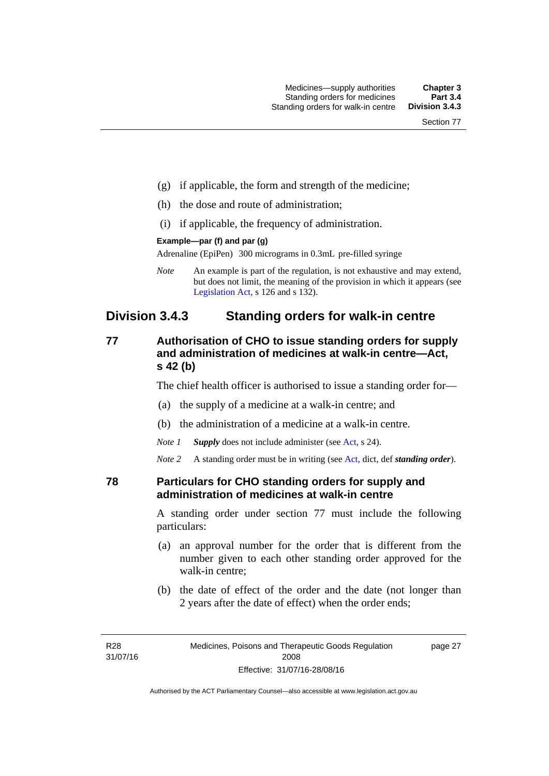- (g) if applicable, the form and strength of the medicine;
- (h) the dose and route of administration;
- (i) if applicable, the frequency of administration.

#### **Example—par (f) and par (g)**

Adrenaline (EpiPen) 300 micrograms in 0.3mL pre-filled syringe

*Note* An example is part of the regulation, is not exhaustive and may extend, but does not limit, the meaning of the provision in which it appears (see [Legislation Act,](http://www.legislation.act.gov.au/a/2001-14) s 126 and s 132).

# **Division 3.4.3 Standing orders for walk-in centre**

## **77 Authorisation of CHO to issue standing orders for supply and administration of medicines at walk-in centre—Act, s 42 (b)**

The chief health officer is authorised to issue a standing order for—

- (a) the supply of a medicine at a walk-in centre; and
- (b) the administration of a medicine at a walk-in centre.

*Note 1 Supply* does not include administer (see [Act,](http://www.legislation.act.gov.au/a/2008-26/default.asp) s 24).

*Note 2* A standing order must be in writing (see [Act](http://www.legislation.act.gov.au/a/2008-26/default.asp), dict, def *standing order*).

#### **78 Particulars for CHO standing orders for supply and administration of medicines at walk-in centre**

A standing order under section 77 must include the following particulars:

- (a) an approval number for the order that is different from the number given to each other standing order approved for the walk-in centre;
- (b) the date of effect of the order and the date (not longer than 2 years after the date of effect) when the order ends;

page 27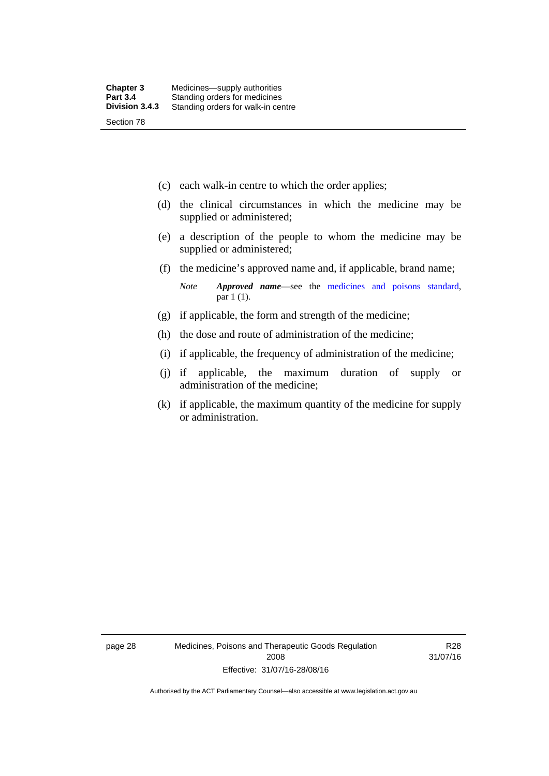- (c) each walk-in centre to which the order applies;
- (d) the clinical circumstances in which the medicine may be supplied or administered;
- (e) a description of the people to whom the medicine may be supplied or administered;
- (f) the medicine's approved name and, if applicable, brand name;

*Note Approved name*—see the [medicines and poisons standard,](http://www.comlaw.gov.au/Series/F2012L01200) par 1 (1).

- (g) if applicable, the form and strength of the medicine;
- (h) the dose and route of administration of the medicine;
- (i) if applicable, the frequency of administration of the medicine;
- (j) if applicable, the maximum duration of supply or administration of the medicine;
- (k) if applicable, the maximum quantity of the medicine for supply or administration.

page 28 Medicines, Poisons and Therapeutic Goods Regulation 2008 Effective: 31/07/16-28/08/16

R28 31/07/16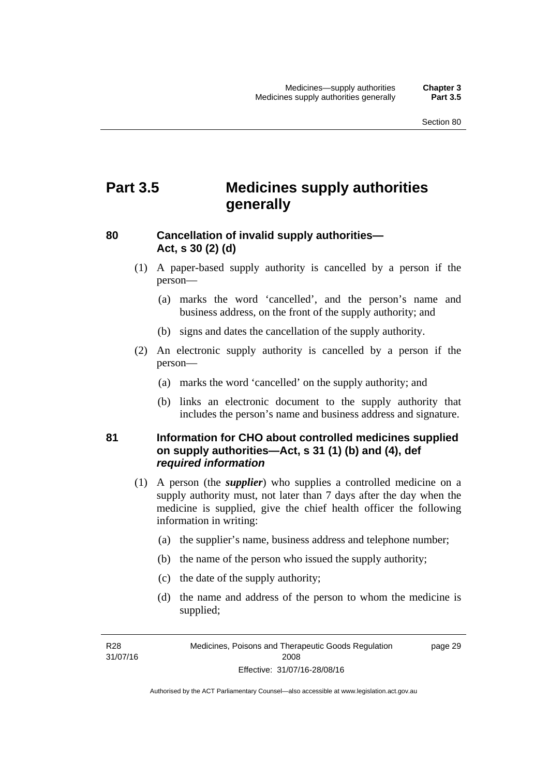# **Part 3.5 Medicines supply authorities generally**

## **80 Cancellation of invalid supply authorities— Act, s 30 (2) (d)**

- (1) A paper-based supply authority is cancelled by a person if the person—
	- (a) marks the word 'cancelled', and the person's name and business address, on the front of the supply authority; and
	- (b) signs and dates the cancellation of the supply authority.
- (2) An electronic supply authority is cancelled by a person if the person—
	- (a) marks the word 'cancelled' on the supply authority; and
	- (b) links an electronic document to the supply authority that includes the person's name and business address and signature.

## **81 Information for CHO about controlled medicines supplied on supply authorities—Act, s 31 (1) (b) and (4), def**  *required information*

- (1) A person (the *supplier*) who supplies a controlled medicine on a supply authority must, not later than 7 days after the day when the medicine is supplied, give the chief health officer the following information in writing:
	- (a) the supplier's name, business address and telephone number;
	- (b) the name of the person who issued the supply authority;
	- (c) the date of the supply authority;
	- (d) the name and address of the person to whom the medicine is supplied;

R28 31/07/16 page 29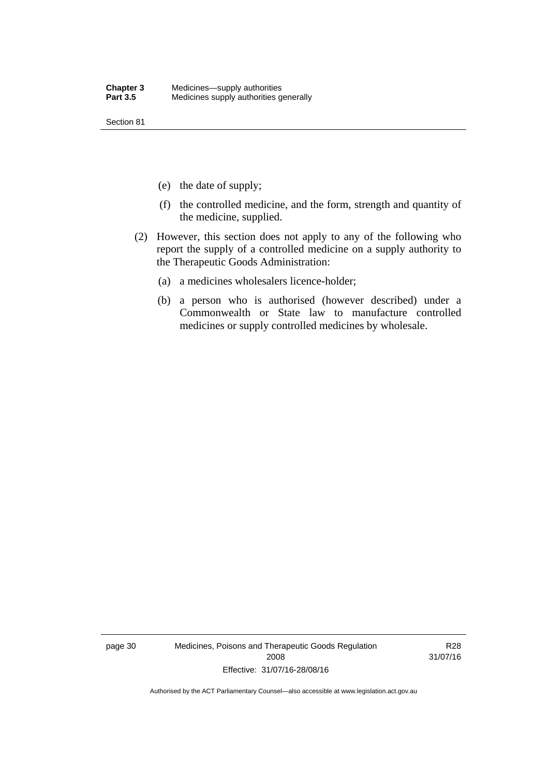Section 81

- (e) the date of supply;
- (f) the controlled medicine, and the form, strength and quantity of the medicine, supplied.
- (2) However, this section does not apply to any of the following who report the supply of a controlled medicine on a supply authority to the Therapeutic Goods Administration:
	- (a) a medicines wholesalers licence-holder;
	- (b) a person who is authorised (however described) under a Commonwealth or State law to manufacture controlled medicines or supply controlled medicines by wholesale.

page 30 Medicines, Poisons and Therapeutic Goods Regulation 2008 Effective: 31/07/16-28/08/16

R28 31/07/16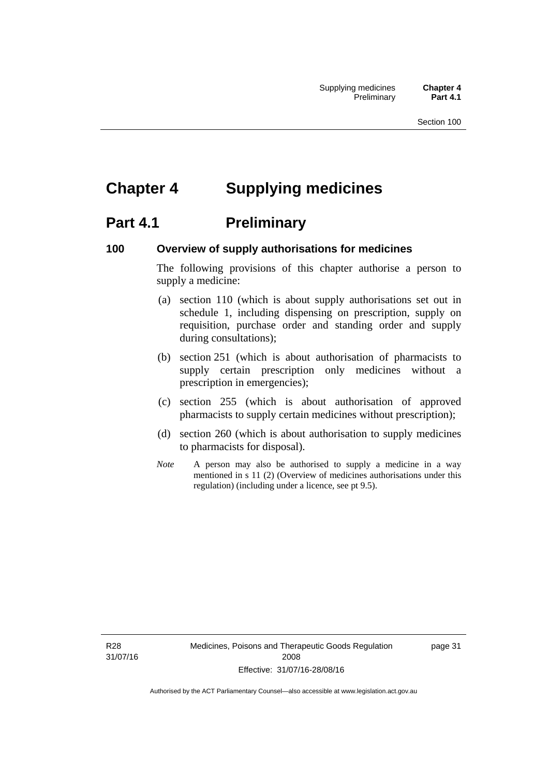# **Chapter 4 Supplying medicines**

# **Part 4.1** Preliminary

#### **100 Overview of supply authorisations for medicines**

The following provisions of this chapter authorise a person to supply a medicine:

- (a) section 110 (which is about supply authorisations set out in schedule 1, including dispensing on prescription, supply on requisition, purchase order and standing order and supply during consultations);
- (b) section 251 (which is about authorisation of pharmacists to supply certain prescription only medicines without a prescription in emergencies);
- (c) section 255 (which is about authorisation of approved pharmacists to supply certain medicines without prescription);
- (d) section 260 (which is about authorisation to supply medicines to pharmacists for disposal).
- *Note* A person may also be authorised to supply a medicine in a way mentioned in s 11 (2) (Overview of medicines authorisations under this regulation) (including under a licence, see pt 9.5).

R28 31/07/16 page 31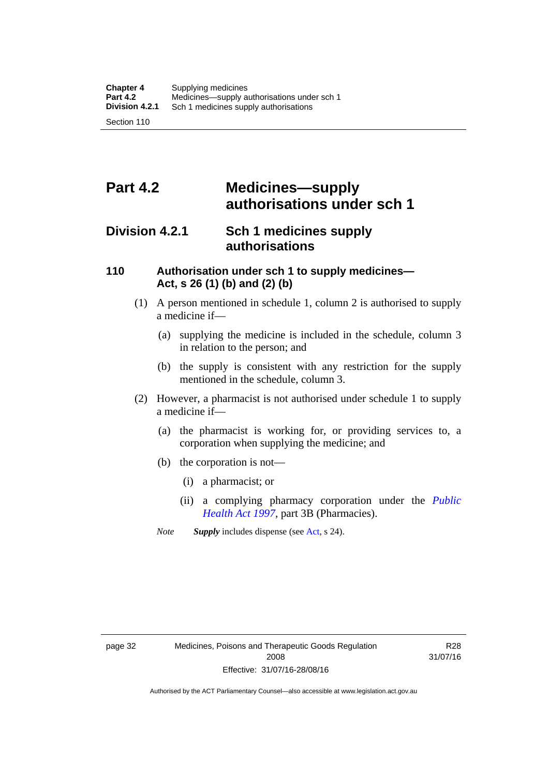# **Part 4.2 Medicines—supply authorisations under sch 1**

# **Division 4.2.1 Sch 1 medicines supply authorisations**

#### **110 Authorisation under sch 1 to supply medicines— Act, s 26 (1) (b) and (2) (b)**

- (1) A person mentioned in schedule 1, column 2 is authorised to supply a medicine if—
	- (a) supplying the medicine is included in the schedule, column 3 in relation to the person; and
	- (b) the supply is consistent with any restriction for the supply mentioned in the schedule, column 3.
- (2) However, a pharmacist is not authorised under schedule 1 to supply a medicine if—
	- (a) the pharmacist is working for, or providing services to, a corporation when supplying the medicine; and
	- (b) the corporation is not—
		- (i) a pharmacist; or
		- (ii) a complying pharmacy corporation under the *[Public](http://www.legislation.act.gov.au/a/1997-69)  [Health Act 1997](http://www.legislation.act.gov.au/a/1997-69)*, part 3B (Pharmacies).
	- *Note Supply* includes dispense (see [Act,](http://www.legislation.act.gov.au/a/2008-26/default.asp) s 24).

R28 31/07/16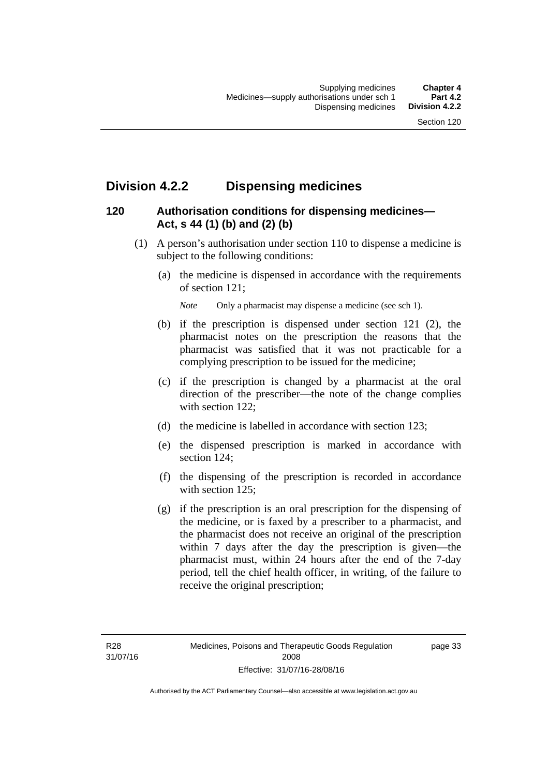# **Division 4.2.2 Dispensing medicines**

## **120 Authorisation conditions for dispensing medicines— Act, s 44 (1) (b) and (2) (b)**

- (1) A person's authorisation under section 110 to dispense a medicine is subject to the following conditions:
	- (a) the medicine is dispensed in accordance with the requirements of section 121;

*Note* Only a pharmacist may dispense a medicine (see sch 1).

- (b) if the prescription is dispensed under section 121 (2), the pharmacist notes on the prescription the reasons that the pharmacist was satisfied that it was not practicable for a complying prescription to be issued for the medicine;
- (c) if the prescription is changed by a pharmacist at the oral direction of the prescriber—the note of the change complies with section 122;
- (d) the medicine is labelled in accordance with section 123;
- (e) the dispensed prescription is marked in accordance with section 124;
- (f) the dispensing of the prescription is recorded in accordance with section 125:
- (g) if the prescription is an oral prescription for the dispensing of the medicine, or is faxed by a prescriber to a pharmacist, and the pharmacist does not receive an original of the prescription within 7 days after the day the prescription is given—the pharmacist must, within 24 hours after the end of the 7-day period, tell the chief health officer, in writing, of the failure to receive the original prescription;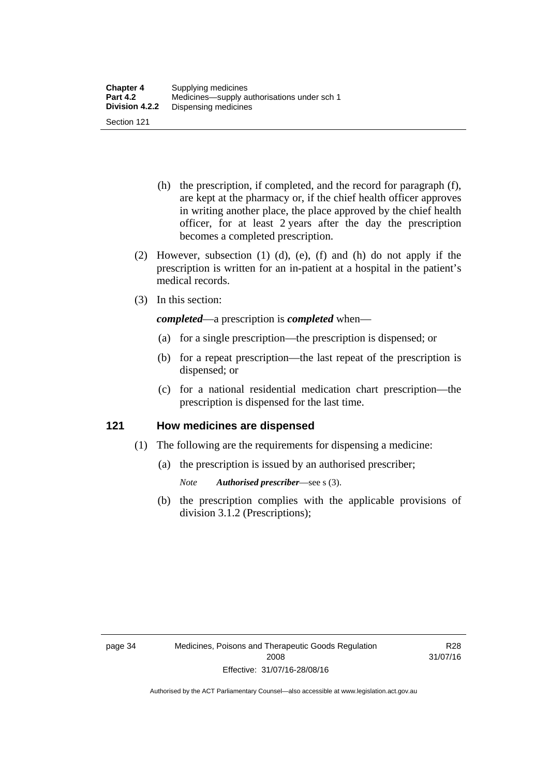- (h) the prescription, if completed, and the record for paragraph (f), are kept at the pharmacy or, if the chief health officer approves in writing another place, the place approved by the chief health officer, for at least 2 years after the day the prescription becomes a completed prescription.
- (2) However, subsection (1) (d), (e), (f) and (h) do not apply if the prescription is written for an in-patient at a hospital in the patient's medical records.
- (3) In this section:

*completed*—a prescription is *completed* when—

- (a) for a single prescription—the prescription is dispensed; or
- (b) for a repeat prescription—the last repeat of the prescription is dispensed; or
- (c) for a national residential medication chart prescription––the prescription is dispensed for the last time.

#### **121 How medicines are dispensed**

- (1) The following are the requirements for dispensing a medicine:
	- (a) the prescription is issued by an authorised prescriber;
		- *Note Authorised prescriber*—see s (3).
	- (b) the prescription complies with the applicable provisions of division 3.1.2 (Prescriptions);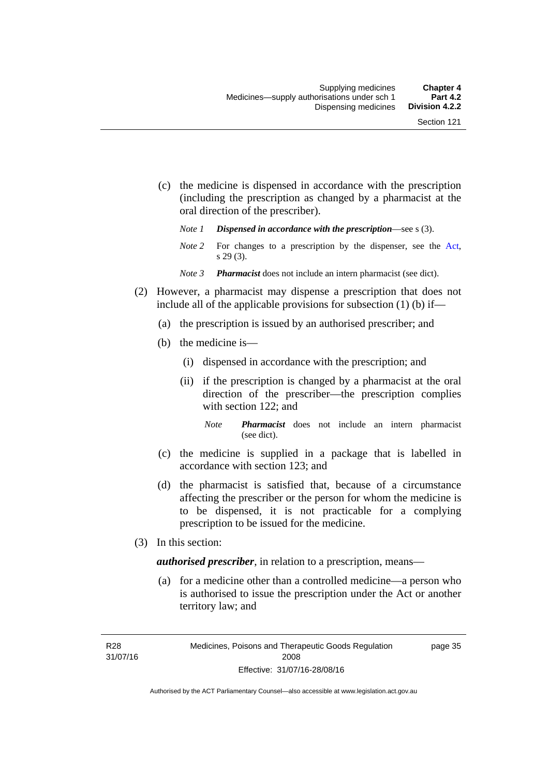- (c) the medicine is dispensed in accordance with the prescription (including the prescription as changed by a pharmacist at the oral direction of the prescriber).
	- *Note 1 Dispensed in accordance with the prescription*—see s (3).
	- *Note* 2 For changes to a prescription by the dispenser, see the [Act,](http://www.legislation.act.gov.au/a/2008-26/default.asp) s 29 (3).
	- *Note 3 Pharmacist* does not include an intern pharmacist (see dict).
- (2) However, a pharmacist may dispense a prescription that does not include all of the applicable provisions for subsection (1) (b) if—
	- (a) the prescription is issued by an authorised prescriber; and
	- (b) the medicine is—
		- (i) dispensed in accordance with the prescription; and
		- (ii) if the prescription is changed by a pharmacist at the oral direction of the prescriber—the prescription complies with section 122; and
			- *Note Pharmacist* does not include an intern pharmacist (see dict).
	- (c) the medicine is supplied in a package that is labelled in accordance with section 123; and
	- (d) the pharmacist is satisfied that, because of a circumstance affecting the prescriber or the person for whom the medicine is to be dispensed, it is not practicable for a complying prescription to be issued for the medicine.
- (3) In this section:

*authorised prescriber*, in relation to a prescription, means—

 (a) for a medicine other than a controlled medicine—a person who is authorised to issue the prescription under the Act or another territory law; and

R28 31/07/16 page 35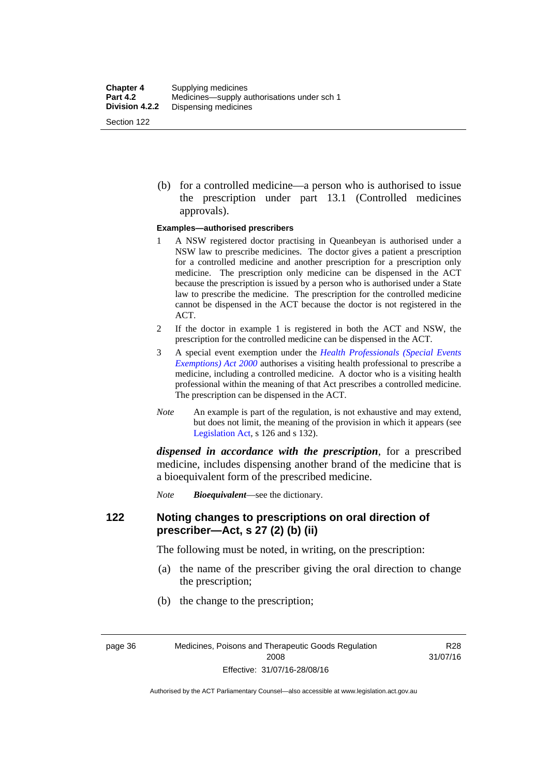(b) for a controlled medicine—a person who is authorised to issue the prescription under part 13.1 (Controlled medicines approvals).

#### **Examples—authorised prescribers**

- 1 A NSW registered doctor practising in Queanbeyan is authorised under a NSW law to prescribe medicines. The doctor gives a patient a prescription for a controlled medicine and another prescription for a prescription only medicine. The prescription only medicine can be dispensed in the ACT because the prescription is issued by a person who is authorised under a State law to prescribe the medicine. The prescription for the controlled medicine cannot be dispensed in the ACT because the doctor is not registered in the ACT.
- 2 If the doctor in example 1 is registered in both the ACT and NSW, the prescription for the controlled medicine can be dispensed in the ACT.
- 3 A special event exemption under the *[Health Professionals \(Special Events](http://www.legislation.act.gov.au/a/2000-25)  [Exemptions\) Act 2000](http://www.legislation.act.gov.au/a/2000-25)* authorises a visiting health professional to prescribe a medicine, including a controlled medicine. A doctor who is a visiting health professional within the meaning of that Act prescribes a controlled medicine. The prescription can be dispensed in the ACT.
- *Note* An example is part of the regulation, is not exhaustive and may extend, but does not limit, the meaning of the provision in which it appears (see [Legislation Act,](http://www.legislation.act.gov.au/a/2001-14) s 126 and s 132).

*dispensed in accordance with the prescription*, for a prescribed medicine, includes dispensing another brand of the medicine that is a bioequivalent form of the prescribed medicine.

*Note Bioequivalent*—see the dictionary.

#### **122 Noting changes to prescriptions on oral direction of prescriber—Act, s 27 (2) (b) (ii)**

The following must be noted, in writing, on the prescription:

- (a) the name of the prescriber giving the oral direction to change the prescription;
- (b) the change to the prescription;

page 36 Medicines, Poisons and Therapeutic Goods Regulation 2008 Effective: 31/07/16-28/08/16

R28 31/07/16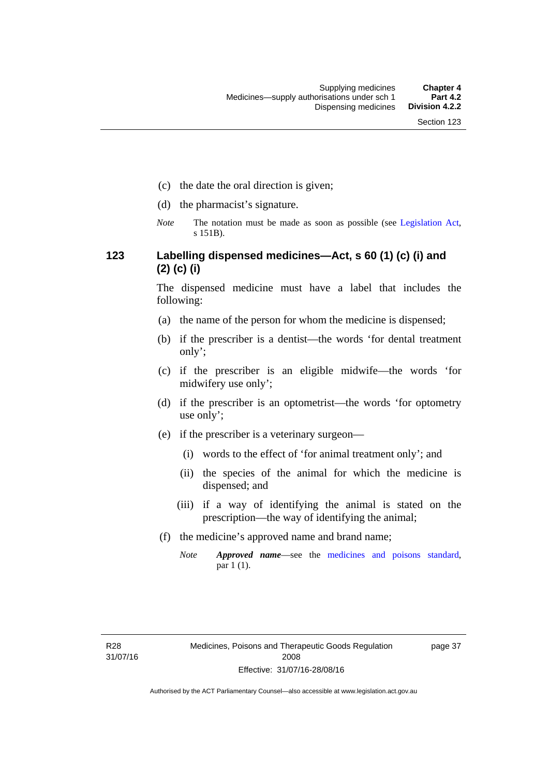- (c) the date the oral direction is given;
- (d) the pharmacist's signature.
- *Note* The notation must be made as soon as possible (see [Legislation Act,](http://www.legislation.act.gov.au/a/2001-14) s 151B).

## **123 Labelling dispensed medicines—Act, s 60 (1) (c) (i) and (2) (c) (i)**

The dispensed medicine must have a label that includes the following:

- (a) the name of the person for whom the medicine is dispensed;
- (b) if the prescriber is a dentist—the words 'for dental treatment only';
- (c) if the prescriber is an eligible midwife—the words 'for midwifery use only';
- (d) if the prescriber is an optometrist—the words 'for optometry use only';
- (e) if the prescriber is a veterinary surgeon—
	- (i) words to the effect of 'for animal treatment only'; and
	- (ii) the species of the animal for which the medicine is dispensed; and
	- (iii) if a way of identifying the animal is stated on the prescription—the way of identifying the animal;
- (f) the medicine's approved name and brand name;
	- *Note Approved name*—see the [medicines and poisons standard,](http://www.comlaw.gov.au/Series/F2012L01200) par 1 (1).

page 37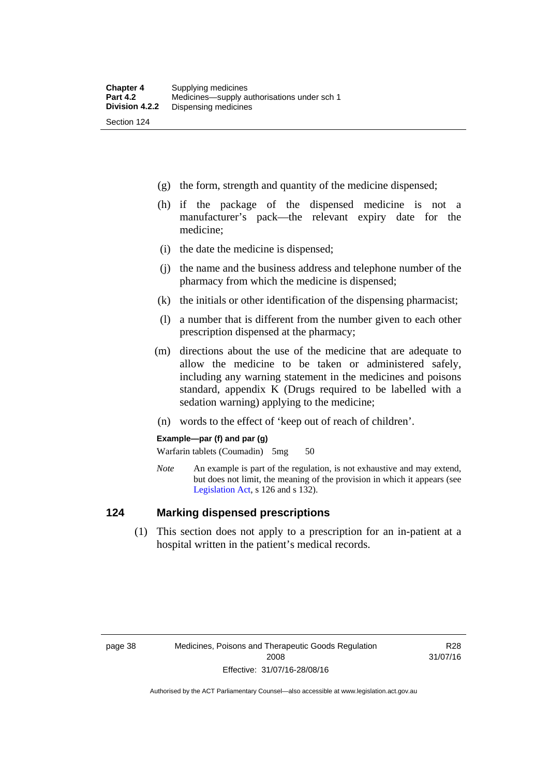- (g) the form, strength and quantity of the medicine dispensed;
- (h) if the package of the dispensed medicine is not a manufacturer's pack—the relevant expiry date for the medicine;
- (i) the date the medicine is dispensed;
- (j) the name and the business address and telephone number of the pharmacy from which the medicine is dispensed;
- (k) the initials or other identification of the dispensing pharmacist;
- (l) a number that is different from the number given to each other prescription dispensed at the pharmacy;
- (m) directions about the use of the medicine that are adequate to allow the medicine to be taken or administered safely, including any warning statement in the medicines and poisons standard, appendix K (Drugs required to be labelled with a sedation warning) applying to the medicine;
- (n) words to the effect of 'keep out of reach of children'.

#### **Example—par (f) and par (g)**

Warfarin tablets (Coumadin) 5mg 50

*Note* An example is part of the regulation, is not exhaustive and may extend, but does not limit, the meaning of the provision in which it appears (see [Legislation Act,](http://www.legislation.act.gov.au/a/2001-14) s 126 and s 132).

#### **124 Marking dispensed prescriptions**

 (1) This section does not apply to a prescription for an in-patient at a hospital written in the patient's medical records.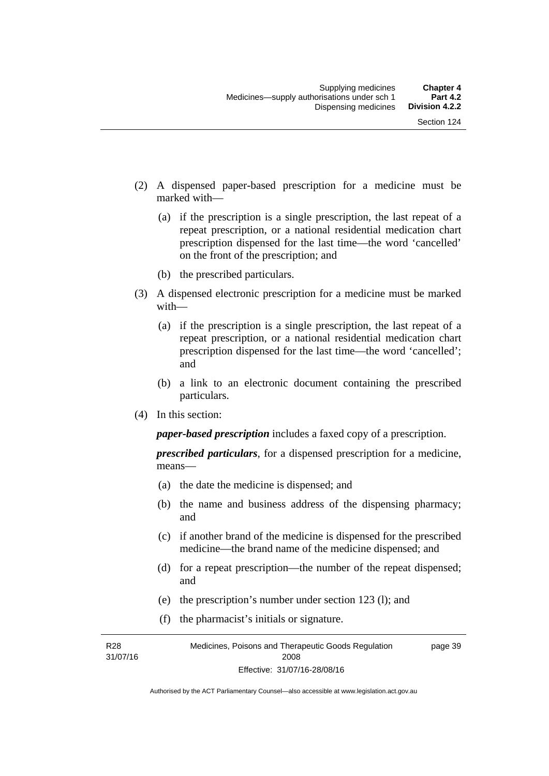- (2) A dispensed paper-based prescription for a medicine must be marked with—
	- (a) if the prescription is a single prescription, the last repeat of a repeat prescription, or a national residential medication chart prescription dispensed for the last time––the word 'cancelled' on the front of the prescription; and
	- (b) the prescribed particulars.
- (3) A dispensed electronic prescription for a medicine must be marked with—
	- (a) if the prescription is a single prescription, the last repeat of a repeat prescription, or a national residential medication chart prescription dispensed for the last time––the word 'cancelled'; and
	- (b) a link to an electronic document containing the prescribed particulars.
- (4) In this section:

*paper-based prescription* includes a faxed copy of a prescription.

*prescribed particulars*, for a dispensed prescription for a medicine, means—

- (a) the date the medicine is dispensed; and
- (b) the name and business address of the dispensing pharmacy; and
- (c) if another brand of the medicine is dispensed for the prescribed medicine—the brand name of the medicine dispensed; and
- (d) for a repeat prescription—the number of the repeat dispensed; and
- (e) the prescription's number under section 123 (l); and
- (f) the pharmacist's initials or signature.

R28 31/07/16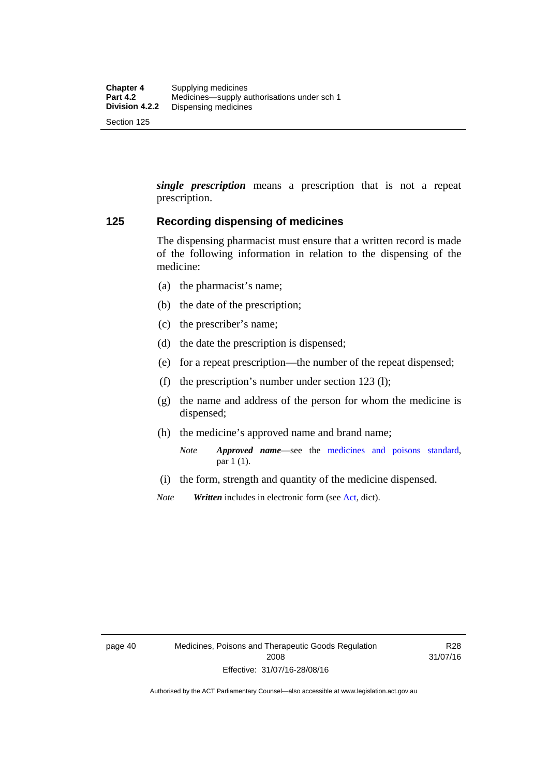*single prescription* means a prescription that is not a repeat prescription.

#### **125 Recording dispensing of medicines**

The dispensing pharmacist must ensure that a written record is made of the following information in relation to the dispensing of the medicine:

- (a) the pharmacist's name;
- (b) the date of the prescription;
- (c) the prescriber's name;
- (d) the date the prescription is dispensed;
- (e) for a repeat prescription—the number of the repeat dispensed;
- (f) the prescription's number under section 123 (l);
- (g) the name and address of the person for whom the medicine is dispensed;
- (h) the medicine's approved name and brand name;
	- *Note Approved name*—see the [medicines and poisons standard,](http://www.comlaw.gov.au/Series/F2012L01200) par 1 (1).
- (i) the form, strength and quantity of the medicine dispensed.
- *Note Written* includes in electronic form (see [Act,](http://www.legislation.act.gov.au/a/2008-26/default.asp) dict).

R28 31/07/16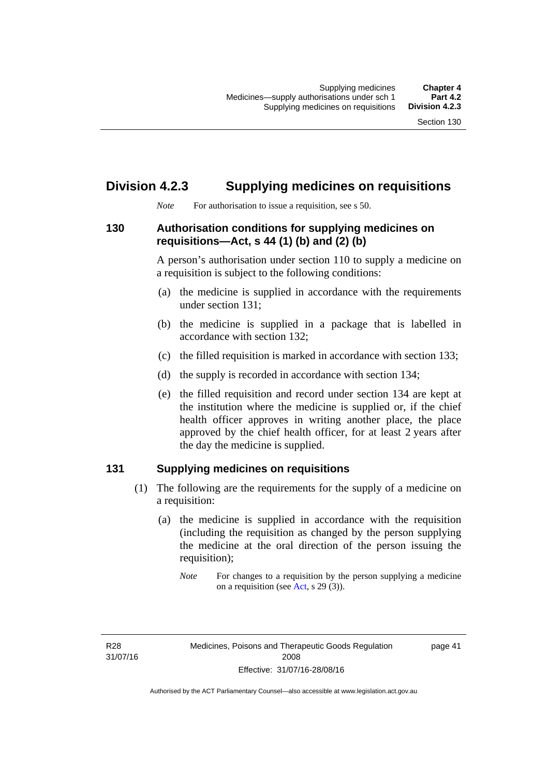# **Division 4.2.3 Supplying medicines on requisitions**

*Note* For authorisation to issue a requisition, see s 50.

#### **130 Authorisation conditions for supplying medicines on requisitions—Act, s 44 (1) (b) and (2) (b)**

A person's authorisation under section 110 to supply a medicine on a requisition is subject to the following conditions:

- (a) the medicine is supplied in accordance with the requirements under section 131;
- (b) the medicine is supplied in a package that is labelled in accordance with section 132;
- (c) the filled requisition is marked in accordance with section 133;
- (d) the supply is recorded in accordance with section 134;
- (e) the filled requisition and record under section 134 are kept at the institution where the medicine is supplied or, if the chief health officer approves in writing another place, the place approved by the chief health officer, for at least 2 years after the day the medicine is supplied.

## **131 Supplying medicines on requisitions**

- (1) The following are the requirements for the supply of a medicine on a requisition:
	- (a) the medicine is supplied in accordance with the requisition (including the requisition as changed by the person supplying the medicine at the oral direction of the person issuing the requisition);

R28 31/07/16 page 41

*Note* For changes to a requisition by the person supplying a medicine on a requisition (see [Act,](http://www.legislation.act.gov.au/a/2008-26/default.asp) s 29 (3)).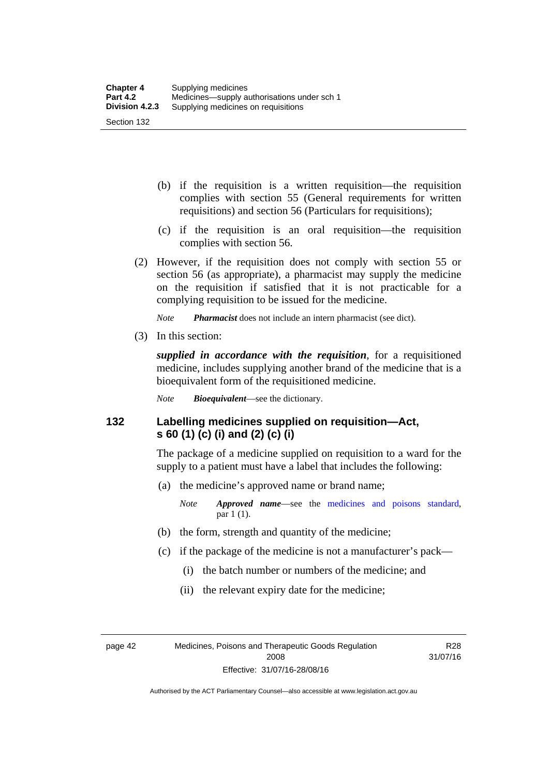- (b) if the requisition is a written requisition—the requisition complies with section 55 (General requirements for written requisitions) and section 56 (Particulars for requisitions);
- (c) if the requisition is an oral requisition—the requisition complies with section 56.
- (2) However, if the requisition does not comply with section 55 or section 56 (as appropriate), a pharmacist may supply the medicine on the requisition if satisfied that it is not practicable for a complying requisition to be issued for the medicine.

*Note Pharmacist* does not include an intern pharmacist (see dict).

(3) In this section:

*supplied in accordance with the requisition*, for a requisitioned medicine, includes supplying another brand of the medicine that is a bioequivalent form of the requisitioned medicine.

*Note Bioequivalent*—see the dictionary.

#### **132 Labelling medicines supplied on requisition—Act, s 60 (1) (c) (i) and (2) (c) (i)**

The package of a medicine supplied on requisition to a ward for the supply to a patient must have a label that includes the following:

(a) the medicine's approved name or brand name;

*Note Approved name*—see the [medicines and poisons standard,](http://www.comlaw.gov.au/Series/F2012L01200) par 1 (1).

- (b) the form, strength and quantity of the medicine;
- (c) if the package of the medicine is not a manufacturer's pack—
	- (i) the batch number or numbers of the medicine; and
	- (ii) the relevant expiry date for the medicine;

page 42 Medicines, Poisons and Therapeutic Goods Regulation 2008 Effective: 31/07/16-28/08/16

R28 31/07/16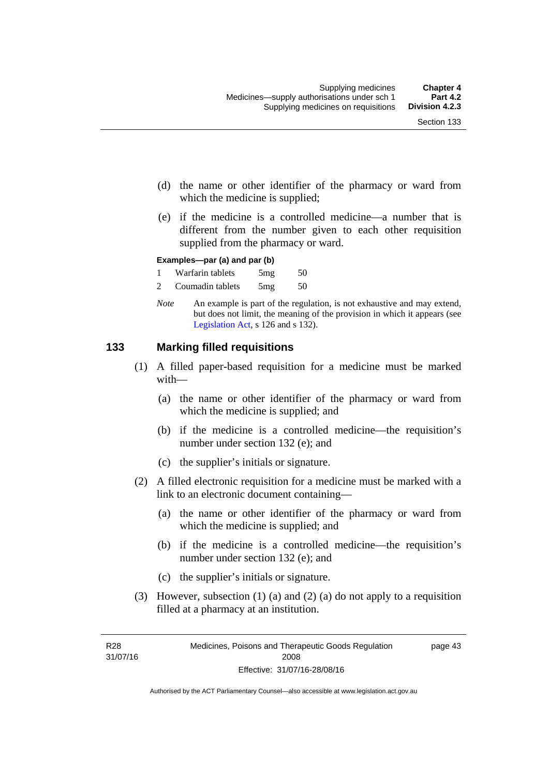- (d) the name or other identifier of the pharmacy or ward from which the medicine is supplied;
- (e) if the medicine is a controlled medicine—a number that is different from the number given to each other requisition supplied from the pharmacy or ward.

#### **Examples—par (a) and par (b)**

- 1 Warfarin tablets 5mg 50
- 2 Coumadin tablets 5mg 50
- *Note* An example is part of the regulation, is not exhaustive and may extend, but does not limit, the meaning of the provision in which it appears (see [Legislation Act,](http://www.legislation.act.gov.au/a/2001-14) s 126 and s 132).

#### **133 Marking filled requisitions**

- (1) A filled paper-based requisition for a medicine must be marked with—
	- (a) the name or other identifier of the pharmacy or ward from which the medicine is supplied; and
	- (b) if the medicine is a controlled medicine—the requisition's number under section 132 (e); and
	- (c) the supplier's initials or signature.
- (2) A filled electronic requisition for a medicine must be marked with a link to an electronic document containing—
	- (a) the name or other identifier of the pharmacy or ward from which the medicine is supplied; and
	- (b) if the medicine is a controlled medicine—the requisition's number under section 132 (e); and
	- (c) the supplier's initials or signature.
- (3) However, subsection (1) (a) and (2) (a) do not apply to a requisition filled at a pharmacy at an institution.

page 43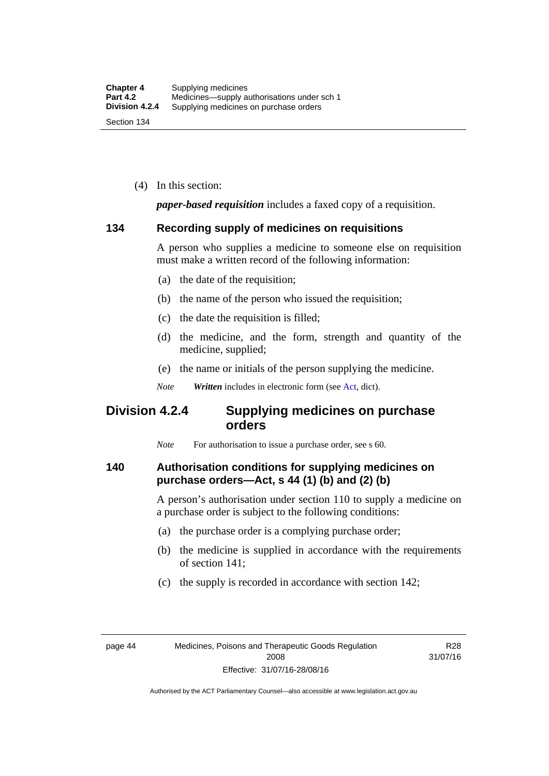(4) In this section:

*paper-based requisition* includes a faxed copy of a requisition.

#### **134 Recording supply of medicines on requisitions**

A person who supplies a medicine to someone else on requisition must make a written record of the following information:

- (a) the date of the requisition;
- (b) the name of the person who issued the requisition;
- (c) the date the requisition is filled;
- (d) the medicine, and the form, strength and quantity of the medicine, supplied;
- (e) the name or initials of the person supplying the medicine.
- *Note Written* includes in electronic form (see [Act,](http://www.legislation.act.gov.au/a/2008-26/default.asp) dict).

# **Division 4.2.4 Supplying medicines on purchase orders**

*Note* For authorisation to issue a purchase order, see s 60.

#### **140 Authorisation conditions for supplying medicines on purchase orders—Act, s 44 (1) (b) and (2) (b)**

A person's authorisation under section 110 to supply a medicine on a purchase order is subject to the following conditions:

- (a) the purchase order is a complying purchase order;
- (b) the medicine is supplied in accordance with the requirements of section 141;
- (c) the supply is recorded in accordance with section 142;

R28 31/07/16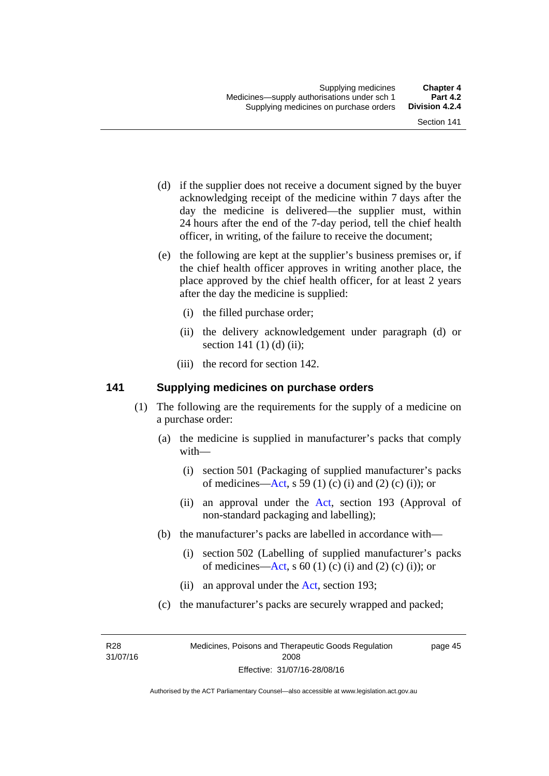- (d) if the supplier does not receive a document signed by the buyer acknowledging receipt of the medicine within 7 days after the day the medicine is delivered—the supplier must, within 24 hours after the end of the 7-day period, tell the chief health officer, in writing, of the failure to receive the document;
- (e) the following are kept at the supplier's business premises or, if the chief health officer approves in writing another place, the place approved by the chief health officer, for at least 2 years after the day the medicine is supplied:
	- (i) the filled purchase order;
	- (ii) the delivery acknowledgement under paragraph (d) or section 141 $(1)$  $(d)$  $(ii)$ ;
	- (iii) the record for section 142.

#### **141 Supplying medicines on purchase orders**

- (1) The following are the requirements for the supply of a medicine on a purchase order:
	- (a) the medicine is supplied in manufacturer's packs that comply with—
		- (i) section 501 (Packaging of supplied manufacturer's packs of medicines—[Act](http://www.legislation.act.gov.au/a/2008-26/default.asp), s 59 (1) (c) (i) and (2) (c) (i)); or
		- (ii) an approval under the [Act](http://www.legislation.act.gov.au/a/2008-26/default.asp), section 193 (Approval of non-standard packaging and labelling);
	- (b) the manufacturer's packs are labelled in accordance with—
		- (i) section 502 (Labelling of supplied manufacturer's packs of medicines—[Act](http://www.legislation.act.gov.au/a/2008-26/default.asp), s  $60(1)$  (c) (i) and (2) (c) (i)); or
		- (ii) an approval under the [Act,](http://www.legislation.act.gov.au/a/2008-26/default.asp) section 193;
	- (c) the manufacturer's packs are securely wrapped and packed;

R28 31/07/16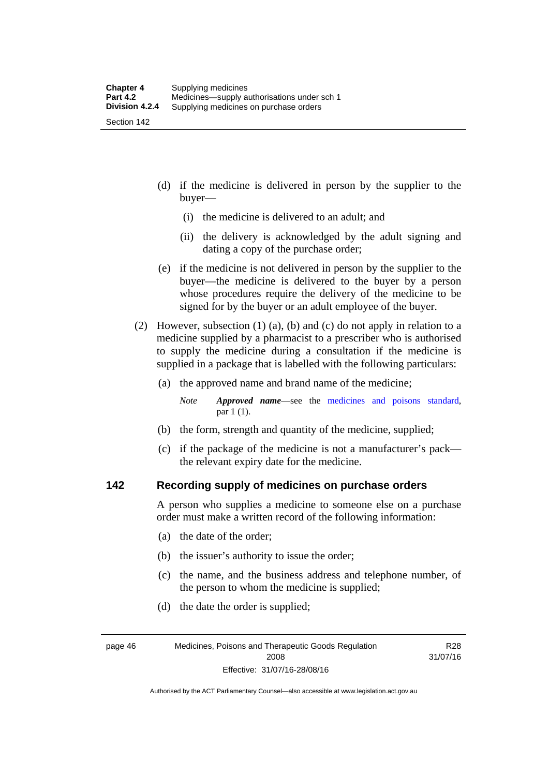(d) if the medicine is delivered in person by the supplier to the buyer—

- (i) the medicine is delivered to an adult; and
- (ii) the delivery is acknowledged by the adult signing and dating a copy of the purchase order;
- (e) if the medicine is not delivered in person by the supplier to the buyer—the medicine is delivered to the buyer by a person whose procedures require the delivery of the medicine to be signed for by the buyer or an adult employee of the buyer.
- (2) However, subsection (1) (a), (b) and (c) do not apply in relation to a medicine supplied by a pharmacist to a prescriber who is authorised to supply the medicine during a consultation if the medicine is supplied in a package that is labelled with the following particulars:
	- (a) the approved name and brand name of the medicine;
		- *Note Approved name*—see the [medicines and poisons standard,](http://www.comlaw.gov.au/Series/F2012L01200) par 1 (1).
	- (b) the form, strength and quantity of the medicine, supplied;
	- (c) if the package of the medicine is not a manufacturer's pack the relevant expiry date for the medicine.

#### **142 Recording supply of medicines on purchase orders**

A person who supplies a medicine to someone else on a purchase order must make a written record of the following information:

- (a) the date of the order;
- (b) the issuer's authority to issue the order;
- (c) the name, and the business address and telephone number, of the person to whom the medicine is supplied;

R28 31/07/16

(d) the date the order is supplied;

page 46 Medicines, Poisons and Therapeutic Goods Regulation 2008 Effective: 31/07/16-28/08/16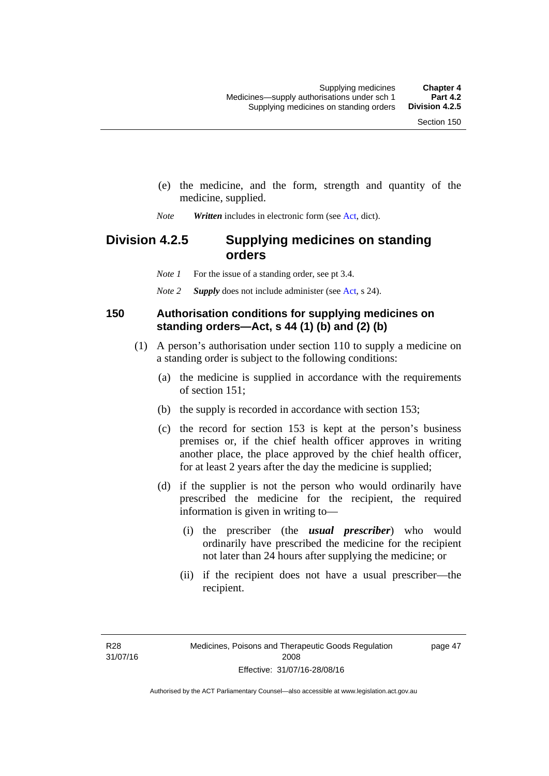- (e) the medicine, and the form, strength and quantity of the medicine, supplied.
- *Note Written* includes in electronic form (see [Act,](http://www.legislation.act.gov.au/a/2008-26/default.asp) dict).

# **Division 4.2.5 Supplying medicines on standing orders**

*Note 1* For the issue of a standing order, see pt 3.4.

*Note 2 Supply* does not include administer (see [Act,](http://www.legislation.act.gov.au/a/2008-26/default.asp) s 24).

#### **150 Authorisation conditions for supplying medicines on standing orders—Act, s 44 (1) (b) and (2) (b)**

- (1) A person's authorisation under section 110 to supply a medicine on a standing order is subject to the following conditions:
	- (a) the medicine is supplied in accordance with the requirements of section 151;
	- (b) the supply is recorded in accordance with section 153;
	- (c) the record for section 153 is kept at the person's business premises or, if the chief health officer approves in writing another place, the place approved by the chief health officer, for at least 2 years after the day the medicine is supplied;
	- (d) if the supplier is not the person who would ordinarily have prescribed the medicine for the recipient, the required information is given in writing to—
		- (i) the prescriber (the *usual prescriber*) who would ordinarily have prescribed the medicine for the recipient not later than 24 hours after supplying the medicine; or
		- (ii) if the recipient does not have a usual prescriber—the recipient.

R28 31/07/16 page 47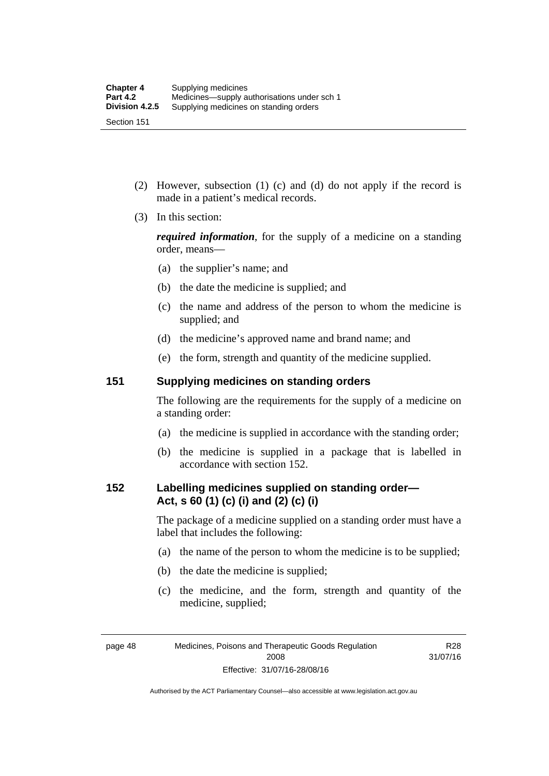Section 151

- (2) However, subsection (1) (c) and (d) do not apply if the record is made in a patient's medical records.
- (3) In this section:

*required information*, for the supply of a medicine on a standing order, means—

- (a) the supplier's name; and
- (b) the date the medicine is supplied; and
- (c) the name and address of the person to whom the medicine is supplied; and
- (d) the medicine's approved name and brand name; and
- (e) the form, strength and quantity of the medicine supplied.

#### **151 Supplying medicines on standing orders**

The following are the requirements for the supply of a medicine on a standing order:

- (a) the medicine is supplied in accordance with the standing order;
- (b) the medicine is supplied in a package that is labelled in accordance with section 152.

#### **152 Labelling medicines supplied on standing order— Act, s 60 (1) (c) (i) and (2) (c) (i)**

The package of a medicine supplied on a standing order must have a label that includes the following:

- (a) the name of the person to whom the medicine is to be supplied;
- (b) the date the medicine is supplied;
- (c) the medicine, and the form, strength and quantity of the medicine, supplied;

R28 31/07/16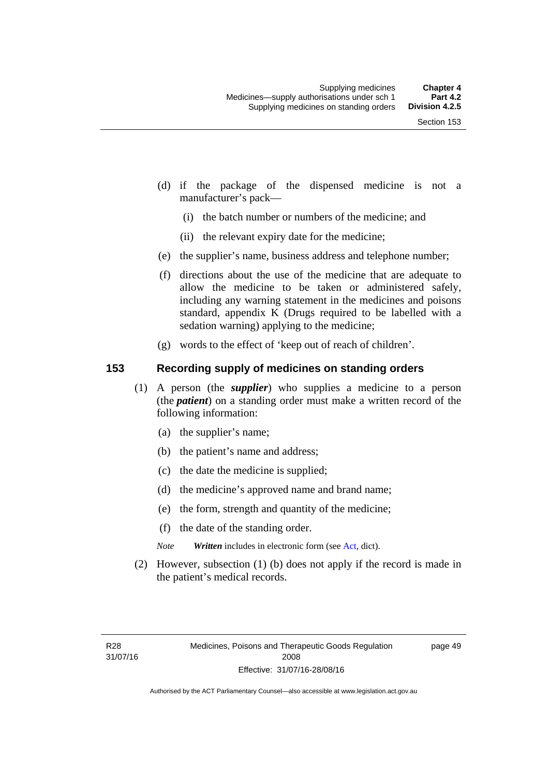- (d) if the package of the dispensed medicine is not a manufacturer's pack—
	- (i) the batch number or numbers of the medicine; and
	- (ii) the relevant expiry date for the medicine;
- (e) the supplier's name, business address and telephone number;
- (f) directions about the use of the medicine that are adequate to allow the medicine to be taken or administered safely, including any warning statement in the medicines and poisons standard, appendix K (Drugs required to be labelled with a sedation warning) applying to the medicine;
- (g) words to the effect of 'keep out of reach of children'.

### **153 Recording supply of medicines on standing orders**

- (1) A person (the *supplier*) who supplies a medicine to a person (the *patient*) on a standing order must make a written record of the following information:
	- (a) the supplier's name;
	- (b) the patient's name and address;
	- (c) the date the medicine is supplied;
	- (d) the medicine's approved name and brand name;
	- (e) the form, strength and quantity of the medicine;
	- (f) the date of the standing order.
	- *Note Written* includes in electronic form (see [Act,](http://www.legislation.act.gov.au/a/2008-26/default.asp) dict).
- (2) However, subsection (1) (b) does not apply if the record is made in the patient's medical records.

page 49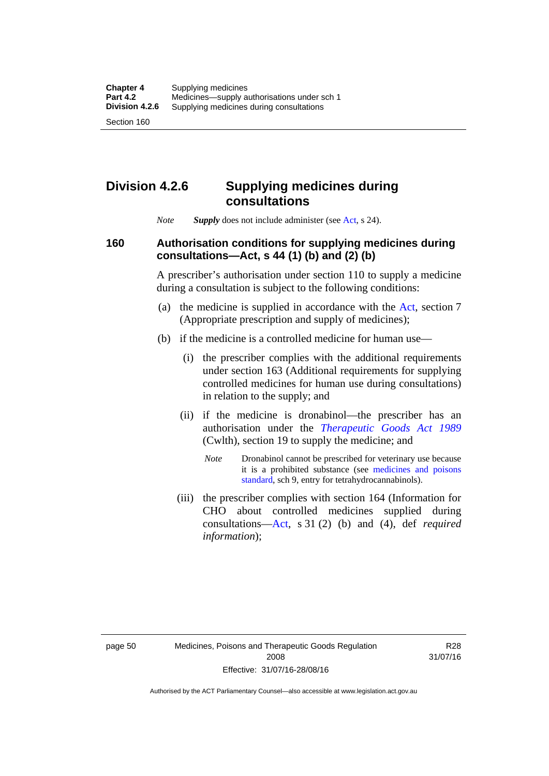## **Division 4.2.6 Supplying medicines during consultations**

*Note Supply* does not include administer (see [Act,](http://www.legislation.act.gov.au/a/2008-26/default.asp) s 24).

### **160 Authorisation conditions for supplying medicines during consultations—Act, s 44 (1) (b) and (2) (b)**

A prescriber's authorisation under section 110 to supply a medicine during a consultation is subject to the following conditions:

- (a) the medicine is supplied in accordance with the [Act](http://www.legislation.act.gov.au/a/2008-26/default.asp), section 7 (Appropriate prescription and supply of medicines);
- (b) if the medicine is a controlled medicine for human use—
	- (i) the prescriber complies with the additional requirements under section 163 (Additional requirements for supplying controlled medicines for human use during consultations) in relation to the supply; and
	- (ii) if the medicine is dronabinol—the prescriber has an authorisation under the *[Therapeutic Goods Act 1989](http://www.comlaw.gov.au/Series/C2004A03952)* (Cwlth), section 19 to supply the medicine; and
		- *Note* Dronabinol cannot be prescribed for veterinary use because it is a prohibited substance (see [medicines and poisons](http://www.comlaw.gov.au/Series/F2012L01200)  [standard,](http://www.comlaw.gov.au/Series/F2012L01200) sch 9, entry for tetrahydrocannabinols).
	- (iii) the prescriber complies with section 164 (Information for CHO about controlled medicines supplied during consultations[—Act,](http://www.legislation.act.gov.au/a/2008-26/default.asp) s 31 (2) (b) and (4), def *required information*);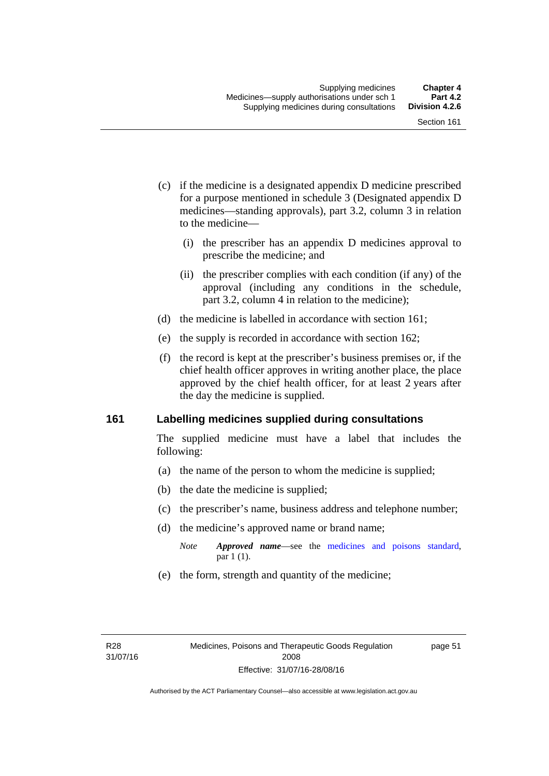- (c) if the medicine is a designated appendix D medicine prescribed for a purpose mentioned in schedule 3 (Designated appendix D medicines—standing approvals), part 3.2, column 3 in relation to the medicine—
	- (i) the prescriber has an appendix D medicines approval to prescribe the medicine; and
	- (ii) the prescriber complies with each condition (if any) of the approval (including any conditions in the schedule, part 3.2, column 4 in relation to the medicine);
- (d) the medicine is labelled in accordance with section 161;
- (e) the supply is recorded in accordance with section 162;
- (f) the record is kept at the prescriber's business premises or, if the chief health officer approves in writing another place, the place approved by the chief health officer, for at least 2 years after the day the medicine is supplied.

### **161 Labelling medicines supplied during consultations**

The supplied medicine must have a label that includes the following:

- (a) the name of the person to whom the medicine is supplied;
- (b) the date the medicine is supplied;
- (c) the prescriber's name, business address and telephone number;
- (d) the medicine's approved name or brand name;
	- *Note Approved name*—see the [medicines and poisons standard,](http://www.comlaw.gov.au/Series/F2012L01200) par 1 (1).
- (e) the form, strength and quantity of the medicine;

page 51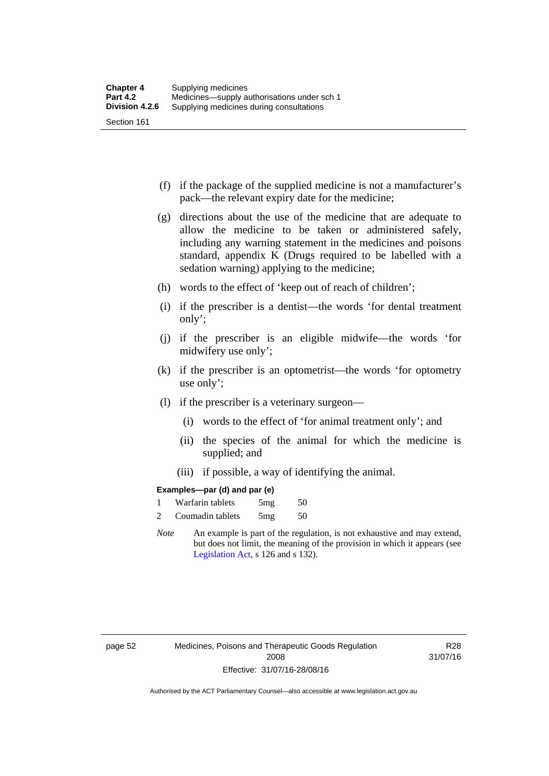- (f) if the package of the supplied medicine is not a manufacturer's pack—the relevant expiry date for the medicine;
- (g) directions about the use of the medicine that are adequate to allow the medicine to be taken or administered safely, including any warning statement in the medicines and poisons standard, appendix K (Drugs required to be labelled with a sedation warning) applying to the medicine;
- (h) words to the effect of 'keep out of reach of children';
- (i) if the prescriber is a dentist—the words 'for dental treatment only';
- (j) if the prescriber is an eligible midwife—the words 'for midwifery use only';
- (k) if the prescriber is an optometrist—the words 'for optometry use only';
- (l) if the prescriber is a veterinary surgeon—
	- (i) words to the effect of 'for animal treatment only'; and
	- (ii) the species of the animal for which the medicine is supplied; and
	- (iii) if possible, a way of identifying the animal.

### **Examples—par (d) and par (e)**

| Warfarin tablets | 5mg | 50 |
|------------------|-----|----|
| Coumadin tablets | 5mg | 50 |

*Note* An example is part of the regulation, is not exhaustive and may extend, but does not limit, the meaning of the provision in which it appears (see [Legislation Act,](http://www.legislation.act.gov.au/a/2001-14) s 126 and s 132).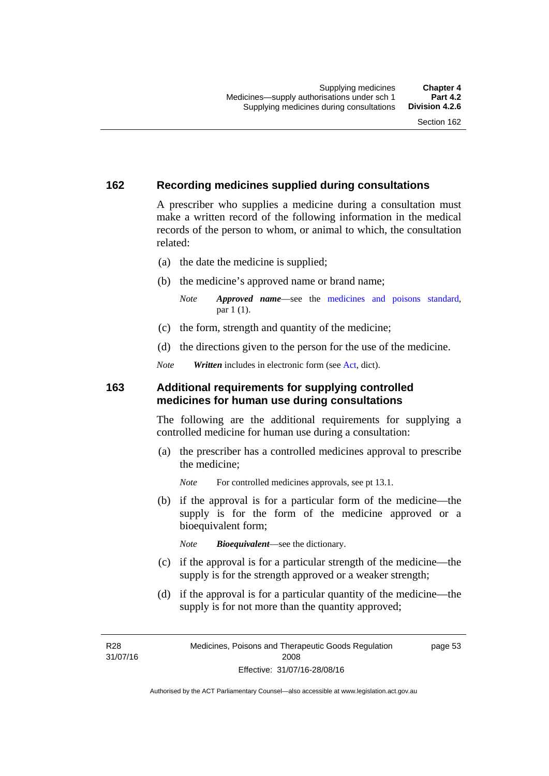### **162 Recording medicines supplied during consultations**

A prescriber who supplies a medicine during a consultation must make a written record of the following information in the medical records of the person to whom, or animal to which, the consultation related:

- (a) the date the medicine is supplied;
- (b) the medicine's approved name or brand name;

*Note Approved name*—see the [medicines and poisons standard,](http://www.comlaw.gov.au/Series/F2012L01200) par 1 (1).

- (c) the form, strength and quantity of the medicine;
- (d) the directions given to the person for the use of the medicine.

*Note Written* includes in electronic form (see [Act,](http://www.legislation.act.gov.au/a/2008-26/default.asp) dict).

### **163 Additional requirements for supplying controlled medicines for human use during consultations**

The following are the additional requirements for supplying a controlled medicine for human use during a consultation:

- (a) the prescriber has a controlled medicines approval to prescribe the medicine;
	- *Note* For controlled medicines approvals, see pt 13.1.
- (b) if the approval is for a particular form of the medicine—the supply is for the form of the medicine approved or a bioequivalent form;

*Note Bioequivalent*—see the dictionary.

- (c) if the approval is for a particular strength of the medicine—the supply is for the strength approved or a weaker strength;
- (d) if the approval is for a particular quantity of the medicine—the supply is for not more than the quantity approved;

R28 31/07/16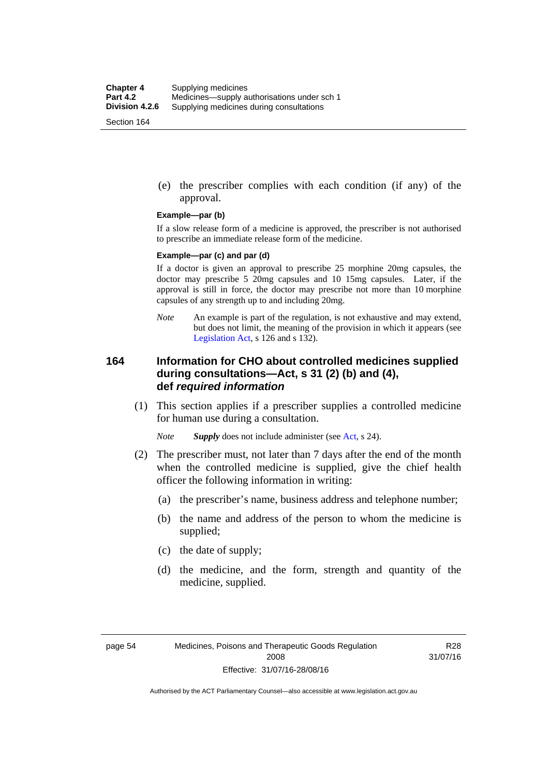(e) the prescriber complies with each condition (if any) of the approval.

#### **Example—par (b)**

If a slow release form of a medicine is approved, the prescriber is not authorised to prescribe an immediate release form of the medicine.

#### **Example—par (c) and par (d)**

If a doctor is given an approval to prescribe 25 morphine 20mg capsules, the doctor may prescribe 5 20mg capsules and 10 15mg capsules. Later, if the approval is still in force, the doctor may prescribe not more than 10 morphine capsules of any strength up to and including 20mg.

*Note* An example is part of the regulation, is not exhaustive and may extend, but does not limit, the meaning of the provision in which it appears (see [Legislation Act,](http://www.legislation.act.gov.au/a/2001-14) s 126 and s 132).

### **164 Information for CHO about controlled medicines supplied during consultations—Act, s 31 (2) (b) and (4), def** *required information*

 (1) This section applies if a prescriber supplies a controlled medicine for human use during a consultation.

*Note Supply* does not include administer (see [Act,](http://www.legislation.act.gov.au/a/2008-26/default.asp) s 24).

- (2) The prescriber must, not later than 7 days after the end of the month when the controlled medicine is supplied, give the chief health officer the following information in writing:
	- (a) the prescriber's name, business address and telephone number;
	- (b) the name and address of the person to whom the medicine is supplied;
	- (c) the date of supply;
	- (d) the medicine, and the form, strength and quantity of the medicine, supplied.

R28 31/07/16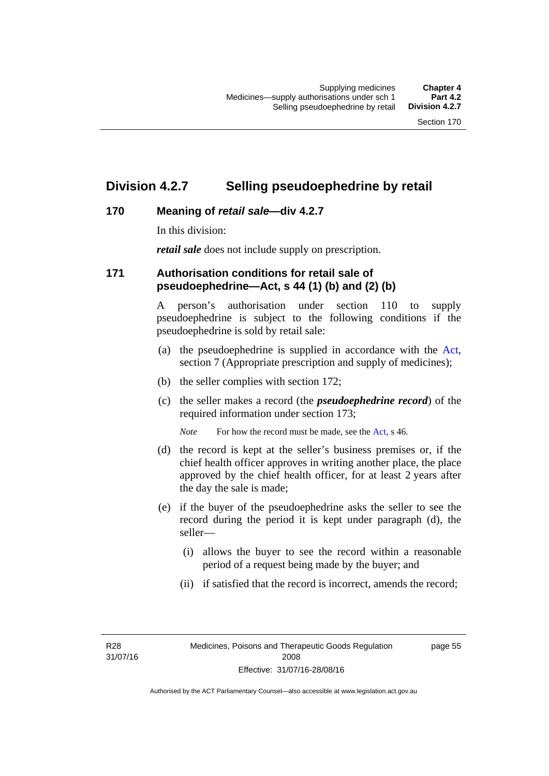## **Division 4.2.7 Selling pseudoephedrine by retail**

## **170 Meaning of** *retail sale***—div 4.2.7**

In this division:

*retail sale* does not include supply on prescription.

### **171 Authorisation conditions for retail sale of pseudoephedrine—Act, s 44 (1) (b) and (2) (b)**

A person's authorisation under section 110 to supply pseudoephedrine is subject to the following conditions if the pseudoephedrine is sold by retail sale:

- (a) the pseudoephedrine is supplied in accordance with the [Act](http://www.legislation.act.gov.au/a/2008-26/default.asp), section 7 (Appropriate prescription and supply of medicines);
- (b) the seller complies with section 172;
- (c) the seller makes a record (the *pseudoephedrine record*) of the required information under section 173;

*Note* For how the record must be made, see the [Act,](http://www.legislation.act.gov.au/a/2008-26/default.asp) s 46.

- (d) the record is kept at the seller's business premises or, if the chief health officer approves in writing another place, the place approved by the chief health officer, for at least 2 years after the day the sale is made;
- (e) if the buyer of the pseudoephedrine asks the seller to see the record during the period it is kept under paragraph (d), the seller—
	- (i) allows the buyer to see the record within a reasonable period of a request being made by the buyer; and
	- (ii) if satisfied that the record is incorrect, amends the record;

R28 31/07/16 page 55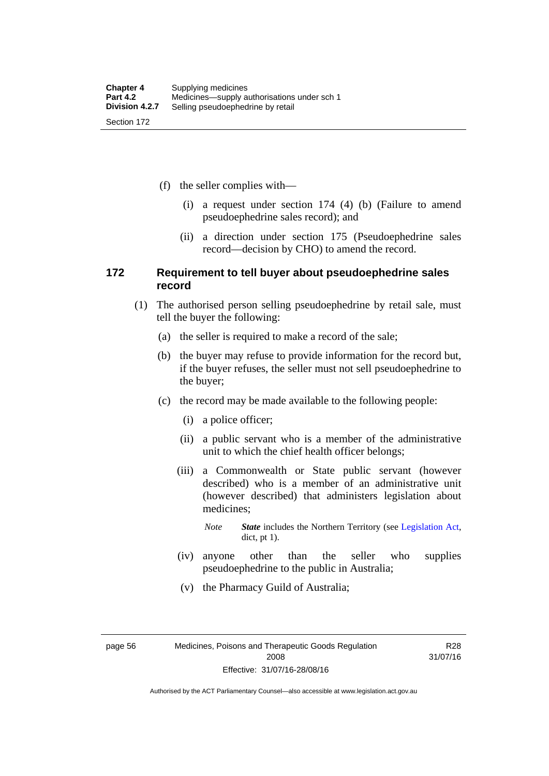(f) the seller complies with—

- (i) a request under section 174 (4) (b) (Failure to amend pseudoephedrine sales record); and
- (ii) a direction under section 175 (Pseudoephedrine sales record—decision by CHO) to amend the record.

### **172 Requirement to tell buyer about pseudoephedrine sales record**

- (1) The authorised person selling pseudoephedrine by retail sale, must tell the buyer the following:
	- (a) the seller is required to make a record of the sale;
	- (b) the buyer may refuse to provide information for the record but, if the buyer refuses, the seller must not sell pseudoephedrine to the buyer;
	- (c) the record may be made available to the following people:
		- (i) a police officer;
		- (ii) a public servant who is a member of the administrative unit to which the chief health officer belongs;
		- (iii) a Commonwealth or State public servant (however described) who is a member of an administrative unit (however described) that administers legislation about medicines;

*Note State* includes the Northern Territory (see [Legislation Act,](http://www.legislation.act.gov.au/a/2001-14) dict, pt 1).

- (iv) anyone other than the seller who supplies pseudoephedrine to the public in Australia;
- (v) the Pharmacy Guild of Australia;

page 56 Medicines, Poisons and Therapeutic Goods Regulation 2008 Effective: 31/07/16-28/08/16

R28 31/07/16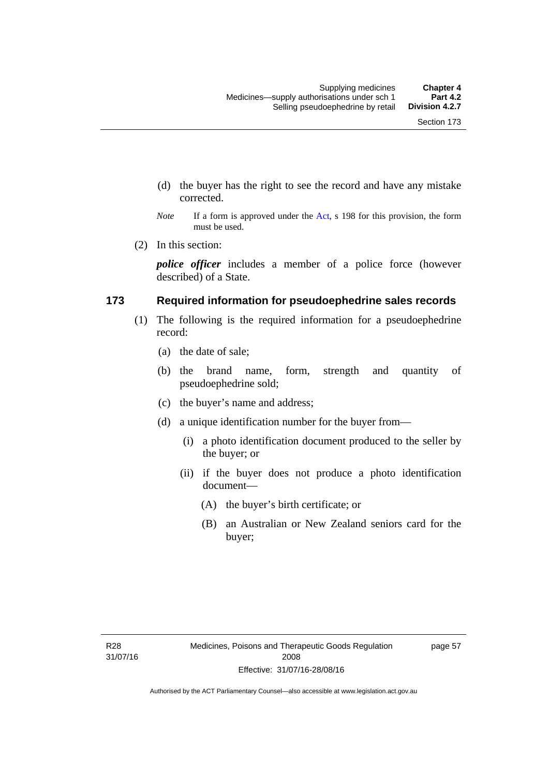- (d) the buyer has the right to see the record and have any mistake corrected.
- *Note* If a form is approved under the [Act](http://www.legislation.act.gov.au/a/2008-26/default.asp), s 198 for this provision, the form must be used.
- (2) In this section:

*police officer* includes a member of a police force (however described) of a State.

### **173 Required information for pseudoephedrine sales records**

- (1) The following is the required information for a pseudoephedrine record:
	- (a) the date of sale;
	- (b) the brand name, form, strength and quantity of pseudoephedrine sold;
	- (c) the buyer's name and address;
	- (d) a unique identification number for the buyer from—
		- (i) a photo identification document produced to the seller by the buyer; or
		- (ii) if the buyer does not produce a photo identification document—
			- (A) the buyer's birth certificate; or
			- (B) an Australian or New Zealand seniors card for the buyer;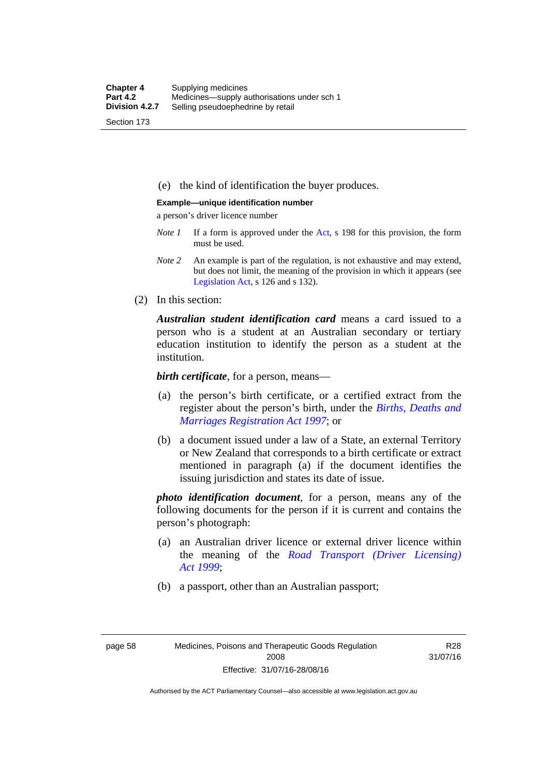(e) the kind of identification the buyer produces.

#### **Example—unique identification number**

a person's driver licence number

- *Note 1* If a form is approved under the [Act](http://www.legislation.act.gov.au/a/2008-26/default.asp), s 198 for this provision, the form must be used.
- *Note 2* An example is part of the regulation, is not exhaustive and may extend, but does not limit, the meaning of the provision in which it appears (see [Legislation Act,](http://www.legislation.act.gov.au/a/2001-14) s 126 and s 132).
- (2) In this section:

*Australian student identification card* means a card issued to a person who is a student at an Australian secondary or tertiary education institution to identify the person as a student at the institution.

*birth certificate*, for a person, means—

- (a) the person's birth certificate, or a certified extract from the register about the person's birth, under the *[Births, Deaths and](http://www.legislation.act.gov.au/a/1997-112)  [Marriages Registration Act 1997](http://www.legislation.act.gov.au/a/1997-112)*; or
- (b) a document issued under a law of a State, an external Territory or New Zealand that corresponds to a birth certificate or extract mentioned in paragraph (a) if the document identifies the issuing jurisdiction and states its date of issue.

*photo identification document*, for a person, means any of the following documents for the person if it is current and contains the person's photograph:

- (a) an Australian driver licence or external driver licence within the meaning of the *[Road Transport \(Driver Licensing\)](http://www.legislation.act.gov.au/a/1999-78)  [Act 1999](http://www.legislation.act.gov.au/a/1999-78)*;
- (b) a passport, other than an Australian passport;

R28 31/07/16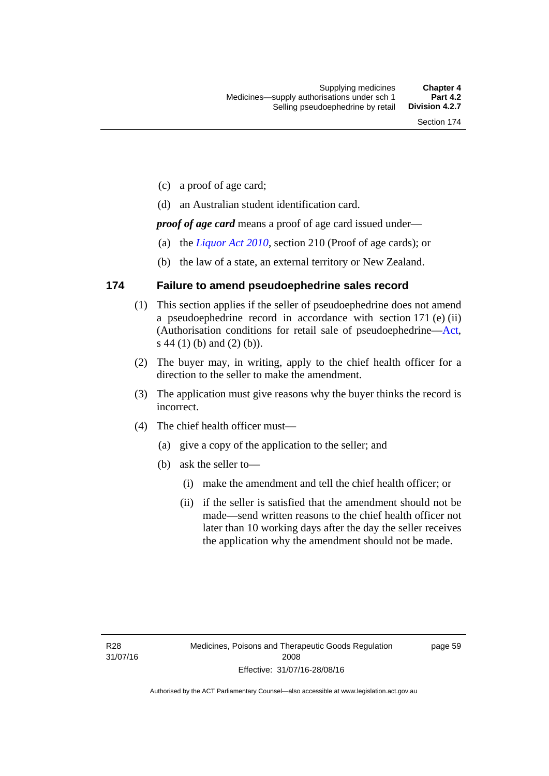- (c) a proof of age card;
- (d) an Australian student identification card.

*proof of age card* means a proof of age card issued under—

- (a) the *[Liquor Act 2010](http://www.legislation.act.gov.au/a/2010-35)*, section 210 (Proof of age cards); or
- (b) the law of a state, an external territory or New Zealand.

### **174 Failure to amend pseudoephedrine sales record**

- (1) This section applies if the seller of pseudoephedrine does not amend a pseudoephedrine record in accordance with section 171 (e) (ii) (Authorisation conditions for retail sale of pseudoephedrine—[Act](http://www.legislation.act.gov.au/a/2008-26/default.asp), s 44 (1) (b) and (2) (b)).
- (2) The buyer may, in writing, apply to the chief health officer for a direction to the seller to make the amendment.
- (3) The application must give reasons why the buyer thinks the record is incorrect.
- (4) The chief health officer must—
	- (a) give a copy of the application to the seller; and
	- (b) ask the seller to—
		- (i) make the amendment and tell the chief health officer; or
		- (ii) if the seller is satisfied that the amendment should not be made—send written reasons to the chief health officer not later than 10 working days after the day the seller receives the application why the amendment should not be made.

page 59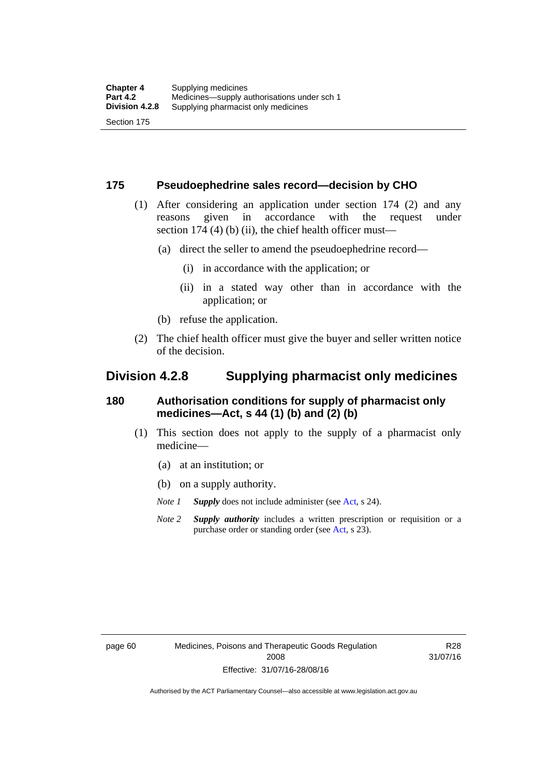### **175 Pseudoephedrine sales record—decision by CHO**

- (1) After considering an application under section 174 (2) and any reasons given in accordance with the request under section 174  $(4)$  (b)  $(ii)$ , the chief health officer must—
	- (a) direct the seller to amend the pseudoephedrine record—
		- (i) in accordance with the application; or
		- (ii) in a stated way other than in accordance with the application; or
	- (b) refuse the application.
- (2) The chief health officer must give the buyer and seller written notice of the decision.

## **Division 4.2.8 Supplying pharmacist only medicines**

### **180 Authorisation conditions for supply of pharmacist only medicines—Act, s 44 (1) (b) and (2) (b)**

- (1) This section does not apply to the supply of a pharmacist only medicine—
	- (a) at an institution; or
	- (b) on a supply authority.
	- *Note 1 Supply* does not include administer (see [Act,](http://www.legislation.act.gov.au/a/2008-26/default.asp) s 24).
	- *Note 2 Supply authority* includes a written prescription or requisition or a purchase order or standing order (see [Act,](http://www.legislation.act.gov.au/a/2008-26/default.asp) s 23).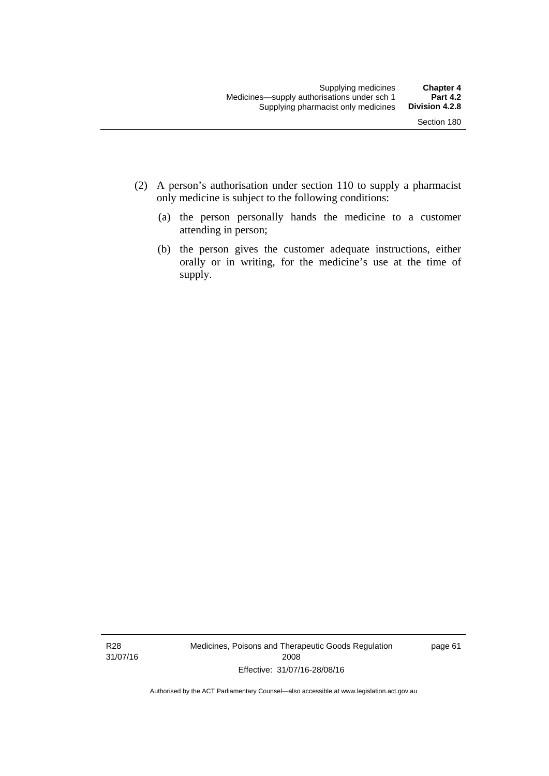- (2) A person's authorisation under section 110 to supply a pharmacist only medicine is subject to the following conditions:
	- (a) the person personally hands the medicine to a customer attending in person;
	- (b) the person gives the customer adequate instructions, either orally or in writing, for the medicine's use at the time of supply.

R28 31/07/16 Medicines, Poisons and Therapeutic Goods Regulation 2008 Effective: 31/07/16-28/08/16

page 61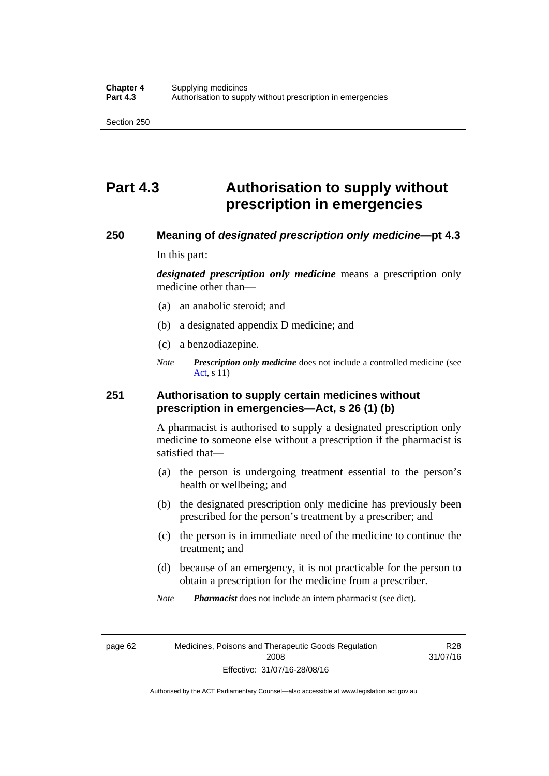# **Part 4.3 Authorisation to supply without prescription in emergencies**

### **250 Meaning of** *designated prescription only medicine***—pt 4.3**

In this part:

*designated prescription only medicine* means a prescription only medicine other than—

- (a) an anabolic steroid; and
- (b) a designated appendix D medicine; and
- (c) a benzodiazepine.
- *Note Prescription only medicine* does not include a controlled medicine (see [Act](http://www.legislation.act.gov.au/a/2008-26/default.asp), s 11)

### **251 Authorisation to supply certain medicines without prescription in emergencies—Act, s 26 (1) (b)**

A pharmacist is authorised to supply a designated prescription only medicine to someone else without a prescription if the pharmacist is satisfied that—

- (a) the person is undergoing treatment essential to the person's health or wellbeing; and
- (b) the designated prescription only medicine has previously been prescribed for the person's treatment by a prescriber; and
- (c) the person is in immediate need of the medicine to continue the treatment; and
- (d) because of an emergency, it is not practicable for the person to obtain a prescription for the medicine from a prescriber.

*Note Pharmacist* does not include an intern pharmacist (see dict).

page 62 Medicines, Poisons and Therapeutic Goods Regulation 2008 Effective: 31/07/16-28/08/16

R28 31/07/16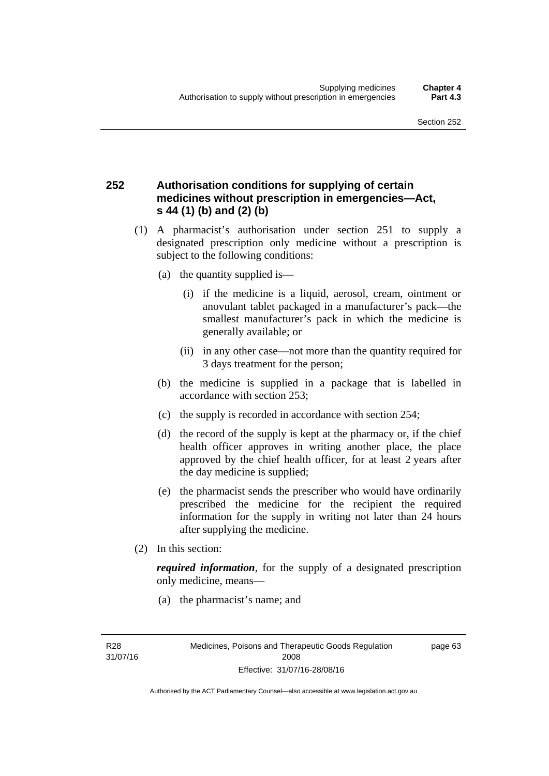### **252 Authorisation conditions for supplying of certain medicines without prescription in emergencies—Act, s 44 (1) (b) and (2) (b)**

- (1) A pharmacist's authorisation under section 251 to supply a designated prescription only medicine without a prescription is subject to the following conditions:
	- (a) the quantity supplied is—
		- (i) if the medicine is a liquid, aerosol, cream, ointment or anovulant tablet packaged in a manufacturer's pack—the smallest manufacturer's pack in which the medicine is generally available; or
		- (ii) in any other case—not more than the quantity required for 3 days treatment for the person;
	- (b) the medicine is supplied in a package that is labelled in accordance with section 253;
	- (c) the supply is recorded in accordance with section 254;
	- (d) the record of the supply is kept at the pharmacy or, if the chief health officer approves in writing another place, the place approved by the chief health officer, for at least 2 years after the day medicine is supplied;
	- (e) the pharmacist sends the prescriber who would have ordinarily prescribed the medicine for the recipient the required information for the supply in writing not later than 24 hours after supplying the medicine.
- (2) In this section:

*required information*, for the supply of a designated prescription only medicine, means—

(a) the pharmacist's name; and

R28 31/07/16 page 63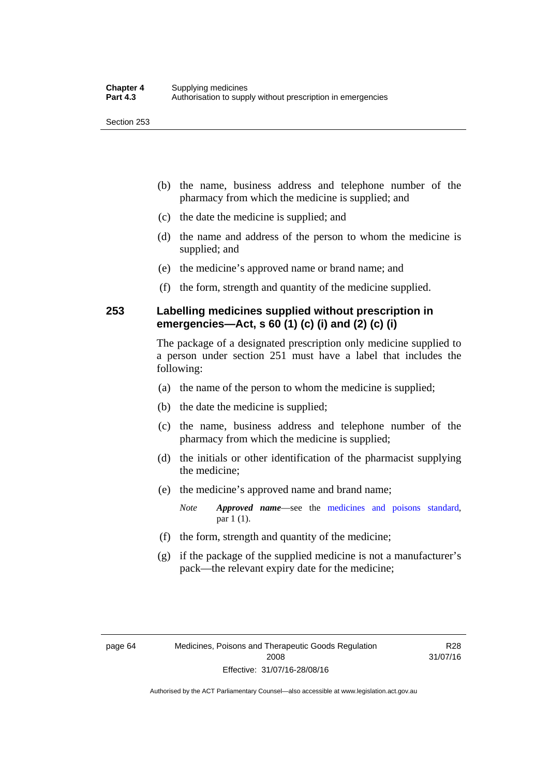- (b) the name, business address and telephone number of the pharmacy from which the medicine is supplied; and
- (c) the date the medicine is supplied; and
- (d) the name and address of the person to whom the medicine is supplied; and
- (e) the medicine's approved name or brand name; and
- (f) the form, strength and quantity of the medicine supplied.

### **253 Labelling medicines supplied without prescription in emergencies—Act, s 60 (1) (c) (i) and (2) (c) (i)**

The package of a designated prescription only medicine supplied to a person under section 251 must have a label that includes the following:

- (a) the name of the person to whom the medicine is supplied;
- (b) the date the medicine is supplied;
- (c) the name, business address and telephone number of the pharmacy from which the medicine is supplied;
- (d) the initials or other identification of the pharmacist supplying the medicine;
- (e) the medicine's approved name and brand name;

*Note Approved name*—see the [medicines and poisons standard,](http://www.comlaw.gov.au/Series/F2012L01200) par 1 (1).

- (f) the form, strength and quantity of the medicine;
- (g) if the package of the supplied medicine is not a manufacturer's pack—the relevant expiry date for the medicine;

R28 31/07/16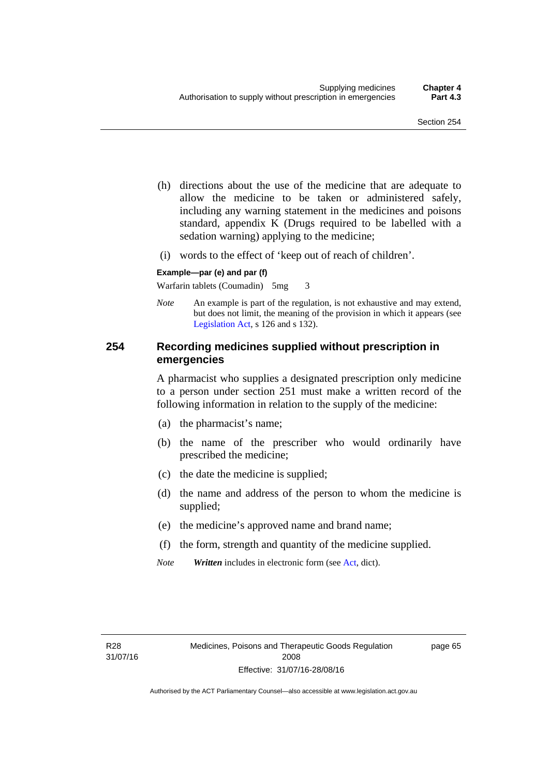- (h) directions about the use of the medicine that are adequate to allow the medicine to be taken or administered safely, including any warning statement in the medicines and poisons standard, appendix K (Drugs required to be labelled with a sedation warning) applying to the medicine;
- (i) words to the effect of 'keep out of reach of children'.

### **Example—par (e) and par (f)**

Warfarin tablets (Coumadin) 5mg 3

*Note* An example is part of the regulation, is not exhaustive and may extend, but does not limit, the meaning of the provision in which it appears (see [Legislation Act,](http://www.legislation.act.gov.au/a/2001-14) s 126 and s 132).

### **254 Recording medicines supplied without prescription in emergencies**

A pharmacist who supplies a designated prescription only medicine to a person under section 251 must make a written record of the following information in relation to the supply of the medicine:

- (a) the pharmacist's name;
- (b) the name of the prescriber who would ordinarily have prescribed the medicine;
- (c) the date the medicine is supplied;
- (d) the name and address of the person to whom the medicine is supplied;
- (e) the medicine's approved name and brand name;
- (f) the form, strength and quantity of the medicine supplied.
- *Note Written* includes in electronic form (see [Act,](http://www.legislation.act.gov.au/a/2008-26/default.asp) dict).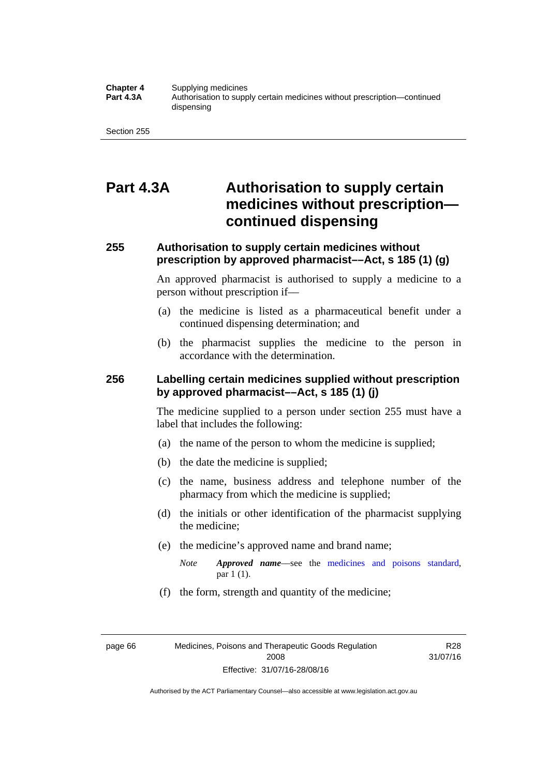#### **Chapter 4** Supplying medicines<br>**Part 4.3A** Authorisation to supp **Part 4.3A** Authorisation to supply certain medicines without prescription—continued dispensing

Section 255

## **Part 4.3A Authorisation to supply certain medicines without prescription continued dispensing**

### **255 Authorisation to supply certain medicines without prescription by approved pharmacist––Act, s 185 (1) (g)**

An approved pharmacist is authorised to supply a medicine to a person without prescription if––

- (a) the medicine is listed as a pharmaceutical benefit under a continued dispensing determination; and
- (b) the pharmacist supplies the medicine to the person in accordance with the determination.

### **256 Labelling certain medicines supplied without prescription by approved pharmacist––Act, s 185 (1) (j)**

The medicine supplied to a person under section 255 must have a label that includes the following:

- (a) the name of the person to whom the medicine is supplied;
- (b) the date the medicine is supplied;
- (c) the name, business address and telephone number of the pharmacy from which the medicine is supplied;
- (d) the initials or other identification of the pharmacist supplying the medicine;
- (e) the medicine's approved name and brand name;
	- *Note Approved name––*see the [medicines and poisons standard,](http://www.comlaw.gov.au/Series/F2012L01200) par 1 (1).
- (f) the form, strength and quantity of the medicine;

page 66 Medicines, Poisons and Therapeutic Goods Regulation 2008 Effective: 31/07/16-28/08/16

R28 31/07/16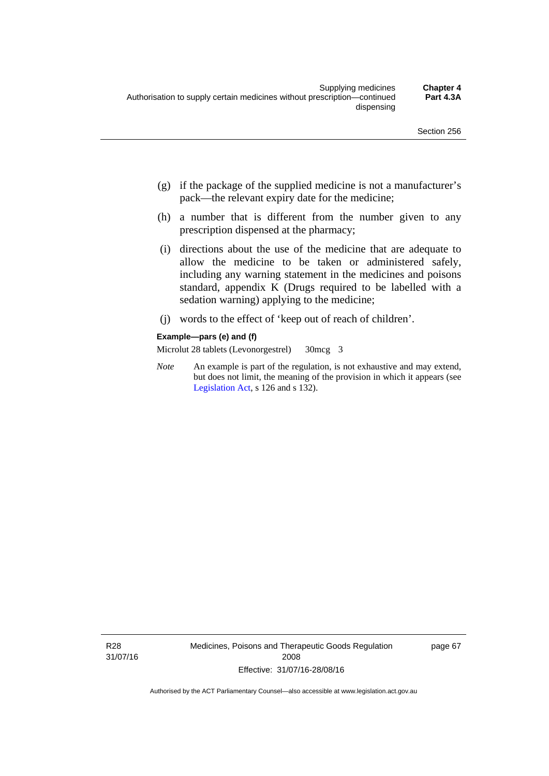- (g) if the package of the supplied medicine is not a manufacturer's pack—the relevant expiry date for the medicine;
- (h) a number that is different from the number given to any prescription dispensed at the pharmacy;
- (i) directions about the use of the medicine that are adequate to allow the medicine to be taken or administered safely, including any warning statement in the medicines and poisons standard, appendix K (Drugs required to be labelled with a sedation warning) applying to the medicine;
- (j) words to the effect of 'keep out of reach of children'.

#### **Example—pars (e) and (f)**

Microlut 28 tablets (Levonorgestrel) 30mcg 3

*Note* An example is part of the regulation, is not exhaustive and may extend, but does not limit, the meaning of the provision in which it appears (see [Legislation Act,](http://www.legislation.act.gov.au/a/2001-14) s 126 and s 132).

R28 31/07/16 Medicines, Poisons and Therapeutic Goods Regulation 2008 Effective: 31/07/16-28/08/16

page 67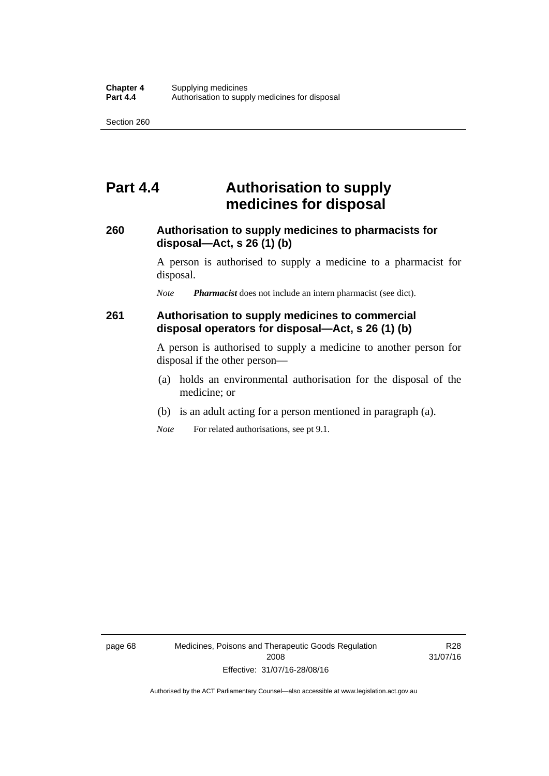## **Part 4.4 Authorisation to supply medicines for disposal**

### **260 Authorisation to supply medicines to pharmacists for disposal—Act, s 26 (1) (b)**

A person is authorised to supply a medicine to a pharmacist for disposal.

*Note Pharmacist* does not include an intern pharmacist (see dict).

### **261 Authorisation to supply medicines to commercial disposal operators for disposal—Act, s 26 (1) (b)**

A person is authorised to supply a medicine to another person for disposal if the other person—

- (a) holds an environmental authorisation for the disposal of the medicine; or
- (b) is an adult acting for a person mentioned in paragraph (a).
- *Note* For related authorisations, see pt 9.1.

page 68 Medicines, Poisons and Therapeutic Goods Regulation 2008 Effective: 31/07/16-28/08/16

R28 31/07/16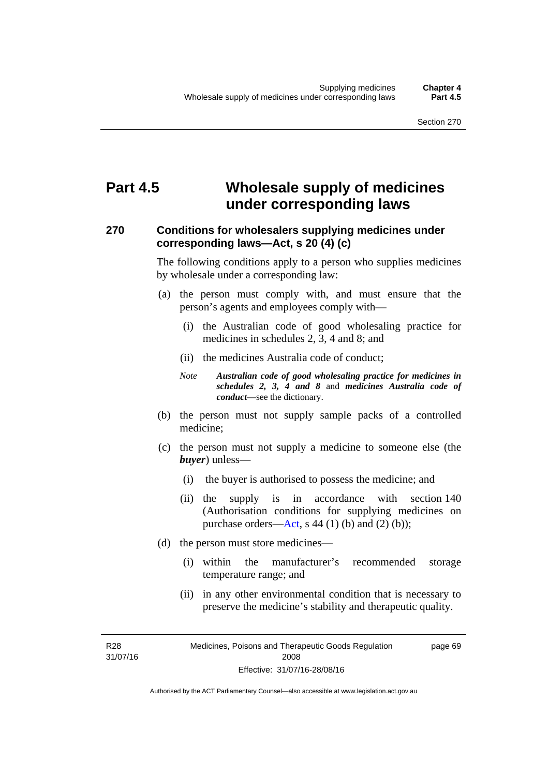# **Part 4.5 Wholesale supply of medicines under corresponding laws**

### **270 Conditions for wholesalers supplying medicines under corresponding laws—Act, s 20 (4) (c)**

The following conditions apply to a person who supplies medicines by wholesale under a corresponding law:

- (a) the person must comply with, and must ensure that the person's agents and employees comply with—
	- (i) the Australian code of good wholesaling practice for medicines in schedules 2, 3, 4 and 8; and
	- (ii) the medicines Australia code of conduct;
	- *Note Australian code of good wholesaling practice for medicines in schedules 2, 3, 4 and 8* and *medicines Australia code of conduct*—see the dictionary.
- (b) the person must not supply sample packs of a controlled medicine;
- (c) the person must not supply a medicine to someone else (the *buyer*) unless—
	- (i) the buyer is authorised to possess the medicine; and
	- (ii) the supply is in accordance with section 140 (Authorisation conditions for supplying medicines on purchase orders—[Act,](http://www.legislation.act.gov.au/a/2008-26/default.asp) s 44 (1) (b) and (2) (b));
- (d) the person must store medicines—
	- (i) within the manufacturer's recommended storage temperature range; and
	- (ii) in any other environmental condition that is necessary to preserve the medicine's stability and therapeutic quality.

R28 31/07/16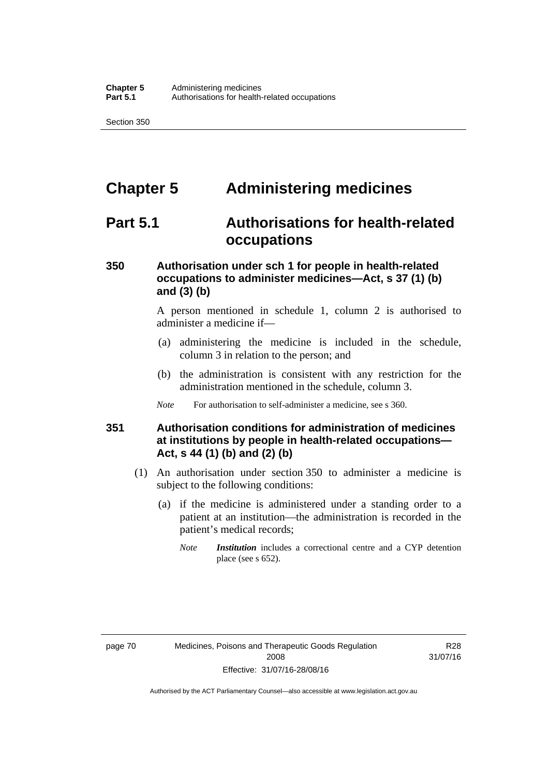# **Chapter 5 Administering medicines**

## **Part 5.1 Authorisations for health-related occupations**

### **350 Authorisation under sch 1 for people in health-related occupations to administer medicines—Act, s 37 (1) (b) and (3) (b)**

A person mentioned in schedule 1, column 2 is authorised to administer a medicine if—

- (a) administering the medicine is included in the schedule, column 3 in relation to the person; and
- (b) the administration is consistent with any restriction for the administration mentioned in the schedule, column 3.
- *Note* For authorisation to self-administer a medicine, see s 360.

### **351 Authorisation conditions for administration of medicines at institutions by people in health-related occupations— Act, s 44 (1) (b) and (2) (b)**

- (1) An authorisation under section 350 to administer a medicine is subject to the following conditions:
	- (a) if the medicine is administered under a standing order to a patient at an institution—the administration is recorded in the patient's medical records;
		- *Note Institution* includes a correctional centre and a CYP detention place (see s 652).

R28 31/07/16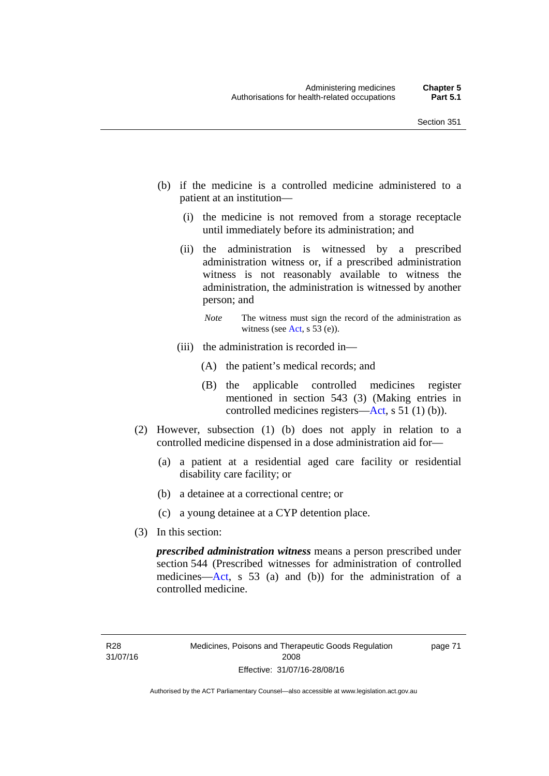- (b) if the medicine is a controlled medicine administered to a patient at an institution—
	- (i) the medicine is not removed from a storage receptacle until immediately before its administration; and
	- (ii) the administration is witnessed by a prescribed administration witness or, if a prescribed administration witness is not reasonably available to witness the administration, the administration is witnessed by another person; and
		- *Note* The witness must sign the record of the administration as witness (see [Act,](http://www.legislation.act.gov.au/a/2008-26/default.asp) s 53 (e)).
	- (iii) the administration is recorded in—
		- (A) the patient's medical records; and
		- (B) the applicable controlled medicines register mentioned in section 543 (3) (Making entries in controlled medicines registers[—Act](http://www.legislation.act.gov.au/a/2008-26/default.asp), s 51 (1) (b)).
- (2) However, subsection (1) (b) does not apply in relation to a controlled medicine dispensed in a dose administration aid for—
	- (a) a patient at a residential aged care facility or residential disability care facility; or
	- (b) a detainee at a correctional centre; or
	- (c) a young detainee at a CYP detention place.
- (3) In this section:

*prescribed administration witness* means a person prescribed under section 544 (Prescribed witnesses for administration of controlled medicines—[Act](http://www.legislation.act.gov.au/a/2008-26/default.asp), s 53 (a) and (b)) for the administration of a controlled medicine.

page 71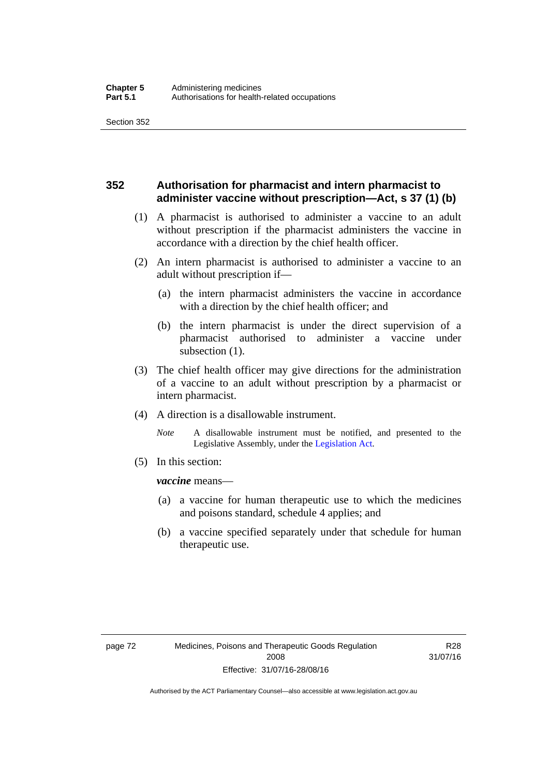### **352 Authorisation for pharmacist and intern pharmacist to administer vaccine without prescription—Act, s 37 (1) (b)**

- (1) A pharmacist is authorised to administer a vaccine to an adult without prescription if the pharmacist administers the vaccine in accordance with a direction by the chief health officer.
- (2) An intern pharmacist is authorised to administer a vaccine to an adult without prescription if—
	- (a) the intern pharmacist administers the vaccine in accordance with a direction by the chief health officer; and
	- (b) the intern pharmacist is under the direct supervision of a pharmacist authorised to administer a vaccine under subsection (1).
- (3) The chief health officer may give directions for the administration of a vaccine to an adult without prescription by a pharmacist or intern pharmacist.
- (4) A direction is a disallowable instrument.
	- *Note* A disallowable instrument must be notified, and presented to the Legislative Assembly, under the [Legislation Act.](http://www.legislation.act.gov.au/a/2001-14)
- (5) In this section:

*vaccine* means—

- (a) a vaccine for human therapeutic use to which the medicines and poisons standard, schedule 4 applies; and
- (b) a vaccine specified separately under that schedule for human therapeutic use.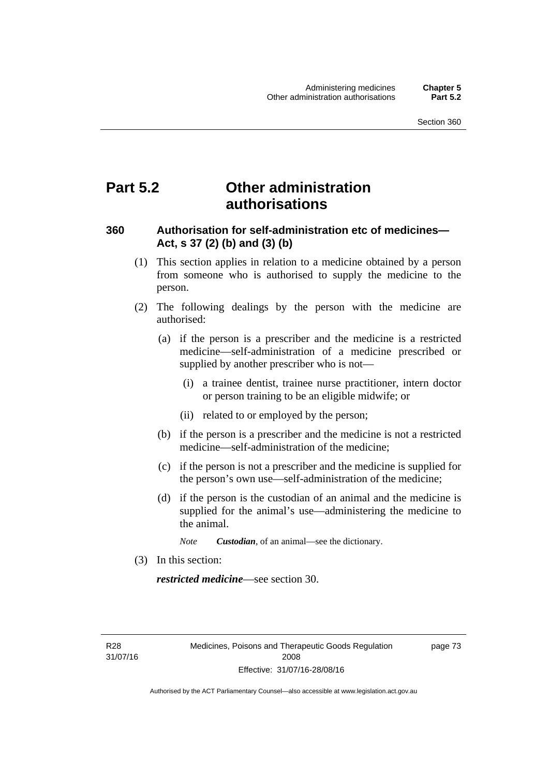## **Part 5.2 Other administration authorisations**

### **360 Authorisation for self-administration etc of medicines— Act, s 37 (2) (b) and (3) (b)**

- (1) This section applies in relation to a medicine obtained by a person from someone who is authorised to supply the medicine to the person.
- (2) The following dealings by the person with the medicine are authorised:
	- (a) if the person is a prescriber and the medicine is a restricted medicine—self-administration of a medicine prescribed or supplied by another prescriber who is not—
		- (i) a trainee dentist, trainee nurse practitioner, intern doctor or person training to be an eligible midwife; or
		- (ii) related to or employed by the person;
	- (b) if the person is a prescriber and the medicine is not a restricted medicine—self-administration of the medicine;
	- (c) if the person is not a prescriber and the medicine is supplied for the person's own use—self-administration of the medicine;
	- (d) if the person is the custodian of an animal and the medicine is supplied for the animal's use—administering the medicine to the animal.
		- *Note Custodian*, of an animal—see the dictionary.
- (3) In this section:

*restricted medicine*—see section 30.

R28 31/07/16 page 73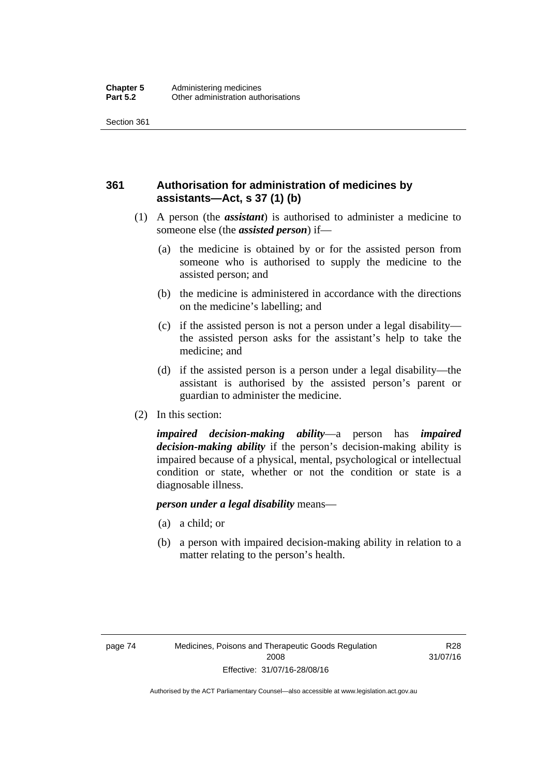## **361 Authorisation for administration of medicines by assistants—Act, s 37 (1) (b)**

- (1) A person (the *assistant*) is authorised to administer a medicine to someone else (the *assisted person*) if—
	- (a) the medicine is obtained by or for the assisted person from someone who is authorised to supply the medicine to the assisted person; and
	- (b) the medicine is administered in accordance with the directions on the medicine's labelling; and
	- (c) if the assisted person is not a person under a legal disability the assisted person asks for the assistant's help to take the medicine; and
	- (d) if the assisted person is a person under a legal disability—the assistant is authorised by the assisted person's parent or guardian to administer the medicine.
- (2) In this section:

*impaired decision-making ability*—a person has *impaired decision-making ability* if the person's decision-making ability is impaired because of a physical, mental, psychological or intellectual condition or state, whether or not the condition or state is a diagnosable illness.

### *person under a legal disability* means—

- (a) a child; or
- (b) a person with impaired decision-making ability in relation to a matter relating to the person's health.

R28 31/07/16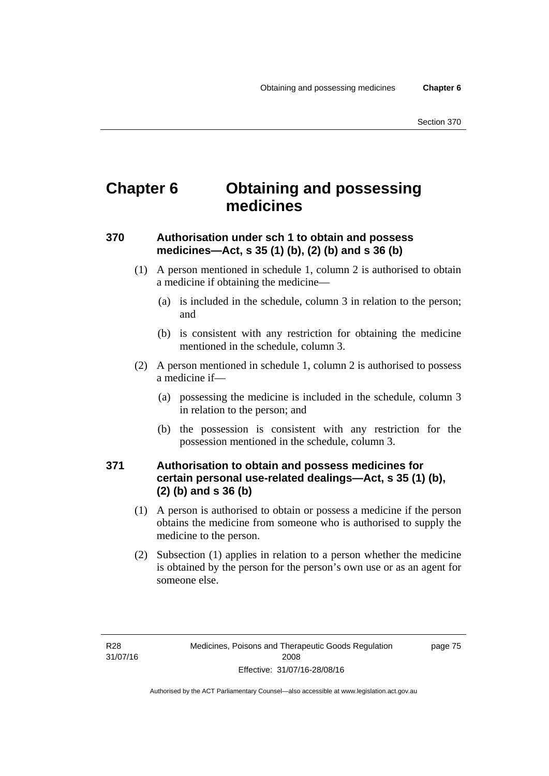# **Chapter 6 Obtaining and possessing medicines**

## **370 Authorisation under sch 1 to obtain and possess medicines—Act, s 35 (1) (b), (2) (b) and s 36 (b)**

- (1) A person mentioned in schedule 1, column 2 is authorised to obtain a medicine if obtaining the medicine—
	- (a) is included in the schedule, column 3 in relation to the person; and
	- (b) is consistent with any restriction for obtaining the medicine mentioned in the schedule, column 3.
- (2) A person mentioned in schedule 1, column 2 is authorised to possess a medicine if—
	- (a) possessing the medicine is included in the schedule, column 3 in relation to the person; and
	- (b) the possession is consistent with any restriction for the possession mentioned in the schedule, column 3.

### **371 Authorisation to obtain and possess medicines for certain personal use-related dealings—Act, s 35 (1) (b), (2) (b) and s 36 (b)**

- (1) A person is authorised to obtain or possess a medicine if the person obtains the medicine from someone who is authorised to supply the medicine to the person.
- (2) Subsection (1) applies in relation to a person whether the medicine is obtained by the person for the person's own use or as an agent for someone else.

page 75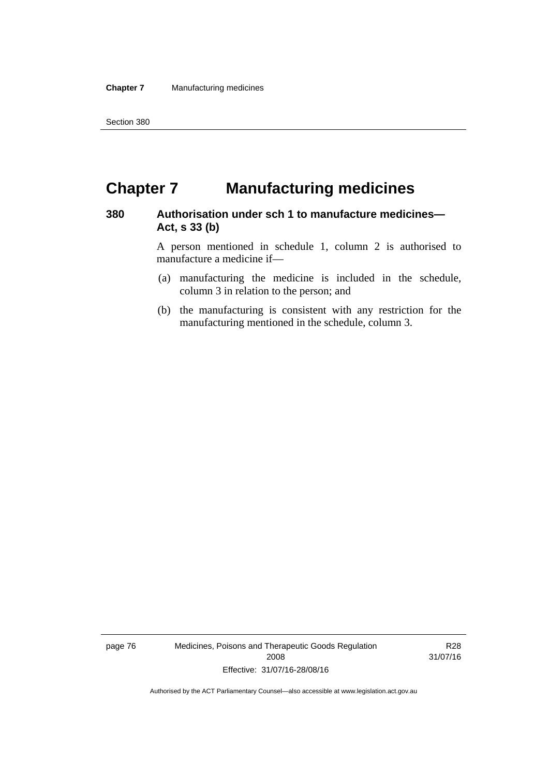# **Chapter 7 Manufacturing medicines**

### **380 Authorisation under sch 1 to manufacture medicines— Act, s 33 (b)**

A person mentioned in schedule 1, column 2 is authorised to manufacture a medicine if—

- (a) manufacturing the medicine is included in the schedule, column 3 in relation to the person; and
- (b) the manufacturing is consistent with any restriction for the manufacturing mentioned in the schedule, column 3.

page 76 Medicines, Poisons and Therapeutic Goods Regulation 2008 Effective: 31/07/16-28/08/16

R28 31/07/16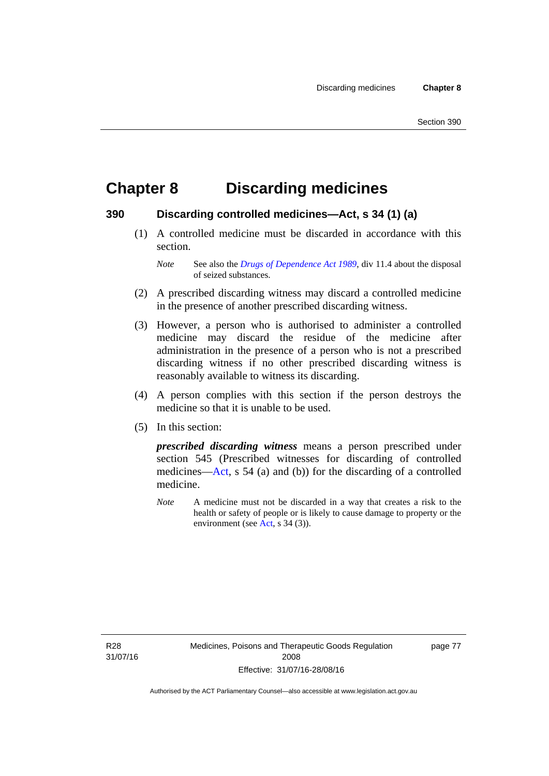# **Chapter 8 Discarding medicines**

### **390 Discarding controlled medicines—Act, s 34 (1) (a)**

 (1) A controlled medicine must be discarded in accordance with this section.

*Note* See also the *[Drugs of Dependence Act 1989](http://www.legislation.act.gov.au/a/alt_a1989-11co)*, div 11.4 about the disposal of seized substances.

- (2) A prescribed discarding witness may discard a controlled medicine in the presence of another prescribed discarding witness.
- (3) However, a person who is authorised to administer a controlled medicine may discard the residue of the medicine after administration in the presence of a person who is not a prescribed discarding witness if no other prescribed discarding witness is reasonably available to witness its discarding.
- (4) A person complies with this section if the person destroys the medicine so that it is unable to be used.
- (5) In this section:

*prescribed discarding witness* means a person prescribed under section 545 (Prescribed witnesses for discarding of controlled medicines—[Act](http://www.legislation.act.gov.au/a/2008-26/default.asp), s 54 (a) and (b)) for the discarding of a controlled medicine.

*Note* A medicine must not be discarded in a way that creates a risk to the health or safety of people or is likely to cause damage to property or the environment (see [Act](http://www.legislation.act.gov.au/a/2008-26/default.asp), s 34 (3)).

R28 31/07/16 page 77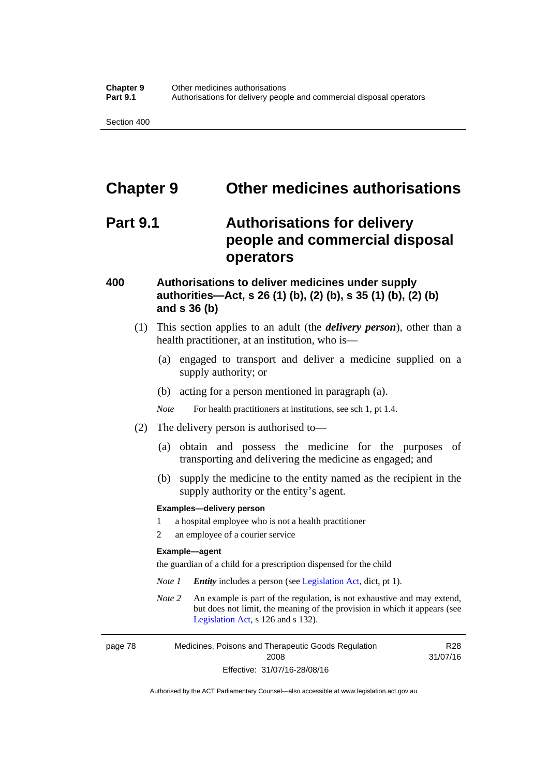# **Chapter 9 Other medicines authorisations**

## **Part 9.1 Authorisations for delivery people and commercial disposal operators**

### **400 Authorisations to deliver medicines under supply authorities—Act, s 26 (1) (b), (2) (b), s 35 (1) (b), (2) (b) and s 36 (b)**

- (1) This section applies to an adult (the *delivery person*), other than a health practitioner, at an institution, who is—
	- (a) engaged to transport and deliver a medicine supplied on a supply authority; or
	- (b) acting for a person mentioned in paragraph (a).
	- *Note* For health practitioners at institutions, see sch 1, pt 1.4.
- (2) The delivery person is authorised to—
	- (a) obtain and possess the medicine for the purposes of transporting and delivering the medicine as engaged; and
	- (b) supply the medicine to the entity named as the recipient in the supply authority or the entity's agent.

#### **Examples—delivery person**

- 1 a hospital employee who is not a health practitioner
- 2 an employee of a courier service

#### **Example—agent**

the guardian of a child for a prescription dispensed for the child

- *Note 1 Entity* includes a person (see [Legislation Act,](http://www.legislation.act.gov.au/a/2001-14) dict, pt 1).
- *Note 2* An example is part of the regulation, is not exhaustive and may extend, but does not limit, the meaning of the provision in which it appears (see [Legislation Act,](http://www.legislation.act.gov.au/a/2001-14) s 126 and s 132).

page 78 Medicines, Poisons and Therapeutic Goods Regulation 2008 Effective: 31/07/16-28/08/16

R28 31/07/16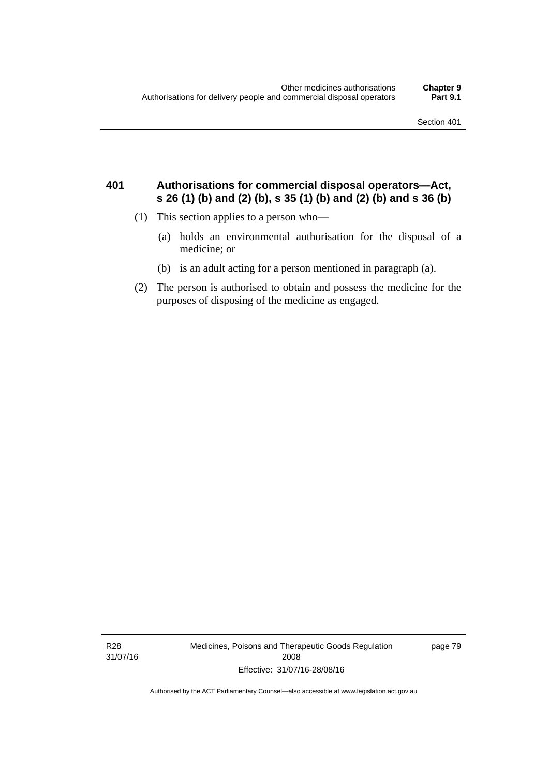### **401 Authorisations for commercial disposal operators—Act, s 26 (1) (b) and (2) (b), s 35 (1) (b) and (2) (b) and s 36 (b)**

- (1) This section applies to a person who—
	- (a) holds an environmental authorisation for the disposal of a medicine; or
	- (b) is an adult acting for a person mentioned in paragraph (a).
- (2) The person is authorised to obtain and possess the medicine for the purposes of disposing of the medicine as engaged.

R28 31/07/16 Medicines, Poisons and Therapeutic Goods Regulation 2008 Effective: 31/07/16-28/08/16

page 79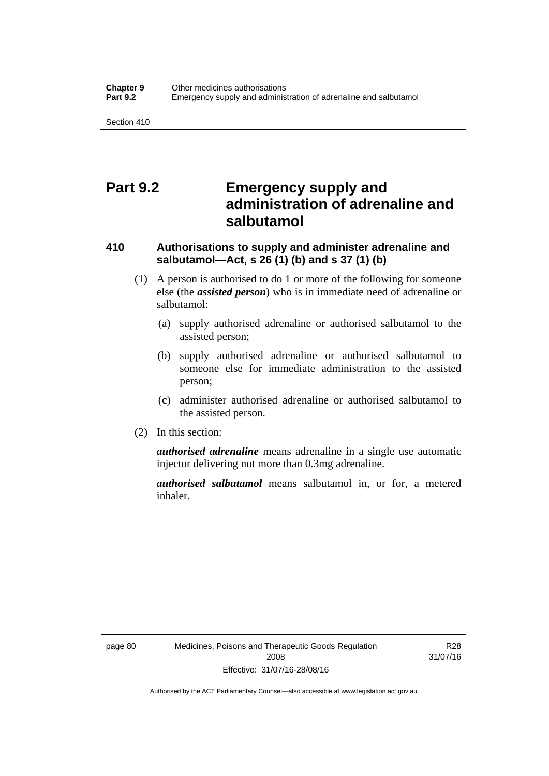## **Part 9.2 Emergency supply and administration of adrenaline and salbutamol**

## **410 Authorisations to supply and administer adrenaline and salbutamol—Act, s 26 (1) (b) and s 37 (1) (b)**

- (1) A person is authorised to do 1 or more of the following for someone else (the *assisted person*) who is in immediate need of adrenaline or salbutamol:
	- (a) supply authorised adrenaline or authorised salbutamol to the assisted person;
	- (b) supply authorised adrenaline or authorised salbutamol to someone else for immediate administration to the assisted person;
	- (c) administer authorised adrenaline or authorised salbutamol to the assisted person.
- (2) In this section:

*authorised adrenaline* means adrenaline in a single use automatic injector delivering not more than 0.3mg adrenaline.

*authorised salbutamol* means salbutamol in, or for, a metered inhaler.

R28 31/07/16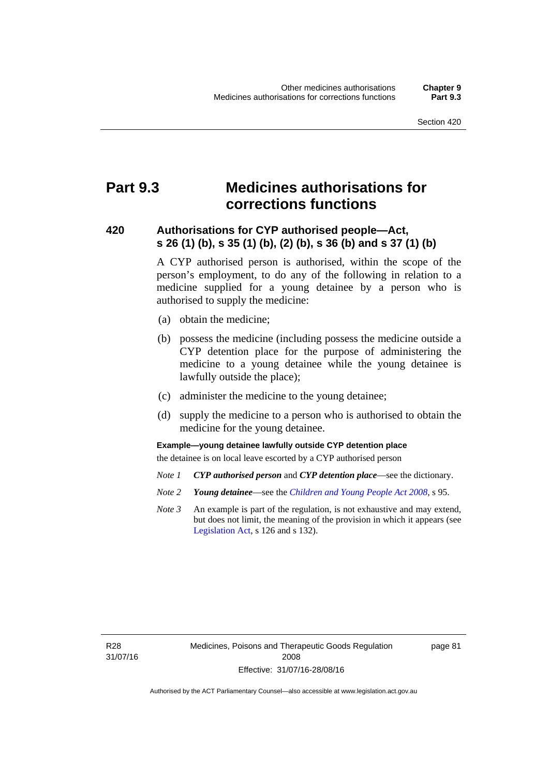# **Part 9.3 Medicines authorisations for corrections functions**

### **420 Authorisations for CYP authorised people—Act, s 26 (1) (b), s 35 (1) (b), (2) (b), s 36 (b) and s 37 (1) (b)**

A CYP authorised person is authorised, within the scope of the person's employment, to do any of the following in relation to a medicine supplied for a young detainee by a person who is authorised to supply the medicine:

- (a) obtain the medicine;
- (b) possess the medicine (including possess the medicine outside a CYP detention place for the purpose of administering the medicine to a young detainee while the young detainee is lawfully outside the place);
- (c) administer the medicine to the young detainee;
- (d) supply the medicine to a person who is authorised to obtain the medicine for the young detainee.

### **Example—young detainee lawfully outside CYP detention place**

the detainee is on local leave escorted by a CYP authorised person

- *Note 1 CYP authorised person* and *CYP detention place*—see the dictionary.
- *Note 2 Young detainee*—see the *[Children and Young People Act 2008](http://www.legislation.act.gov.au/a/2008-19)*, s 95.
- *Note 3* An example is part of the regulation, is not exhaustive and may extend, but does not limit, the meaning of the provision in which it appears (see [Legislation Act,](http://www.legislation.act.gov.au/a/2001-14) s 126 and s 132).

R28 31/07/16 page 81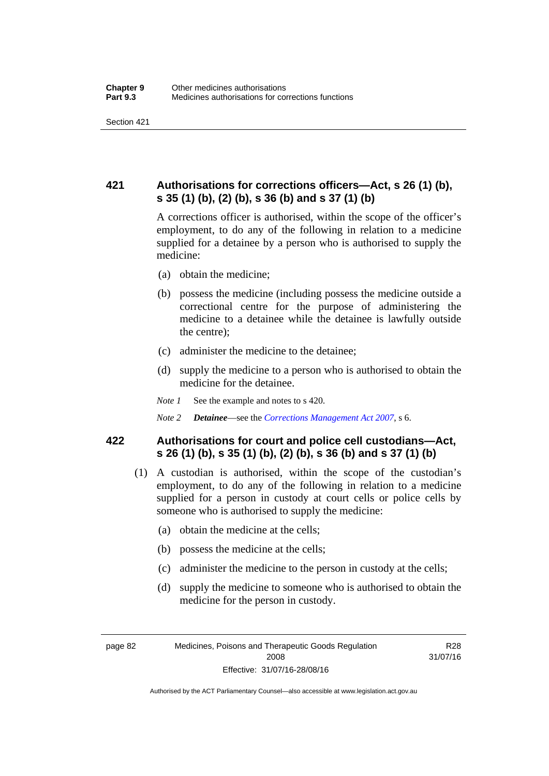## **421 Authorisations for corrections officers—Act, s 26 (1) (b), s 35 (1) (b), (2) (b), s 36 (b) and s 37 (1) (b)**

A corrections officer is authorised, within the scope of the officer's employment, to do any of the following in relation to a medicine supplied for a detainee by a person who is authorised to supply the medicine:

- (a) obtain the medicine;
- (b) possess the medicine (including possess the medicine outside a correctional centre for the purpose of administering the medicine to a detainee while the detainee is lawfully outside the centre);
- (c) administer the medicine to the detainee;
- (d) supply the medicine to a person who is authorised to obtain the medicine for the detainee.
- *Note 1* See the example and notes to s 420.
- *Note 2 Detainee*—see the *[Corrections Management Act 2007](http://www.legislation.act.gov.au/a/2007-15)*, s 6.

### **422 Authorisations for court and police cell custodians—Act, s 26 (1) (b), s 35 (1) (b), (2) (b), s 36 (b) and s 37 (1) (b)**

- (1) A custodian is authorised, within the scope of the custodian's employment, to do any of the following in relation to a medicine supplied for a person in custody at court cells or police cells by someone who is authorised to supply the medicine:
	- (a) obtain the medicine at the cells;
	- (b) possess the medicine at the cells;
	- (c) administer the medicine to the person in custody at the cells;
	- (d) supply the medicine to someone who is authorised to obtain the medicine for the person in custody.

R28 31/07/16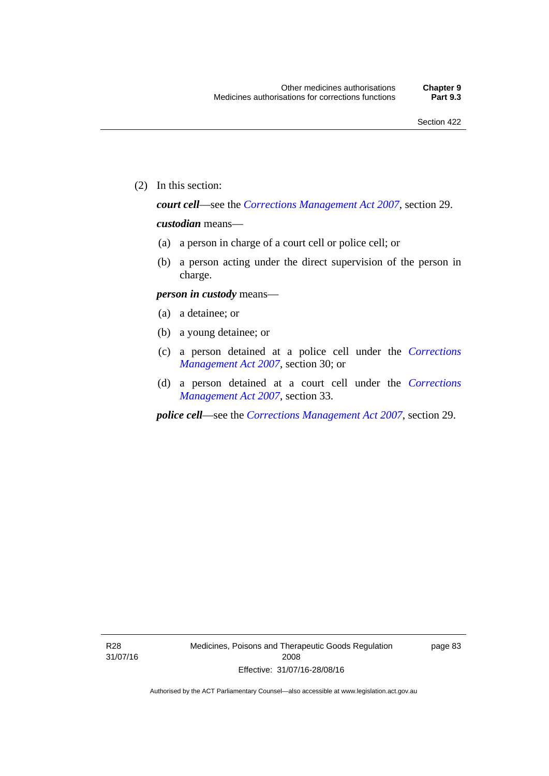(2) In this section:

*court cell*—see the *[Corrections Management Act 2007](http://www.legislation.act.gov.au/a/2007-15)*, section 29.

### *custodian* means—

- (a) a person in charge of a court cell or police cell; or
- (b) a person acting under the direct supervision of the person in charge.

#### *person in custody* means—

- (a) a detainee; or
- (b) a young detainee; or
- (c) a person detained at a police cell under the *[Corrections](http://www.legislation.act.gov.au/a/2007-15)  [Management Act 2007](http://www.legislation.act.gov.au/a/2007-15)*, section 30; or
- (d) a person detained at a court cell under the *[Corrections](http://www.legislation.act.gov.au/a/2007-15)  [Management Act 2007](http://www.legislation.act.gov.au/a/2007-15)*, section 33.

*police cell*—see the *[Corrections Management Act 2007](http://www.legislation.act.gov.au/a/2007-15)*, section 29.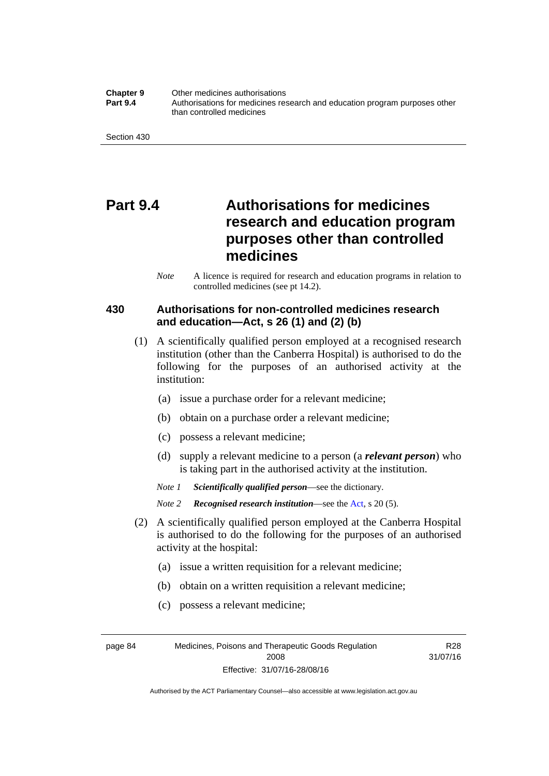**Chapter 9** Other medicines authorisations **Part 9.4** • **Authorisations for medicines research and education program purposes other** than controlled medicines

Section 430

# **Part 9.4 Authorisations for medicines research and education program purposes other than controlled medicines**

*Note* A licence is required for research and education programs in relation to controlled medicines (see pt 14.2).

### **430 Authorisations for non-controlled medicines research and education—Act, s 26 (1) and (2) (b)**

- (1) A scientifically qualified person employed at a recognised research institution (other than the Canberra Hospital) is authorised to do the following for the purposes of an authorised activity at the institution:
	- (a) issue a purchase order for a relevant medicine;
	- (b) obtain on a purchase order a relevant medicine;
	- (c) possess a relevant medicine;
	- (d) supply a relevant medicine to a person (a *relevant person*) who is taking part in the authorised activity at the institution.
	- *Note 1 Scientifically qualified person*—see the dictionary.

*Note 2 Recognised research institution*—see the [Act](http://www.legislation.act.gov.au/a/2008-26/default.asp), s 20 (5).

- (2) A scientifically qualified person employed at the Canberra Hospital is authorised to do the following for the purposes of an authorised activity at the hospital:
	- (a) issue a written requisition for a relevant medicine;
	- (b) obtain on a written requisition a relevant medicine;
	- (c) possess a relevant medicine;

R28 31/07/16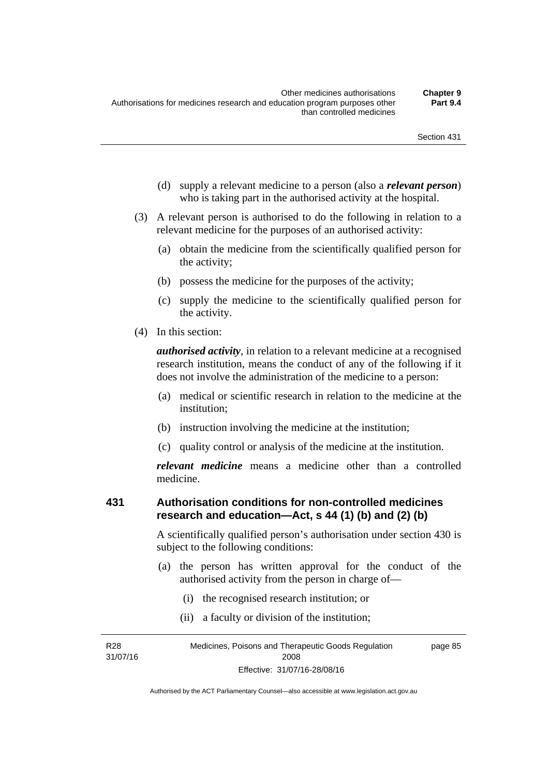- (d) supply a relevant medicine to a person (also a *relevant person*) who is taking part in the authorised activity at the hospital.
- (3) A relevant person is authorised to do the following in relation to a relevant medicine for the purposes of an authorised activity:
	- (a) obtain the medicine from the scientifically qualified person for the activity;
	- (b) possess the medicine for the purposes of the activity;
	- (c) supply the medicine to the scientifically qualified person for the activity.
- (4) In this section:

*authorised activity*, in relation to a relevant medicine at a recognised research institution, means the conduct of any of the following if it does not involve the administration of the medicine to a person:

- (a) medical or scientific research in relation to the medicine at the institution;
- (b) instruction involving the medicine at the institution;
- (c) quality control or analysis of the medicine at the institution.

*relevant medicine* means a medicine other than a controlled medicine.

### **431 Authorisation conditions for non-controlled medicines research and education—Act, s 44 (1) (b) and (2) (b)**

A scientifically qualified person's authorisation under section 430 is subject to the following conditions:

- (a) the person has written approval for the conduct of the authorised activity from the person in charge of—
	- (i) the recognised research institution; or
	- (ii) a faculty or division of the institution;

R28 31/07/16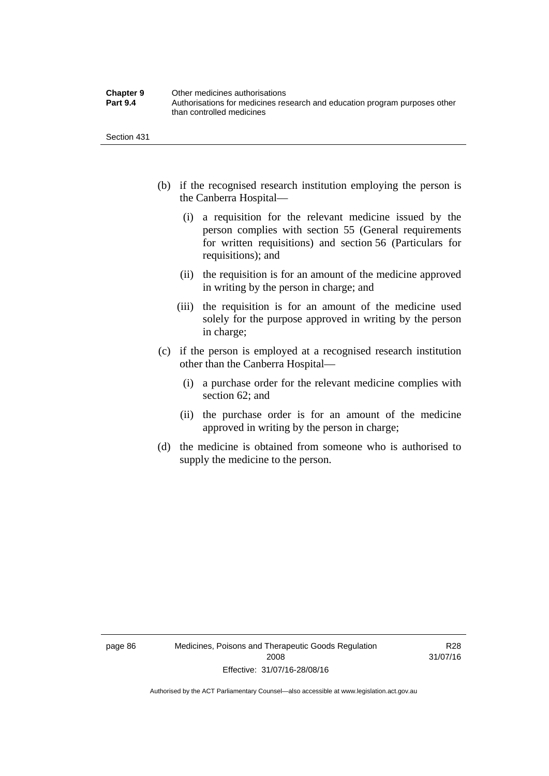| <b>Chapter 9</b> | Other medicines authorisations                                             |
|------------------|----------------------------------------------------------------------------|
| <b>Part 9.4</b>  | Authorisations for medicines research and education program purposes other |
|                  | than controlled medicines                                                  |

Section 431

- (b) if the recognised research institution employing the person is the Canberra Hospital—
	- (i) a requisition for the relevant medicine issued by the person complies with section 55 (General requirements for written requisitions) and section 56 (Particulars for requisitions); and
	- (ii) the requisition is for an amount of the medicine approved in writing by the person in charge; and
	- (iii) the requisition is for an amount of the medicine used solely for the purpose approved in writing by the person in charge;
- (c) if the person is employed at a recognised research institution other than the Canberra Hospital—
	- (i) a purchase order for the relevant medicine complies with section 62; and
	- (ii) the purchase order is for an amount of the medicine approved in writing by the person in charge;
- (d) the medicine is obtained from someone who is authorised to supply the medicine to the person.

R28 31/07/16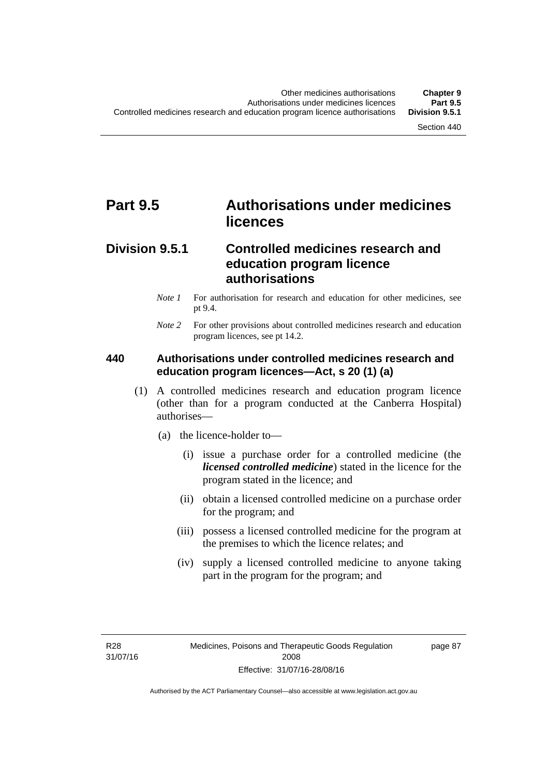# **Part 9.5 Authorisations under medicines licences**

### **Division 9.5.1 Controlled medicines research and education program licence authorisations**

- *Note 1* For authorisation for research and education for other medicines, see pt 9.4.
- *Note 2* For other provisions about controlled medicines research and education program licences, see pt 14.2.

### **440 Authorisations under controlled medicines research and education program licences—Act, s 20 (1) (a)**

- (1) A controlled medicines research and education program licence (other than for a program conducted at the Canberra Hospital) authorises—
	- (a) the licence-holder to—
		- (i) issue a purchase order for a controlled medicine (the *licensed controlled medicine*) stated in the licence for the program stated in the licence; and
		- (ii) obtain a licensed controlled medicine on a purchase order for the program; and
		- (iii) possess a licensed controlled medicine for the program at the premises to which the licence relates; and
		- (iv) supply a licensed controlled medicine to anyone taking part in the program for the program; and

R28 31/07/16 page 87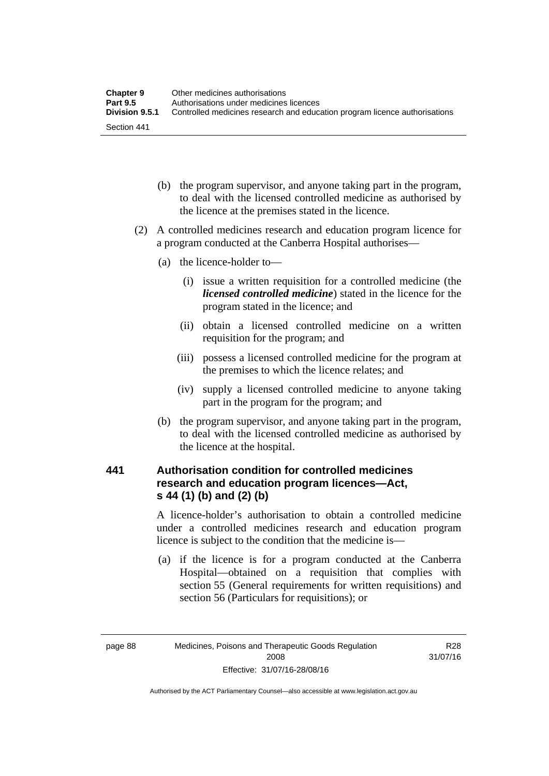| <b>Chapter 9</b> | Other medicines authorisations                                             |
|------------------|----------------------------------------------------------------------------|
| <b>Part 9.5</b>  | Authorisations under medicines licences                                    |
| Division 9.5.1   | Controlled medicines research and education program licence authorisations |
| Section 441      |                                                                            |

- (b) the program supervisor, and anyone taking part in the program, to deal with the licensed controlled medicine as authorised by the licence at the premises stated in the licence.
- (2) A controlled medicines research and education program licence for a program conducted at the Canberra Hospital authorises—
	- (a) the licence-holder to—
		- (i) issue a written requisition for a controlled medicine (the *licensed controlled medicine*) stated in the licence for the program stated in the licence; and
		- (ii) obtain a licensed controlled medicine on a written requisition for the program; and
		- (iii) possess a licensed controlled medicine for the program at the premises to which the licence relates; and
		- (iv) supply a licensed controlled medicine to anyone taking part in the program for the program; and
	- (b) the program supervisor, and anyone taking part in the program, to deal with the licensed controlled medicine as authorised by the licence at the hospital.

### **441 Authorisation condition for controlled medicines research and education program licences—Act, s 44 (1) (b) and (2) (b)**

A licence-holder's authorisation to obtain a controlled medicine under a controlled medicines research and education program licence is subject to the condition that the medicine is—

 (a) if the licence is for a program conducted at the Canberra Hospital—obtained on a requisition that complies with section 55 (General requirements for written requisitions) and section 56 (Particulars for requisitions); or

R28 31/07/16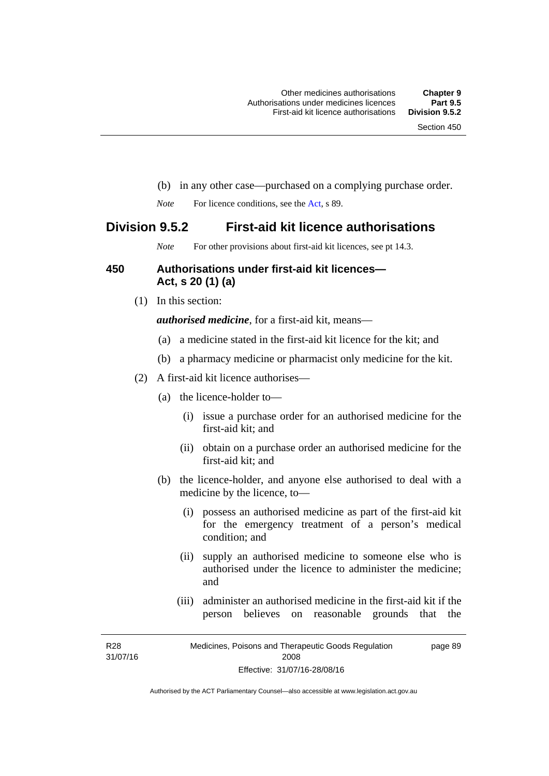- (b) in any other case—purchased on a complying purchase order.
- *Note* For licence conditions, see the [Act](http://www.legislation.act.gov.au/a/2008-26/default.asp), s 89.

### **Division 9.5.2 First-aid kit licence authorisations**

*Note* For other provisions about first-aid kit licences, see pt 14.3.

### **450 Authorisations under first-aid kit licences— Act, s 20 (1) (a)**

(1) In this section:

*authorised medicine*, for a first-aid kit, means—

- (a) a medicine stated in the first-aid kit licence for the kit; and
- (b) a pharmacy medicine or pharmacist only medicine for the kit.
- (2) A first-aid kit licence authorises—
	- (a) the licence-holder to—
		- (i) issue a purchase order for an authorised medicine for the first-aid kit; and
		- (ii) obtain on a purchase order an authorised medicine for the first-aid kit; and
	- (b) the licence-holder, and anyone else authorised to deal with a medicine by the licence, to—
		- (i) possess an authorised medicine as part of the first-aid kit for the emergency treatment of a person's medical condition; and
		- (ii) supply an authorised medicine to someone else who is authorised under the licence to administer the medicine; and
		- (iii) administer an authorised medicine in the first-aid kit if the person believes on reasonable grounds that the

R28 31/07/16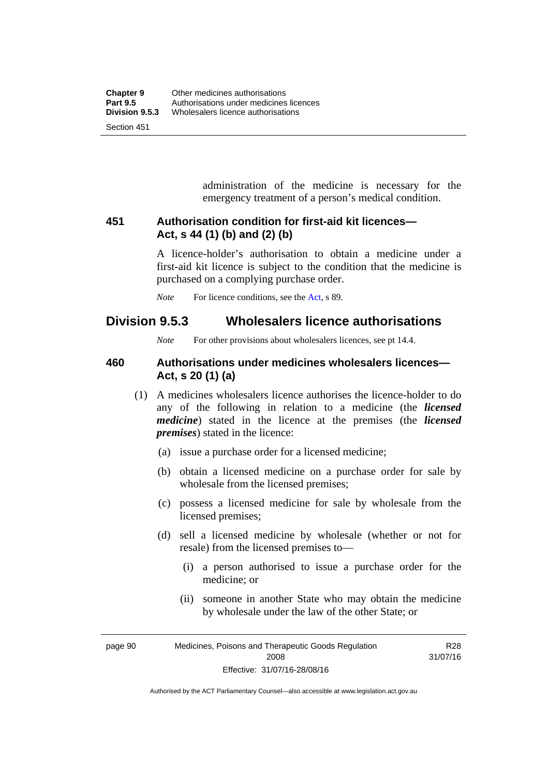administration of the medicine is necessary for the emergency treatment of a person's medical condition.

### **451 Authorisation condition for first-aid kit licences— Act, s 44 (1) (b) and (2) (b)**

A licence-holder's authorisation to obtain a medicine under a first-aid kit licence is subject to the condition that the medicine is purchased on a complying purchase order.

*Note* For licence conditions, see the [Act](http://www.legislation.act.gov.au/a/2008-26/default.asp), s 89.

### **Division 9.5.3 Wholesalers licence authorisations**

*Note* For other provisions about wholesalers licences, see pt 14.4.

### **460 Authorisations under medicines wholesalers licences— Act, s 20 (1) (a)**

- (1) A medicines wholesalers licence authorises the licence-holder to do any of the following in relation to a medicine (the *licensed medicine*) stated in the licence at the premises (the *licensed premises*) stated in the licence:
	- (a) issue a purchase order for a licensed medicine;
	- (b) obtain a licensed medicine on a purchase order for sale by wholesale from the licensed premises;
	- (c) possess a licensed medicine for sale by wholesale from the licensed premises;
	- (d) sell a licensed medicine by wholesale (whether or not for resale) from the licensed premises to—
		- (i) a person authorised to issue a purchase order for the medicine; or
		- (ii) someone in another State who may obtain the medicine by wholesale under the law of the other State; or

R28

page 90 Medicines, Poisons and Therapeutic Goods Regulation 2008 Effective: 31/07/16-28/08/16 31/07/16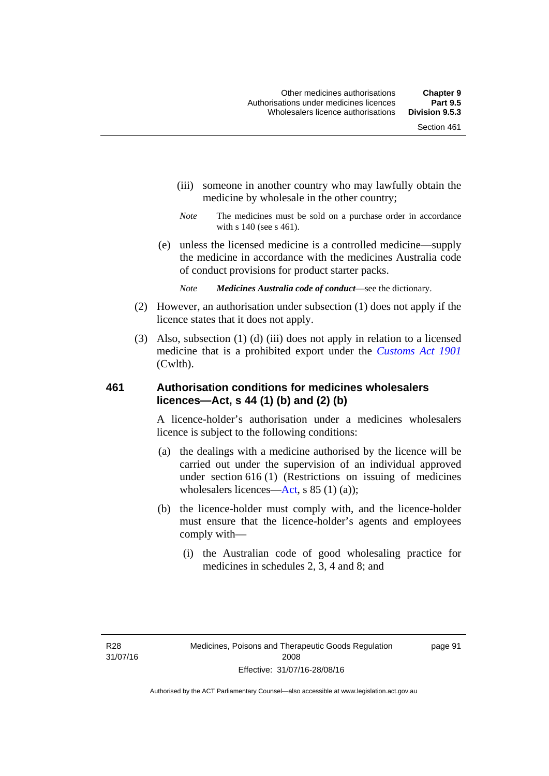- (iii) someone in another country who may lawfully obtain the medicine by wholesale in the other country;
- *Note* The medicines must be sold on a purchase order in accordance with s 140 (see s 461).
- (e) unless the licensed medicine is a controlled medicine—supply the medicine in accordance with the medicines Australia code of conduct provisions for product starter packs.
	- *Note Medicines Australia code of conduct*—see the dictionary.
- (2) However, an authorisation under subsection (1) does not apply if the licence states that it does not apply.
- (3) Also, subsection (1) (d) (iii) does not apply in relation to a licensed medicine that is a prohibited export under the *[Customs Act 1901](http://www.comlaw.gov.au/Series/C1901A00006)* (Cwlth).

### **461 Authorisation conditions for medicines wholesalers licences—Act, s 44 (1) (b) and (2) (b)**

A licence-holder's authorisation under a medicines wholesalers licence is subject to the following conditions:

- (a) the dealings with a medicine authorised by the licence will be carried out under the supervision of an individual approved under section 616 (1) (Restrictions on issuing of medicines wholesalers licences[—Act,](http://www.legislation.act.gov.au/a/2008-26/default.asp) s 85 (1) (a));
- (b) the licence-holder must comply with, and the licence-holder must ensure that the licence-holder's agents and employees comply with—
	- (i) the Australian code of good wholesaling practice for medicines in schedules 2, 3, 4 and 8; and

page 91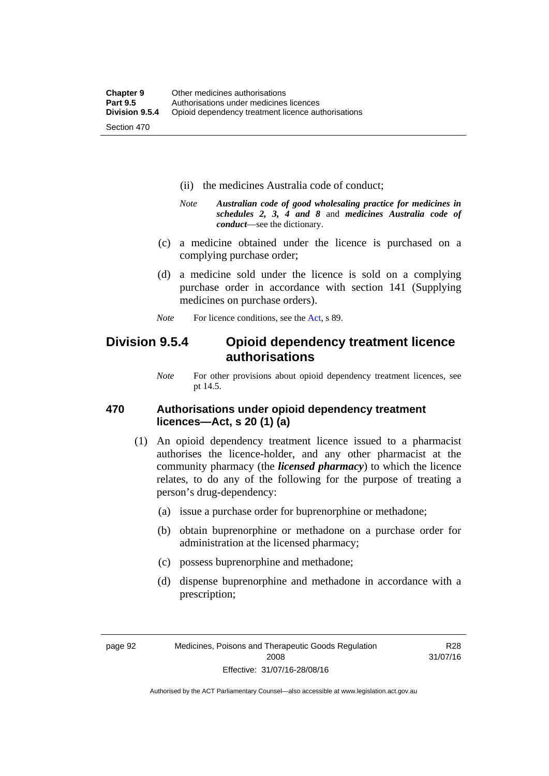- (ii) the medicines Australia code of conduct;
- *Note Australian code of good wholesaling practice for medicines in schedules 2, 3, 4 and 8* and *medicines Australia code of conduct*—see the dictionary.
- (c) a medicine obtained under the licence is purchased on a complying purchase order;
- (d) a medicine sold under the licence is sold on a complying purchase order in accordance with section 141 (Supplying medicines on purchase orders).
- *Note* For licence conditions, see the [Act](http://www.legislation.act.gov.au/a/2008-26/default.asp), s 89.

### **Division 9.5.4 Opioid dependency treatment licence authorisations**

*Note* For other provisions about opioid dependency treatment licences, see pt 14.5.

### **470 Authorisations under opioid dependency treatment licences—Act, s 20 (1) (a)**

- (1) An opioid dependency treatment licence issued to a pharmacist authorises the licence-holder, and any other pharmacist at the community pharmacy (the *licensed pharmacy*) to which the licence relates, to do any of the following for the purpose of treating a person's drug-dependency:
	- (a) issue a purchase order for buprenorphine or methadone;
	- (b) obtain buprenorphine or methadone on a purchase order for administration at the licensed pharmacy;
	- (c) possess buprenorphine and methadone;
	- (d) dispense buprenorphine and methadone in accordance with a prescription;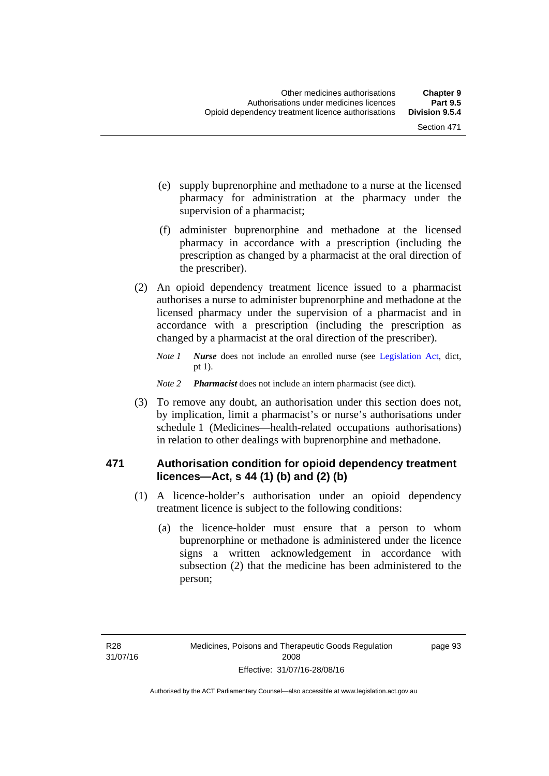- (e) supply buprenorphine and methadone to a nurse at the licensed pharmacy for administration at the pharmacy under the supervision of a pharmacist;
- (f) administer buprenorphine and methadone at the licensed pharmacy in accordance with a prescription (including the prescription as changed by a pharmacist at the oral direction of the prescriber).
- (2) An opioid dependency treatment licence issued to a pharmacist authorises a nurse to administer buprenorphine and methadone at the licensed pharmacy under the supervision of a pharmacist and in accordance with a prescription (including the prescription as changed by a pharmacist at the oral direction of the prescriber).
	- *Note 1 Nurse* does not include an enrolled nurse (see [Legislation Act,](http://www.legislation.act.gov.au/a/2001-14) dict, pt 1).
	- *Note 2 Pharmacist* does not include an intern pharmacist (see dict).
- (3) To remove any doubt, an authorisation under this section does not, by implication, limit a pharmacist's or nurse's authorisations under schedule 1 (Medicines—health-related occupations authorisations) in relation to other dealings with buprenorphine and methadone.

### **471 Authorisation condition for opioid dependency treatment licences—Act, s 44 (1) (b) and (2) (b)**

- (1) A licence-holder's authorisation under an opioid dependency treatment licence is subject to the following conditions:
	- (a) the licence-holder must ensure that a person to whom buprenorphine or methadone is administered under the licence signs a written acknowledgement in accordance with subsection (2) that the medicine has been administered to the person;

page 93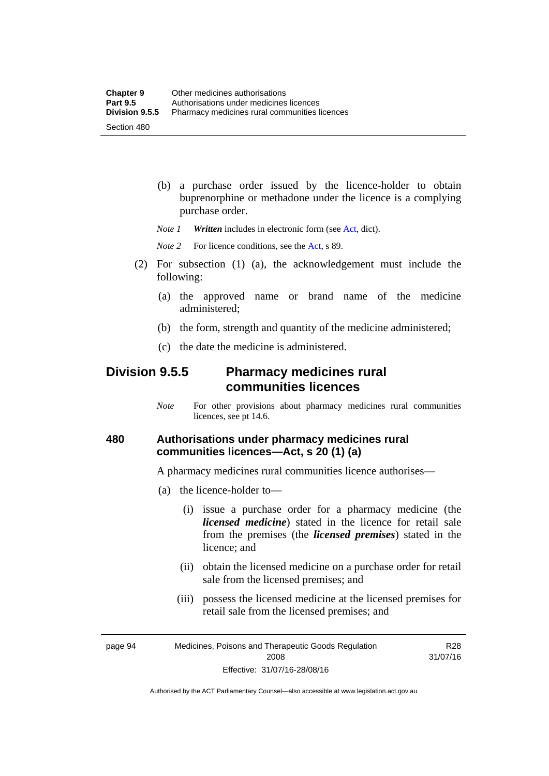(b) a purchase order issued by the licence-holder to obtain buprenorphine or methadone under the licence is a complying purchase order.

*Note 1 Written* includes in electronic form (see [Act,](http://www.legislation.act.gov.au/a/2008-26/default.asp) dict).

*Note* 2 For licence conditions, see the [Act](http://www.legislation.act.gov.au/a/2008-26/default.asp), s 89.

- (2) For subsection (1) (a), the acknowledgement must include the following:
	- (a) the approved name or brand name of the medicine administered;
	- (b) the form, strength and quantity of the medicine administered;
	- (c) the date the medicine is administered.

### **Division 9.5.5 Pharmacy medicines rural communities licences**

*Note* For other provisions about pharmacy medicines rural communities licences, see pt 14.6.

### **480 Authorisations under pharmacy medicines rural communities licences—Act, s 20 (1) (a)**

A pharmacy medicines rural communities licence authorises—

- (a) the licence-holder to—
	- (i) issue a purchase order for a pharmacy medicine (the *licensed medicine*) stated in the licence for retail sale from the premises (the *licensed premises*) stated in the licence; and
	- (ii) obtain the licensed medicine on a purchase order for retail sale from the licensed premises; and
	- (iii) possess the licensed medicine at the licensed premises for retail sale from the licensed premises; and

page 94 Medicines, Poisons and Therapeutic Goods Regulation 2008 Effective: 31/07/16-28/08/16

R28 31/07/16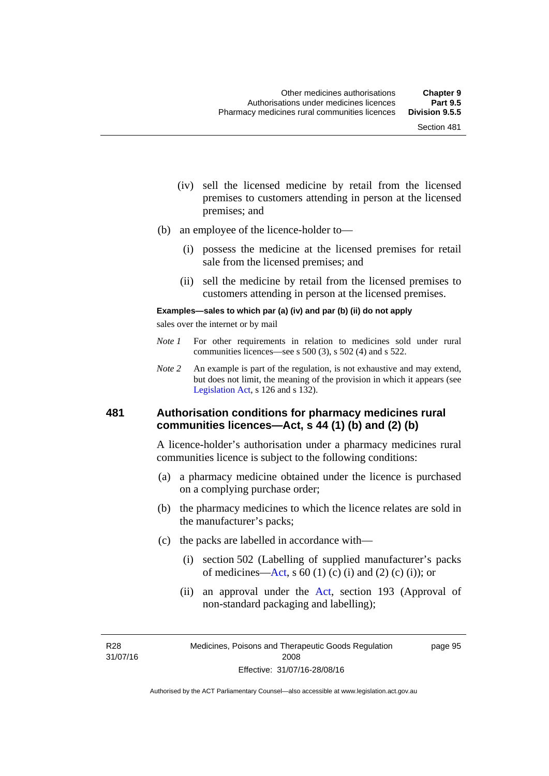- (iv) sell the licensed medicine by retail from the licensed premises to customers attending in person at the licensed premises; and
- (b) an employee of the licence-holder to—
	- (i) possess the medicine at the licensed premises for retail sale from the licensed premises; and
	- (ii) sell the medicine by retail from the licensed premises to customers attending in person at the licensed premises.

#### **Examples—sales to which par (a) (iv) and par (b) (ii) do not apply**

sales over the internet or by mail

- *Note 1* For other requirements in relation to medicines sold under rural communities licences—see s 500 (3), s 502 (4) and s 522.
- *Note 2* An example is part of the regulation, is not exhaustive and may extend, but does not limit, the meaning of the provision in which it appears (see [Legislation Act,](http://www.legislation.act.gov.au/a/2001-14) s 126 and s 132).

### **481 Authorisation conditions for pharmacy medicines rural communities licences—Act, s 44 (1) (b) and (2) (b)**

A licence-holder's authorisation under a pharmacy medicines rural communities licence is subject to the following conditions:

- (a) a pharmacy medicine obtained under the licence is purchased on a complying purchase order;
- (b) the pharmacy medicines to which the licence relates are sold in the manufacturer's packs;
- (c) the packs are labelled in accordance with—
	- (i) section 502 (Labelling of supplied manufacturer's packs of medicines—[Act](http://www.legislation.act.gov.au/a/2008-26/default.asp), s  $60(1)$  (c) (i) and (2) (c) (i)); or
	- (ii) an approval under the [Act](http://www.legislation.act.gov.au/a/2008-26/default.asp), section 193 (Approval of non-standard packaging and labelling);

R28 31/07/16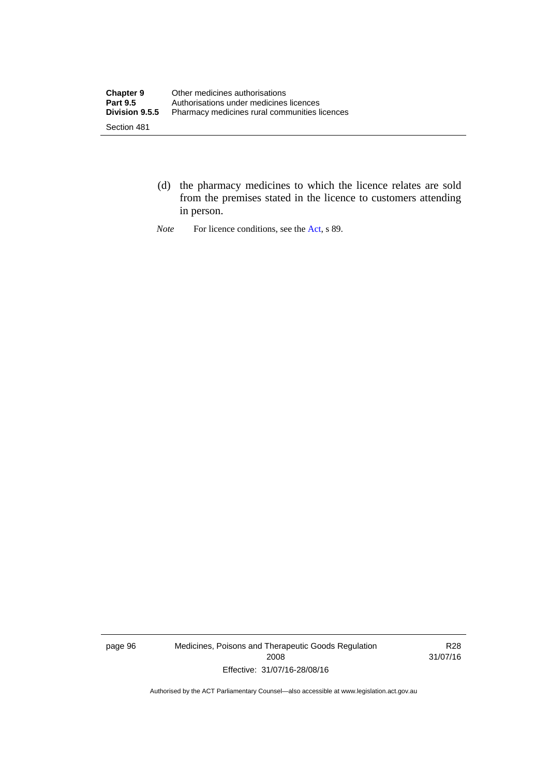- (d) the pharmacy medicines to which the licence relates are sold from the premises stated in the licence to customers attending in person.
- *Note* For licence conditions, see the [Act](http://www.legislation.act.gov.au/a/2008-26/default.asp), s 89.

page 96 Medicines, Poisons and Therapeutic Goods Regulation 2008 Effective: 31/07/16-28/08/16

R28 31/07/16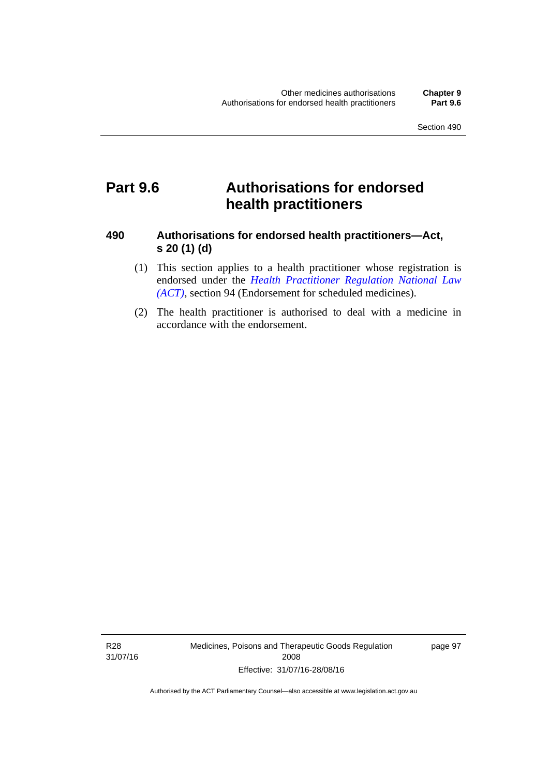# **Part 9.6 Authorisations for endorsed health practitioners**

### **490 Authorisations for endorsed health practitioners—Act, s 20 (1) (d)**

- (1) This section applies to a health practitioner whose registration is endorsed under the 5*[Health Practitioner](#page-54-0) Regulation National Law (ACT)*, section 94 (Endorsement for scheduled medicines).
- (2) The health practitioner is authorised to deal with a medicine in accordance with the endorsement.

R28 31/07/16 Medicines, Poisons and Therapeutic Goods Regulation 2008 Effective: 31/07/16-28/08/16

page 97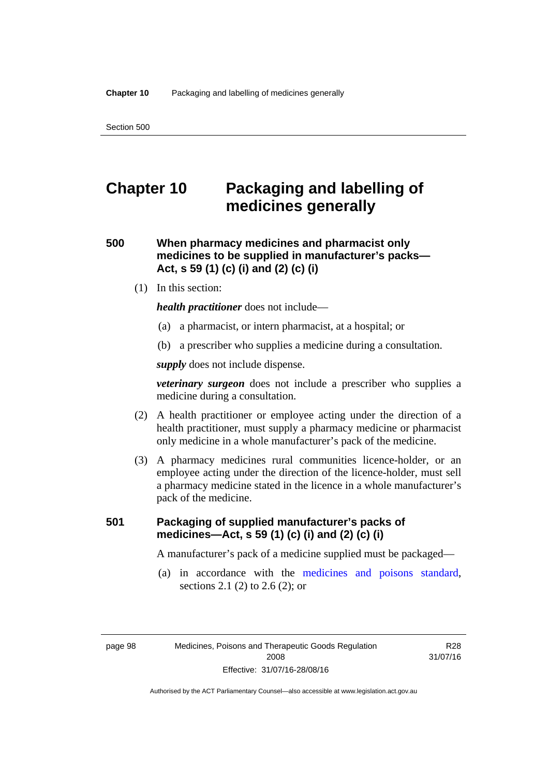# **Chapter 10 Packaging and labelling of medicines generally**

**500 When pharmacy medicines and pharmacist only medicines to be supplied in manufacturer's packs— Act, s 59 (1) (c) (i) and (2) (c) (i)** 

(1) In this section:

*health practitioner* does not include—

- (a) a pharmacist, or intern pharmacist, at a hospital; or
- (b) a prescriber who supplies a medicine during a consultation.

*supply* does not include dispense.

*veterinary surgeon* does not include a prescriber who supplies a medicine during a consultation.

- (2) A health practitioner or employee acting under the direction of a health practitioner, must supply a pharmacy medicine or pharmacist only medicine in a whole manufacturer's pack of the medicine.
- (3) A pharmacy medicines rural communities licence-holder, or an employee acting under the direction of the licence-holder, must sell a pharmacy medicine stated in the licence in a whole manufacturer's pack of the medicine.

### **501 Packaging of supplied manufacturer's packs of medicines—Act, s 59 (1) (c) (i) and (2) (c) (i)**

A manufacturer's pack of a medicine supplied must be packaged—

 (a) in accordance with the [medicines and poisons standard](http://www.comlaw.gov.au/Series/F2012L01200), sections 2.1 (2) to 2.6 (2); or

R28 31/07/16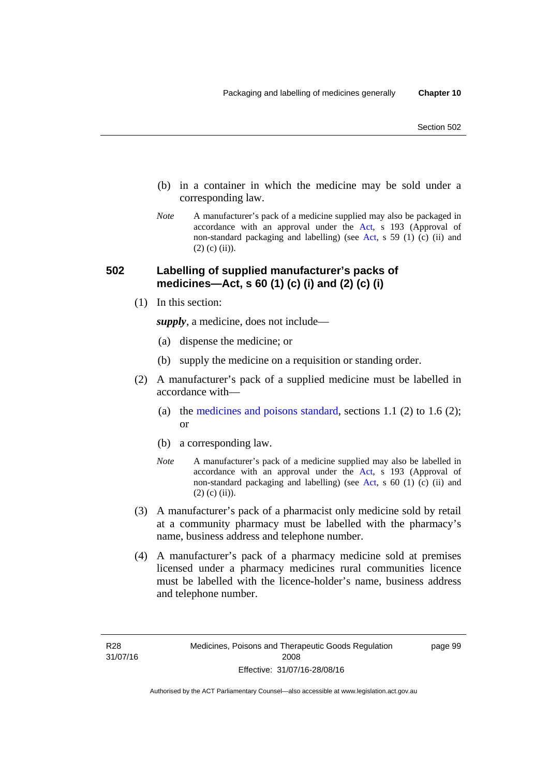- (b) in a container in which the medicine may be sold under a corresponding law.
- *Note* A manufacturer's pack of a medicine supplied may also be packaged in accordance with an approval under the [Act](http://www.legislation.act.gov.au/a/2008-26/default.asp), s 193 (Approval of non-standard packaging and labelling) (see [Act](http://www.legislation.act.gov.au/a/2008-26/default.asp), s 59 (1) (c) (ii) and  $(2)$  (c) (ii)).

### **502 Labelling of supplied manufacturer's packs of medicines—Act, s 60 (1) (c) (i) and (2) (c) (i)**

(1) In this section:

*supply*, a medicine, does not include—

- (a) dispense the medicine; or
- (b) supply the medicine on a requisition or standing order.
- (2) A manufacturer's pack of a supplied medicine must be labelled in accordance with
	- (a) the [medicines and poisons standard](http://www.comlaw.gov.au/Series/F2012L01200), sections 1.1 (2) to 1.6 (2); or
	- (b) a corresponding law.
	- *Note* A manufacturer's pack of a medicine supplied may also be labelled in accordance with an approval under the [Act](http://www.legislation.act.gov.au/a/2008-26/default.asp), s 193 (Approval of non-standard packaging and labelling) (see [Act](http://www.legislation.act.gov.au/a/2008-26/default.asp), s 60 (1) (c) (ii) and  $(2)$  (c) (ii)).
- (3) A manufacturer's pack of a pharmacist only medicine sold by retail at a community pharmacy must be labelled with the pharmacy's name, business address and telephone number.
- (4) A manufacturer's pack of a pharmacy medicine sold at premises licensed under a pharmacy medicines rural communities licence must be labelled with the licence-holder's name, business address and telephone number.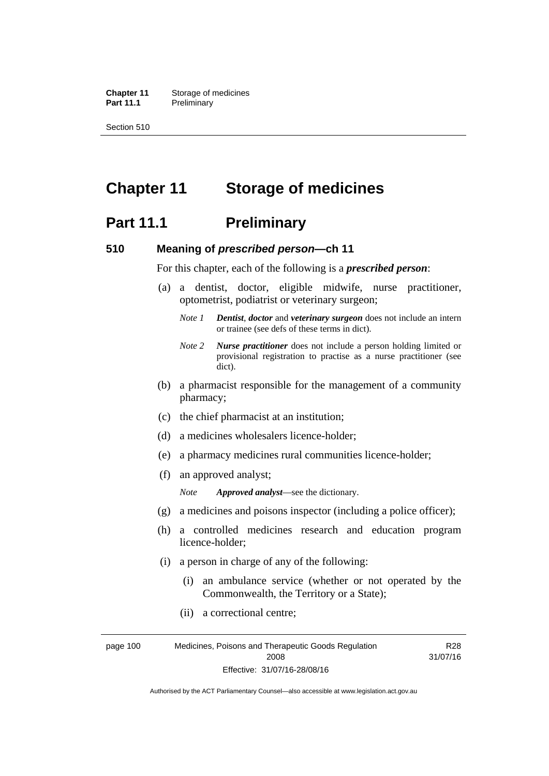**Chapter 11** Storage of medicines Part 11.1 Preliminary

Section 510

# **Chapter 11 Storage of medicines**

### **Part 11.1** Preliminary

### **510 Meaning of** *prescribed person***—ch 11**

For this chapter, each of the following is a *prescribed person*:

- (a) a dentist, doctor, eligible midwife, nurse practitioner, optometrist, podiatrist or veterinary surgeon;
	- *Note 1 Dentist*, *doctor* and *veterinary surgeon* does not include an intern or trainee (see defs of these terms in dict).
	- *Note 2 Nurse practitioner* does not include a person holding limited or provisional registration to practise as a nurse practitioner (see dict).
- (b) a pharmacist responsible for the management of a community pharmacy;
- (c) the chief pharmacist at an institution;
- (d) a medicines wholesalers licence-holder;
- (e) a pharmacy medicines rural communities licence-holder;
- (f) an approved analyst;

*Note Approved analyst*—see the dictionary.

- (g) a medicines and poisons inspector (including a police officer);
- (h) a controlled medicines research and education program licence-holder;
- (i) a person in charge of any of the following:
	- (i) an ambulance service (whether or not operated by the Commonwealth, the Territory or a State);
	- (ii) a correctional centre;

page 100 Medicines, Poisons and Therapeutic Goods Regulation 2008 Effective: 31/07/16-28/08/16 R28 31/07/16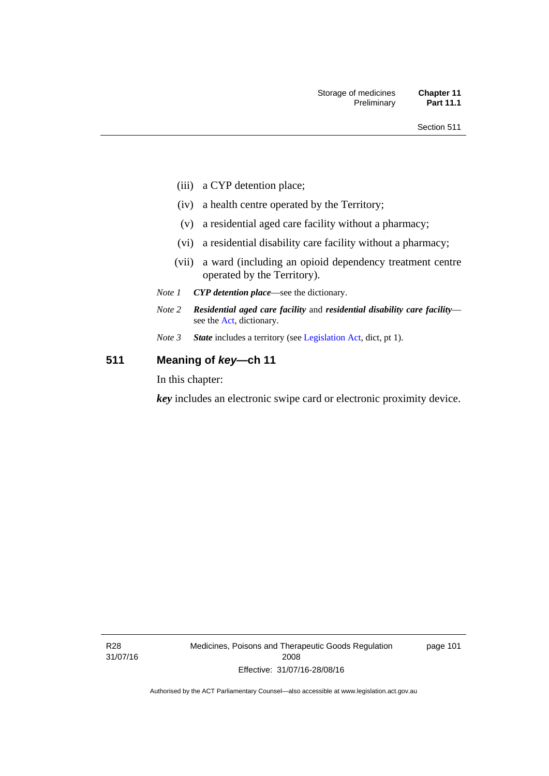- (iii) a CYP detention place;
- (iv) a health centre operated by the Territory;
- (v) a residential aged care facility without a pharmacy;
- (vi) a residential disability care facility without a pharmacy;
- (vii) a ward (including an opioid dependency treatment centre operated by the Territory).
- *Note 1 CYP detention place*—see the dictionary.
- *Note 2 Residential aged care facility* and *residential disability care facility* see the [Act](http://www.legislation.act.gov.au/a/2008-26/default.asp), dictionary.
- *Note 3 State* includes a territory (see [Legislation Act,](http://www.legislation.act.gov.au/a/2001-14) dict, pt 1).

### **511 Meaning of** *key***—ch 11**

In this chapter:

*key* includes an electronic swipe card or electronic proximity device.

R28 31/07/16 Medicines, Poisons and Therapeutic Goods Regulation 2008 Effective: 31/07/16-28/08/16

page 101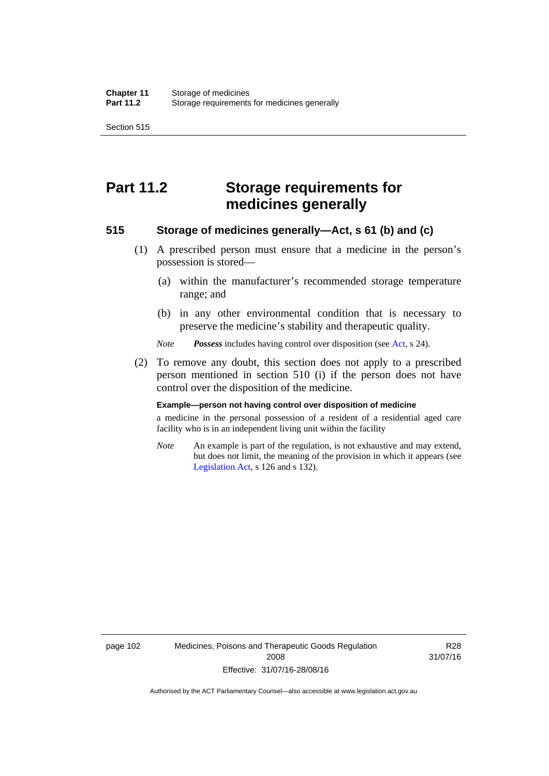Section 515

# **Part 11.2 Storage requirements for medicines generally**

### **515 Storage of medicines generally—Act, s 61 (b) and (c)**

- (1) A prescribed person must ensure that a medicine in the person's possession is stored—
	- (a) within the manufacturer's recommended storage temperature range; and
	- (b) in any other environmental condition that is necessary to preserve the medicine's stability and therapeutic quality.

*Note Possess* includes having control over disposition (see [Act,](http://www.legislation.act.gov.au/a/2008-26/default.asp) s 24).

 (2) To remove any doubt, this section does not apply to a prescribed person mentioned in section 510 (i) if the person does not have control over the disposition of the medicine.

#### **Example—person not having control over disposition of medicine**

a medicine in the personal possession of a resident of a residential aged care facility who is in an independent living unit within the facility

*Note* An example is part of the regulation, is not exhaustive and may extend, but does not limit, the meaning of the provision in which it appears (see [Legislation Act,](http://www.legislation.act.gov.au/a/2001-14) s 126 and s 132).

page 102 Medicines, Poisons and Therapeutic Goods Regulation 2008 Effective: 31/07/16-28/08/16

R28 31/07/16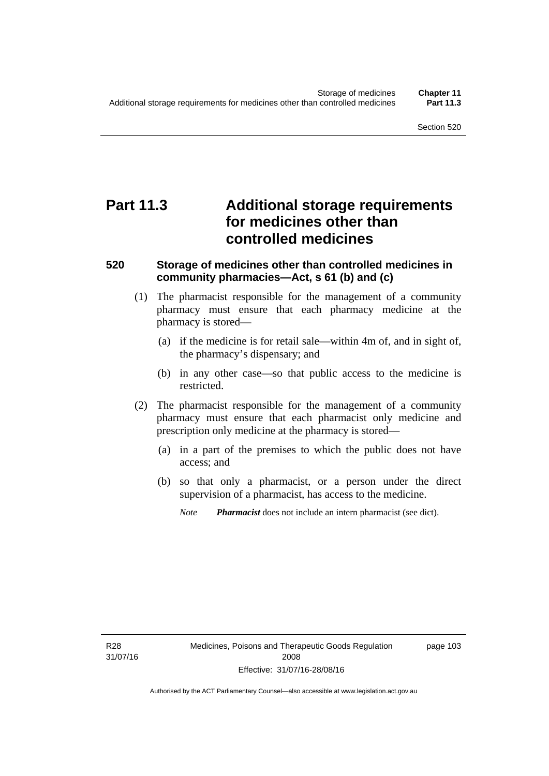# **Part 11.3 Additional storage requirements for medicines other than controlled medicines**

### **520 Storage of medicines other than controlled medicines in community pharmacies—Act, s 61 (b) and (c)**

- (1) The pharmacist responsible for the management of a community pharmacy must ensure that each pharmacy medicine at the pharmacy is stored—
	- (a) if the medicine is for retail sale—within 4m of, and in sight of, the pharmacy's dispensary; and
	- (b) in any other case—so that public access to the medicine is restricted.
- (2) The pharmacist responsible for the management of a community pharmacy must ensure that each pharmacist only medicine and prescription only medicine at the pharmacy is stored—
	- (a) in a part of the premises to which the public does not have access; and
	- (b) so that only a pharmacist, or a person under the direct supervision of a pharmacist, has access to the medicine.

page 103

*Note Pharmacist* does not include an intern pharmacist (see dict).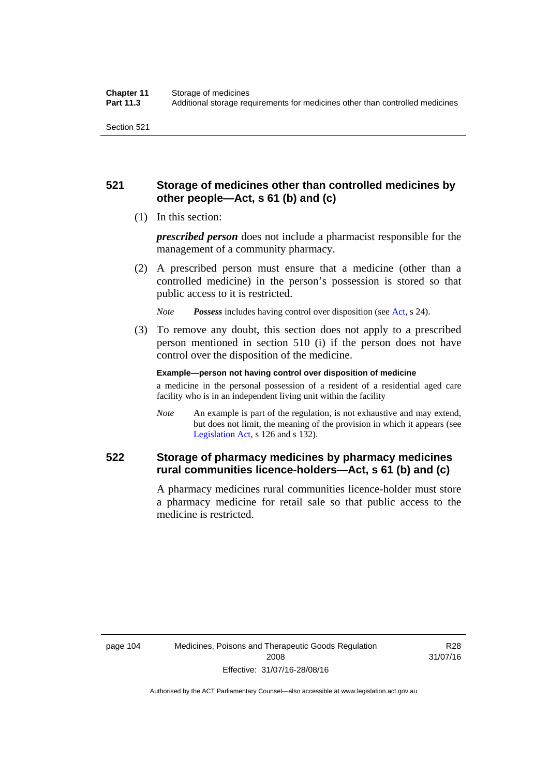### **521 Storage of medicines other than controlled medicines by other people—Act, s 61 (b) and (c)**

(1) In this section:

*prescribed person* does not include a pharmacist responsible for the management of a community pharmacy.

 (2) A prescribed person must ensure that a medicine (other than a controlled medicine) in the person's possession is stored so that public access to it is restricted.

*Note Possess* includes having control over disposition (see [Act,](http://www.legislation.act.gov.au/a/2008-26/default.asp) s 24).

 (3) To remove any doubt, this section does not apply to a prescribed person mentioned in section 510 (i) if the person does not have control over the disposition of the medicine.

**Example—person not having control over disposition of medicine** 

a medicine in the personal possession of a resident of a residential aged care facility who is in an independent living unit within the facility

*Note* An example is part of the regulation, is not exhaustive and may extend, but does not limit, the meaning of the provision in which it appears (see [Legislation Act,](http://www.legislation.act.gov.au/a/2001-14) s 126 and s 132).

### **522 Storage of pharmacy medicines by pharmacy medicines rural communities licence-holders—Act, s 61 (b) and (c)**

A pharmacy medicines rural communities licence-holder must store a pharmacy medicine for retail sale so that public access to the medicine is restricted.

R28 31/07/16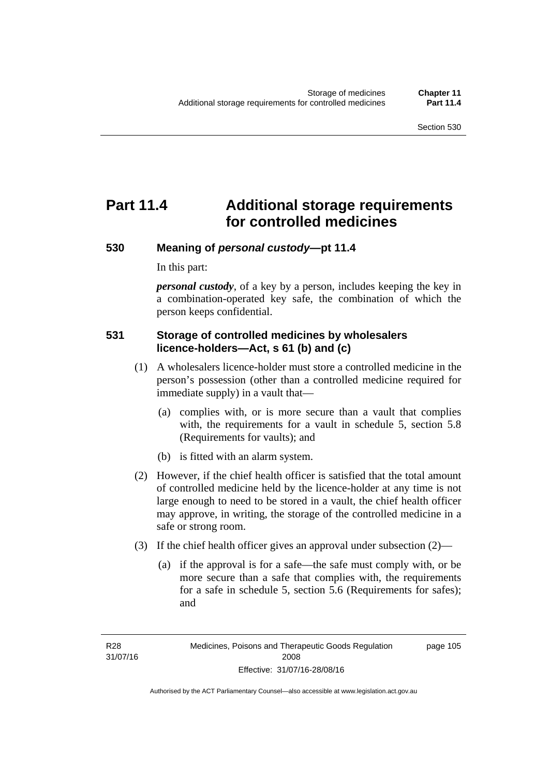# **Part 11.4 Additional storage requirements for controlled medicines**

### **530 Meaning of** *personal custody***—pt 11.4**

In this part:

*personal custody*, of a key by a person, includes keeping the key in a combination-operated key safe, the combination of which the person keeps confidential.

### **531 Storage of controlled medicines by wholesalers licence-holders—Act, s 61 (b) and (c)**

- (1) A wholesalers licence-holder must store a controlled medicine in the person's possession (other than a controlled medicine required for immediate supply) in a vault that—
	- (a) complies with, or is more secure than a vault that complies with, the requirements for a vault in schedule 5, section 5.8 (Requirements for vaults); and
	- (b) is fitted with an alarm system.
- (2) However, if the chief health officer is satisfied that the total amount of controlled medicine held by the licence-holder at any time is not large enough to need to be stored in a vault, the chief health officer may approve, in writing, the storage of the controlled medicine in a safe or strong room.
- (3) If the chief health officer gives an approval under subsection (2)—
	- (a) if the approval is for a safe—the safe must comply with, or be more secure than a safe that complies with, the requirements for a safe in schedule 5, section 5.6 (Requirements for safes); and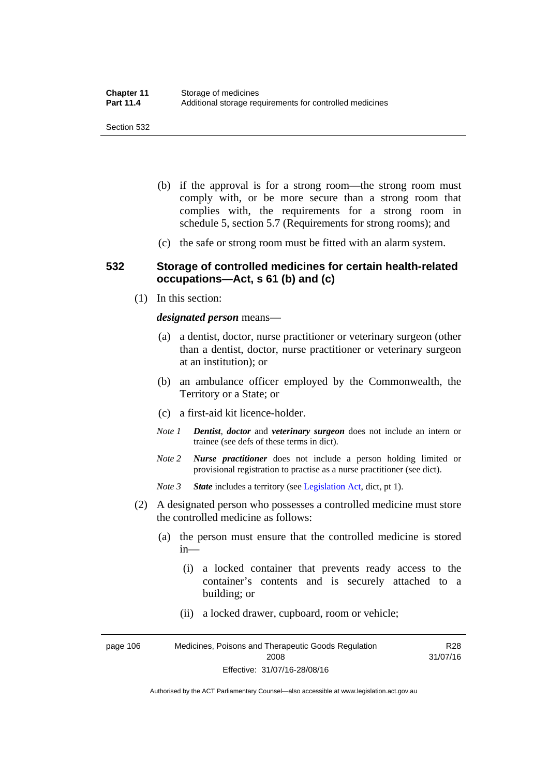- (b) if the approval is for a strong room—the strong room must comply with, or be more secure than a strong room that complies with, the requirements for a strong room in schedule 5, section 5.7 (Requirements for strong rooms); and
- (c) the safe or strong room must be fitted with an alarm system.

### **532 Storage of controlled medicines for certain health-related occupations—Act, s 61 (b) and (c)**

(1) In this section:

#### *designated person* means—

- (a) a dentist, doctor, nurse practitioner or veterinary surgeon (other than a dentist, doctor, nurse practitioner or veterinary surgeon at an institution); or
- (b) an ambulance officer employed by the Commonwealth, the Territory or a State; or
- (c) a first-aid kit licence-holder.
- *Note 1 Dentist*, *doctor* and *veterinary surgeon* does not include an intern or trainee (see defs of these terms in dict).
- *Note 2 Nurse practitioner* does not include a person holding limited or provisional registration to practise as a nurse practitioner (see dict).
- *Note 3 State* includes a territory (see [Legislation Act,](http://www.legislation.act.gov.au/a/2001-14) dict, pt 1).
- (2) A designated person who possesses a controlled medicine must store the controlled medicine as follows:
	- (a) the person must ensure that the controlled medicine is stored in—
		- (i) a locked container that prevents ready access to the container's contents and is securely attached to a building; or
		- (ii) a locked drawer, cupboard, room or vehicle;

page 106 Medicines, Poisons and Therapeutic Goods Regulation 2008 Effective: 31/07/16-28/08/16 R28 31/07/16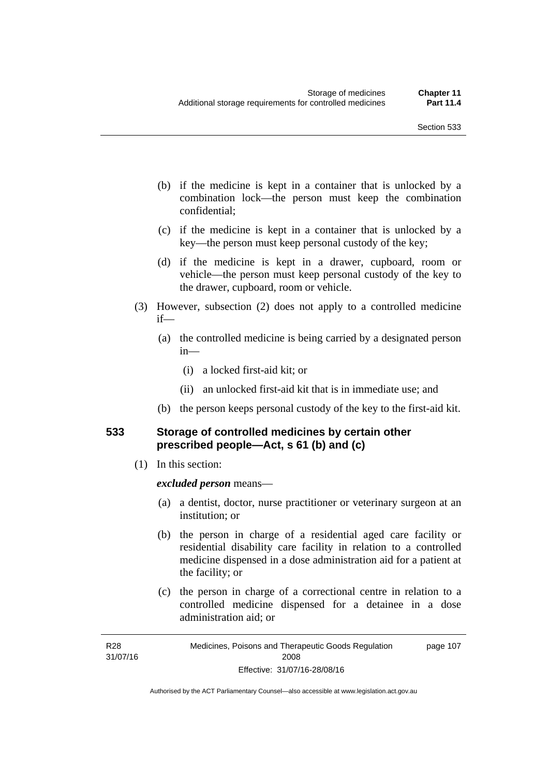- (b) if the medicine is kept in a container that is unlocked by a combination lock—the person must keep the combination confidential;
- (c) if the medicine is kept in a container that is unlocked by a key—the person must keep personal custody of the key;
- (d) if the medicine is kept in a drawer, cupboard, room or vehicle—the person must keep personal custody of the key to the drawer, cupboard, room or vehicle.
- (3) However, subsection (2) does not apply to a controlled medicine if—
	- (a) the controlled medicine is being carried by a designated person in—
		- (i) a locked first-aid kit; or
		- (ii) an unlocked first-aid kit that is in immediate use; and
	- (b) the person keeps personal custody of the key to the first-aid kit.

### **533 Storage of controlled medicines by certain other prescribed people—Act, s 61 (b) and (c)**

(1) In this section:

#### *excluded person* means—

- (a) a dentist, doctor, nurse practitioner or veterinary surgeon at an institution; or
- (b) the person in charge of a residential aged care facility or residential disability care facility in relation to a controlled medicine dispensed in a dose administration aid for a patient at the facility; or
- (c) the person in charge of a correctional centre in relation to a controlled medicine dispensed for a detainee in a dose administration aid; or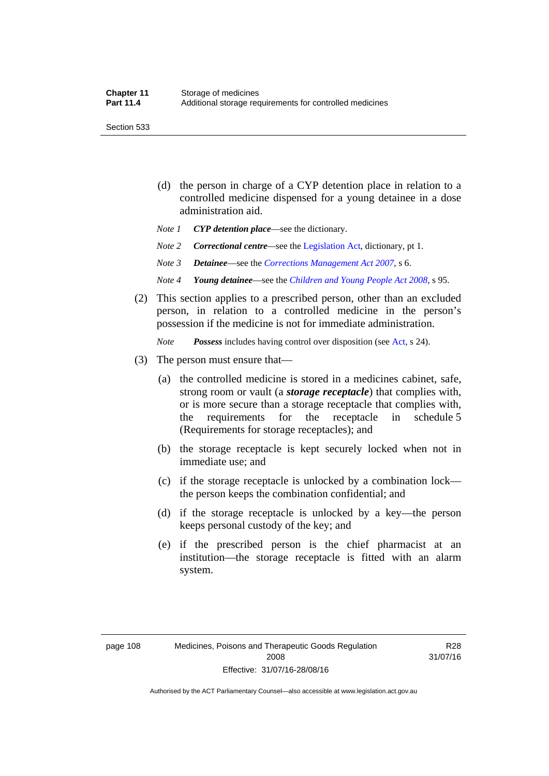Section 533

- (d) the person in charge of a CYP detention place in relation to a controlled medicine dispensed for a young detainee in a dose administration aid.
- *Note 1 CYP detention place*—see the dictionary.
- *Note 2 Correctional centre—see the [Legislation Act](http://www.legislation.act.gov.au/a/2001-14), dictionary, pt 1.*
- *Note 3 Detainee*—see the *[Corrections Management Act 2007](http://www.legislation.act.gov.au/a/2007-15)*, s 6.
- *Note 4 Young detainee*—see the *[Children and Young People Act 2008](http://www.legislation.act.gov.au/a/2008-19)*, s 95.
- (2) This section applies to a prescribed person, other than an excluded person, in relation to a controlled medicine in the person's possession if the medicine is not for immediate administration.

*Note Possess* includes having control over disposition (see [Act,](http://www.legislation.act.gov.au/a/2008-26/default.asp) s 24).

- (3) The person must ensure that—
	- (a) the controlled medicine is stored in a medicines cabinet, safe, strong room or vault (a *storage receptacle*) that complies with, or is more secure than a storage receptacle that complies with, the requirements for the receptacle in schedule 5 (Requirements for storage receptacles); and
	- (b) the storage receptacle is kept securely locked when not in immediate use; and
	- (c) if the storage receptacle is unlocked by a combination lock the person keeps the combination confidential; and
	- (d) if the storage receptacle is unlocked by a key—the person keeps personal custody of the key; and
	- (e) if the prescribed person is the chief pharmacist at an institution—the storage receptacle is fitted with an alarm system.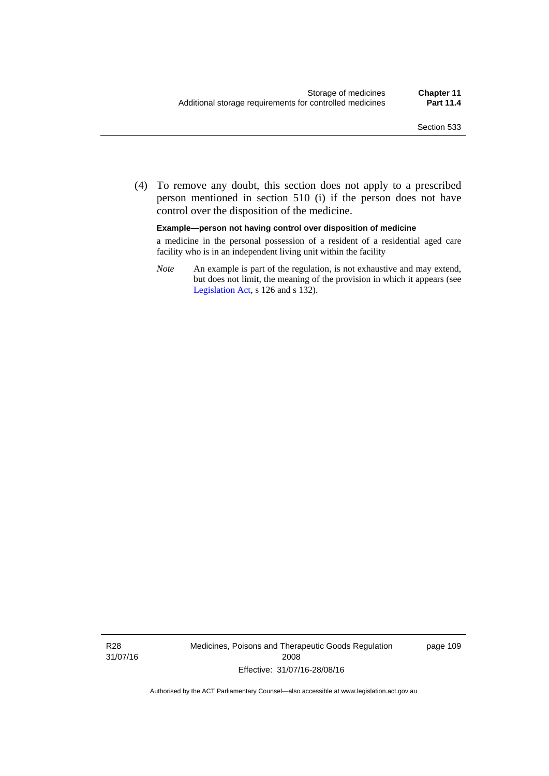(4) To remove any doubt, this section does not apply to a prescribed person mentioned in section 510 (i) if the person does not have control over the disposition of the medicine.

#### **Example—person not having control over disposition of medicine**

a medicine in the personal possession of a resident of a residential aged care facility who is in an independent living unit within the facility

*Note* An example is part of the regulation, is not exhaustive and may extend, but does not limit, the meaning of the provision in which it appears (see [Legislation Act,](http://www.legislation.act.gov.au/a/2001-14) s 126 and s 132).

R28 31/07/16 Medicines, Poisons and Therapeutic Goods Regulation 2008 Effective: 31/07/16-28/08/16

page 109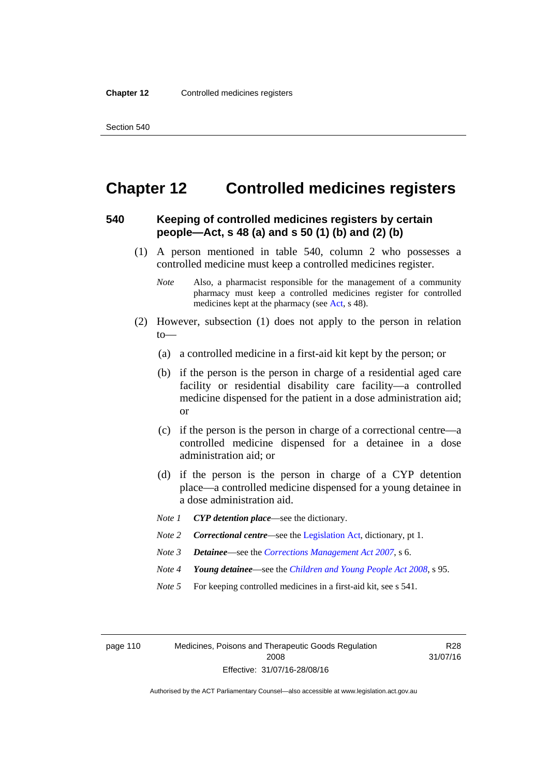### **Chapter 12 Controlled medicines registers**

### **540 Keeping of controlled medicines registers by certain people—Act, s 48 (a) and s 50 (1) (b) and (2) (b)**

- (1) A person mentioned in table 540, column 2 who possesses a controlled medicine must keep a controlled medicines register.
	- *Note* Also, a pharmacist responsible for the management of a community pharmacy must keep a controlled medicines register for controlled medicines kept at the pharmacy (see [Act](http://www.legislation.act.gov.au/a/2008-26/default.asp), s 48).
- (2) However, subsection (1) does not apply to the person in relation  $to$ —
	- (a) a controlled medicine in a first-aid kit kept by the person; or
	- (b) if the person is the person in charge of a residential aged care facility or residential disability care facility—a controlled medicine dispensed for the patient in a dose administration aid; or
	- (c) if the person is the person in charge of a correctional centre—a controlled medicine dispensed for a detainee in a dose administration aid; or
	- (d) if the person is the person in charge of a CYP detention place—a controlled medicine dispensed for a young detainee in a dose administration aid.
	- *Note 1 CYP detention place*—see the dictionary.
	- *Note 2 Correctional centre—see the [Legislation Act](http://www.legislation.act.gov.au/a/2001-14), dictionary, pt 1.*
	- *Note 3 Detainee*—see the *[Corrections Management Act 2007](http://www.legislation.act.gov.au/a/2007-15)*, s 6.
	- *Note 4 Young detainee*—see the *[Children and Young People Act 2008](http://www.legislation.act.gov.au/a/2008-19)*, s 95.
	- *Note* 5 For keeping controlled medicines in a first-aid kit, see s 541.

page 110 Medicines, Poisons and Therapeutic Goods Regulation 2008 Effective: 31/07/16-28/08/16

R28 31/07/16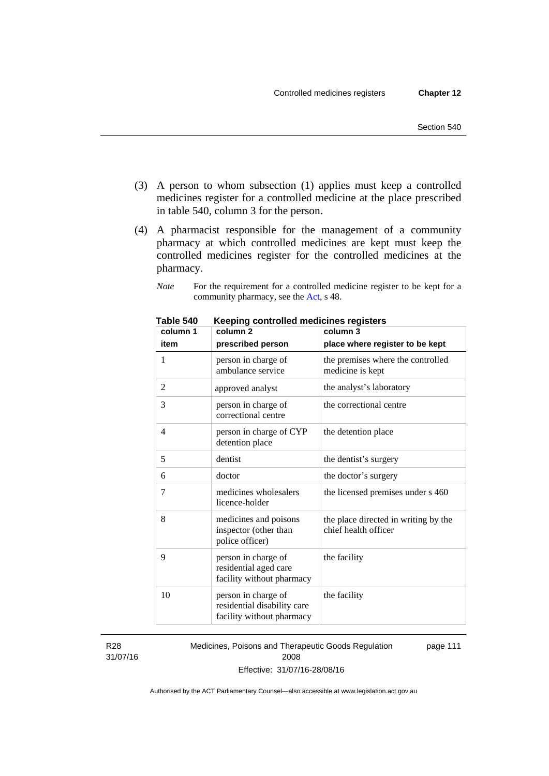- (3) A person to whom subsection (1) applies must keep a controlled medicines register for a controlled medicine at the place prescribed in table 540, column 3 for the person.
- (4) A pharmacist responsible for the management of a community pharmacy at which controlled medicines are kept must keep the controlled medicines register for the controlled medicines at the pharmacy.
	- *Note* For the requirement for a controlled medicine register to be kept for a community pharmacy, see the [Act,](http://www.legislation.act.gov.au/a/2008-26/default.asp) s 48.

| column 1       | column <sub>2</sub>                                                             | column 3                                                     |
|----------------|---------------------------------------------------------------------------------|--------------------------------------------------------------|
| item           | prescribed person                                                               | place where register to be kept                              |
| 1              | person in charge of<br>ambulance service                                        | the premises where the controlled<br>medicine is kept        |
| $\overline{2}$ | approved analyst                                                                | the analyst's laboratory                                     |
| 3              | person in charge of<br>correctional centre                                      | the correctional centre                                      |
| 4              | person in charge of CYP<br>detention place                                      | the detention place                                          |
| 5              | dentist                                                                         | the dentist's surgery                                        |
| 6              | doctor                                                                          | the doctor's surgery                                         |
| 7              | medicines wholesalers<br>licence-holder                                         | the licensed premises under s 460                            |
| 8              | medicines and poisons<br>inspector (other than<br>police officer)               | the place directed in writing by the<br>chief health officer |
| 9              | person in charge of<br>residential aged care<br>facility without pharmacy       | the facility                                                 |
| 10             | person in charge of<br>residential disability care<br>facility without pharmacy | the facility                                                 |

**Table 540 Keeping controlled medicines registers** 

R28 31/07/16 Medicines, Poisons and Therapeutic Goods Regulation 2008 Effective: 31/07/16-28/08/16 page 111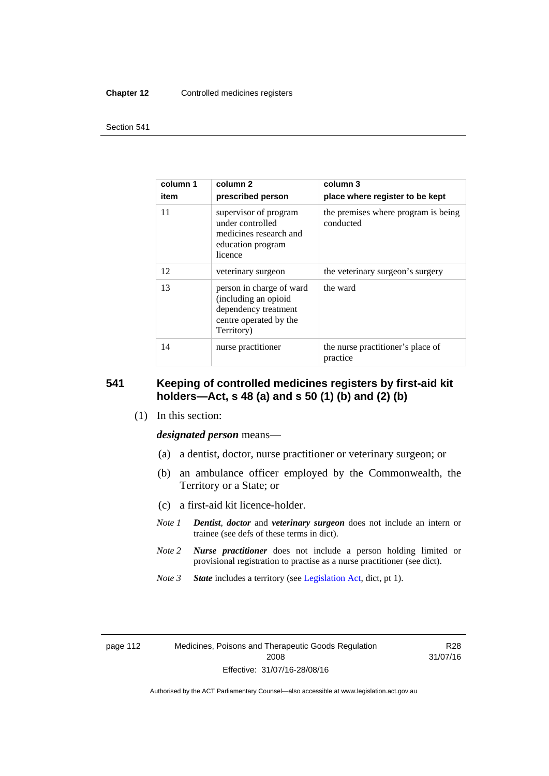#### **Chapter 12** Controlled medicines registers

#### Section 541

| column 1<br>item | column <sub>2</sub><br>prescribed person                                                                         | column 3<br>place where register to be kept      |
|------------------|------------------------------------------------------------------------------------------------------------------|--------------------------------------------------|
| 11               | supervisor of program<br>under controlled<br>medicines research and<br>education program<br>licence              | the premises where program is being<br>conducted |
| 12               | veterinary surgeon                                                                                               | the veterinary surgeon's surgery                 |
| 13               | person in charge of ward<br>(including an opioid<br>dependency treatment<br>centre operated by the<br>Territory) | the ward                                         |
| 14               | nurse practitioner                                                                                               | the nurse practitioner's place of<br>practice    |

### **541 Keeping of controlled medicines registers by first-aid kit holders—Act, s 48 (a) and s 50 (1) (b) and (2) (b)**

(1) In this section:

*designated person* means—

- (a) a dentist, doctor, nurse practitioner or veterinary surgeon; or
- (b) an ambulance officer employed by the Commonwealth, the Territory or a State; or
- (c) a first-aid kit licence-holder.
- *Note 1 Dentist*, *doctor* and *veterinary surgeon* does not include an intern or trainee (see defs of these terms in dict).
- *Note 2 Nurse practitioner* does not include a person holding limited or provisional registration to practise as a nurse practitioner (see dict).
- *Note 3 State* includes a territory (see [Legislation Act,](http://www.legislation.act.gov.au/a/2001-14) dict, pt 1).

|  | page T <sub>1</sub> |  |  |
|--|---------------------|--|--|
|  |                     |  |  |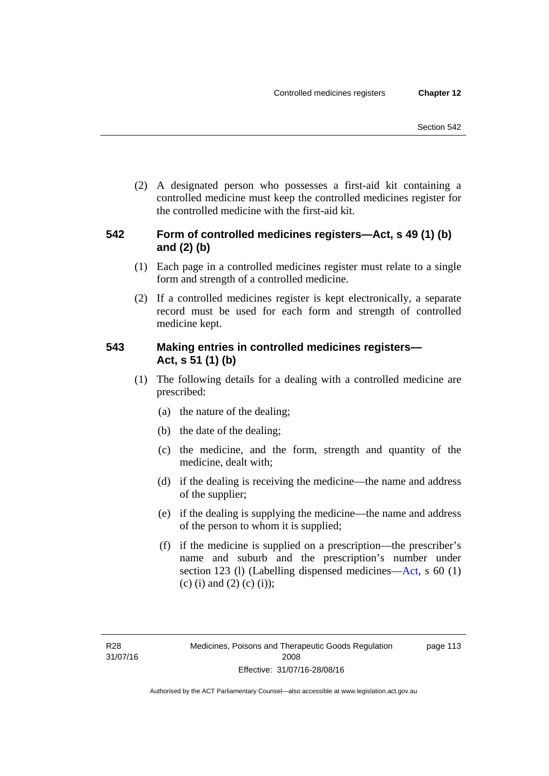(2) A designated person who possesses a first-aid kit containing a controlled medicine must keep the controlled medicines register for the controlled medicine with the first-aid kit.

### **542 Form of controlled medicines registers—Act, s 49 (1) (b) and (2) (b)**

- (1) Each page in a controlled medicines register must relate to a single form and strength of a controlled medicine.
- (2) If a controlled medicines register is kept electronically, a separate record must be used for each form and strength of controlled medicine kept.

### **543 Making entries in controlled medicines registers— Act, s 51 (1) (b)**

- (1) The following details for a dealing with a controlled medicine are prescribed:
	- (a) the nature of the dealing;
	- (b) the date of the dealing;
	- (c) the medicine, and the form, strength and quantity of the medicine, dealt with;
	- (d) if the dealing is receiving the medicine—the name and address of the supplier;
	- (e) if the dealing is supplying the medicine—the name and address of the person to whom it is supplied;
	- (f) if the medicine is supplied on a prescription—the prescriber's name and suburb and the prescription's number under section 123 (l) (Labelling dispensed medicines[—Act,](http://www.legislation.act.gov.au/a/2008-26/default.asp) s 60 (1) (c) (i) and (2) (c) (i));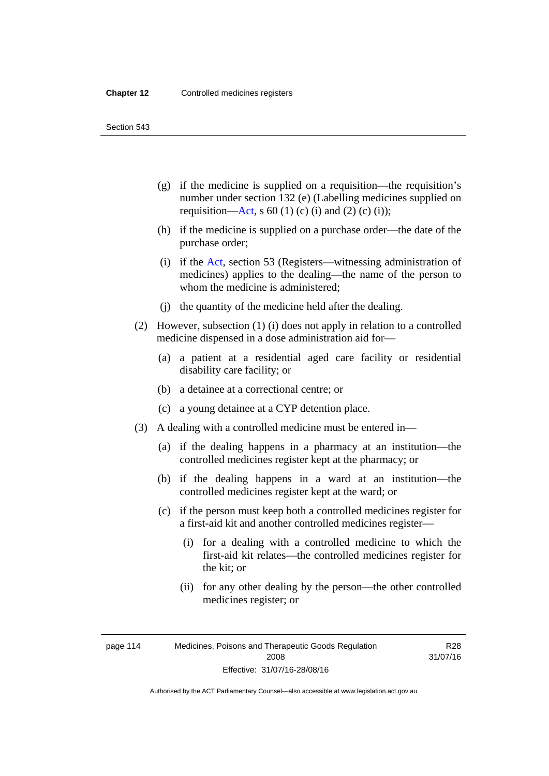Section 543

- (g) if the medicine is supplied on a requisition—the requisition's number under section 132 (e) (Labelling medicines supplied on requisition[—Act,](http://www.legislation.act.gov.au/a/2008-26/default.asp) s 60 (1) (c) (i) and (2) (c) (i));
- (h) if the medicine is supplied on a purchase order—the date of the purchase order;
- (i) if the [Act,](http://www.legislation.act.gov.au/a/2008-26/default.asp) section 53 (Registers—witnessing administration of medicines) applies to the dealing—the name of the person to whom the medicine is administered;
- (j) the quantity of the medicine held after the dealing.
- (2) However, subsection (1) (i) does not apply in relation to a controlled medicine dispensed in a dose administration aid for—
	- (a) a patient at a residential aged care facility or residential disability care facility; or
	- (b) a detainee at a correctional centre; or
	- (c) a young detainee at a CYP detention place.
- (3) A dealing with a controlled medicine must be entered in—
	- (a) if the dealing happens in a pharmacy at an institution—the controlled medicines register kept at the pharmacy; or
	- (b) if the dealing happens in a ward at an institution—the controlled medicines register kept at the ward; or
	- (c) if the person must keep both a controlled medicines register for a first-aid kit and another controlled medicines register—
		- (i) for a dealing with a controlled medicine to which the first-aid kit relates—the controlled medicines register for the kit; or
		- (ii) for any other dealing by the person—the other controlled medicines register; or

R28 31/07/16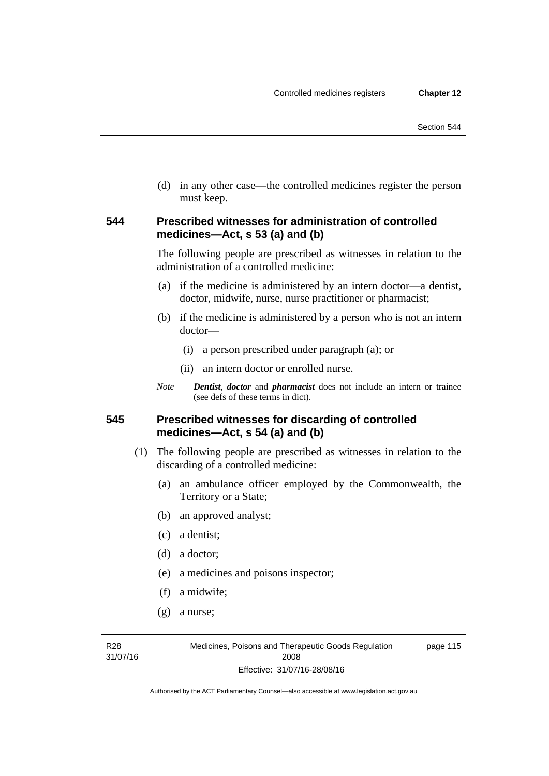(d) in any other case—the controlled medicines register the person must keep.

### **544 Prescribed witnesses for administration of controlled medicines—Act, s 53 (a) and (b)**

The following people are prescribed as witnesses in relation to the administration of a controlled medicine:

- (a) if the medicine is administered by an intern doctor—a dentist, doctor, midwife, nurse, nurse practitioner or pharmacist;
- (b) if the medicine is administered by a person who is not an intern doctor—
	- (i) a person prescribed under paragraph (a); or
	- (ii) an intern doctor or enrolled nurse.
- *Note Dentist*, *doctor* and *pharmacist* does not include an intern or trainee (see defs of these terms in dict).

### **545 Prescribed witnesses for discarding of controlled medicines—Act, s 54 (a) and (b)**

- (1) The following people are prescribed as witnesses in relation to the discarding of a controlled medicine:
	- (a) an ambulance officer employed by the Commonwealth, the Territory or a State;
	- (b) an approved analyst;
	- (c) a dentist;
	- (d) a doctor;
	- (e) a medicines and poisons inspector;
	- (f) a midwife;
	- (g) a nurse;

R28 31/07/16 page 115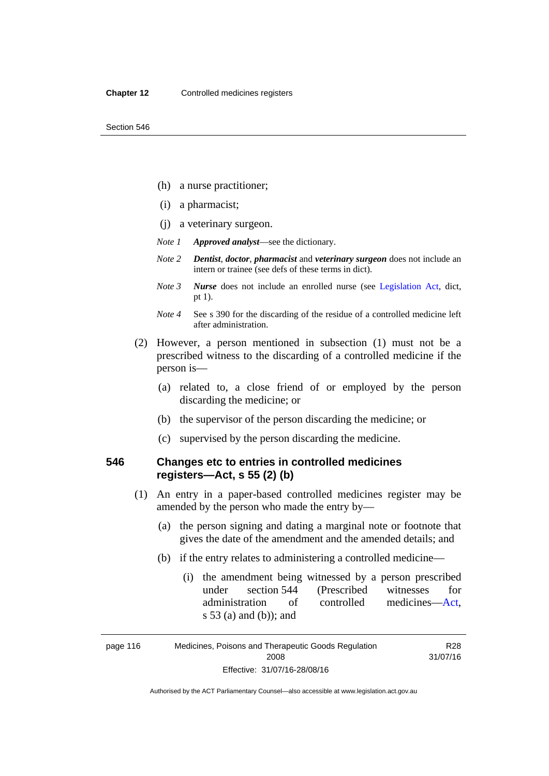- (h) a nurse practitioner;
- (i) a pharmacist;
- (j) a veterinary surgeon.
- *Note 1 Approved analyst*—see the dictionary.
- *Note 2 Dentist*, *doctor*, *pharmacist* and *veterinary surgeon* does not include an intern or trainee (see defs of these terms in dict).
- *Note 3 Nurse* does not include an enrolled nurse (see [Legislation Act,](http://www.legislation.act.gov.au/a/2001-14) dict, pt 1).
- *Note 4* See s 390 for the discarding of the residue of a controlled medicine left after administration.
- (2) However, a person mentioned in subsection (1) must not be a prescribed witness to the discarding of a controlled medicine if the person is—
	- (a) related to, a close friend of or employed by the person discarding the medicine; or
	- (b) the supervisor of the person discarding the medicine; or
	- (c) supervised by the person discarding the medicine.

### **546 Changes etc to entries in controlled medicines registers—Act, s 55 (2) (b)**

- (1) An entry in a paper-based controlled medicines register may be amended by the person who made the entry by—
	- (a) the person signing and dating a marginal note or footnote that gives the date of the amendment and the amended details; and
	- (b) if the entry relates to administering a controlled medicine—
		- (i) the amendment being witnessed by a person prescribed under section 544 (Prescribed witnesses for administration of controlled medicines[—Act](http://www.legislation.act.gov.au/a/2008-26/default.asp), s 53 (a) and (b)); and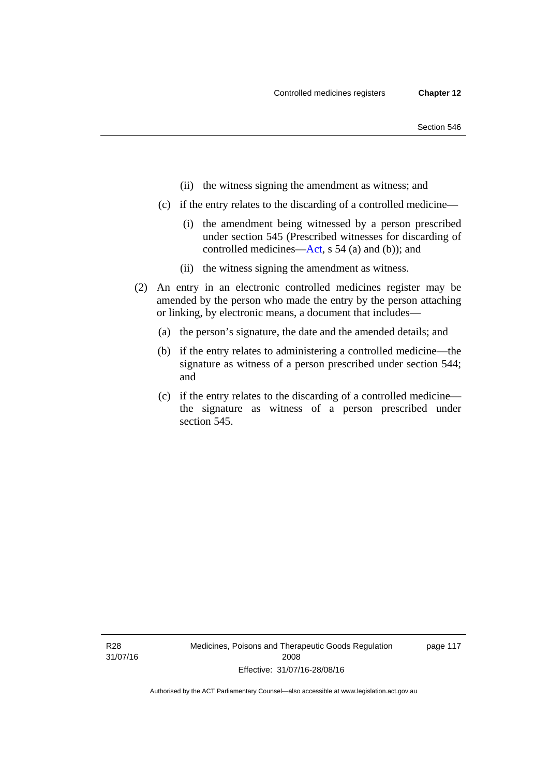- (ii) the witness signing the amendment as witness; and
- (c) if the entry relates to the discarding of a controlled medicine—
	- (i) the amendment being witnessed by a person prescribed under section 545 (Prescribed witnesses for discarding of controlled medicines[—Act,](http://www.legislation.act.gov.au/a/2008-26/default.asp) s 54 (a) and (b)); and
	- (ii) the witness signing the amendment as witness.
- (2) An entry in an electronic controlled medicines register may be amended by the person who made the entry by the person attaching or linking, by electronic means, a document that includes—
	- (a) the person's signature, the date and the amended details; and
	- (b) if the entry relates to administering a controlled medicine—the signature as witness of a person prescribed under section 544; and
	- (c) if the entry relates to the discarding of a controlled medicine the signature as witness of a person prescribed under section 545.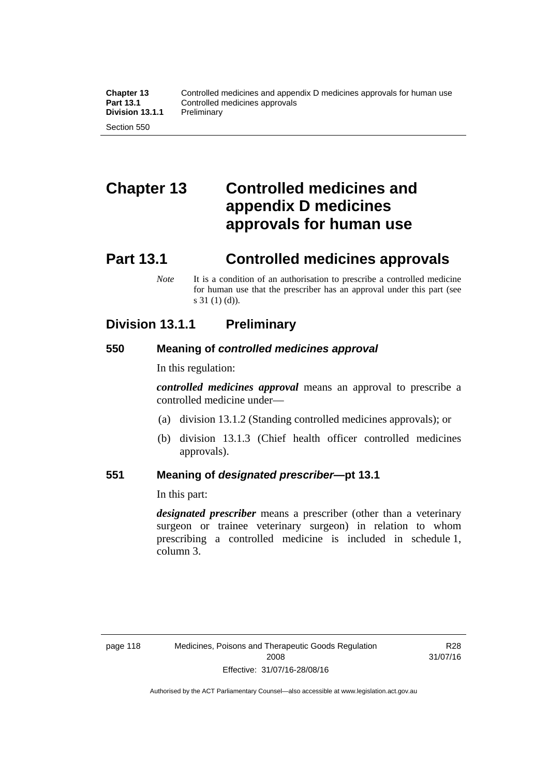# **Chapter 13 Controlled medicines and appendix D medicines approvals for human use**

## **Part 13.1 Controlled medicines approvals**

*Note* It is a condition of an authorisation to prescribe a controlled medicine for human use that the prescriber has an approval under this part (see s 31 (1) (d)).

### **Division 13.1.1 Preliminary**

### **550 Meaning of** *controlled medicines approval*

In this regulation:

*controlled medicines approval* means an approval to prescribe a controlled medicine under—

- (a) division 13.1.2 (Standing controlled medicines approvals); or
- (b) division 13.1.3 (Chief health officer controlled medicines approvals).

### **551 Meaning of** *designated prescriber***—pt 13.1**

In this part:

*designated prescriber* means a prescriber (other than a veterinary surgeon or trainee veterinary surgeon) in relation to whom prescribing a controlled medicine is included in schedule 1, column 3.

R28 31/07/16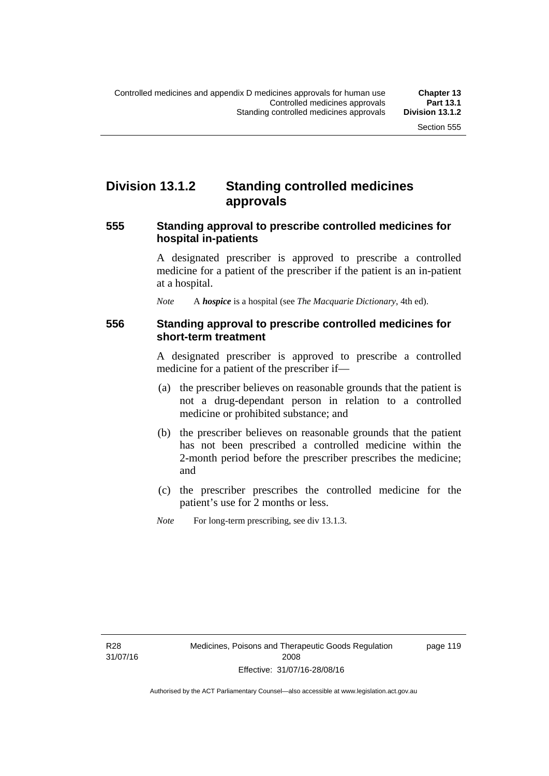### **Division 13.1.2 Standing controlled medicines approvals**

### **555 Standing approval to prescribe controlled medicines for hospital in-patients**

A designated prescriber is approved to prescribe a controlled medicine for a patient of the prescriber if the patient is an in-patient at a hospital.

*Note* A *hospice* is a hospital (see *The Macquarie Dictionary*, 4th ed).

### **556 Standing approval to prescribe controlled medicines for short-term treatment**

A designated prescriber is approved to prescribe a controlled medicine for a patient of the prescriber if—

- (a) the prescriber believes on reasonable grounds that the patient is not a drug-dependant person in relation to a controlled medicine or prohibited substance; and
- (b) the prescriber believes on reasonable grounds that the patient has not been prescribed a controlled medicine within the 2-month period before the prescriber prescribes the medicine; and
- (c) the prescriber prescribes the controlled medicine for the patient's use for 2 months or less.
- *Note* For long-term prescribing, see div 13.1.3.

R28 31/07/16 page 119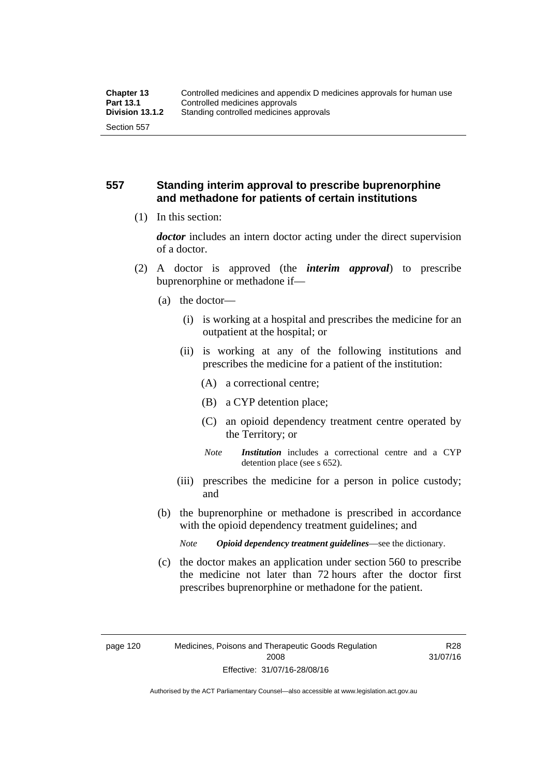### **557 Standing interim approval to prescribe buprenorphine and methadone for patients of certain institutions**

(1) In this section:

*doctor* includes an intern doctor acting under the direct supervision of a doctor.

- (2) A doctor is approved (the *interim approval*) to prescribe buprenorphine or methadone if—
	- (a) the doctor—
		- (i) is working at a hospital and prescribes the medicine for an outpatient at the hospital; or
		- (ii) is working at any of the following institutions and prescribes the medicine for a patient of the institution:
			- (A) a correctional centre;
			- (B) a CYP detention place;
			- (C) an opioid dependency treatment centre operated by the Territory; or
			- *Note Institution* includes a correctional centre and a CYP detention place (see s 652).
		- (iii) prescribes the medicine for a person in police custody; and
	- (b) the buprenorphine or methadone is prescribed in accordance with the opioid dependency treatment guidelines; and
		- *Note Opioid dependency treatment guidelines*—see the dictionary.
	- (c) the doctor makes an application under section 560 to prescribe the medicine not later than 72 hours after the doctor first prescribes buprenorphine or methadone for the patient.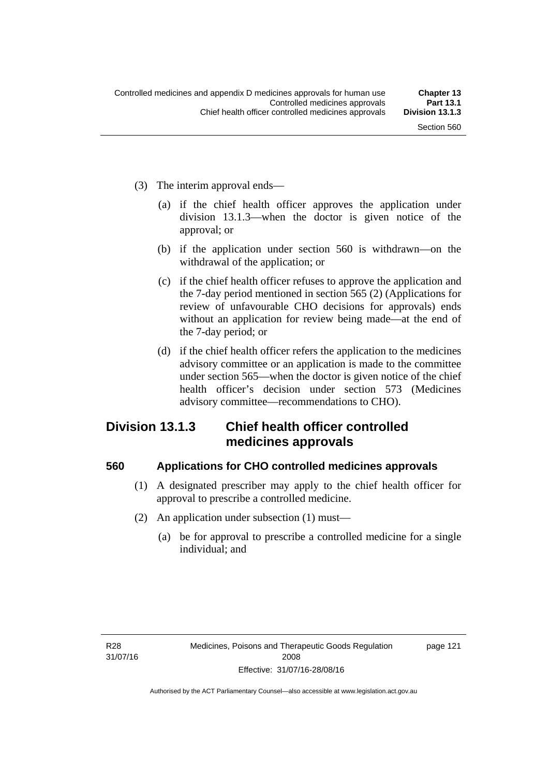- (3) The interim approval ends—
	- (a) if the chief health officer approves the application under division 13.1.3—when the doctor is given notice of the approval; or
	- (b) if the application under section 560 is withdrawn—on the withdrawal of the application; or
	- (c) if the chief health officer refuses to approve the application and the 7-day period mentioned in section 565 (2) (Applications for review of unfavourable CHO decisions for approvals) ends without an application for review being made—at the end of the 7-day period; or
	- (d) if the chief health officer refers the application to the medicines advisory committee or an application is made to the committee under section 565—when the doctor is given notice of the chief health officer's decision under section 573 (Medicines advisory committee—recommendations to CHO).

# **Division 13.1.3 Chief health officer controlled medicines approvals**

### **560 Applications for CHO controlled medicines approvals**

- (1) A designated prescriber may apply to the chief health officer for approval to prescribe a controlled medicine.
- (2) An application under subsection (1) must—
	- (a) be for approval to prescribe a controlled medicine for a single individual; and

page 121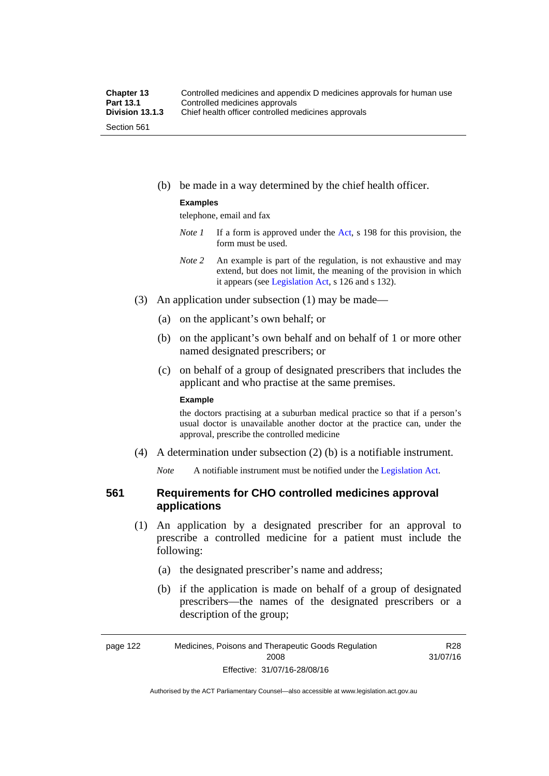(b) be made in a way determined by the chief health officer.

#### **Examples**

telephone, email and fax

- *Note 1* If a form is approved under the [Act](http://www.legislation.act.gov.au/a/2008-26/default.asp), s 198 for this provision, the form must be used.
- *Note 2* An example is part of the regulation, is not exhaustive and may extend, but does not limit, the meaning of the provision in which it appears (see [Legislation Act,](http://www.legislation.act.gov.au/a/2001-14) s 126 and s 132).
- (3) An application under subsection (1) may be made—
	- (a) on the applicant's own behalf; or
	- (b) on the applicant's own behalf and on behalf of 1 or more other named designated prescribers; or
	- (c) on behalf of a group of designated prescribers that includes the applicant and who practise at the same premises.

#### **Example**

the doctors practising at a suburban medical practice so that if a person's usual doctor is unavailable another doctor at the practice can, under the approval, prescribe the controlled medicine

(4) A determination under subsection (2) (b) is a notifiable instrument.

*Note* A notifiable instrument must be notified under the [Legislation Act](http://www.legislation.act.gov.au/a/2001-14).

# **561 Requirements for CHO controlled medicines approval applications**

- (1) An application by a designated prescriber for an approval to prescribe a controlled medicine for a patient must include the following:
	- (a) the designated prescriber's name and address;
	- (b) if the application is made on behalf of a group of designated prescribers—the names of the designated prescribers or a description of the group;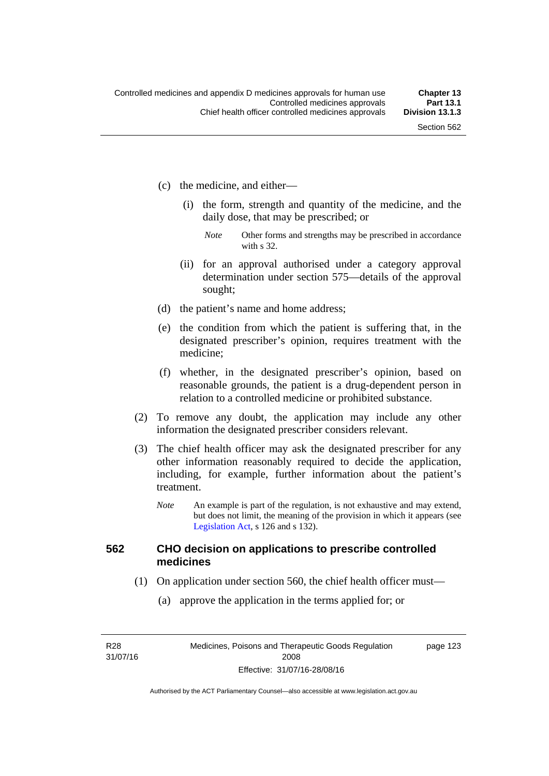- (c) the medicine, and either—
	- (i) the form, strength and quantity of the medicine, and the daily dose, that may be prescribed; or
		- *Note* Other forms and strengths may be prescribed in accordance with s 32.
	- (ii) for an approval authorised under a category approval determination under section 575—details of the approval sought;
- (d) the patient's name and home address;
- (e) the condition from which the patient is suffering that, in the designated prescriber's opinion, requires treatment with the medicine;
- (f) whether, in the designated prescriber's opinion, based on reasonable grounds, the patient is a drug-dependent person in relation to a controlled medicine or prohibited substance.
- (2) To remove any doubt, the application may include any other information the designated prescriber considers relevant.
- (3) The chief health officer may ask the designated prescriber for any other information reasonably required to decide the application, including, for example, further information about the patient's treatment.
	- *Note* An example is part of the regulation, is not exhaustive and may extend, but does not limit, the meaning of the provision in which it appears (see [Legislation Act,](http://www.legislation.act.gov.au/a/2001-14) s 126 and s 132).

#### **562 CHO decision on applications to prescribe controlled medicines**

- (1) On application under section 560, the chief health officer must—
	- (a) approve the application in the terms applied for; or

R28 31/07/16 page 123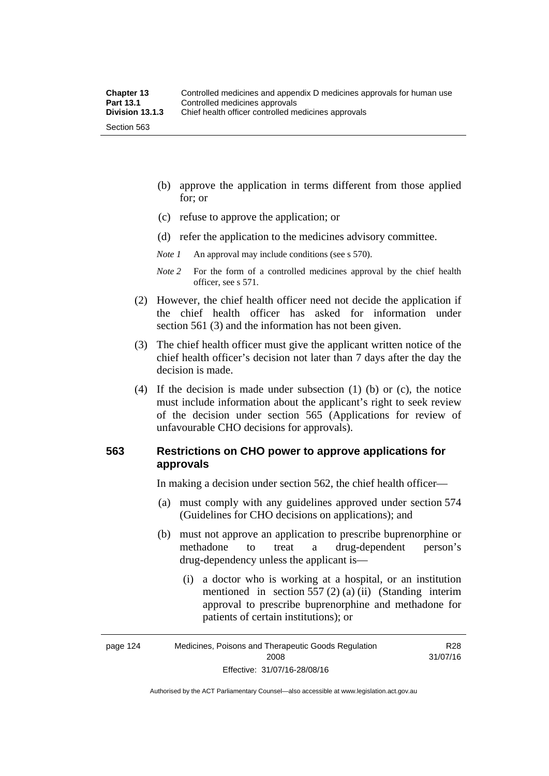- (b) approve the application in terms different from those applied for; or
- (c) refuse to approve the application; or
- (d) refer the application to the medicines advisory committee.

*Note 1* An approval may include conditions (see s 570).

*Note 2* For the form of a controlled medicines approval by the chief health officer, see s 571.

- (2) However, the chief health officer need not decide the application if the chief health officer has asked for information under section 561 (3) and the information has not been given.
- (3) The chief health officer must give the applicant written notice of the chief health officer's decision not later than 7 days after the day the decision is made.
- (4) If the decision is made under subsection (1) (b) or (c), the notice must include information about the applicant's right to seek review of the decision under section 565 (Applications for review of unfavourable CHO decisions for approvals).

### **563 Restrictions on CHO power to approve applications for approvals**

In making a decision under section 562, the chief health officer—

- (a) must comply with any guidelines approved under section 574 (Guidelines for CHO decisions on applications); and
- (b) must not approve an application to prescribe buprenorphine or methadone to treat a drug-dependent person's drug-dependency unless the applicant is—
	- (i) a doctor who is working at a hospital, or an institution mentioned in section 557 (2) (a) (ii) (Standing interim approval to prescribe buprenorphine and methadone for patients of certain institutions); or

Authorised by the ACT Parliamentary Counsel—also accessible at www.legislation.act.gov.au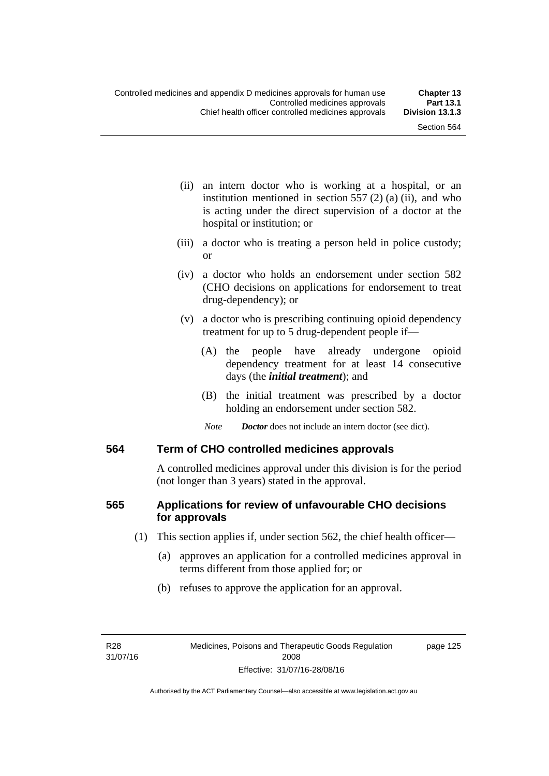- (ii) an intern doctor who is working at a hospital, or an institution mentioned in section  $557(2)(a)$  (ii), and who is acting under the direct supervision of a doctor at the hospital or institution; or
- (iii) a doctor who is treating a person held in police custody; or
- (iv) a doctor who holds an endorsement under section 582 (CHO decisions on applications for endorsement to treat drug-dependency); or
- (v) a doctor who is prescribing continuing opioid dependency treatment for up to 5 drug-dependent people if—
	- (A) the people have already undergone opioid dependency treatment for at least 14 consecutive days (the *initial treatment*); and
	- (B) the initial treatment was prescribed by a doctor holding an endorsement under section 582.
	- *Note Doctor* does not include an intern doctor (see dict).

#### **564 Term of CHO controlled medicines approvals**

A controlled medicines approval under this division is for the period (not longer than 3 years) stated in the approval.

# **565 Applications for review of unfavourable CHO decisions for approvals**

- (1) This section applies if, under section 562, the chief health officer—
	- (a) approves an application for a controlled medicines approval in terms different from those applied for; or
	- (b) refuses to approve the application for an approval.

page 125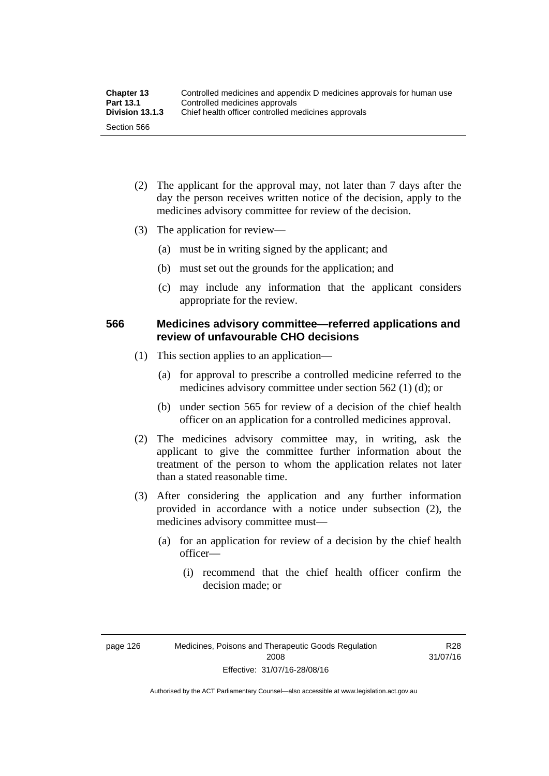| <b>Chapter 13</b> | Controlled medicines and appendix D medicines approvals for human use |  |
|-------------------|-----------------------------------------------------------------------|--|
| <b>Part 13.1</b>  | Controlled medicines approvals                                        |  |
| Division 13.1.3   | Chief health officer controlled medicines approvals                   |  |
| Section 566       |                                                                       |  |

- (2) The applicant for the approval may, not later than 7 days after the day the person receives written notice of the decision, apply to the medicines advisory committee for review of the decision.
- (3) The application for review—
	- (a) must be in writing signed by the applicant; and
	- (b) must set out the grounds for the application; and
	- (c) may include any information that the applicant considers appropriate for the review.

### **566 Medicines advisory committee—referred applications and review of unfavourable CHO decisions**

- (1) This section applies to an application—
	- (a) for approval to prescribe a controlled medicine referred to the medicines advisory committee under section 562 (1) (d); or
	- (b) under section 565 for review of a decision of the chief health officer on an application for a controlled medicines approval.
- (2) The medicines advisory committee may, in writing, ask the applicant to give the committee further information about the treatment of the person to whom the application relates not later than a stated reasonable time.
- (3) After considering the application and any further information provided in accordance with a notice under subsection (2), the medicines advisory committee must—
	- (a) for an application for review of a decision by the chief health officer—
		- (i) recommend that the chief health officer confirm the decision made; or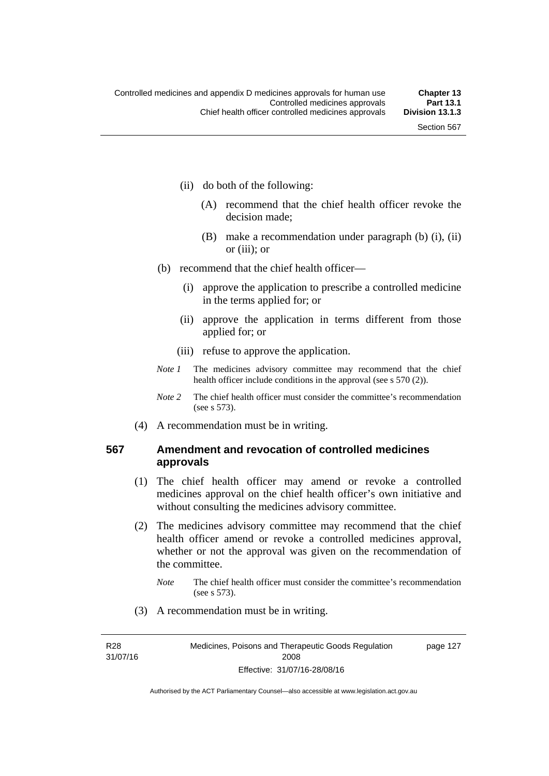- (ii) do both of the following:
	- (A) recommend that the chief health officer revoke the decision made;
	- (B) make a recommendation under paragraph (b) (i), (ii) or (iii); or
- (b) recommend that the chief health officer—
	- (i) approve the application to prescribe a controlled medicine in the terms applied for; or
	- (ii) approve the application in terms different from those applied for; or
	- (iii) refuse to approve the application.
- *Note 1* The medicines advisory committee may recommend that the chief health officer include conditions in the approval (see s 570 (2)).
- *Note 2* The chief health officer must consider the committee's recommendation (see s 573).
- (4) A recommendation must be in writing.

#### **567 Amendment and revocation of controlled medicines approvals**

- (1) The chief health officer may amend or revoke a controlled medicines approval on the chief health officer's own initiative and without consulting the medicines advisory committee.
- (2) The medicines advisory committee may recommend that the chief health officer amend or revoke a controlled medicines approval, whether or not the approval was given on the recommendation of the committee.
	- *Note* The chief health officer must consider the committee's recommendation (see s 573).
- (3) A recommendation must be in writing.

R28 31/07/16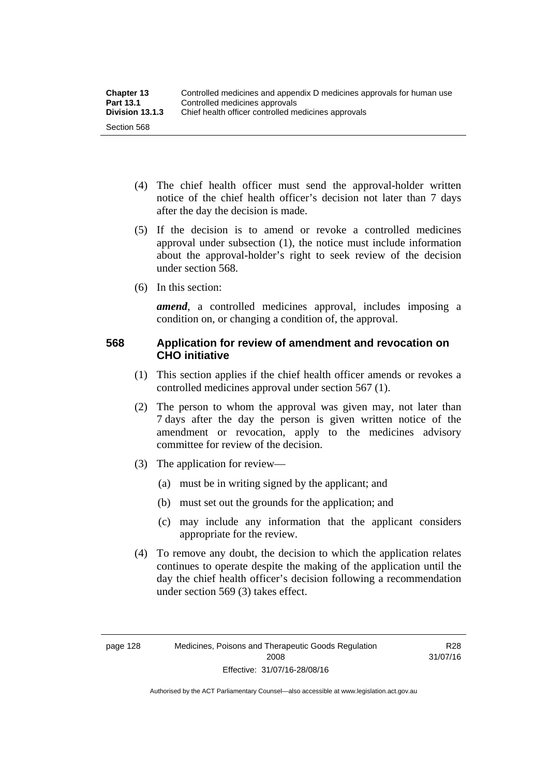- (4) The chief health officer must send the approval-holder written notice of the chief health officer's decision not later than 7 days after the day the decision is made.
- (5) If the decision is to amend or revoke a controlled medicines approval under subsection (1), the notice must include information about the approval-holder's right to seek review of the decision under section 568.
- (6) In this section:

*amend*, a controlled medicines approval, includes imposing a condition on, or changing a condition of, the approval.

# **568 Application for review of amendment and revocation on CHO initiative**

- (1) This section applies if the chief health officer amends or revokes a controlled medicines approval under section 567 (1).
- (2) The person to whom the approval was given may, not later than 7 days after the day the person is given written notice of the amendment or revocation, apply to the medicines advisory committee for review of the decision.
- (3) The application for review—
	- (a) must be in writing signed by the applicant; and
	- (b) must set out the grounds for the application; and
	- (c) may include any information that the applicant considers appropriate for the review.
- (4) To remove any doubt, the decision to which the application relates continues to operate despite the making of the application until the day the chief health officer's decision following a recommendation under section 569 (3) takes effect.

R28 31/07/16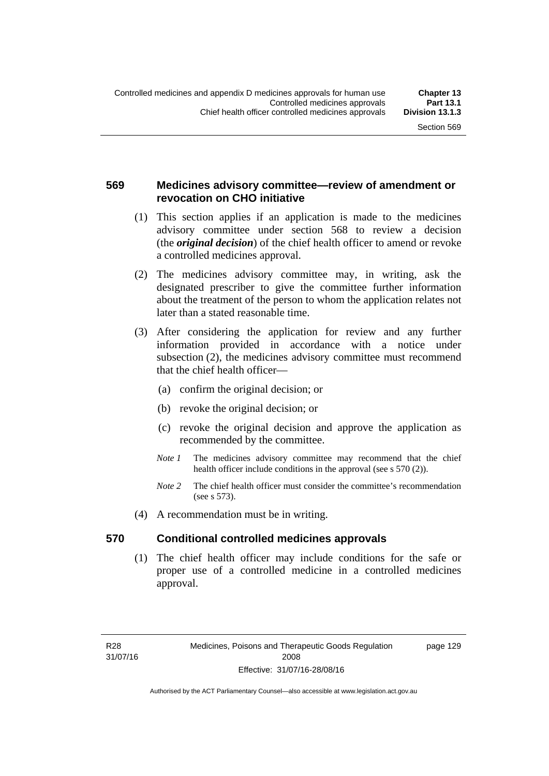# **569 Medicines advisory committee—review of amendment or revocation on CHO initiative**

- (1) This section applies if an application is made to the medicines advisory committee under section 568 to review a decision (the *original decision*) of the chief health officer to amend or revoke a controlled medicines approval.
- (2) The medicines advisory committee may, in writing, ask the designated prescriber to give the committee further information about the treatment of the person to whom the application relates not later than a stated reasonable time.
- (3) After considering the application for review and any further information provided in accordance with a notice under subsection (2), the medicines advisory committee must recommend that the chief health officer—
	- (a) confirm the original decision; or
	- (b) revoke the original decision; or
	- (c) revoke the original decision and approve the application as recommended by the committee.
	- *Note 1* The medicines advisory committee may recommend that the chief health officer include conditions in the approval (see s 570 (2)).
	- *Note 2* The chief health officer must consider the committee's recommendation (see s 573).
- (4) A recommendation must be in writing.

### **570 Conditional controlled medicines approvals**

(1) The chief health officer may include conditions for the safe or proper use of a controlled medicine in a controlled medicines approval.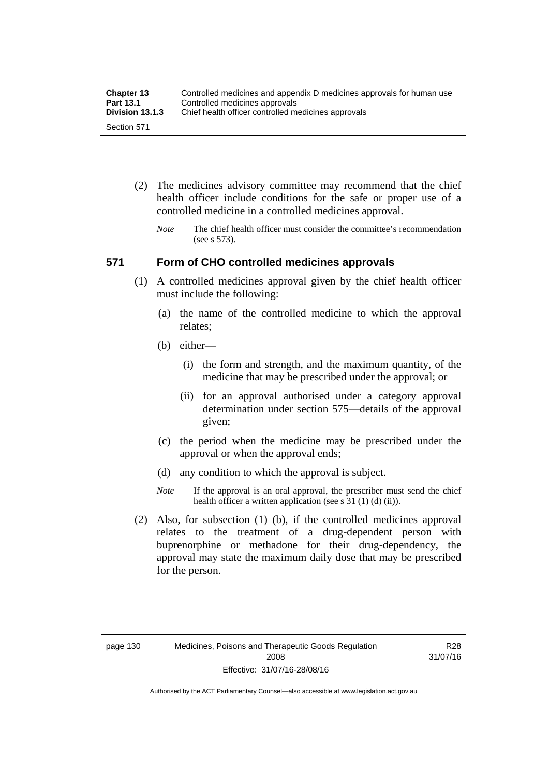| <b>Chapter 13</b> | Controlled medicines and appendix D medicines approvals for human use |  |
|-------------------|-----------------------------------------------------------------------|--|
| Part 13.1         | Controlled medicines approvals                                        |  |
| Division 13.1.3   | Chief health officer controlled medicines approvals                   |  |
| Section 571       |                                                                       |  |

- (2) The medicines advisory committee may recommend that the chief health officer include conditions for the safe or proper use of a controlled medicine in a controlled medicines approval.
	- *Note* The chief health officer must consider the committee's recommendation (see s 573).

#### **571 Form of CHO controlled medicines approvals**

- (1) A controlled medicines approval given by the chief health officer must include the following:
	- (a) the name of the controlled medicine to which the approval relates;
	- (b) either—
		- (i) the form and strength, and the maximum quantity, of the medicine that may be prescribed under the approval; or
		- (ii) for an approval authorised under a category approval determination under section 575—details of the approval given;
	- (c) the period when the medicine may be prescribed under the approval or when the approval ends;
	- (d) any condition to which the approval is subject.
	- *Note* If the approval is an oral approval, the prescriber must send the chief health officer a written application (see s 31 (1) (d) (ii)).
- (2) Also, for subsection (1) (b), if the controlled medicines approval relates to the treatment of a drug-dependent person with buprenorphine or methadone for their drug-dependency, the approval may state the maximum daily dose that may be prescribed for the person.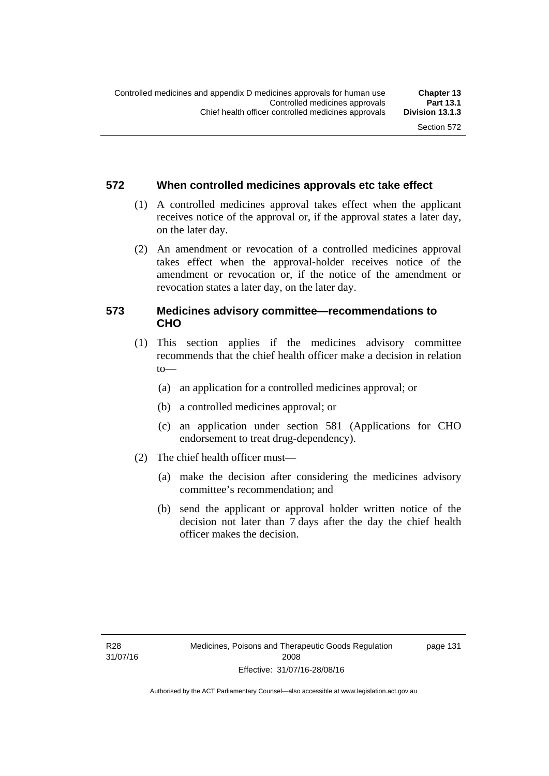### **572 When controlled medicines approvals etc take effect**

- (1) A controlled medicines approval takes effect when the applicant receives notice of the approval or, if the approval states a later day, on the later day.
- (2) An amendment or revocation of a controlled medicines approval takes effect when the approval-holder receives notice of the amendment or revocation or, if the notice of the amendment or revocation states a later day, on the later day.

# **573 Medicines advisory committee—recommendations to CHO**

- (1) This section applies if the medicines advisory committee recommends that the chief health officer make a decision in relation  $to$ 
	- (a) an application for a controlled medicines approval; or
	- (b) a controlled medicines approval; or
	- (c) an application under section 581 (Applications for CHO endorsement to treat drug-dependency).
- (2) The chief health officer must—
	- (a) make the decision after considering the medicines advisory committee's recommendation; and
	- (b) send the applicant or approval holder written notice of the decision not later than 7 days after the day the chief health officer makes the decision.

page 131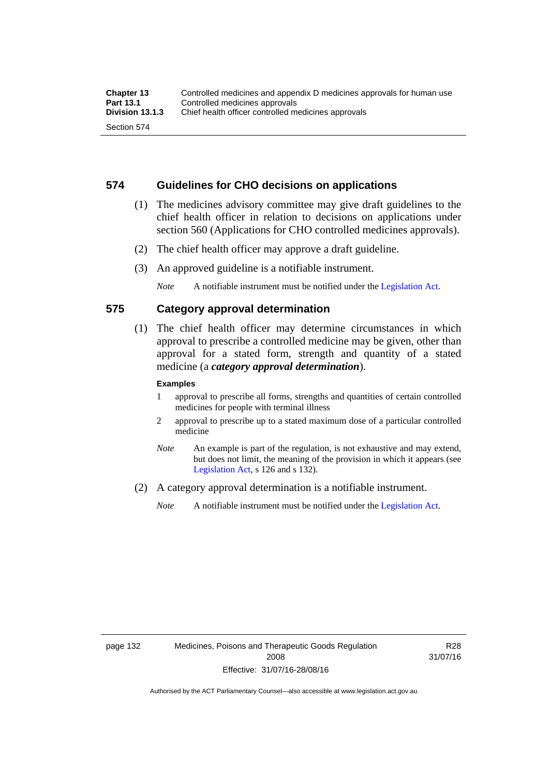#### **574 Guidelines for CHO decisions on applications**

- (1) The medicines advisory committee may give draft guidelines to the chief health officer in relation to decisions on applications under section 560 (Applications for CHO controlled medicines approvals).
- (2) The chief health officer may approve a draft guideline.
- (3) An approved guideline is a notifiable instrument.

*Note* A notifiable instrument must be notified under the [Legislation Act](http://www.legislation.act.gov.au/a/2001-14).

#### **575 Category approval determination**

 (1) The chief health officer may determine circumstances in which approval to prescribe a controlled medicine may be given, other than approval for a stated form, strength and quantity of a stated medicine (a *category approval determination*).

#### **Examples**

- 1 approval to prescribe all forms, strengths and quantities of certain controlled medicines for people with terminal illness
- 2 approval to prescribe up to a stated maximum dose of a particular controlled medicine
- *Note* An example is part of the regulation, is not exhaustive and may extend, but does not limit, the meaning of the provision in which it appears (see [Legislation Act,](http://www.legislation.act.gov.au/a/2001-14) s 126 and s 132).
- (2) A category approval determination is a notifiable instrument.

*Note* A notifiable instrument must be notified under the [Legislation Act](http://www.legislation.act.gov.au/a/2001-14).

R28 31/07/16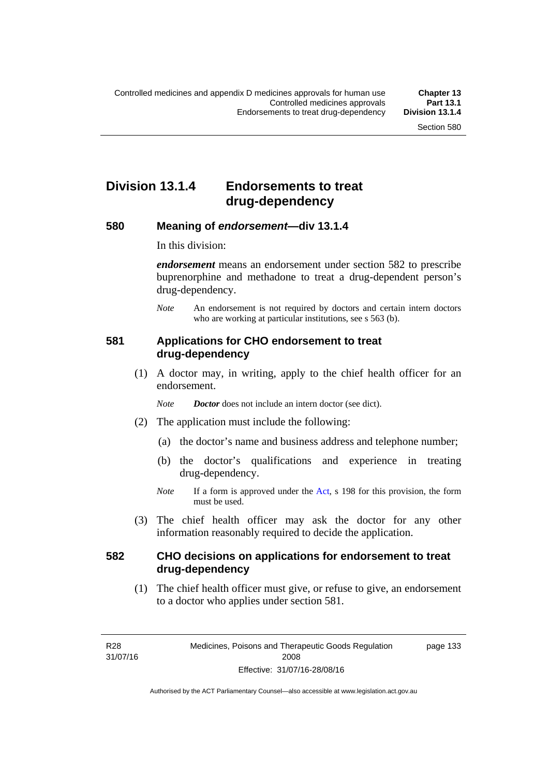# **Division 13.1.4 Endorsements to treat drug-dependency**

#### **580 Meaning of** *endorsement***—div 13.1.4**

In this division:

*endorsement* means an endorsement under section 582 to prescribe buprenorphine and methadone to treat a drug-dependent person's drug-dependency.

*Note* An endorsement is not required by doctors and certain intern doctors who are working at particular institutions, see s 563 (b).

### **581 Applications for CHO endorsement to treat drug-dependency**

 (1) A doctor may, in writing, apply to the chief health officer for an endorsement.

*Note Doctor* does not include an intern doctor (see dict).

- (2) The application must include the following:
	- (a) the doctor's name and business address and telephone number;
	- (b) the doctor's qualifications and experience in treating drug-dependency.
	- *Note* If a form is approved under the [Act](http://www.legislation.act.gov.au/a/2008-26/default.asp), s 198 for this provision, the form must be used.
- (3) The chief health officer may ask the doctor for any other information reasonably required to decide the application.

# **582 CHO decisions on applications for endorsement to treat drug-dependency**

(1) The chief health officer must give, or refuse to give, an endorsement to a doctor who applies under section 581.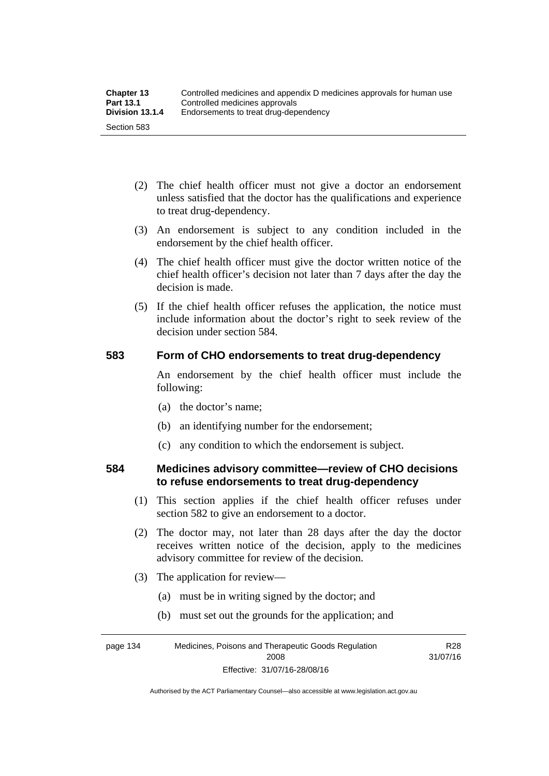- (2) The chief health officer must not give a doctor an endorsement unless satisfied that the doctor has the qualifications and experience to treat drug-dependency.
- (3) An endorsement is subject to any condition included in the endorsement by the chief health officer.
- (4) The chief health officer must give the doctor written notice of the chief health officer's decision not later than 7 days after the day the decision is made.
- (5) If the chief health officer refuses the application, the notice must include information about the doctor's right to seek review of the decision under section 584.

### **583 Form of CHO endorsements to treat drug-dependency**

An endorsement by the chief health officer must include the following:

- (a) the doctor's name;
- (b) an identifying number for the endorsement;
- (c) any condition to which the endorsement is subject.

### **584 Medicines advisory committee—review of CHO decisions to refuse endorsements to treat drug-dependency**

- (1) This section applies if the chief health officer refuses under section 582 to give an endorsement to a doctor.
- (2) The doctor may, not later than 28 days after the day the doctor receives written notice of the decision, apply to the medicines advisory committee for review of the decision.
- (3) The application for review—
	- (a) must be in writing signed by the doctor; and
	- (b) must set out the grounds for the application; and

page 134 Medicines, Poisons and Therapeutic Goods Regulation 2008 R28 31/07/16

Effective: 31/07/16-28/08/16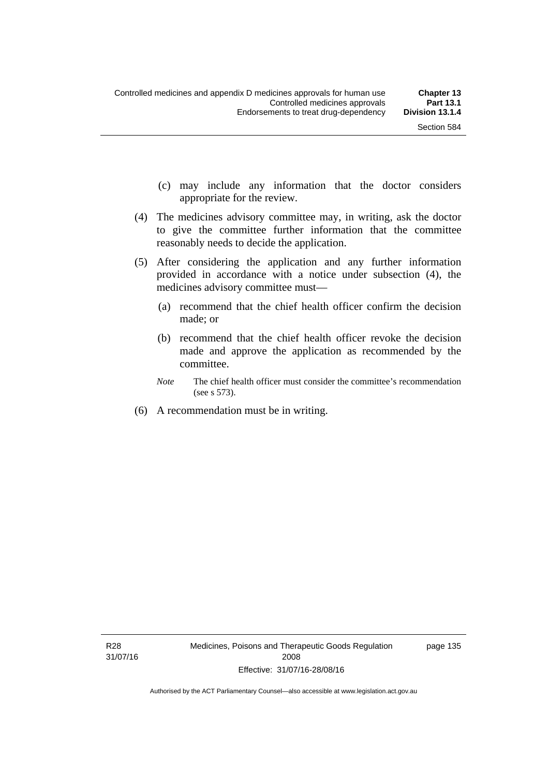- (c) may include any information that the doctor considers appropriate for the review.
- (4) The medicines advisory committee may, in writing, ask the doctor to give the committee further information that the committee reasonably needs to decide the application.
- (5) After considering the application and any further information provided in accordance with a notice under subsection (4), the medicines advisory committee must—
	- (a) recommend that the chief health officer confirm the decision made; or
	- (b) recommend that the chief health officer revoke the decision made and approve the application as recommended by the committee.
	- *Note* The chief health officer must consider the committee's recommendation (see s 573).
- (6) A recommendation must be in writing.

page 135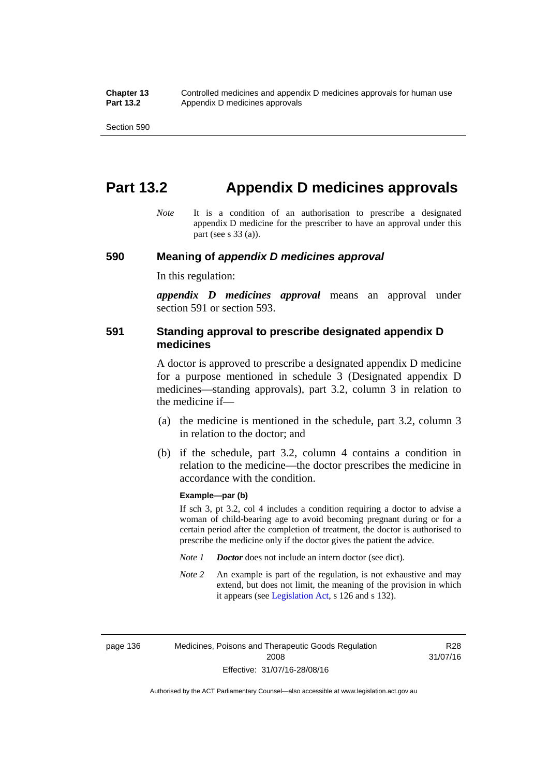# **Part 13.2 Appendix D medicines approvals**

*Note* It is a condition of an authorisation to prescribe a designated appendix D medicine for the prescriber to have an approval under this part (see s 33 (a)).

#### **590 Meaning of** *appendix D medicines approval*

In this regulation:

*appendix D medicines approval* means an approval under section 591 or section 593.

### **591 Standing approval to prescribe designated appendix D medicines**

A doctor is approved to prescribe a designated appendix D medicine for a purpose mentioned in schedule 3 (Designated appendix D medicines—standing approvals), part 3.2, column 3 in relation to the medicine if—

- (a) the medicine is mentioned in the schedule, part 3.2, column 3 in relation to the doctor; and
- (b) if the schedule, part 3.2, column 4 contains a condition in relation to the medicine—the doctor prescribes the medicine in accordance with the condition.

#### **Example—par (b)**

If sch 3, pt 3.2, col 4 includes a condition requiring a doctor to advise a woman of child-bearing age to avoid becoming pregnant during or for a certain period after the completion of treatment, the doctor is authorised to prescribe the medicine only if the doctor gives the patient the advice.

- *Note 1 Doctor* does not include an intern doctor (see dict).
- *Note 2* An example is part of the regulation, is not exhaustive and may extend, but does not limit, the meaning of the provision in which it appears (see [Legislation Act,](http://www.legislation.act.gov.au/a/2001-14) s 126 and s 132).

page 136 Medicines, Poisons and Therapeutic Goods Regulation 2008 Effective: 31/07/16-28/08/16

R28 31/07/16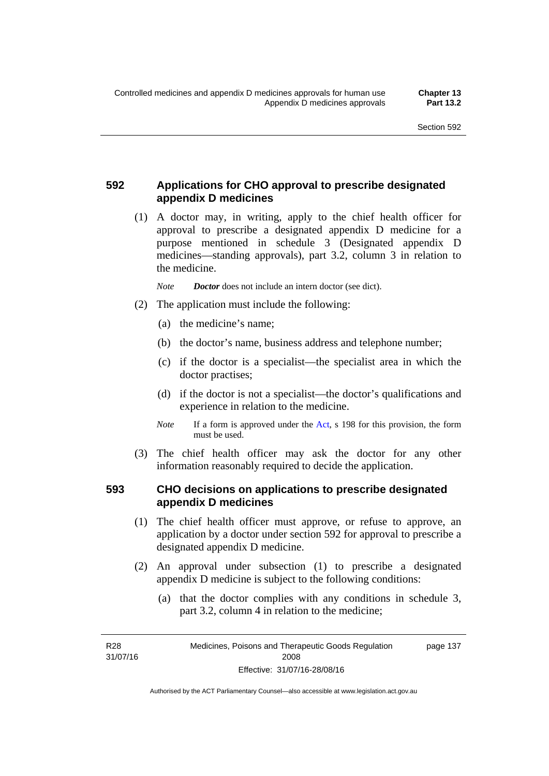# **592 Applications for CHO approval to prescribe designated appendix D medicines**

 (1) A doctor may, in writing, apply to the chief health officer for approval to prescribe a designated appendix D medicine for a purpose mentioned in schedule 3 (Designated appendix D medicines—standing approvals), part 3.2, column 3 in relation to the medicine.

*Note Doctor* does not include an intern doctor (see dict).

- (2) The application must include the following:
	- (a) the medicine's name;
	- (b) the doctor's name, business address and telephone number;
	- (c) if the doctor is a specialist—the specialist area in which the doctor practises;
	- (d) if the doctor is not a specialist—the doctor's qualifications and experience in relation to the medicine.
	- *Note* If a form is approved under the [Act](http://www.legislation.act.gov.au/a/2008-26/default.asp), s 198 for this provision, the form must be used.
- (3) The chief health officer may ask the doctor for any other information reasonably required to decide the application.

# **593 CHO decisions on applications to prescribe designated appendix D medicines**

- (1) The chief health officer must approve, or refuse to approve, an application by a doctor under section 592 for approval to prescribe a designated appendix D medicine.
- (2) An approval under subsection (1) to prescribe a designated appendix D medicine is subject to the following conditions:
	- (a) that the doctor complies with any conditions in schedule 3, part 3.2, column 4 in relation to the medicine;

R28 31/07/16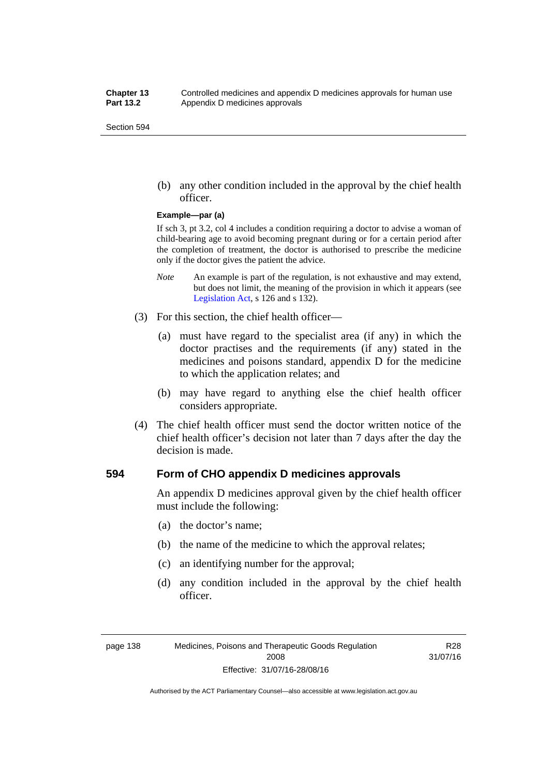(b) any other condition included in the approval by the chief health officer.

#### **Example—par (a)**

If sch 3, pt 3.2, col 4 includes a condition requiring a doctor to advise a woman of child-bearing age to avoid becoming pregnant during or for a certain period after the completion of treatment, the doctor is authorised to prescribe the medicine only if the doctor gives the patient the advice.

- *Note* An example is part of the regulation, is not exhaustive and may extend, but does not limit, the meaning of the provision in which it appears (see [Legislation Act,](http://www.legislation.act.gov.au/a/2001-14) s 126 and s 132).
- (3) For this section, the chief health officer—
	- (a) must have regard to the specialist area (if any) in which the doctor practises and the requirements (if any) stated in the medicines and poisons standard, appendix D for the medicine to which the application relates; and
	- (b) may have regard to anything else the chief health officer considers appropriate.
- (4) The chief health officer must send the doctor written notice of the chief health officer's decision not later than 7 days after the day the decision is made.

### **594 Form of CHO appendix D medicines approvals**

An appendix D medicines approval given by the chief health officer must include the following:

- (a) the doctor's name;
- (b) the name of the medicine to which the approval relates;
- (c) an identifying number for the approval;
- (d) any condition included in the approval by the chief health officer.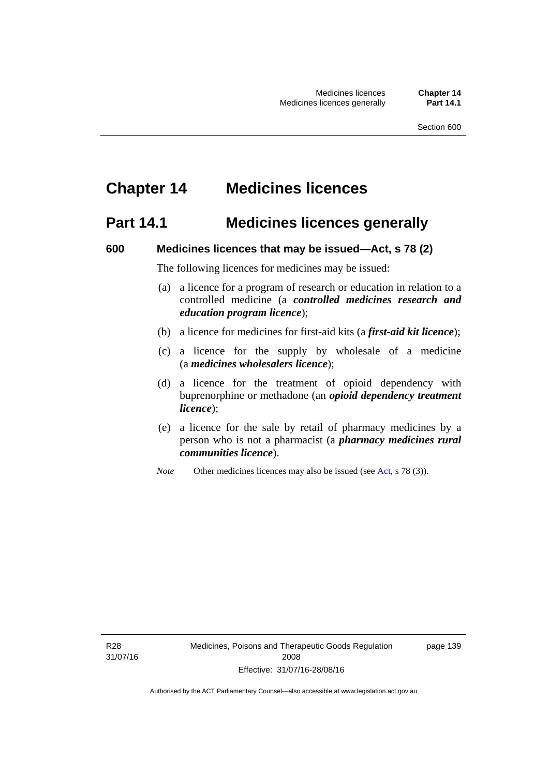# **Chapter 14 Medicines licences**

# **Part 14.1 Medicines licences generally**

#### **600 Medicines licences that may be issued—Act, s 78 (2)**

The following licences for medicines may be issued:

- (a) a licence for a program of research or education in relation to a controlled medicine (a *controlled medicines research and education program licence*);
- (b) a licence for medicines for first-aid kits (a *first-aid kit licence*);
- (c) a licence for the supply by wholesale of a medicine (a *medicines wholesalers licence*);
- (d) a licence for the treatment of opioid dependency with buprenorphine or methadone (an *opioid dependency treatment licence*);
- (e) a licence for the sale by retail of pharmacy medicines by a person who is not a pharmacist (a *pharmacy medicines rural communities licence*).
- *Note* Other medicines licences may also be issued (see [Act,](http://www.legislation.act.gov.au/a/2008-26/default.asp) s 78 (3)).

R28 31/07/16 page 139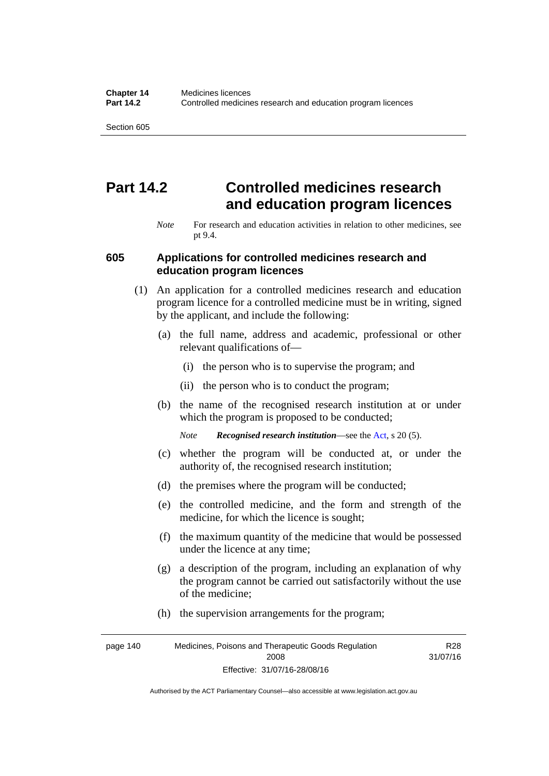# **Part 14.2 Controlled medicines research and education program licences**

*Note* For research and education activities in relation to other medicines, see pt 9.4.

#### **605 Applications for controlled medicines research and education program licences**

- (1) An application for a controlled medicines research and education program licence for a controlled medicine must be in writing, signed by the applicant, and include the following:
	- (a) the full name, address and academic, professional or other relevant qualifications of—
		- (i) the person who is to supervise the program; and
		- (ii) the person who is to conduct the program;
	- (b) the name of the recognised research institution at or under which the program is proposed to be conducted;
		- *Note Recognised research institution*—see the [Act](http://www.legislation.act.gov.au/a/2008-26/default.asp), s 20 (5).
	- (c) whether the program will be conducted at, or under the authority of, the recognised research institution;
	- (d) the premises where the program will be conducted;
	- (e) the controlled medicine, and the form and strength of the medicine, for which the licence is sought;
	- (f) the maximum quantity of the medicine that would be possessed under the licence at any time;
	- (g) a description of the program, including an explanation of why the program cannot be carried out satisfactorily without the use of the medicine;
	- (h) the supervision arrangements for the program;

page 140 Medicines, Poisons and Therapeutic Goods Regulation 2008 Effective: 31/07/16-28/08/16 R28 31/07/16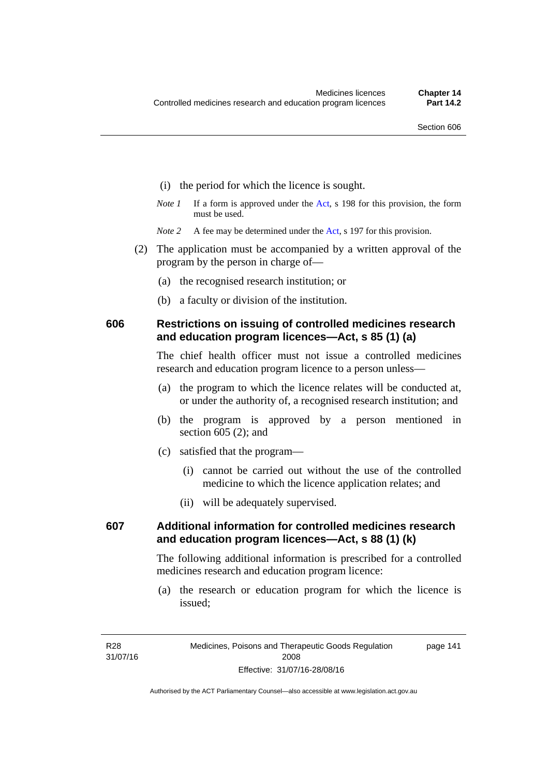- (i) the period for which the licence is sought.
- *Note 1* If a form is approved under the [Act](http://www.legislation.act.gov.au/a/2008-26/default.asp), s 198 for this provision, the form must be used.

*Note* 2 A fee may be determined under the [Act,](http://www.legislation.act.gov.au/a/2008-26/default.asp) s 197 for this provision.

- (2) The application must be accompanied by a written approval of the program by the person in charge of—
	- (a) the recognised research institution; or
	- (b) a faculty or division of the institution.

### **606 Restrictions on issuing of controlled medicines research and education program licences—Act, s 85 (1) (a)**

The chief health officer must not issue a controlled medicines research and education program licence to a person unless—

- (a) the program to which the licence relates will be conducted at, or under the authority of, a recognised research institution; and
- (b) the program is approved by a person mentioned in section 605 (2); and
- (c) satisfied that the program—
	- (i) cannot be carried out without the use of the controlled medicine to which the licence application relates; and
	- (ii) will be adequately supervised.

# **607 Additional information for controlled medicines research and education program licences—Act, s 88 (1) (k)**

The following additional information is prescribed for a controlled medicines research and education program licence:

 (a) the research or education program for which the licence is issued;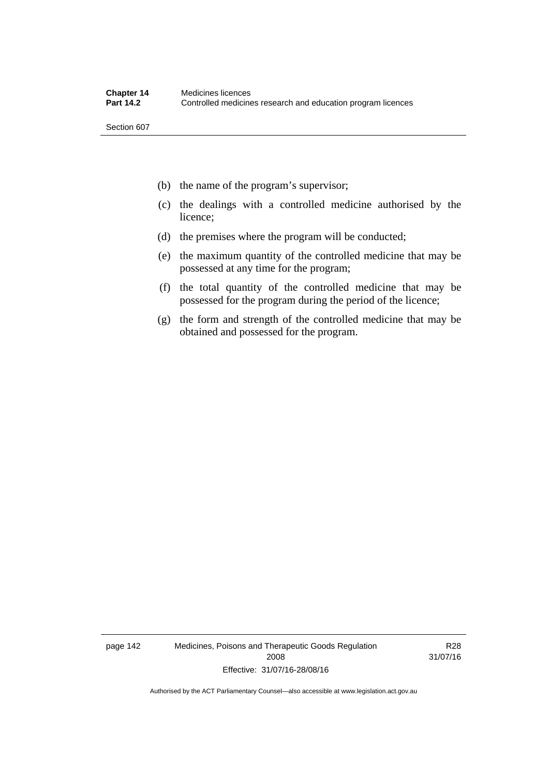- (b) the name of the program's supervisor;
- (c) the dealings with a controlled medicine authorised by the licence;
- (d) the premises where the program will be conducted;
- (e) the maximum quantity of the controlled medicine that may be possessed at any time for the program;
- (f) the total quantity of the controlled medicine that may be possessed for the program during the period of the licence;
- (g) the form and strength of the controlled medicine that may be obtained and possessed for the program.

page 142 Medicines, Poisons and Therapeutic Goods Regulation 2008 Effective: 31/07/16-28/08/16

R28 31/07/16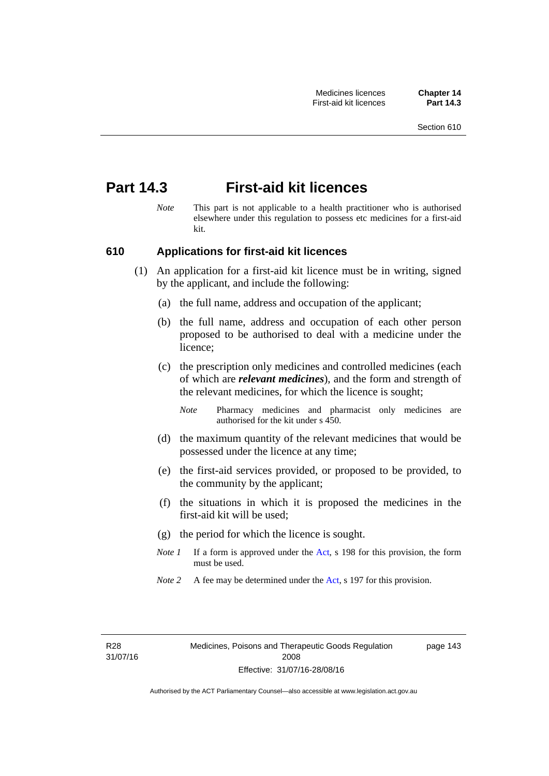# **Part 14.3 First-aid kit licences**

*Note* This part is not applicable to a health practitioner who is authorised elsewhere under this regulation to possess etc medicines for a first-aid kit.

# **610 Applications for first-aid kit licences**

- (1) An application for a first-aid kit licence must be in writing, signed by the applicant, and include the following:
	- (a) the full name, address and occupation of the applicant;
	- (b) the full name, address and occupation of each other person proposed to be authorised to deal with a medicine under the licence;
	- (c) the prescription only medicines and controlled medicines (each of which are *relevant medicines*), and the form and strength of the relevant medicines, for which the licence is sought;
		- *Note* Pharmacy medicines and pharmacist only medicines are authorised for the kit under s 450.
	- (d) the maximum quantity of the relevant medicines that would be possessed under the licence at any time;
	- (e) the first-aid services provided, or proposed to be provided, to the community by the applicant;
	- (f) the situations in which it is proposed the medicines in the first-aid kit will be used;
	- (g) the period for which the licence is sought.
	- *Note 1* If a form is approved under the [Act](http://www.legislation.act.gov.au/a/2008-26/default.asp), s 198 for this provision, the form must be used.
	- *Note 2* A fee may be determined under the [Act,](http://www.legislation.act.gov.au/a/2008-26/default.asp) s 197 for this provision.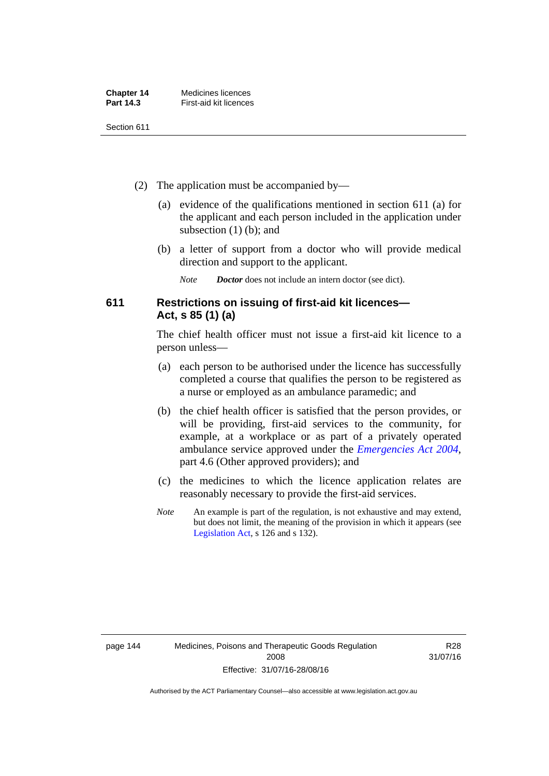| <b>Chapter 14</b> | Medicines licences     |
|-------------------|------------------------|
| <b>Part 14.3</b>  | First-aid kit licences |

- (2) The application must be accompanied by—
	- (a) evidence of the qualifications mentioned in section 611 (a) for the applicant and each person included in the application under subsection (1) (b); and
	- (b) a letter of support from a doctor who will provide medical direction and support to the applicant.
		- *Note Doctor* does not include an intern doctor (see dict).

# **611 Restrictions on issuing of first-aid kit licences— Act, s 85 (1) (a)**

The chief health officer must not issue a first-aid kit licence to a person unless—

- (a) each person to be authorised under the licence has successfully completed a course that qualifies the person to be registered as a nurse or employed as an ambulance paramedic; and
- (b) the chief health officer is satisfied that the person provides, or will be providing, first-aid services to the community, for example, at a workplace or as part of a privately operated ambulance service approved under the *[Emergencies Act 2004](http://www.legislation.act.gov.au/a/2004-28)*, part 4.6 (Other approved providers); and
- (c) the medicines to which the licence application relates are reasonably necessary to provide the first-aid services.
- *Note* An example is part of the regulation, is not exhaustive and may extend, but does not limit, the meaning of the provision in which it appears (see [Legislation Act,](http://www.legislation.act.gov.au/a/2001-14) s 126 and s 132).

R28 31/07/16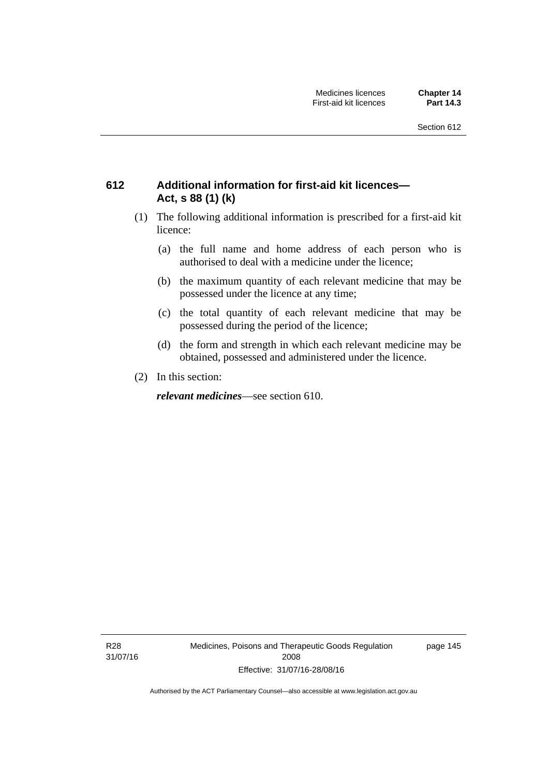# **612 Additional information for first-aid kit licences— Act, s 88 (1) (k)**

- (1) The following additional information is prescribed for a first-aid kit licence:
	- (a) the full name and home address of each person who is authorised to deal with a medicine under the licence;
	- (b) the maximum quantity of each relevant medicine that may be possessed under the licence at any time;
	- (c) the total quantity of each relevant medicine that may be possessed during the period of the licence;
	- (d) the form and strength in which each relevant medicine may be obtained, possessed and administered under the licence.
- (2) In this section:

*relevant medicines*—see section 610.

R28 31/07/16 Medicines, Poisons and Therapeutic Goods Regulation 2008 Effective: 31/07/16-28/08/16

page 145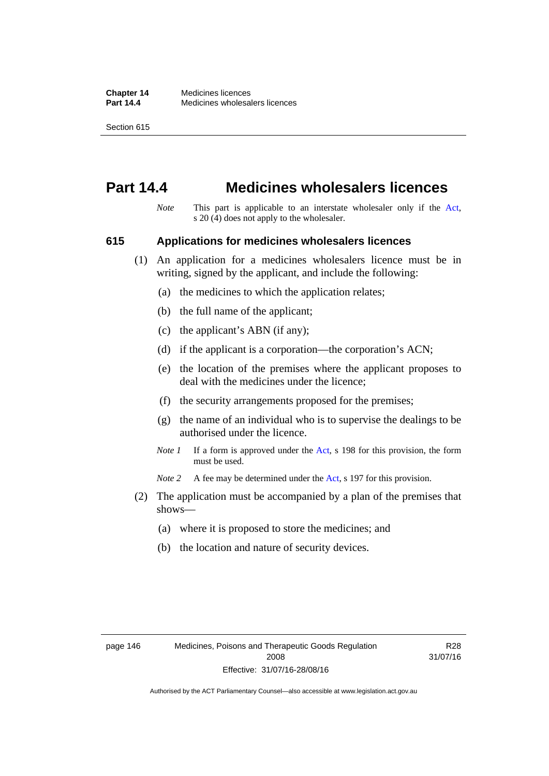# **Part 14.4 Medicines wholesalers licences**

*Note* This part is applicable to an interstate wholesaler only if the [Act,](http://www.legislation.act.gov.au/a/2008-26/default.asp) s 20 (4) does not apply to the wholesaler.

#### **615 Applications for medicines wholesalers licences**

- (1) An application for a medicines wholesalers licence must be in writing, signed by the applicant, and include the following:
	- (a) the medicines to which the application relates;
	- (b) the full name of the applicant;
	- (c) the applicant's ABN (if any);
	- (d) if the applicant is a corporation—the corporation's ACN;
	- (e) the location of the premises where the applicant proposes to deal with the medicines under the licence;
	- (f) the security arrangements proposed for the premises;
	- (g) the name of an individual who is to supervise the dealings to be authorised under the licence.
	- *Note 1* If a form is approved under the [Act](http://www.legislation.act.gov.au/a/2008-26/default.asp), s 198 for this provision, the form must be used.

*Note* 2 A fee may be determined under the [Act,](http://www.legislation.act.gov.au/a/2008-26/default.asp) s 197 for this provision.

- (2) The application must be accompanied by a plan of the premises that shows—
	- (a) where it is proposed to store the medicines; and
	- (b) the location and nature of security devices.

R28 31/07/16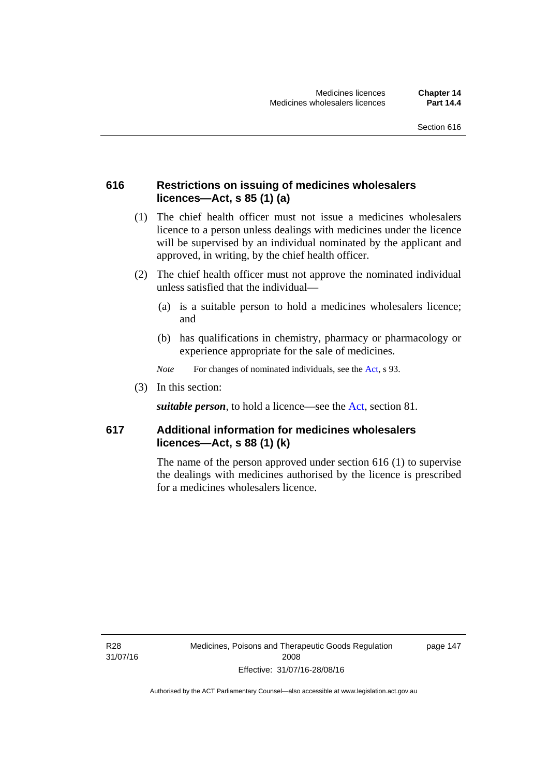# **616 Restrictions on issuing of medicines wholesalers licences—Act, s 85 (1) (a)**

- (1) The chief health officer must not issue a medicines wholesalers licence to a person unless dealings with medicines under the licence will be supervised by an individual nominated by the applicant and approved, in writing, by the chief health officer.
- (2) The chief health officer must not approve the nominated individual unless satisfied that the individual—
	- (a) is a suitable person to hold a medicines wholesalers licence; and
	- (b) has qualifications in chemistry, pharmacy or pharmacology or experience appropriate for the sale of medicines.
	- *Note* For changes of nominated individuals, see the [Act,](http://www.legislation.act.gov.au/a/2008-26/default.asp) s 93.
- (3) In this section:

*suitable person*, to hold a licence—see the [Act](http://www.legislation.act.gov.au/a/2008-26/default.asp), section 81.

# **617 Additional information for medicines wholesalers licences—Act, s 88 (1) (k)**

The name of the person approved under section 616 (1) to supervise the dealings with medicines authorised by the licence is prescribed for a medicines wholesalers licence.

R28 31/07/16 page 147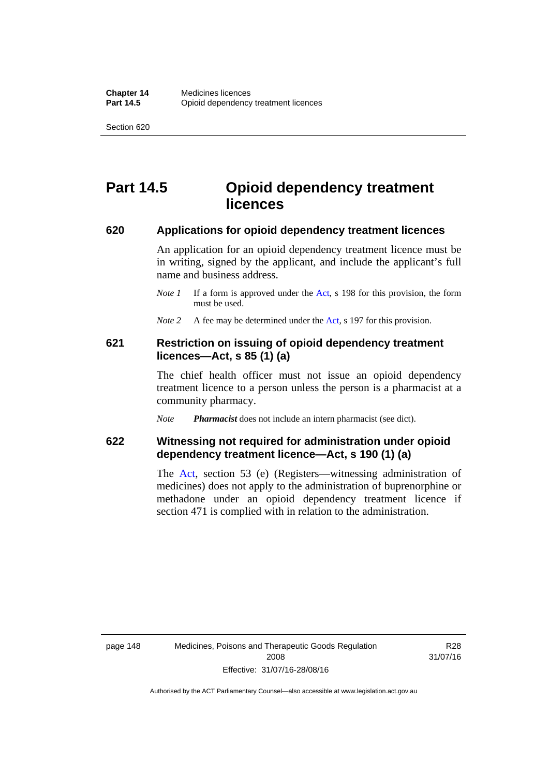# **Part 14.5 Opioid dependency treatment licences**

#### **620 Applications for opioid dependency treatment licences**

An application for an opioid dependency treatment licence must be in writing, signed by the applicant, and include the applicant's full name and business address.

- *Note 1* If a form is approved under the [Act](http://www.legislation.act.gov.au/a/2008-26/default.asp), s 198 for this provision, the form must be used.
- *Note 2* A fee may be determined under the [Act,](http://www.legislation.act.gov.au/a/2008-26/default.asp) s 197 for this provision.

### **621 Restriction on issuing of opioid dependency treatment licences—Act, s 85 (1) (a)**

The chief health officer must not issue an opioid dependency treatment licence to a person unless the person is a pharmacist at a community pharmacy.

*Note Pharmacist* does not include an intern pharmacist (see dict).

# **622 Witnessing not required for administration under opioid dependency treatment licence—Act, s 190 (1) (a)**

The [Act,](http://www.legislation.act.gov.au/a/2008-26/default.asp) section 53 (e) (Registers—witnessing administration of medicines) does not apply to the administration of buprenorphine or methadone under an opioid dependency treatment licence if section 471 is complied with in relation to the administration.

R28 31/07/16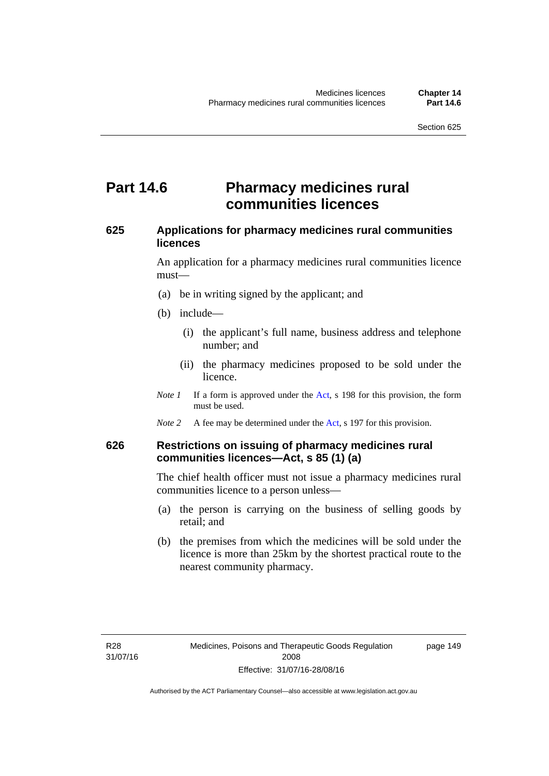# **Part 14.6 Pharmacy medicines rural communities licences**

# **625 Applications for pharmacy medicines rural communities licences**

An application for a pharmacy medicines rural communities licence must—

- (a) be in writing signed by the applicant; and
- (b) include—
	- (i) the applicant's full name, business address and telephone number; and
	- (ii) the pharmacy medicines proposed to be sold under the licence.
- *Note 1* If a form is approved under the [Act](http://www.legislation.act.gov.au/a/2008-26/default.asp), s 198 for this provision, the form must be used.
- *Note 2* A fee may be determined under the [Act,](http://www.legislation.act.gov.au/a/2008-26/default.asp) s 197 for this provision.

# **626 Restrictions on issuing of pharmacy medicines rural communities licences—Act, s 85 (1) (a)**

The chief health officer must not issue a pharmacy medicines rural communities licence to a person unless—

- (a) the person is carrying on the business of selling goods by retail; and
- (b) the premises from which the medicines will be sold under the licence is more than 25km by the shortest practical route to the nearest community pharmacy.

page 149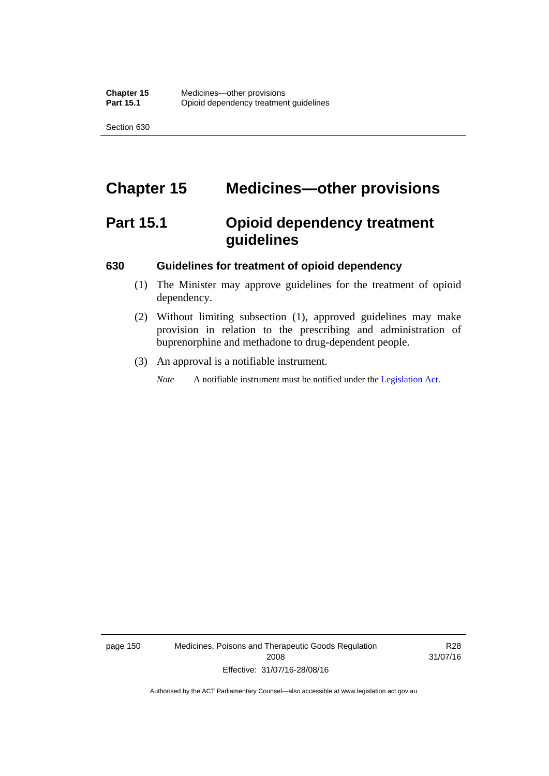# **Chapter 15 Medicines—other provisions**

# **Part 15.1 Opioid dependency treatment guidelines**

#### **630 Guidelines for treatment of opioid dependency**

- (1) The Minister may approve guidelines for the treatment of opioid dependency.
- (2) Without limiting subsection (1), approved guidelines may make provision in relation to the prescribing and administration of buprenorphine and methadone to drug-dependent people.
- (3) An approval is a notifiable instrument.

*Note* A notifiable instrument must be notified under the [Legislation Act](http://www.legislation.act.gov.au/a/2001-14).

page 150 Medicines, Poisons and Therapeutic Goods Regulation 2008 Effective: 31/07/16-28/08/16

R28 31/07/16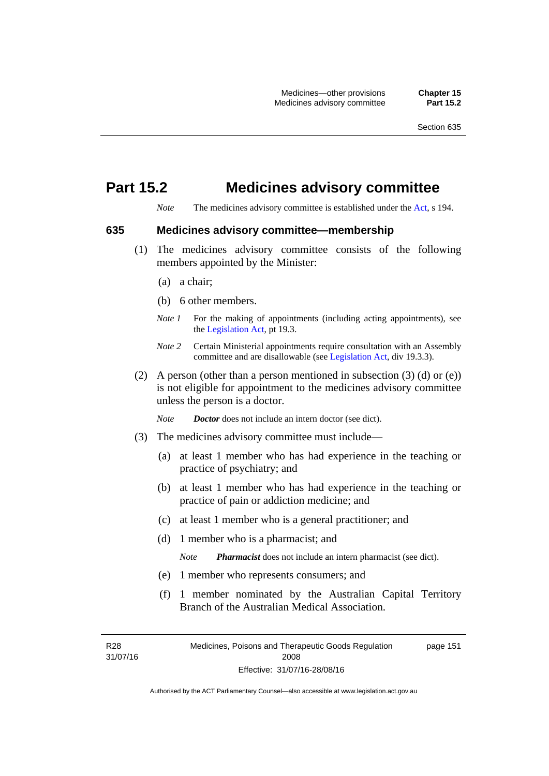# **Part 15.2 Medicines advisory committee**

*Note* The medicines advisory committee is established under the [Act](http://www.legislation.act.gov.au/a/2008-26/default.asp), s 194.

### **635 Medicines advisory committee—membership**

- (1) The medicines advisory committee consists of the following members appointed by the Minister:
	- (a) a chair;
	- (b) 6 other members.
	- *Note 1* For the making of appointments (including acting appointments), see the [Legislation Act,](http://www.legislation.act.gov.au/a/2001-14) pt 19.3.
	- *Note 2* Certain Ministerial appointments require consultation with an Assembly committee and are disallowable (see [Legislation Act,](http://www.legislation.act.gov.au/a/2001-14) div 19.3.3).
- (2) A person (other than a person mentioned in subsection  $(3)$  (d) or  $(e)$ ) is not eligible for appointment to the medicines advisory committee unless the person is a doctor.

*Note Doctor* does not include an intern doctor (see dict).

- (3) The medicines advisory committee must include—
	- (a) at least 1 member who has had experience in the teaching or practice of psychiatry; and
	- (b) at least 1 member who has had experience in the teaching or practice of pain or addiction medicine; and
	- (c) at least 1 member who is a general practitioner; and
	- (d) 1 member who is a pharmacist; and

*Note Pharmacist* does not include an intern pharmacist (see dict).

- (e) 1 member who represents consumers; and
- (f) 1 member nominated by the Australian Capital Territory Branch of the Australian Medical Association.

R28 31/07/16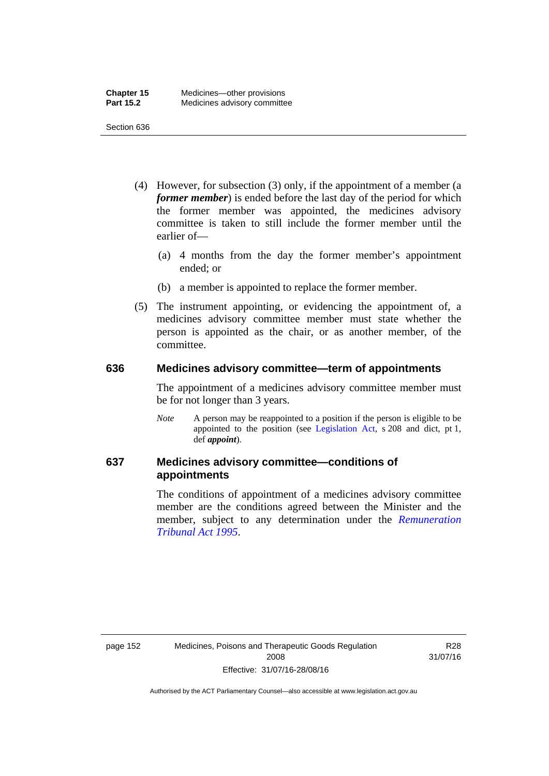- (4) However, for subsection (3) only, if the appointment of a member (a *former member*) is ended before the last day of the period for which the former member was appointed, the medicines advisory committee is taken to still include the former member until the earlier of—
	- (a) 4 months from the day the former member's appointment ended; or
	- (b) a member is appointed to replace the former member.
- (5) The instrument appointing, or evidencing the appointment of, a medicines advisory committee member must state whether the person is appointed as the chair, or as another member, of the committee.

#### **636 Medicines advisory committee—term of appointments**

The appointment of a medicines advisory committee member must be for not longer than 3 years.

*Note* A person may be reappointed to a position if the person is eligible to be appointed to the position (see [Legislation Act,](http://www.legislation.act.gov.au/a/2001-14) s 208 and dict, pt 1, def *appoint*).

# **637 Medicines advisory committee—conditions of appointments**

The conditions of appointment of a medicines advisory committee member are the conditions agreed between the Minister and the member, subject to any determination under the *[Remuneration](http://www.legislation.act.gov.au/a/1995-55)  [Tribunal Act 1995](http://www.legislation.act.gov.au/a/1995-55)*.

R28 31/07/16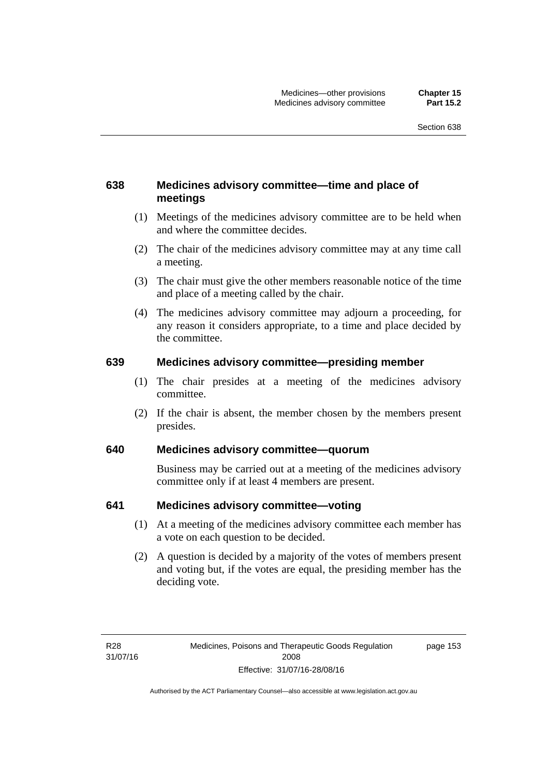# **638 Medicines advisory committee—time and place of meetings**

- (1) Meetings of the medicines advisory committee are to be held when and where the committee decides.
- (2) The chair of the medicines advisory committee may at any time call a meeting.
- (3) The chair must give the other members reasonable notice of the time and place of a meeting called by the chair.
- (4) The medicines advisory committee may adjourn a proceeding, for any reason it considers appropriate, to a time and place decided by the committee.

### **639 Medicines advisory committee—presiding member**

- (1) The chair presides at a meeting of the medicines advisory committee.
- (2) If the chair is absent, the member chosen by the members present presides.

# **640 Medicines advisory committee—quorum**

Business may be carried out at a meeting of the medicines advisory committee only if at least 4 members are present.

### **641 Medicines advisory committee—voting**

- (1) At a meeting of the medicines advisory committee each member has a vote on each question to be decided.
- (2) A question is decided by a majority of the votes of members present and voting but, if the votes are equal, the presiding member has the deciding vote.

page 153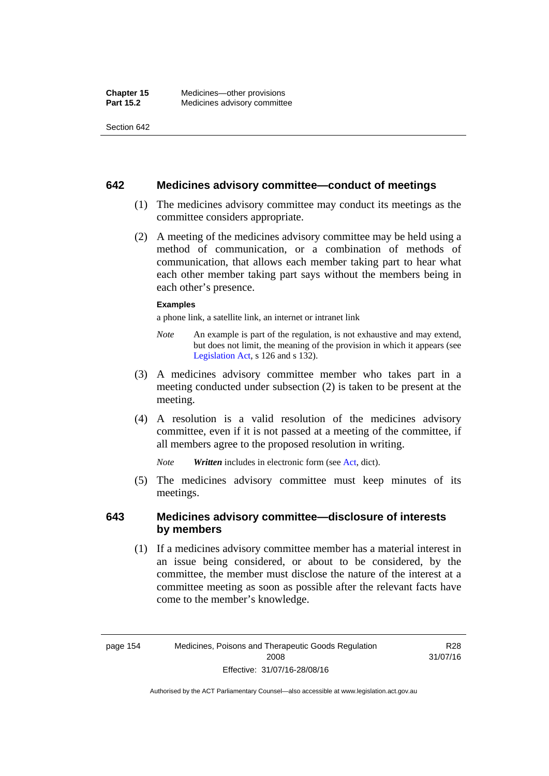#### **642 Medicines advisory committee—conduct of meetings**

- (1) The medicines advisory committee may conduct its meetings as the committee considers appropriate.
- (2) A meeting of the medicines advisory committee may be held using a method of communication, or a combination of methods of communication, that allows each member taking part to hear what each other member taking part says without the members being in each other's presence.

#### **Examples**

a phone link, a satellite link, an internet or intranet link

- *Note* An example is part of the regulation, is not exhaustive and may extend, but does not limit, the meaning of the provision in which it appears (see [Legislation Act,](http://www.legislation.act.gov.au/a/2001-14) s 126 and s 132).
- (3) A medicines advisory committee member who takes part in a meeting conducted under subsection (2) is taken to be present at the meeting.
- (4) A resolution is a valid resolution of the medicines advisory committee, even if it is not passed at a meeting of the committee, if all members agree to the proposed resolution in writing.

*Note Written* includes in electronic form (see [Act,](http://www.legislation.act.gov.au/a/2008-26/default.asp) dict).

 (5) The medicines advisory committee must keep minutes of its meetings.

### **643 Medicines advisory committee—disclosure of interests by members**

 (1) If a medicines advisory committee member has a material interest in an issue being considered, or about to be considered, by the committee, the member must disclose the nature of the interest at a committee meeting as soon as possible after the relevant facts have come to the member's knowledge.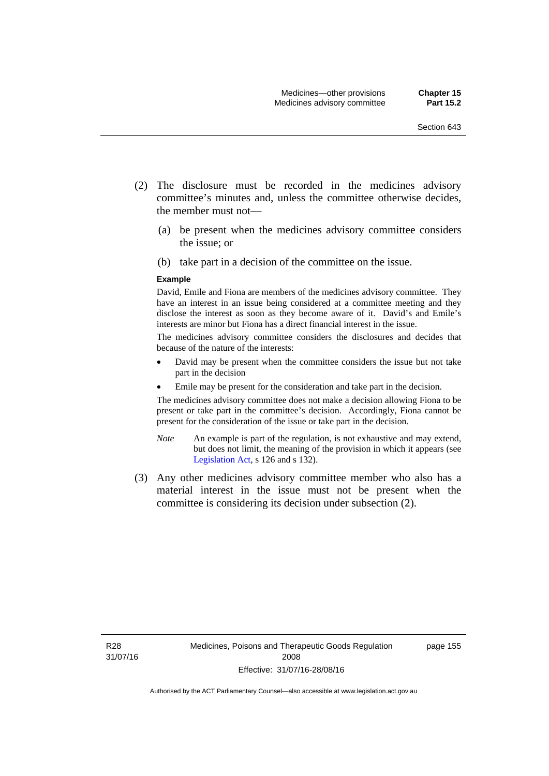- (2) The disclosure must be recorded in the medicines advisory committee's minutes and, unless the committee otherwise decides, the member must not—
	- (a) be present when the medicines advisory committee considers the issue; or
	- (b) take part in a decision of the committee on the issue.

#### **Example**

David, Emile and Fiona are members of the medicines advisory committee. They have an interest in an issue being considered at a committee meeting and they disclose the interest as soon as they become aware of it. David's and Emile's interests are minor but Fiona has a direct financial interest in the issue.

The medicines advisory committee considers the disclosures and decides that because of the nature of the interests:

- David may be present when the committee considers the issue but not take part in the decision
- Emile may be present for the consideration and take part in the decision.

The medicines advisory committee does not make a decision allowing Fiona to be present or take part in the committee's decision. Accordingly, Fiona cannot be present for the consideration of the issue or take part in the decision.

- *Note* An example is part of the regulation, is not exhaustive and may extend, but does not limit, the meaning of the provision in which it appears (see [Legislation Act,](http://www.legislation.act.gov.au/a/2001-14) s 126 and s 132).
- (3) Any other medicines advisory committee member who also has a material interest in the issue must not be present when the committee is considering its decision under subsection (2).

page 155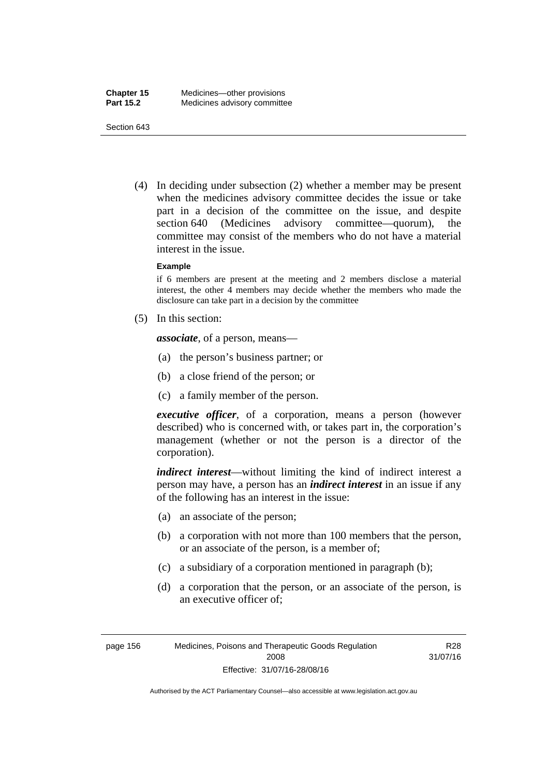(4) In deciding under subsection (2) whether a member may be present when the medicines advisory committee decides the issue or take part in a decision of the committee on the issue, and despite section 640 (Medicines advisory committee—quorum), the committee may consist of the members who do not have a material interest in the issue.

#### **Example**

if 6 members are present at the meeting and 2 members disclose a material interest, the other 4 members may decide whether the members who made the disclosure can take part in a decision by the committee

(5) In this section:

*associate*, of a person, means—

- (a) the person's business partner; or
- (b) a close friend of the person; or
- (c) a family member of the person.

*executive officer*, of a corporation, means a person (however described) who is concerned with, or takes part in, the corporation's management (whether or not the person is a director of the corporation).

*indirect interest*—without limiting the kind of indirect interest a person may have, a person has an *indirect interest* in an issue if any of the following has an interest in the issue:

- (a) an associate of the person;
- (b) a corporation with not more than 100 members that the person, or an associate of the person, is a member of;
- (c) a subsidiary of a corporation mentioned in paragraph (b);
- (d) a corporation that the person, or an associate of the person, is an executive officer of;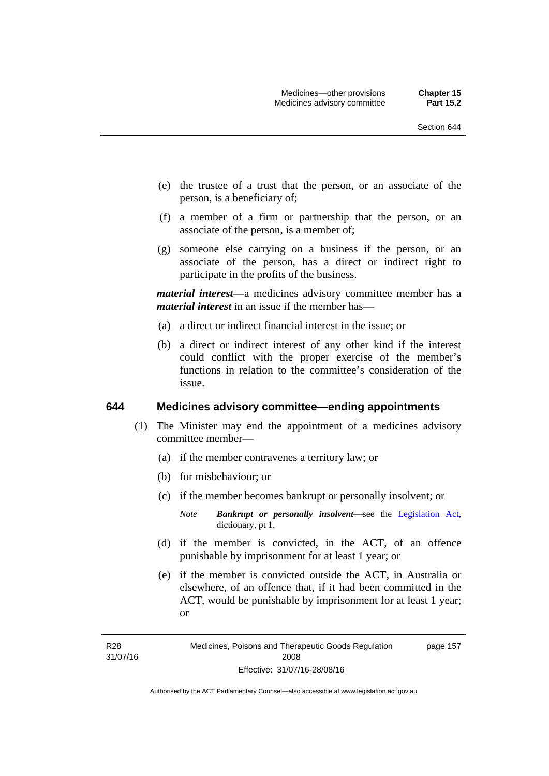- (e) the trustee of a trust that the person, or an associate of the person, is a beneficiary of;
- (f) a member of a firm or partnership that the person, or an associate of the person, is a member of;
- (g) someone else carrying on a business if the person, or an associate of the person, has a direct or indirect right to participate in the profits of the business.

*material interest*—a medicines advisory committee member has a *material interest* in an issue if the member has—

- (a) a direct or indirect financial interest in the issue; or
- (b) a direct or indirect interest of any other kind if the interest could conflict with the proper exercise of the member's functions in relation to the committee's consideration of the issue.

#### **644 Medicines advisory committee—ending appointments**

- (1) The Minister may end the appointment of a medicines advisory committee member—
	- (a) if the member contravenes a territory law; or
	- (b) for misbehaviour; or
	- (c) if the member becomes bankrupt or personally insolvent; or
		- *Note Bankrupt or personally insolvent*—see the [Legislation Act,](http://www.legislation.act.gov.au/a/2001-14) dictionary, pt 1.
	- (d) if the member is convicted, in the ACT, of an offence punishable by imprisonment for at least 1 year; or
	- (e) if the member is convicted outside the ACT, in Australia or elsewhere, of an offence that, if it had been committed in the ACT, would be punishable by imprisonment for at least 1 year; or

R28 31/07/16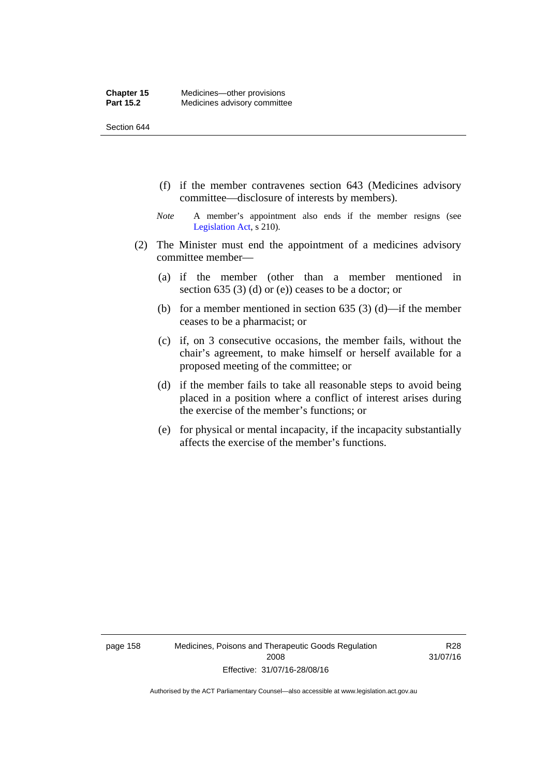- (f) if the member contravenes section 643 (Medicines advisory committee—disclosure of interests by members).
- *Note* A member's appointment also ends if the member resigns (see [Legislation Act,](http://www.legislation.act.gov.au/a/2001-14) s 210).
- (2) The Minister must end the appointment of a medicines advisory committee member—
	- (a) if the member (other than a member mentioned in section 635 (3) (d) or (e)) ceases to be a doctor; or
	- (b) for a member mentioned in section 635 (3) (d)—if the member ceases to be a pharmacist; or
	- (c) if, on 3 consecutive occasions, the member fails, without the chair's agreement, to make himself or herself available for a proposed meeting of the committee; or
	- (d) if the member fails to take all reasonable steps to avoid being placed in a position where a conflict of interest arises during the exercise of the member's functions; or
	- (e) for physical or mental incapacity, if the incapacity substantially affects the exercise of the member's functions.

page 158 Medicines, Poisons and Therapeutic Goods Regulation 2008 Effective: 31/07/16-28/08/16

R28 31/07/16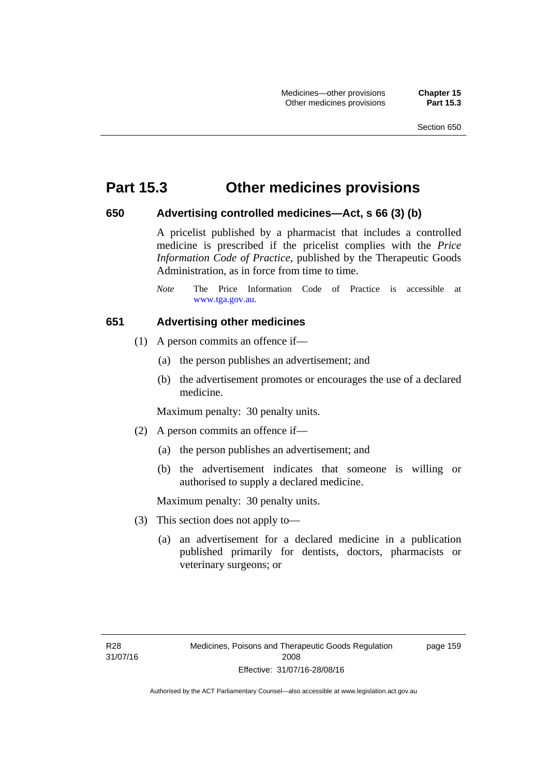### **Part 15.3 Other medicines provisions**

#### **650 Advertising controlled medicines—Act, s 66 (3) (b)**

A pricelist published by a pharmacist that includes a controlled medicine is prescribed if the pricelist complies with the *Price Information Code of Practice*, published by the Therapeutic Goods Administration, as in force from time to time.

#### **651 Advertising other medicines**

- (1) A person commits an offence if—
	- (a) the person publishes an advertisement; and
	- (b) the advertisement promotes or encourages the use of a declared medicine.

Maximum penalty: 30 penalty units.

- (2) A person commits an offence if—
	- (a) the person publishes an advertisement; and
	- (b) the advertisement indicates that someone is willing or authorised to supply a declared medicine.

Maximum penalty: 30 penalty units.

- (3) This section does not apply to—
	- (a) an advertisement for a declared medicine in a publication published primarily for dentists, doctors, pharmacists or veterinary surgeons; or

page 159

*Note* The Price Information Code of Practice is accessible at [www.tga.gov.au.](http://www.tga.gov.au/)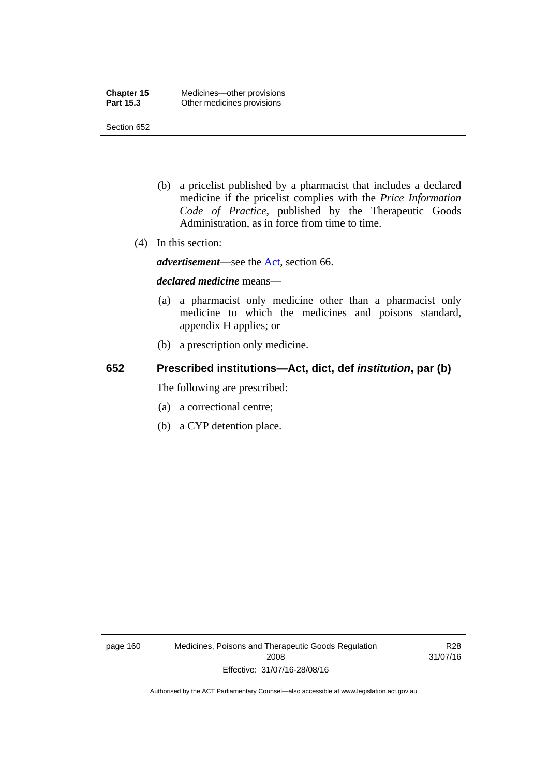- (b) a pricelist published by a pharmacist that includes a declared medicine if the pricelist complies with the *Price Information Code of Practice*, published by the Therapeutic Goods Administration, as in force from time to time.
- (4) In this section:

*advertisement*—see the [Act,](http://www.legislation.act.gov.au/a/2008-26/default.asp) section 66.

#### *declared medicine* means—

- (a) a pharmacist only medicine other than a pharmacist only medicine to which the medicines and poisons standard, appendix H applies; or
- (b) a prescription only medicine.

### **652 Prescribed institutions—Act, dict, def** *institution***, par (b)**

The following are prescribed:

- (a) a correctional centre;
- (b) a CYP detention place.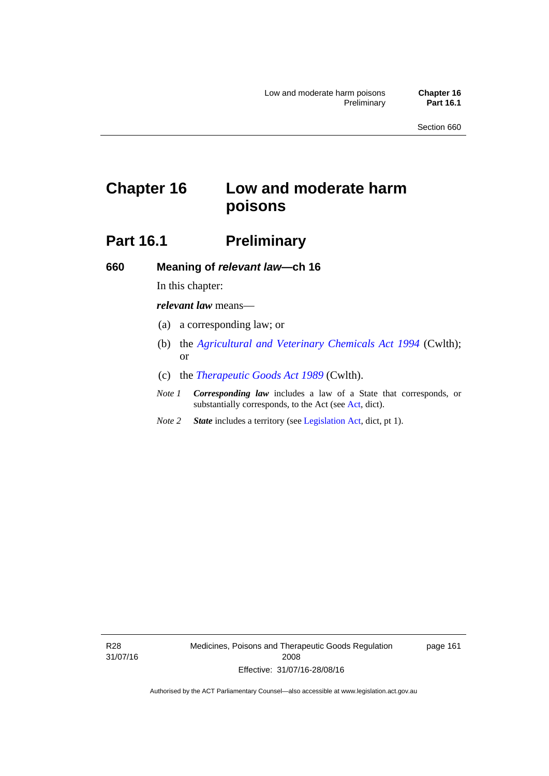# **Chapter 16 Low and moderate harm poisons**

# **Part 16.1** Preliminary

**660 Meaning of** *relevant law***—ch 16** 

In this chapter:

*relevant law* means—

- (a) a corresponding law; or
- (b) the *[Agricultural and Veterinary Chemicals Act 1994](http://www.comlaw.gov.au/Series/C2004A04712)* (Cwlth); or
- (c) the *[Therapeutic Goods Act 1989](http://www.comlaw.gov.au/Series/C2004A03952)* (Cwlth).
- *Note 1 Corresponding law* includes a law of a State that corresponds, or substantially corresponds, to the Act (see [Act](http://www.legislation.act.gov.au/a/2008-26/default.asp), dict).
- *Note 2 State* includes a territory (see [Legislation Act,](http://www.legislation.act.gov.au/a/2001-14) dict, pt 1).

R28 31/07/16 Medicines, Poisons and Therapeutic Goods Regulation 2008 Effective: 31/07/16-28/08/16

page 161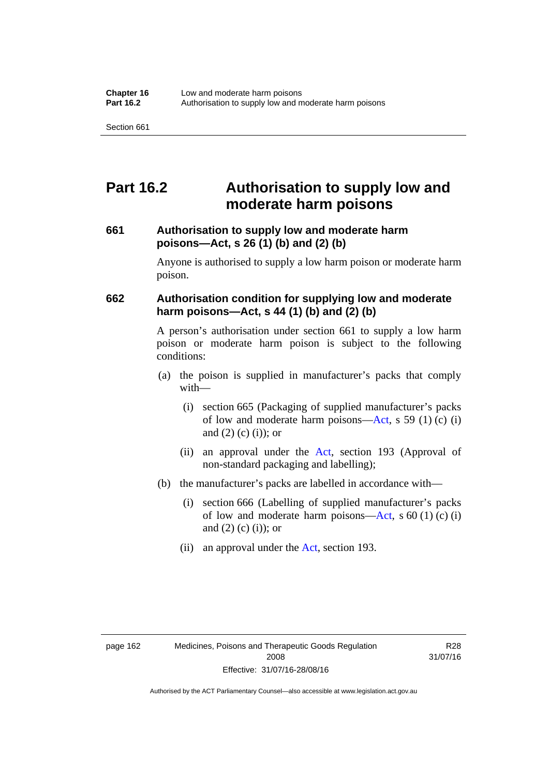## **Part 16.2 Authorisation to supply low and moderate harm poisons**

#### **661 Authorisation to supply low and moderate harm poisons—Act, s 26 (1) (b) and (2) (b)**

Anyone is authorised to supply a low harm poison or moderate harm poison.

#### **662 Authorisation condition for supplying low and moderate harm poisons—Act, s 44 (1) (b) and (2) (b)**

A person's authorisation under section 661 to supply a low harm poison or moderate harm poison is subject to the following conditions:

- (a) the poison is supplied in manufacturer's packs that comply with—
	- (i) section 665 (Packaging of supplied manufacturer's packs of low and moderate harm poisons—[Act](http://www.legislation.act.gov.au/a/2008-26/default.asp), s 59 (1) (c) (i) and  $(2)$  (c) (i)); or
	- (ii) an approval under the [Act](http://www.legislation.act.gov.au/a/2008-26/default.asp), section 193 (Approval of non-standard packaging and labelling);
- (b) the manufacturer's packs are labelled in accordance with—
	- (i) section 666 (Labelling of supplied manufacturer's packs of low and moderate harm poisons—[Act](http://www.legislation.act.gov.au/a/2008-26/default.asp), s  $60(1)(c)(i)$ and  $(2)$  (c)  $(i)$ ; or
	- (ii) an approval under the [Act,](http://www.legislation.act.gov.au/a/2008-26/default.asp) section 193.

R28 31/07/16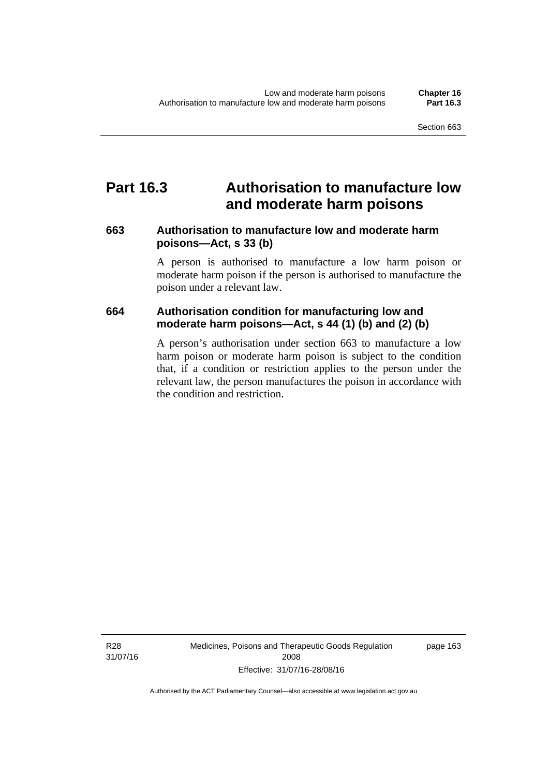## **Part 16.3 Authorisation to manufacture low and moderate harm poisons**

#### **663 Authorisation to manufacture low and moderate harm poisons—Act, s 33 (b)**

A person is authorised to manufacture a low harm poison or moderate harm poison if the person is authorised to manufacture the poison under a relevant law.

#### **664 Authorisation condition for manufacturing low and moderate harm poisons—Act, s 44 (1) (b) and (2) (b)**

A person's authorisation under section 663 to manufacture a low harm poison or moderate harm poison is subject to the condition that, if a condition or restriction applies to the person under the relevant law, the person manufactures the poison in accordance with the condition and restriction.

page 163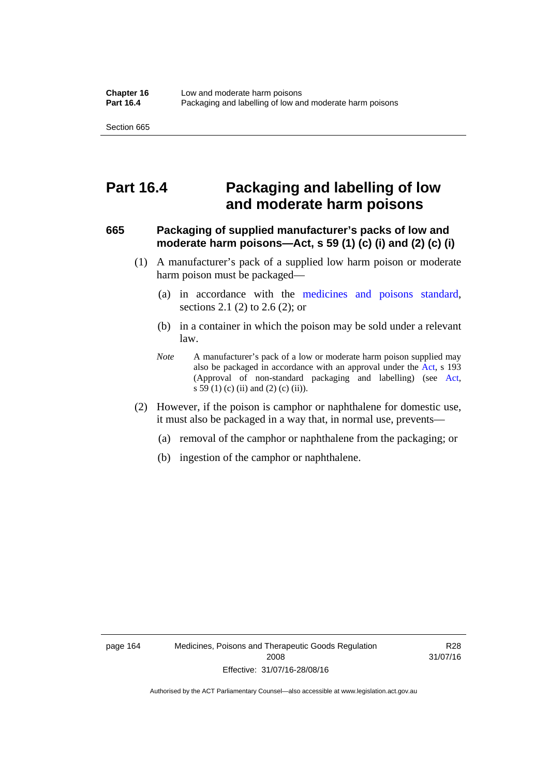## **Part 16.4 Packaging and labelling of low and moderate harm poisons**

#### **665 Packaging of supplied manufacturer's packs of low and moderate harm poisons—Act, s 59 (1) (c) (i) and (2) (c) (i)**

- (1) A manufacturer's pack of a supplied low harm poison or moderate harm poison must be packaged—
	- (a) in accordance with the [medicines and poisons standard](http://www.comlaw.gov.au/Series/F2012L01200), sections 2.1 (2) to 2.6 (2); or
	- (b) in a container in which the poison may be sold under a relevant law.
	- *Note* A manufacturer's pack of a low or moderate harm poison supplied may also be packaged in accordance with an approval under the [Act](http://www.legislation.act.gov.au/a/2008-26/default.asp), s 193 (Approval of non-standard packaging and labelling) (see [Act,](http://www.legislation.act.gov.au/a/2008-26/default.asp) s 59 (1) (c) (ii) and (2) (c) (ii)).
- (2) However, if the poison is camphor or naphthalene for domestic use, it must also be packaged in a way that, in normal use, prevents—
	- (a) removal of the camphor or naphthalene from the packaging; or
	- (b) ingestion of the camphor or naphthalene.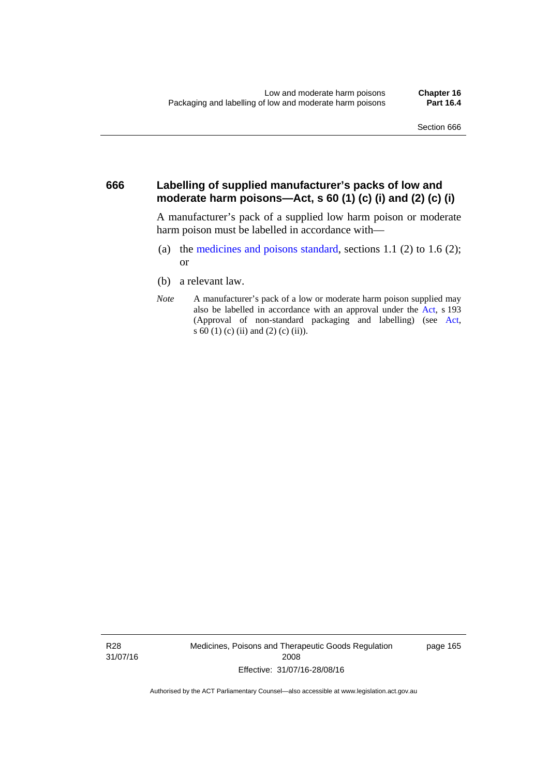#### **666 Labelling of supplied manufacturer's packs of low and moderate harm poisons—Act, s 60 (1) (c) (i) and (2) (c) (i)**

A manufacturer's pack of a supplied low harm poison or moderate harm poison must be labelled in accordance with—

- (a) the [medicines and poisons standard](http://www.comlaw.gov.au/Series/F2012L01200), sections 1.1 (2) to 1.6 (2); or
- (b) a relevant law.
- *Note* A manufacturer's pack of a low or moderate harm poison supplied may also be labelled in accordance with an approval under the [Act](http://www.legislation.act.gov.au/a/2008-26/default.asp), s 193 (Approval of non-standard packaging and labelling) (see [Act,](http://www.legislation.act.gov.au/a/2008-26/default.asp) s 60 (1) (c) (ii) and (2) (c) (ii)).

R28 31/07/16 Medicines, Poisons and Therapeutic Goods Regulation 2008 Effective: 31/07/16-28/08/16

page 165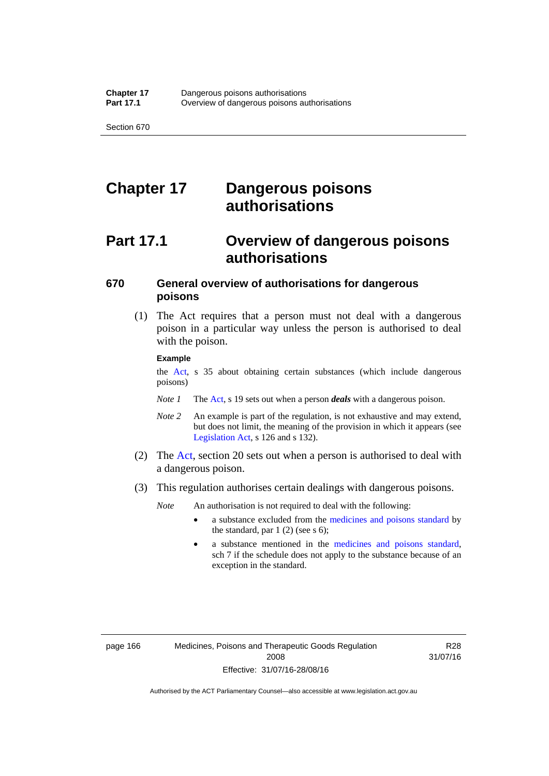# **Chapter 17 Dangerous poisons authorisations**

# **Part 17.1 Overview of dangerous poisons authorisations**

### **670 General overview of authorisations for dangerous poisons**

 (1) The Act requires that a person must not deal with a dangerous poison in a particular way unless the person is authorised to deal with the poison.

#### **Example**

the [Act,](http://www.legislation.act.gov.au/a/2008-26/default.asp) s 35 about obtaining certain substances (which include dangerous poisons)

- *Note 1* The [Act,](http://www.legislation.act.gov.au/a/2008-26/default.asp) s 19 sets out when a person *deals* with a dangerous poison.
- *Note 2* An example is part of the regulation, is not exhaustive and may extend, but does not limit, the meaning of the provision in which it appears (see [Legislation Act,](http://www.legislation.act.gov.au/a/2001-14) s 126 and s 132).
- (2) The [Act](http://www.legislation.act.gov.au/a/2008-26/default.asp), section 20 sets out when a person is authorised to deal with a dangerous poison.
- (3) This regulation authorises certain dealings with dangerous poisons.

*Note* An authorisation is not required to deal with the following:

- a substance excluded from the [medicines and poisons standard](http://www.comlaw.gov.au/Series/F2012L01200) by the standard, par  $1(2)$  (see s 6);
- a substance mentioned in the [medicines and poisons standard,](http://www.comlaw.gov.au/Series/F2012L01200) sch 7 if the schedule does not apply to the substance because of an exception in the standard.

R28 31/07/16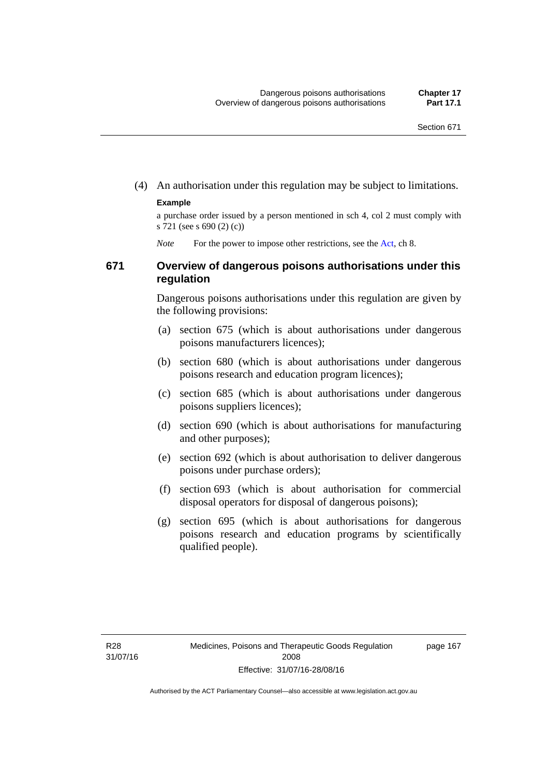(4) An authorisation under this regulation may be subject to limitations.

#### **Example**

a purchase order issued by a person mentioned in sch 4, col 2 must comply with s 721 (see s 690 (2) (c))

*Note* For the power to impose other restrictions, see the [Act](http://www.legislation.act.gov.au/a/2008-26/default.asp), ch 8.

#### **671 Overview of dangerous poisons authorisations under this regulation**

Dangerous poisons authorisations under this regulation are given by the following provisions:

- (a) section 675 (which is about authorisations under dangerous poisons manufacturers licences);
- (b) section 680 (which is about authorisations under dangerous poisons research and education program licences);
- (c) section 685 (which is about authorisations under dangerous poisons suppliers licences);
- (d) section 690 (which is about authorisations for manufacturing and other purposes);
- (e) section 692 (which is about authorisation to deliver dangerous poisons under purchase orders);
- (f) section 693 (which is about authorisation for commercial disposal operators for disposal of dangerous poisons);
- (g) section 695 (which is about authorisations for dangerous poisons research and education programs by scientifically qualified people).

page 167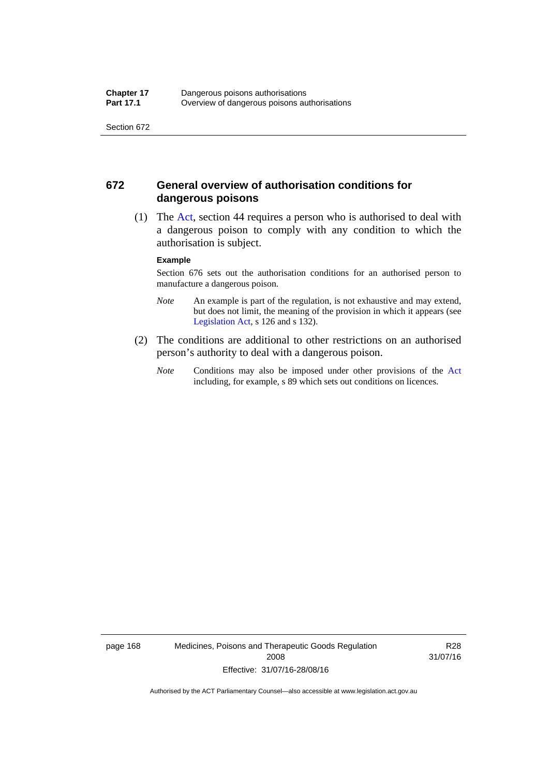#### **672 General overview of authorisation conditions for dangerous poisons**

 (1) The [Act](http://www.legislation.act.gov.au/a/2008-26/default.asp), section 44 requires a person who is authorised to deal with a dangerous poison to comply with any condition to which the authorisation is subject.

#### **Example**

Section 676 sets out the authorisation conditions for an authorised person to manufacture a dangerous poison.

- *Note* An example is part of the regulation, is not exhaustive and may extend, but does not limit, the meaning of the provision in which it appears (see [Legislation Act,](http://www.legislation.act.gov.au/a/2001-14) s 126 and s 132).
- (2) The conditions are additional to other restrictions on an authorised person's authority to deal with a dangerous poison.
	- *Note* Conditions may also be imposed under other provisions of the [Act](http://www.legislation.act.gov.au/a/2008-26/default.asp) including, for example, s 89 which sets out conditions on licences.

page 168 Medicines, Poisons and Therapeutic Goods Regulation 2008 Effective: 31/07/16-28/08/16

R28 31/07/16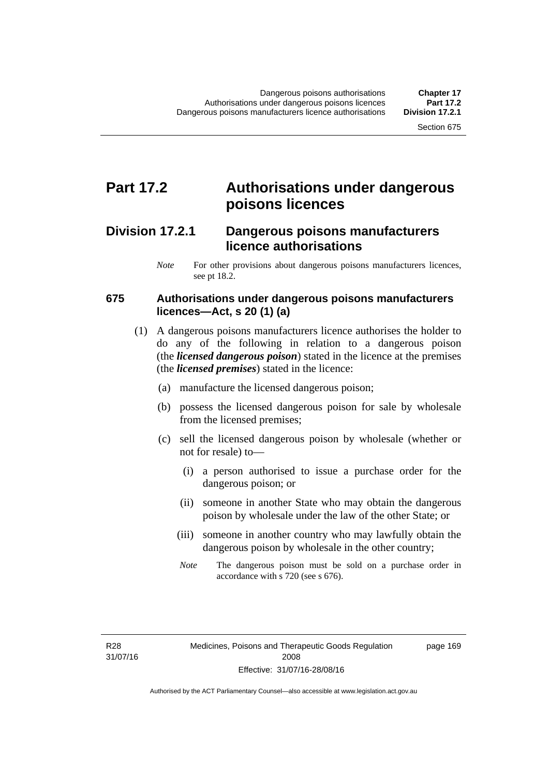## **Part 17.2 Authorisations under dangerous poisons licences**

### **Division 17.2.1 Dangerous poisons manufacturers licence authorisations**

*Note* For other provisions about dangerous poisons manufacturers licences, see pt 18.2.

#### **675 Authorisations under dangerous poisons manufacturers licences—Act, s 20 (1) (a)**

- (1) A dangerous poisons manufacturers licence authorises the holder to do any of the following in relation to a dangerous poison (the *licensed dangerous poison*) stated in the licence at the premises (the *licensed premises*) stated in the licence:
	- (a) manufacture the licensed dangerous poison;
	- (b) possess the licensed dangerous poison for sale by wholesale from the licensed premises;
	- (c) sell the licensed dangerous poison by wholesale (whether or not for resale) to—
		- (i) a person authorised to issue a purchase order for the dangerous poison; or
		- (ii) someone in another State who may obtain the dangerous poison by wholesale under the law of the other State; or
		- (iii) someone in another country who may lawfully obtain the dangerous poison by wholesale in the other country;
		- *Note* The dangerous poison must be sold on a purchase order in accordance with s 720 (see s 676).

R28 31/07/16 page 169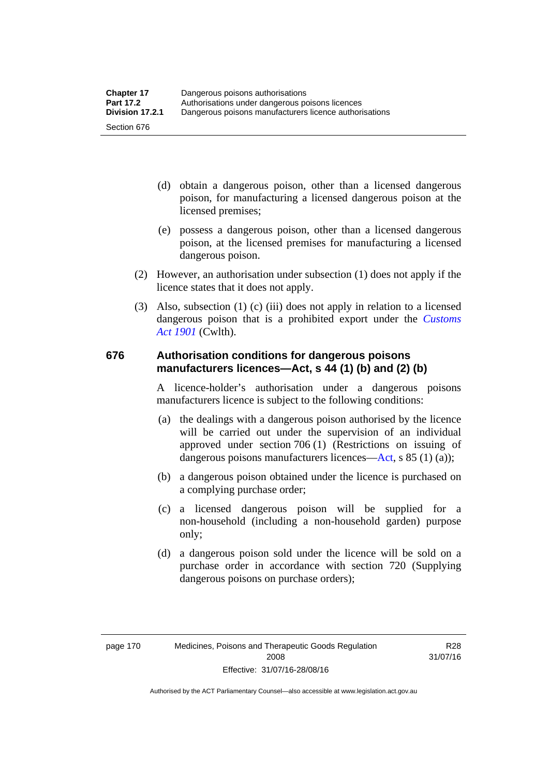- (d) obtain a dangerous poison, other than a licensed dangerous poison, for manufacturing a licensed dangerous poison at the licensed premises;
- (e) possess a dangerous poison, other than a licensed dangerous poison, at the licensed premises for manufacturing a licensed dangerous poison.
- (2) However, an authorisation under subsection (1) does not apply if the licence states that it does not apply.
- (3) Also, subsection (1) (c) (iii) does not apply in relation to a licensed dangerous poison that is a prohibited export under the *[Customs](http://www.comlaw.gov.au/Series/C1901A00006)  [Act 1901](http://www.comlaw.gov.au/Series/C1901A00006)* (Cwlth).

#### **676 Authorisation conditions for dangerous poisons manufacturers licences—Act, s 44 (1) (b) and (2) (b)**

A licence-holder's authorisation under a dangerous poisons manufacturers licence is subject to the following conditions:

- (a) the dealings with a dangerous poison authorised by the licence will be carried out under the supervision of an individual approved under section 706 (1) (Restrictions on issuing of dangerous poisons manufacturers licences[—Act,](http://www.legislation.act.gov.au/a/2008-26/default.asp) s 85 (1) (a));
- (b) a dangerous poison obtained under the licence is purchased on a complying purchase order;
- (c) a licensed dangerous poison will be supplied for a non-household (including a non-household garden) purpose only;
- (d) a dangerous poison sold under the licence will be sold on a purchase order in accordance with section 720 (Supplying dangerous poisons on purchase orders);

R28 31/07/16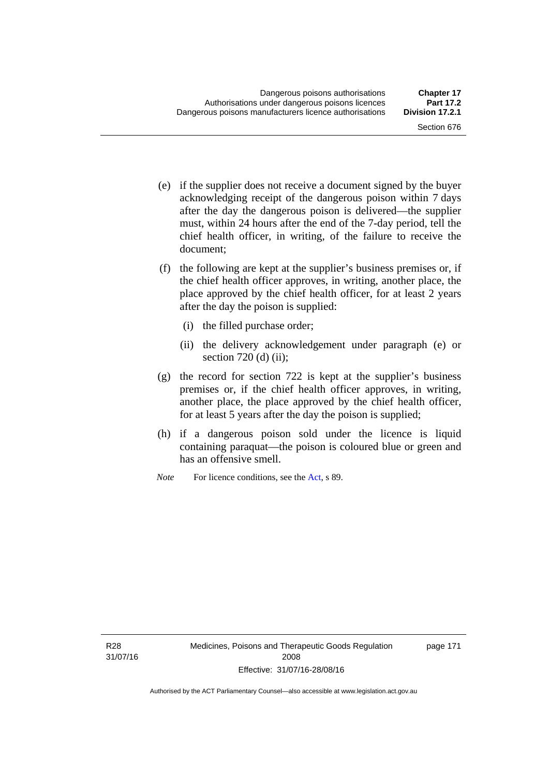- (e) if the supplier does not receive a document signed by the buyer acknowledging receipt of the dangerous poison within 7 days after the day the dangerous poison is delivered—the supplier must, within 24 hours after the end of the 7-day period, tell the chief health officer, in writing, of the failure to receive the document;
- (f) the following are kept at the supplier's business premises or, if the chief health officer approves, in writing, another place, the place approved by the chief health officer, for at least 2 years after the day the poison is supplied:
	- (i) the filled purchase order;
	- (ii) the delivery acknowledgement under paragraph (e) or section 720 (d) (ii);
- (g) the record for section 722 is kept at the supplier's business premises or, if the chief health officer approves, in writing, another place, the place approved by the chief health officer, for at least 5 years after the day the poison is supplied;
- (h) if a dangerous poison sold under the licence is liquid containing paraquat—the poison is coloured blue or green and has an offensive smell.
- *Note* For licence conditions, see the [Act](http://www.legislation.act.gov.au/a/2008-26/default.asp), s 89.

R28 31/07/16 page 171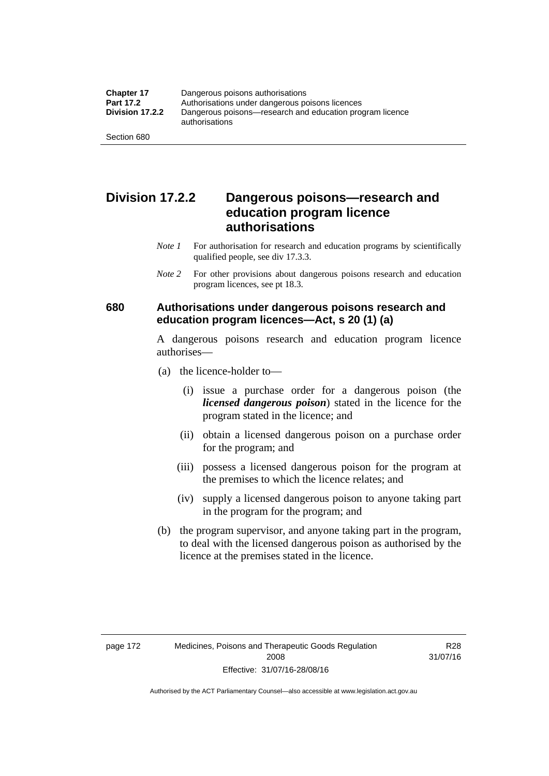### **Division 17.2.2 Dangerous poisons—research and education program licence authorisations**

- *Note 1* For authorisation for research and education programs by scientifically qualified people, see div 17.3.3.
- *Note 2* For other provisions about dangerous poisons research and education program licences, see pt 18.3.

#### **680 Authorisations under dangerous poisons research and education program licences—Act, s 20 (1) (a)**

A dangerous poisons research and education program licence authorises—

- (a) the licence-holder to—
	- (i) issue a purchase order for a dangerous poison (the *licensed dangerous poison*) stated in the licence for the program stated in the licence; and
	- (ii) obtain a licensed dangerous poison on a purchase order for the program; and
	- (iii) possess a licensed dangerous poison for the program at the premises to which the licence relates; and
	- (iv) supply a licensed dangerous poison to anyone taking part in the program for the program; and
- (b) the program supervisor, and anyone taking part in the program, to deal with the licensed dangerous poison as authorised by the licence at the premises stated in the licence.

R28 31/07/16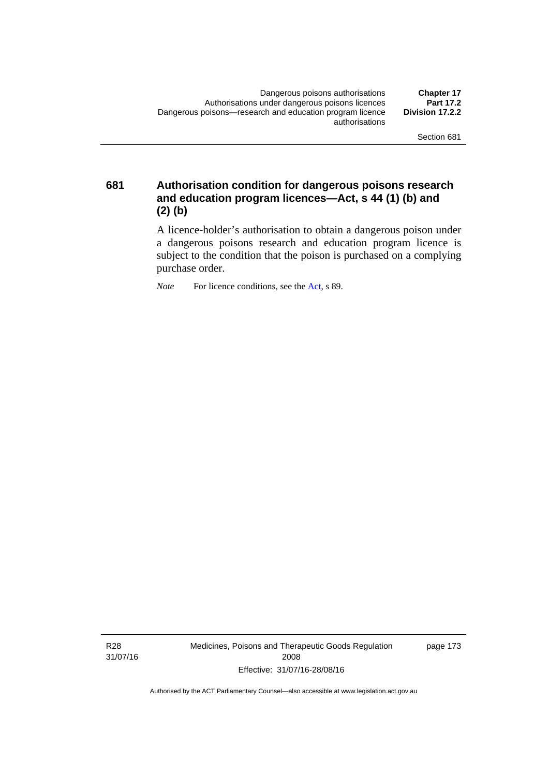**681 Authorisation condition for dangerous poisons research and education program licences—Act, s 44 (1) (b) and (2) (b)** 

> A licence-holder's authorisation to obtain a dangerous poison under a dangerous poisons research and education program licence is subject to the condition that the poison is purchased on a complying purchase order.

*Note* For licence conditions, see the [Act](http://www.legislation.act.gov.au/a/2008-26/default.asp), s 89.

R28 31/07/16 Medicines, Poisons and Therapeutic Goods Regulation 2008 Effective: 31/07/16-28/08/16

page 173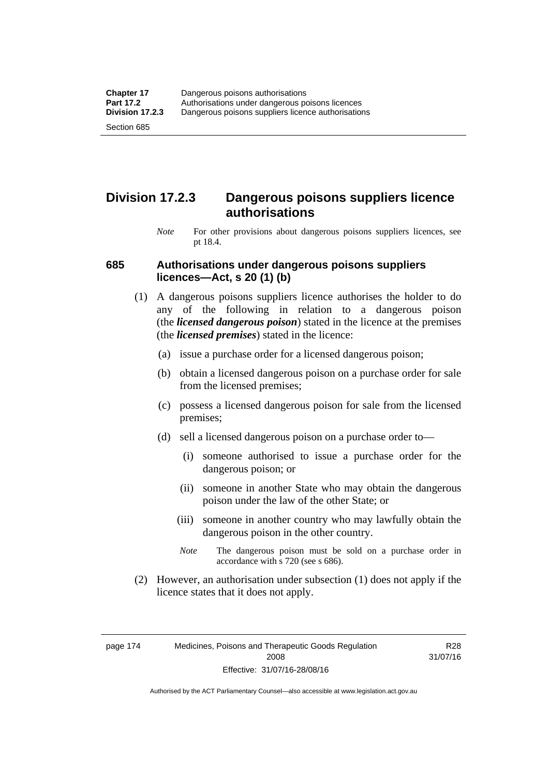### **Division 17.2.3 Dangerous poisons suppliers licence authorisations**

*Note* For other provisions about dangerous poisons suppliers licences, see pt 18.4.

#### **685 Authorisations under dangerous poisons suppliers licences—Act, s 20 (1) (b)**

- (1) A dangerous poisons suppliers licence authorises the holder to do any of the following in relation to a dangerous poison (the *licensed dangerous poison*) stated in the licence at the premises (the *licensed premises*) stated in the licence:
	- (a) issue a purchase order for a licensed dangerous poison;
	- (b) obtain a licensed dangerous poison on a purchase order for sale from the licensed premises;
	- (c) possess a licensed dangerous poison for sale from the licensed premises;
	- (d) sell a licensed dangerous poison on a purchase order to—
		- (i) someone authorised to issue a purchase order for the dangerous poison; or
		- (ii) someone in another State who may obtain the dangerous poison under the law of the other State; or
		- (iii) someone in another country who may lawfully obtain the dangerous poison in the other country.
		- *Note* The dangerous poison must be sold on a purchase order in accordance with s 720 (see s 686).
- (2) However, an authorisation under subsection (1) does not apply if the licence states that it does not apply.

page 174 Medicines, Poisons and Therapeutic Goods Regulation 2008 Effective: 31/07/16-28/08/16

R28 31/07/16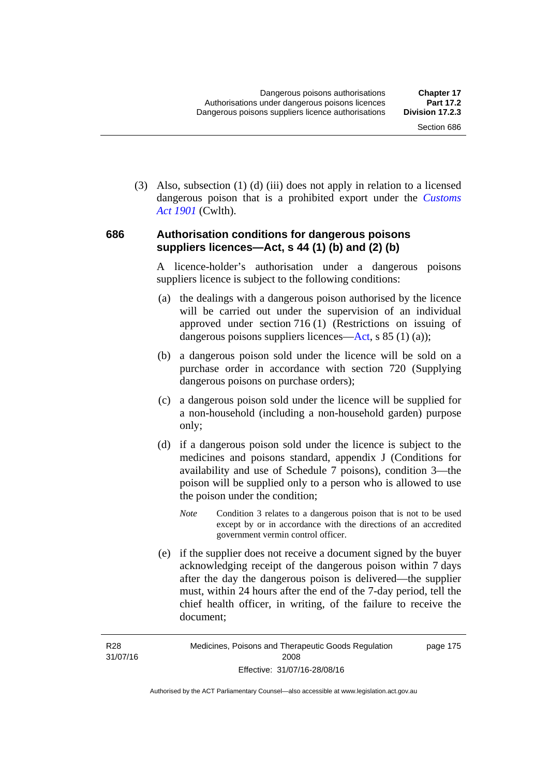(3) Also, subsection (1) (d) (iii) does not apply in relation to a licensed dangerous poison that is a prohibited export under the *[Customs](http://www.comlaw.gov.au/Series/C1901A00006)  [Act 1901](http://www.comlaw.gov.au/Series/C1901A00006)* (Cwlth).

#### **686 Authorisation conditions for dangerous poisons suppliers licences—Act, s 44 (1) (b) and (2) (b)**

A licence-holder's authorisation under a dangerous poisons suppliers licence is subject to the following conditions:

- (a) the dealings with a dangerous poison authorised by the licence will be carried out under the supervision of an individual approved under section 716 (1) (Restrictions on issuing of dangerous poisons suppliers licences—[Act](http://www.legislation.act.gov.au/a/2008-26/default.asp), s 85 (1) (a));
- (b) a dangerous poison sold under the licence will be sold on a purchase order in accordance with section 720 (Supplying dangerous poisons on purchase orders);
- (c) a dangerous poison sold under the licence will be supplied for a non-household (including a non-household garden) purpose only;
- (d) if a dangerous poison sold under the licence is subject to the medicines and poisons standard, appendix J (Conditions for availability and use of Schedule 7 poisons), condition 3—the poison will be supplied only to a person who is allowed to use the poison under the condition;
	- *Note* Condition 3 relates to a dangerous poison that is not to be used except by or in accordance with the directions of an accredited government vermin control officer.
- (e) if the supplier does not receive a document signed by the buyer acknowledging receipt of the dangerous poison within 7 days after the day the dangerous poison is delivered—the supplier must, within 24 hours after the end of the 7-day period, tell the chief health officer, in writing, of the failure to receive the document;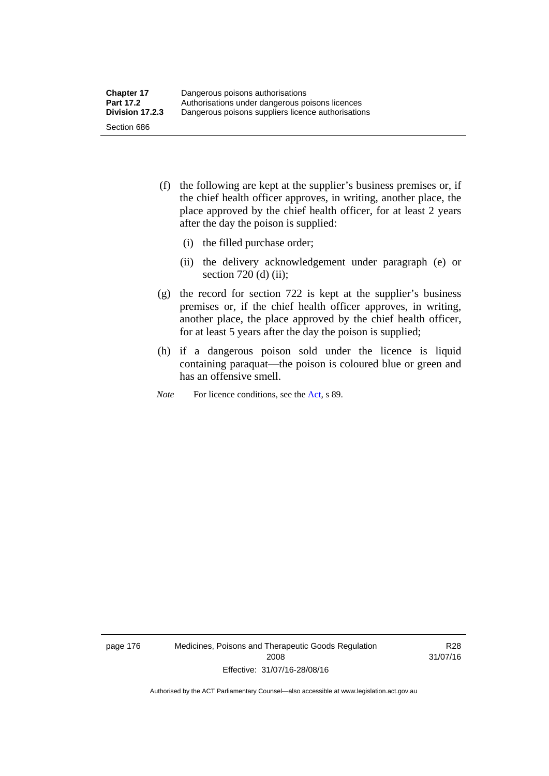- (f) the following are kept at the supplier's business premises or, if the chief health officer approves, in writing, another place, the place approved by the chief health officer, for at least 2 years after the day the poison is supplied:
	- (i) the filled purchase order;
	- (ii) the delivery acknowledgement under paragraph (e) or section 720 (d) (ii);
- (g) the record for section 722 is kept at the supplier's business premises or, if the chief health officer approves, in writing, another place, the place approved by the chief health officer, for at least 5 years after the day the poison is supplied;
- (h) if a dangerous poison sold under the licence is liquid containing paraquat—the poison is coloured blue or green and has an offensive smell.
- *Note* For licence conditions, see the [Act](http://www.legislation.act.gov.au/a/2008-26/default.asp), s 89.

page 176 Medicines, Poisons and Therapeutic Goods Regulation 2008 Effective: 31/07/16-28/08/16

R28 31/07/16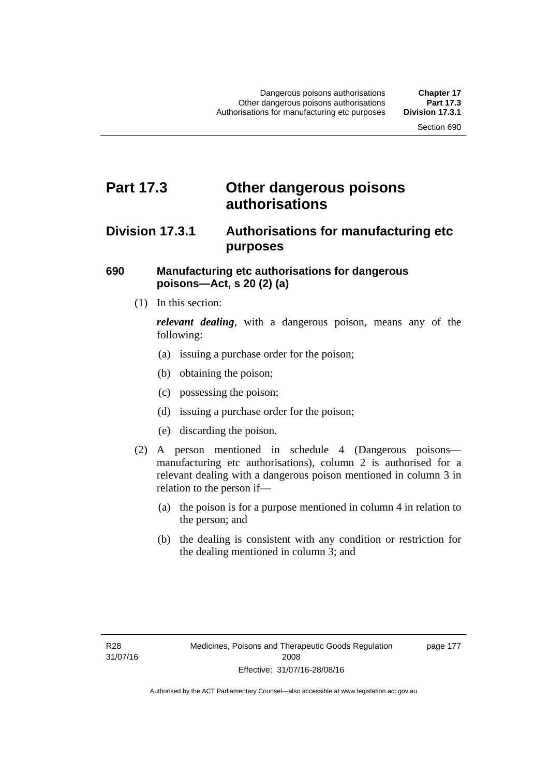## **Part 17.3 Other dangerous poisons authorisations**

### **Division 17.3.1 Authorisations for manufacturing etc purposes**

#### **690 Manufacturing etc authorisations for dangerous poisons—Act, s 20 (2) (a)**

(1) In this section:

*relevant dealing*, with a dangerous poison, means any of the following:

- (a) issuing a purchase order for the poison;
- (b) obtaining the poison;
- (c) possessing the poison;
- (d) issuing a purchase order for the poison;
- (e) discarding the poison.
- (2) A person mentioned in schedule 4 (Dangerous poisons manufacturing etc authorisations), column 2 is authorised for a relevant dealing with a dangerous poison mentioned in column 3 in relation to the person if—
	- (a) the poison is for a purpose mentioned in column 4 in relation to the person; and
	- (b) the dealing is consistent with any condition or restriction for the dealing mentioned in column 3; and

page 177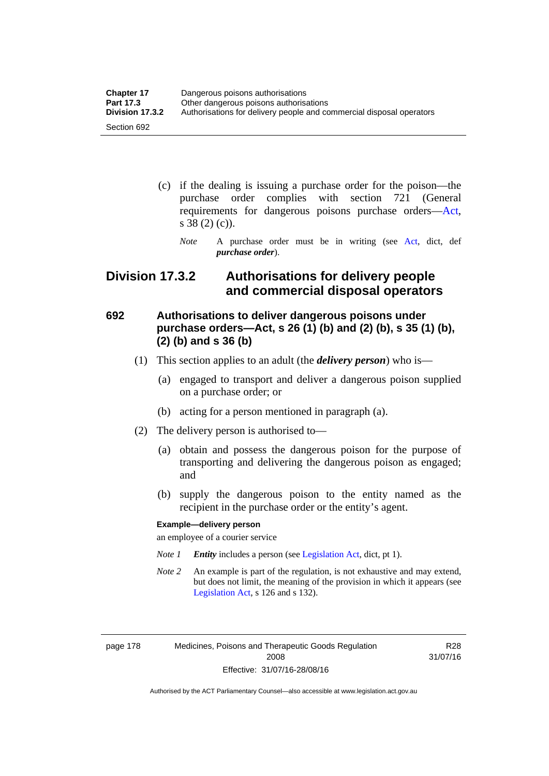| <b>Chapter 17</b> | Dangerous poisons authorisations                                     |
|-------------------|----------------------------------------------------------------------|
| <b>Part 17.3</b>  | Other dangerous poisons authorisations                               |
| Division 17.3.2   | Authorisations for delivery people and commercial disposal operators |
| Section 692       |                                                                      |

- (c) if the dealing is issuing a purchase order for the poison—the purchase order complies with section 721 (General requirements for dangerous poisons purchase orders[—Act](http://www.legislation.act.gov.au/a/2008-26/default.asp), s 38 (2) (c)).
	- *Note* A purchase order must be in writing (see [Act](http://www.legislation.act.gov.au/a/2008-26/default.asp), dict, def *purchase order*).

### **Division 17.3.2 Authorisations for delivery people and commercial disposal operators**

### **692 Authorisations to deliver dangerous poisons under purchase orders—Act, s 26 (1) (b) and (2) (b), s 35 (1) (b), (2) (b) and s 36 (b)**

- (1) This section applies to an adult (the *delivery person*) who is—
	- (a) engaged to transport and deliver a dangerous poison supplied on a purchase order; or
	- (b) acting for a person mentioned in paragraph (a).
- (2) The delivery person is authorised to—
	- (a) obtain and possess the dangerous poison for the purpose of transporting and delivering the dangerous poison as engaged; and
	- (b) supply the dangerous poison to the entity named as the recipient in the purchase order or the entity's agent.

#### **Example—delivery person**

an employee of a courier service

- *Note 1 Entity* includes a person (see [Legislation Act,](http://www.legislation.act.gov.au/a/2001-14) dict, pt 1).
- *Note 2* An example is part of the regulation, is not exhaustive and may extend, but does not limit, the meaning of the provision in which it appears (see [Legislation Act,](http://www.legislation.act.gov.au/a/2001-14) s 126 and s 132).

page 178 Medicines, Poisons and Therapeutic Goods Regulation 2008 Effective: 31/07/16-28/08/16

R28 31/07/16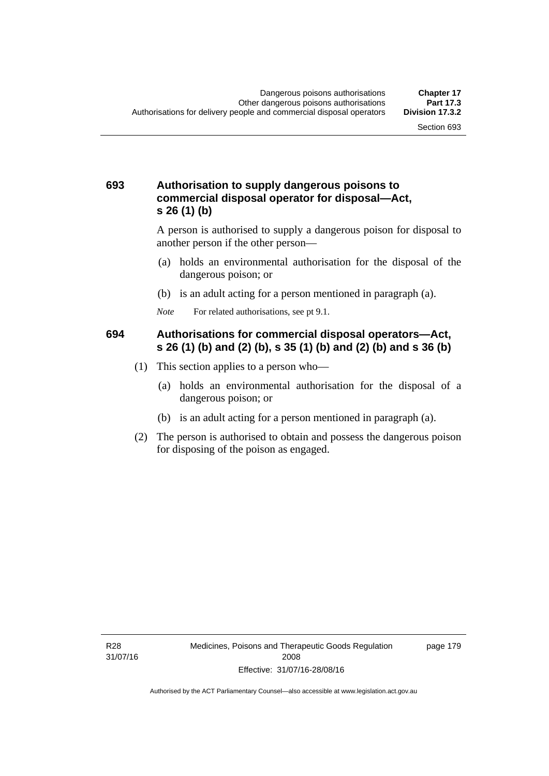#### **693 Authorisation to supply dangerous poisons to commercial disposal operator for disposal—Act, s 26 (1) (b)**

A person is authorised to supply a dangerous poison for disposal to another person if the other person—

- (a) holds an environmental authorisation for the disposal of the dangerous poison; or
- (b) is an adult acting for a person mentioned in paragraph (a).
- *Note* For related authorisations, see pt 9.1.

#### **694 Authorisations for commercial disposal operators—Act, s 26 (1) (b) and (2) (b), s 35 (1) (b) and (2) (b) and s 36 (b)**

- (1) This section applies to a person who—
	- (a) holds an environmental authorisation for the disposal of a dangerous poison; or
	- (b) is an adult acting for a person mentioned in paragraph (a).
- (2) The person is authorised to obtain and possess the dangerous poison for disposing of the poison as engaged.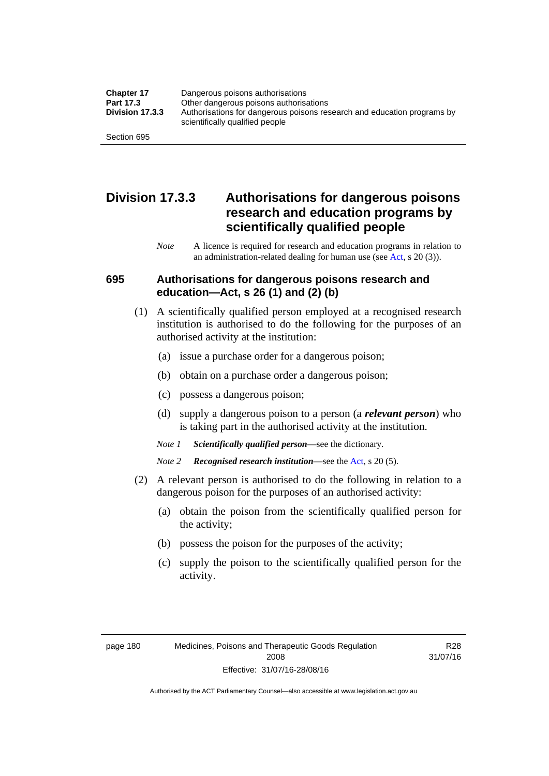| <b>Chapter 17</b> | Dangerous poisons authorisations                                                                           |
|-------------------|------------------------------------------------------------------------------------------------------------|
| Part 17.3         | Other dangerous poisons authorisations                                                                     |
| Division 17.3.3   | Authorisations for dangerous poisons research and education programs by<br>scientifically qualified people |
| Section 695       |                                                                                                            |

### **Division 17.3.3 Authorisations for dangerous poisons research and education programs by scientifically qualified people**

*Note* A licence is required for research and education programs in relation to an administration-related dealing for human use (see [Act](http://www.legislation.act.gov.au/a/2008-26/default.asp), s 20 (3)).

#### **695 Authorisations for dangerous poisons research and education—Act, s 26 (1) and (2) (b)**

- (1) A scientifically qualified person employed at a recognised research institution is authorised to do the following for the purposes of an authorised activity at the institution:
	- (a) issue a purchase order for a dangerous poison;
	- (b) obtain on a purchase order a dangerous poison;
	- (c) possess a dangerous poison;
	- (d) supply a dangerous poison to a person (a *relevant person*) who is taking part in the authorised activity at the institution.
	- *Note 1 Scientifically qualified person*—see the dictionary.
	- *Note 2 Recognised research institution*—see the [Act](http://www.legislation.act.gov.au/a/2008-26/default.asp), s 20 (5).
- (2) A relevant person is authorised to do the following in relation to a dangerous poison for the purposes of an authorised activity:
	- (a) obtain the poison from the scientifically qualified person for the activity;
	- (b) possess the poison for the purposes of the activity;
	- (c) supply the poison to the scientifically qualified person for the activity.

R28 31/07/16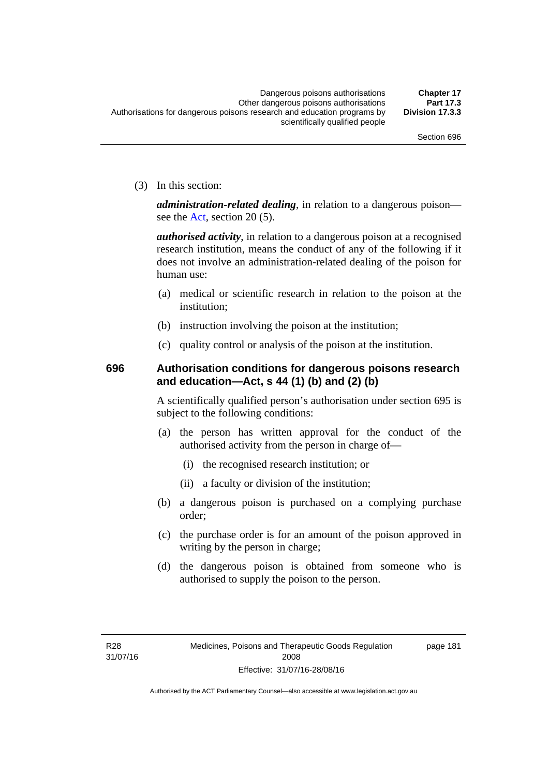(3) In this section:

*administration-related dealing*, in relation to a dangerous poison— see the [Act](http://www.legislation.act.gov.au/a/2008-26/default.asp), section 20 (5).

*authorised activity*, in relation to a dangerous poison at a recognised research institution, means the conduct of any of the following if it does not involve an administration-related dealing of the poison for human use:

- (a) medical or scientific research in relation to the poison at the institution;
- (b) instruction involving the poison at the institution;
- (c) quality control or analysis of the poison at the institution.

### **696 Authorisation conditions for dangerous poisons research and education—Act, s 44 (1) (b) and (2) (b)**

A scientifically qualified person's authorisation under section 695 is subject to the following conditions:

- (a) the person has written approval for the conduct of the authorised activity from the person in charge of—
	- (i) the recognised research institution; or
	- (ii) a faculty or division of the institution;
- (b) a dangerous poison is purchased on a complying purchase order;
- (c) the purchase order is for an amount of the poison approved in writing by the person in charge;
- (d) the dangerous poison is obtained from someone who is authorised to supply the poison to the person.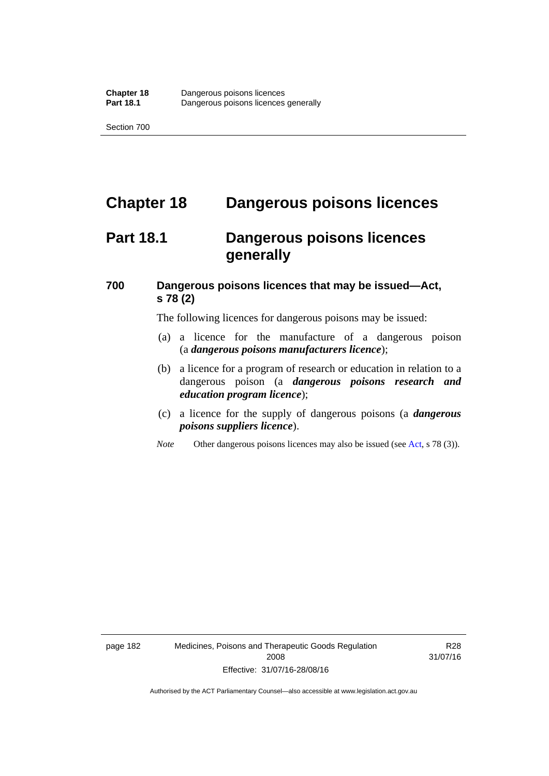# **Chapter 18 Dangerous poisons licences**

## **Part 18.1 Dangerous poisons licences generally**

### **700 Dangerous poisons licences that may be issued—Act, s 78 (2)**

The following licences for dangerous poisons may be issued:

- (a) a licence for the manufacture of a dangerous poison (a *dangerous poisons manufacturers licence*);
- (b) a licence for a program of research or education in relation to a dangerous poison (a *dangerous poisons research and education program licence*);
- (c) a licence for the supply of dangerous poisons (a *dangerous poisons suppliers licence*).
- *Note* Other dangerous poisons licences may also be issued (see [Act](http://www.legislation.act.gov.au/a/2008-26/default.asp), s 78 (3)).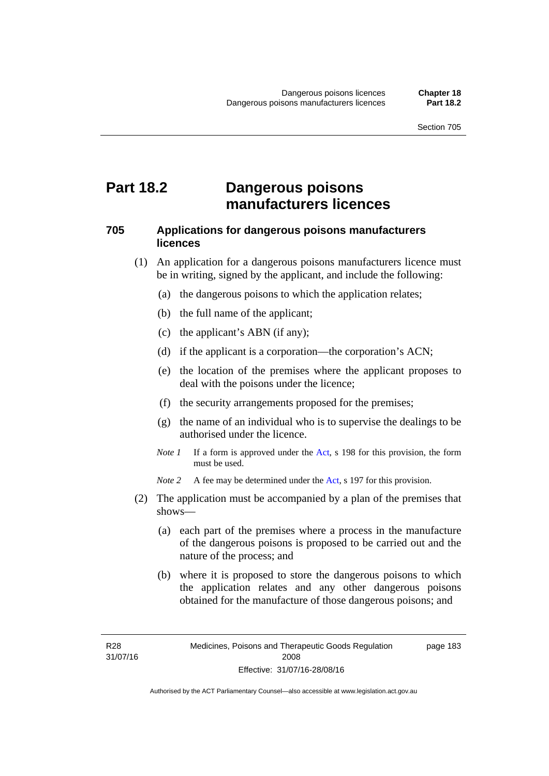## **Part 18.2 Dangerous poisons manufacturers licences**

#### **705 Applications for dangerous poisons manufacturers licences**

- (1) An application for a dangerous poisons manufacturers licence must be in writing, signed by the applicant, and include the following:
	- (a) the dangerous poisons to which the application relates;
	- (b) the full name of the applicant;
	- (c) the applicant's ABN (if any);
	- (d) if the applicant is a corporation—the corporation's ACN;
	- (e) the location of the premises where the applicant proposes to deal with the poisons under the licence;
	- (f) the security arrangements proposed for the premises;
	- (g) the name of an individual who is to supervise the dealings to be authorised under the licence.
	- *Note 1* If a form is approved under the [Act](http://www.legislation.act.gov.au/a/2008-26/default.asp), s 198 for this provision, the form must be used.

*Note 2* A fee may be determined under the [Act,](http://www.legislation.act.gov.au/a/2008-26/default.asp) s 197 for this provision.

- (2) The application must be accompanied by a plan of the premises that shows—
	- (a) each part of the premises where a process in the manufacture of the dangerous poisons is proposed to be carried out and the nature of the process; and
	- (b) where it is proposed to store the dangerous poisons to which the application relates and any other dangerous poisons obtained for the manufacture of those dangerous poisons; and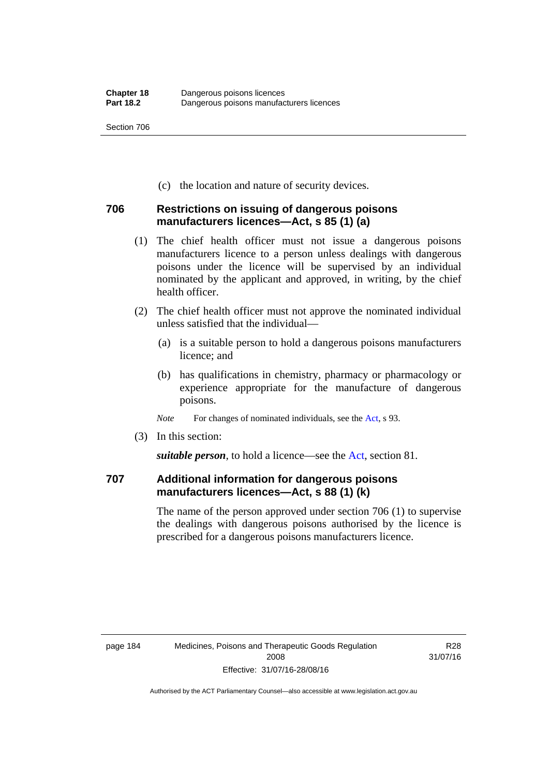(c) the location and nature of security devices.

#### **706 Restrictions on issuing of dangerous poisons manufacturers licences—Act, s 85 (1) (a)**

- (1) The chief health officer must not issue a dangerous poisons manufacturers licence to a person unless dealings with dangerous poisons under the licence will be supervised by an individual nominated by the applicant and approved, in writing, by the chief health officer.
- (2) The chief health officer must not approve the nominated individual unless satisfied that the individual—
	- (a) is a suitable person to hold a dangerous poisons manufacturers licence; and
	- (b) has qualifications in chemistry, pharmacy or pharmacology or experience appropriate for the manufacture of dangerous poisons.
	- *Note* For changes of nominated individuals, see the [Act,](http://www.legislation.act.gov.au/a/2008-26/default.asp) s 93.
- (3) In this section:

*suitable person*, to hold a licence—see the [Act](http://www.legislation.act.gov.au/a/2008-26/default.asp), section 81.

### **707 Additional information for dangerous poisons manufacturers licences—Act, s 88 (1) (k)**

The name of the person approved under section 706 (1) to supervise the dealings with dangerous poisons authorised by the licence is prescribed for a dangerous poisons manufacturers licence.

R28 31/07/16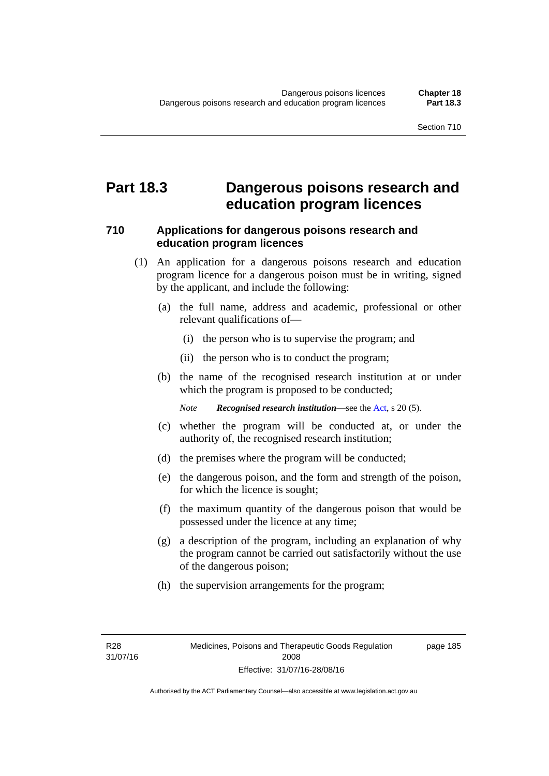## **Part 18.3 Dangerous poisons research and education program licences**

#### **710 Applications for dangerous poisons research and education program licences**

- (1) An application for a dangerous poisons research and education program licence for a dangerous poison must be in writing, signed by the applicant, and include the following:
	- (a) the full name, address and academic, professional or other relevant qualifications of—
		- (i) the person who is to supervise the program; and
		- (ii) the person who is to conduct the program;
	- (b) the name of the recognised research institution at or under which the program is proposed to be conducted;

*Note Recognised research institution*—see the [Act](http://www.legislation.act.gov.au/a/2008-26/default.asp), s 20 (5).

- (c) whether the program will be conducted at, or under the authority of, the recognised research institution;
- (d) the premises where the program will be conducted;
- (e) the dangerous poison, and the form and strength of the poison, for which the licence is sought;
- (f) the maximum quantity of the dangerous poison that would be possessed under the licence at any time;
- (g) a description of the program, including an explanation of why the program cannot be carried out satisfactorily without the use of the dangerous poison;
- (h) the supervision arrangements for the program;

page 185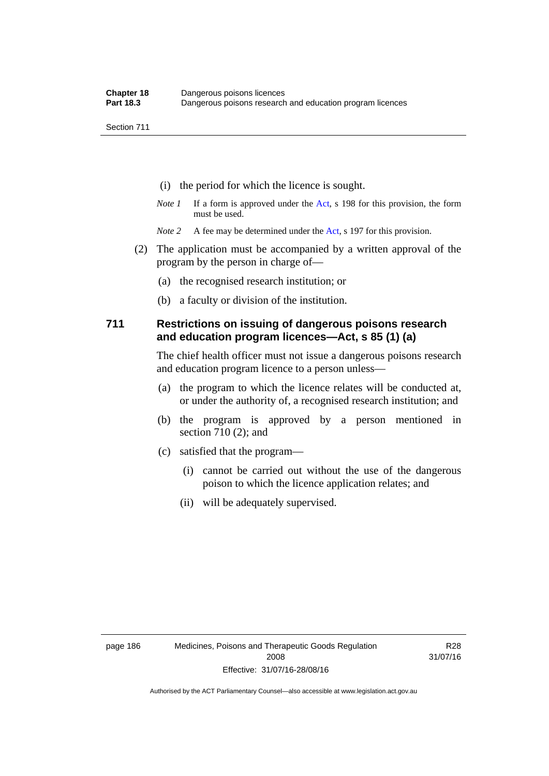- (i) the period for which the licence is sought.
- *Note 1* If a form is approved under the [Act](http://www.legislation.act.gov.au/a/2008-26/default.asp), s 198 for this provision, the form must be used.
- *Note* 2 A fee may be determined under the [Act,](http://www.legislation.act.gov.au/a/2008-26/default.asp) s 197 for this provision.
- (2) The application must be accompanied by a written approval of the program by the person in charge of—
	- (a) the recognised research institution; or
	- (b) a faculty or division of the institution.

#### **711 Restrictions on issuing of dangerous poisons research and education program licences—Act, s 85 (1) (a)**

The chief health officer must not issue a dangerous poisons research and education program licence to a person unless—

- (a) the program to which the licence relates will be conducted at, or under the authority of, a recognised research institution; and
- (b) the program is approved by a person mentioned in section 710 (2); and
- (c) satisfied that the program—
	- (i) cannot be carried out without the use of the dangerous poison to which the licence application relates; and
	- (ii) will be adequately supervised.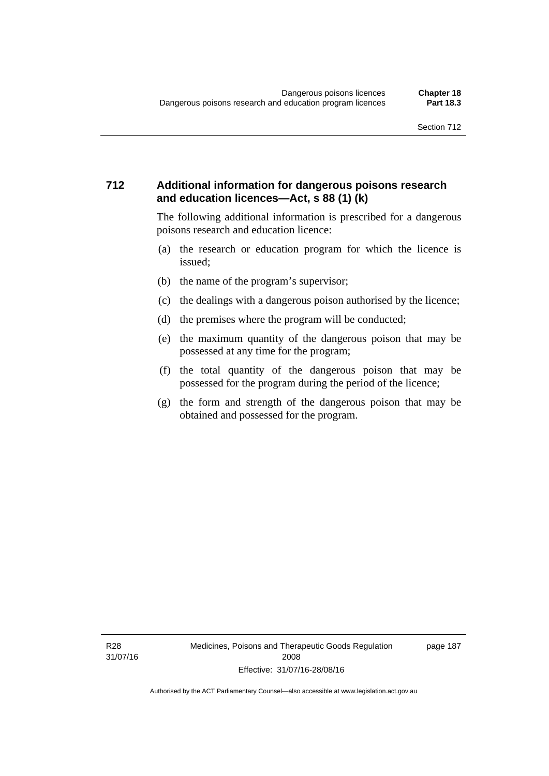#### **712 Additional information for dangerous poisons research and education licences—Act, s 88 (1) (k)**

The following additional information is prescribed for a dangerous poisons research and education licence:

- (a) the research or education program for which the licence is issued;
- (b) the name of the program's supervisor;
- (c) the dealings with a dangerous poison authorised by the licence;
- (d) the premises where the program will be conducted;
- (e) the maximum quantity of the dangerous poison that may be possessed at any time for the program;
- (f) the total quantity of the dangerous poison that may be possessed for the program during the period of the licence;
- (g) the form and strength of the dangerous poison that may be obtained and possessed for the program.

page 187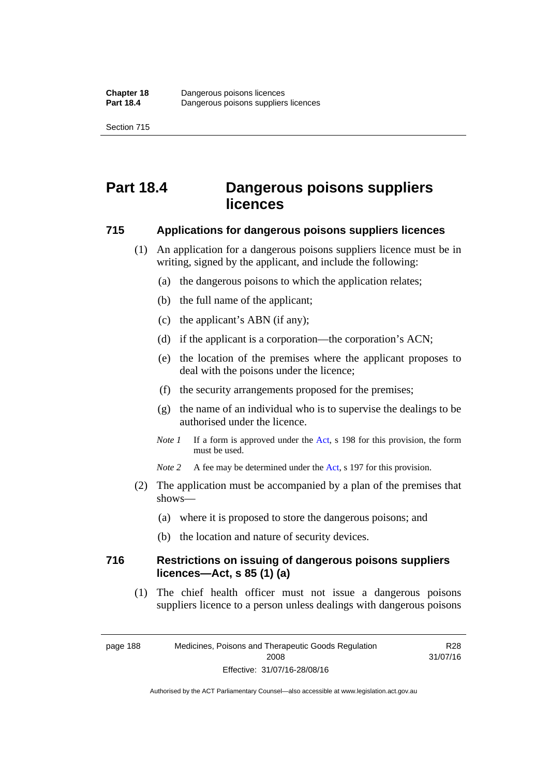# **Part 18.4 Dangerous poisons suppliers licences**

#### **715 Applications for dangerous poisons suppliers licences**

- (1) An application for a dangerous poisons suppliers licence must be in writing, signed by the applicant, and include the following:
	- (a) the dangerous poisons to which the application relates;
	- (b) the full name of the applicant;
	- (c) the applicant's ABN (if any);
	- (d) if the applicant is a corporation—the corporation's ACN;
	- (e) the location of the premises where the applicant proposes to deal with the poisons under the licence;
	- (f) the security arrangements proposed for the premises;
	- (g) the name of an individual who is to supervise the dealings to be authorised under the licence.
	- *Note 1* If a form is approved under the [Act](http://www.legislation.act.gov.au/a/2008-26/default.asp), s 198 for this provision, the form must be used.
	- *Note* 2 A fee may be determined under the [Act,](http://www.legislation.act.gov.au/a/2008-26/default.asp) s 197 for this provision.
- (2) The application must be accompanied by a plan of the premises that shows—
	- (a) where it is proposed to store the dangerous poisons; and
	- (b) the location and nature of security devices.

#### **716 Restrictions on issuing of dangerous poisons suppliers licences—Act, s 85 (1) (a)**

(1) The chief health officer must not issue a dangerous poisons suppliers licence to a person unless dealings with dangerous poisons

R28 31/07/16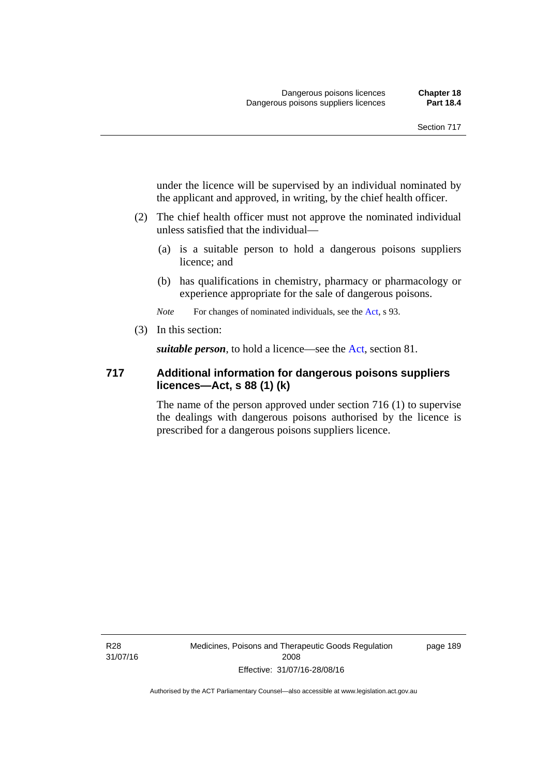under the licence will be supervised by an individual nominated by the applicant and approved, in writing, by the chief health officer.

- (2) The chief health officer must not approve the nominated individual unless satisfied that the individual—
	- (a) is a suitable person to hold a dangerous poisons suppliers licence; and
	- (b) has qualifications in chemistry, pharmacy or pharmacology or experience appropriate for the sale of dangerous poisons.

*Note* For changes of nominated individuals, see the [Act,](http://www.legislation.act.gov.au/a/2008-26/default.asp) s 93.

(3) In this section:

*suitable person*, to hold a licence—see the [Act](http://www.legislation.act.gov.au/a/2008-26/default.asp), section 81.

#### **717 Additional information for dangerous poisons suppliers licences—Act, s 88 (1) (k)**

The name of the person approved under section 716 (1) to supervise the dealings with dangerous poisons authorised by the licence is prescribed for a dangerous poisons suppliers licence.

R28 31/07/16 Medicines, Poisons and Therapeutic Goods Regulation 2008 Effective: 31/07/16-28/08/16

page 189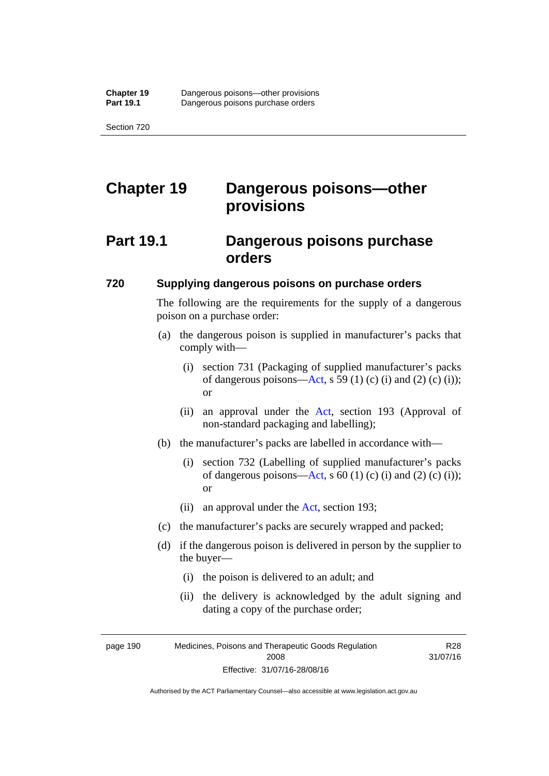# **Chapter 19 Dangerous poisons—other provisions**

## **Part 19.1 Dangerous poisons purchase orders**

#### **720 Supplying dangerous poisons on purchase orders**

The following are the requirements for the supply of a dangerous poison on a purchase order:

- (a) the dangerous poison is supplied in manufacturer's packs that comply with—
	- (i) section 731 (Packaging of supplied manufacturer's packs of dangerous poisons[—Act](http://www.legislation.act.gov.au/a/2008-26/default.asp), s 59 (1) (c) (i) and (2) (c) (i)); or
	- (ii) an approval under the [Act](http://www.legislation.act.gov.au/a/2008-26/default.asp), section 193 (Approval of non-standard packaging and labelling);
- (b) the manufacturer's packs are labelled in accordance with—
	- (i) section 732 (Labelling of supplied manufacturer's packs of dangerous poisons[—Act](http://www.legislation.act.gov.au/a/2008-26/default.asp), s  $60$  (1) (c) (i) and (2) (c) (i)); or
	- (ii) an approval under the [Act,](http://www.legislation.act.gov.au/a/2008-26/default.asp) section 193;
- (c) the manufacturer's packs are securely wrapped and packed;
- (d) if the dangerous poison is delivered in person by the supplier to the buyer—
	- (i) the poison is delivered to an adult; and
	- (ii) the delivery is acknowledged by the adult signing and dating a copy of the purchase order;

R28

page 190 Medicines, Poisons and Therapeutic Goods Regulation 2008 Effective: 31/07/16-28/08/16 31/07/16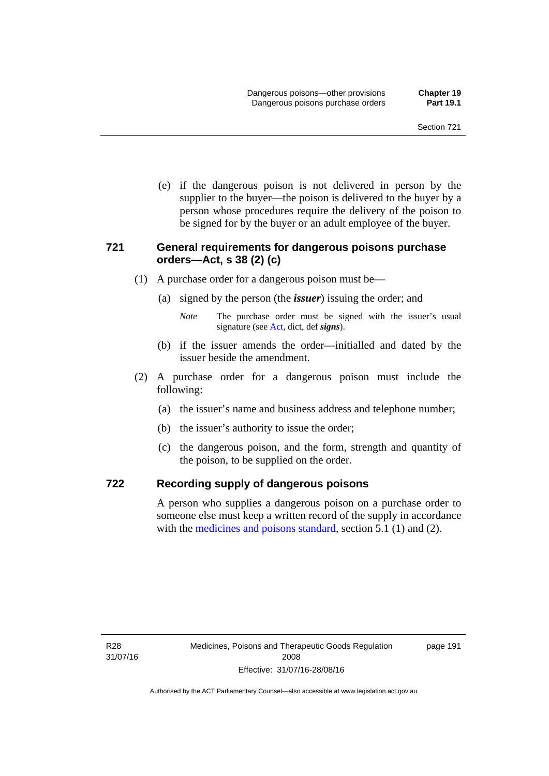(e) if the dangerous poison is not delivered in person by the supplier to the buyer—the poison is delivered to the buyer by a person whose procedures require the delivery of the poison to be signed for by the buyer or an adult employee of the buyer.

#### **721 General requirements for dangerous poisons purchase orders—Act, s 38 (2) (c)**

- (1) A purchase order for a dangerous poison must be—
	- (a) signed by the person (the *issuer*) issuing the order; and
		- *Note* The purchase order must be signed with the issuer's usual signature (see [Act](http://www.legislation.act.gov.au/a/2008-26/default.asp), dict, def *signs*).
	- (b) if the issuer amends the order—initialled and dated by the issuer beside the amendment.
- (2) A purchase order for a dangerous poison must include the following:
	- (a) the issuer's name and business address and telephone number;
	- (b) the issuer's authority to issue the order;
	- (c) the dangerous poison, and the form, strength and quantity of the poison, to be supplied on the order.

#### **722 Recording supply of dangerous poisons**

A person who supplies a dangerous poison on a purchase order to someone else must keep a written record of the supply in accordance with the [medicines and poisons standard](http://www.comlaw.gov.au/Series/F2012L01200), section 5.1 (1) and (2).

page 191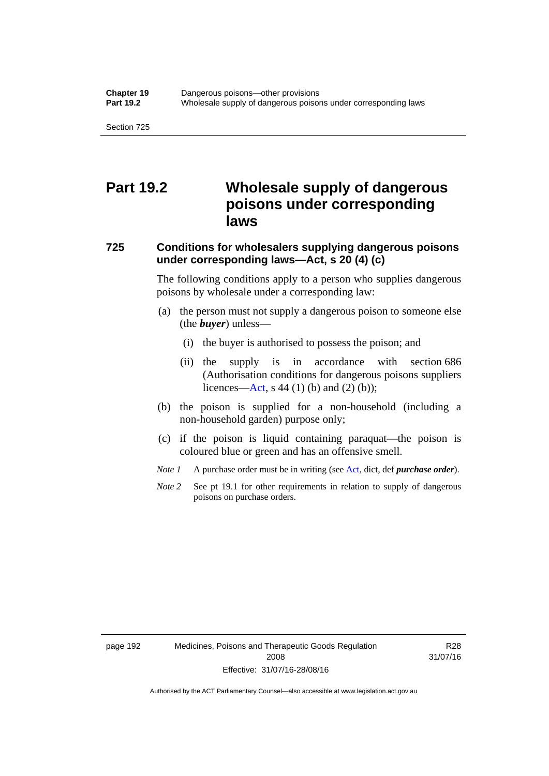## **Part 19.2 Wholesale supply of dangerous poisons under corresponding laws**

### **725 Conditions for wholesalers supplying dangerous poisons under corresponding laws—Act, s 20 (4) (c)**

The following conditions apply to a person who supplies dangerous poisons by wholesale under a corresponding law:

- (a) the person must not supply a dangerous poison to someone else (the *buyer*) unless—
	- (i) the buyer is authorised to possess the poison; and
	- (ii) the supply is in accordance with section 686 (Authorisation conditions for dangerous poisons suppliers licences—[Act,](http://www.legislation.act.gov.au/a/2008-26/default.asp) s 44 (1) (b) and (2) (b));
- (b) the poison is supplied for a non-household (including a non-household garden) purpose only;
- (c) if the poison is liquid containing paraquat—the poison is coloured blue or green and has an offensive smell.
- *Note 1* A purchase order must be in writing (see [Act,](http://www.legislation.act.gov.au/a/2008-26/default.asp) dict, def *purchase order*).
- *Note* 2 See pt 19.1 for other requirements in relation to supply of dangerous poisons on purchase orders.

R28 31/07/16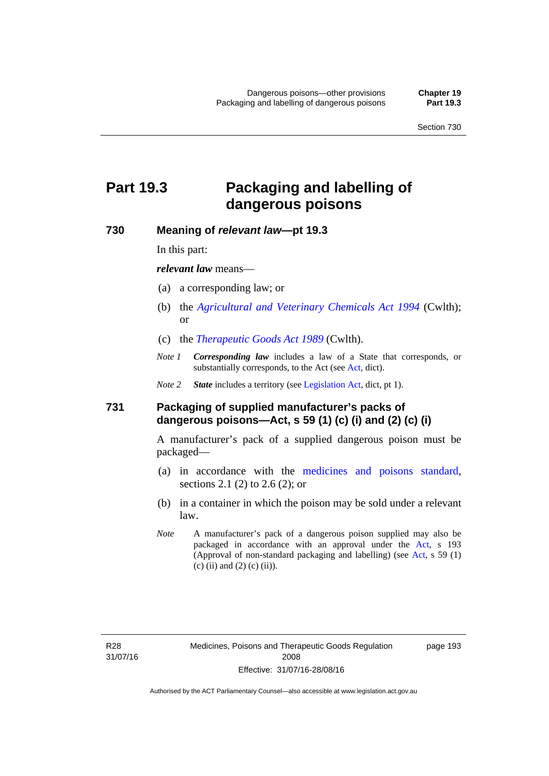#### **Part 19.3 Packaging and labelling of dangerous poisons**

#### **730 Meaning of** *relevant law***—pt 19.3**

In this part:

*relevant law* means—

- (a) a corresponding law; or
- (b) the *[Agricultural and Veterinary Chemicals Act 1994](http://www.comlaw.gov.au/Series/C2004A04712)* (Cwlth); or
- (c) the *[Therapeutic Goods Act 1989](http://www.comlaw.gov.au/Series/C2004A03952)* (Cwlth).
- *Note 1 Corresponding law* includes a law of a State that corresponds, or substantially corresponds, to the [Act](http://www.legislation.act.gov.au/a/2008-26/default.asp) (see Act, dict).

*Note 2 State* includes a territory (see [Legislation Act,](http://www.legislation.act.gov.au/a/2001-14) dict, pt 1).

#### **731 Packaging of supplied manufacturer's packs of dangerous poisons—Act, s 59 (1) (c) (i) and (2) (c) (i)**

A manufacturer's pack of a supplied dangerous poison must be packaged—

- (a) in accordance with the [medicines and poisons standard](http://www.comlaw.gov.au/Series/F2012L01200), sections 2.1 (2) to 2.6 (2); or
- (b) in a container in which the poison may be sold under a relevant law.
- *Note* A manufacturer's pack of a dangerous poison supplied may also be packaged in accordance with an approval under the [Act,](http://www.legislation.act.gov.au/a/2008-26/default.asp) s 193 (Approval of non-standard packaging and labelling) (see [Act](http://www.legislation.act.gov.au/a/2008-26/default.asp), s 59 (1) (c) (ii) and (2) (c) (ii)).

page 193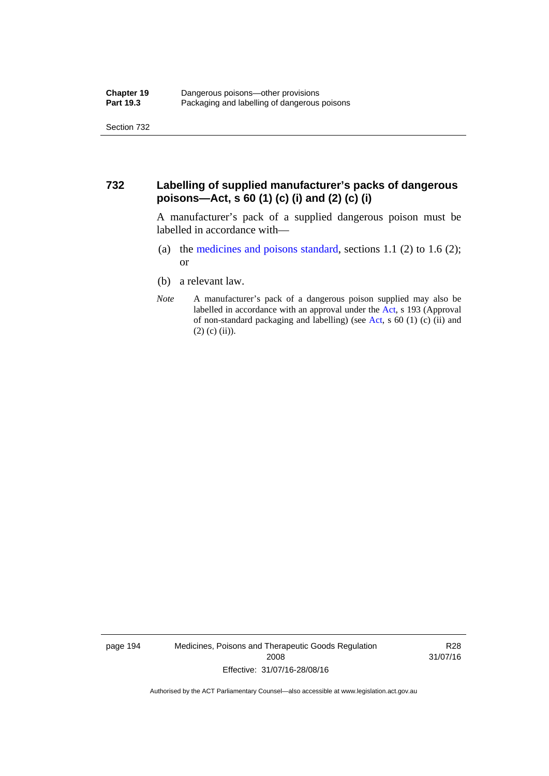#### **732 Labelling of supplied manufacturer's packs of dangerous poisons—Act, s 60 (1) (c) (i) and (2) (c) (i)**

A manufacturer's pack of a supplied dangerous poison must be labelled in accordance with—

- (a) the [medicines and poisons standard](http://www.comlaw.gov.au/Series/F2012L01200), sections 1.1 (2) to 1.6 (2); or
- (b) a relevant law.
- *Note* A manufacturer's pack of a dangerous poison supplied may also be labelled in accordance with an approval under the [Act](http://www.legislation.act.gov.au/a/2008-26/default.asp), s 193 (Approval of non-standard packaging and labelling) (see [Act,](http://www.legislation.act.gov.au/a/2008-26/default.asp) s 60 (1) (c) (ii) and  $(2)$  (c) (ii)).

page 194 Medicines, Poisons and Therapeutic Goods Regulation 2008 Effective: 31/07/16-28/08/16

R28 31/07/16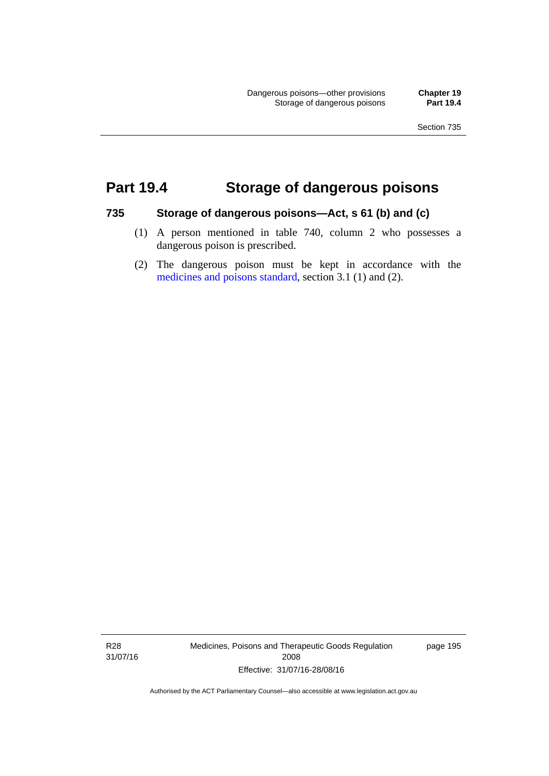#### **Part 19.4 Storage of dangerous poisons**

#### **735 Storage of dangerous poisons—Act, s 61 (b) and (c)**

- (1) A person mentioned in table 740, column 2 who possesses a dangerous poison is prescribed.
- (2) The dangerous poison must be kept in accordance with the [medicines and poisons standard](http://www.comlaw.gov.au/Series/F2012L01200), section 3.1 (1) and (2).

R28 31/07/16 Medicines, Poisons and Therapeutic Goods Regulation 2008 Effective: 31/07/16-28/08/16

page 195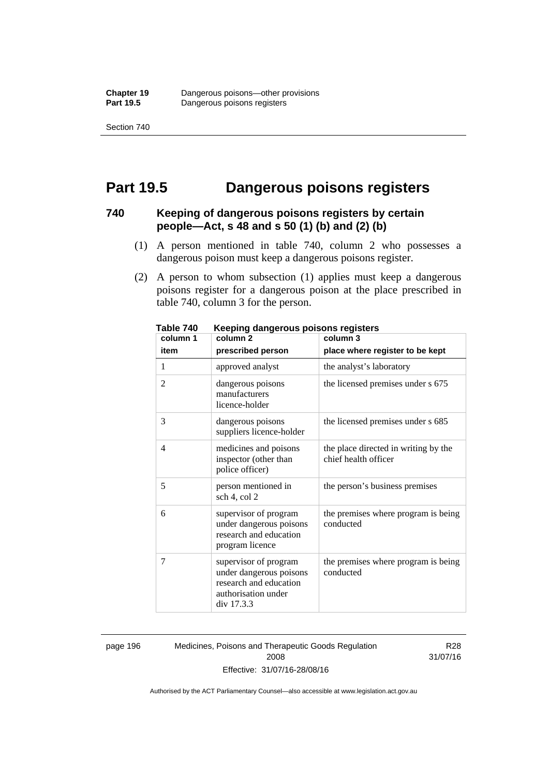Section 740

#### **Part 19.5 Dangerous poisons registers**

#### **740 Keeping of dangerous poisons registers by certain people—Act, s 48 and s 50 (1) (b) and (2) (b)**

- (1) A person mentioned in table 740, column 2 who possesses a dangerous poison must keep a dangerous poisons register.
- (2) A person to whom subsection (1) applies must keep a dangerous poisons register for a dangerous poison at the place prescribed in table 740, column 3 for the person.

| 1 ANIC 140<br>column 1 | <u>Reepiriy dariyerous poisons registers</u><br>column <sub>2</sub>                                             | column 3                                                     |
|------------------------|-----------------------------------------------------------------------------------------------------------------|--------------------------------------------------------------|
| item                   | prescribed person                                                                                               | place where register to be kept                              |
| 1                      | approved analyst                                                                                                | the analyst's laboratory                                     |
| $\overline{2}$         | dangerous poisons<br>manufacturers<br>licence-holder                                                            | the licensed premises under s 675                            |
| 3                      | dangerous poisons<br>suppliers licence-holder                                                                   | the licensed premises under s 685                            |
| 4                      | medicines and poisons<br>inspector (other than<br>police officer)                                               | the place directed in writing by the<br>chief health officer |
| 5                      | person mentioned in<br>sch 4, col 2                                                                             | the person's business premises                               |
| 6                      | supervisor of program<br>under dangerous poisons<br>research and education<br>program licence                   | the premises where program is being<br>conducted             |
| 7                      | supervisor of program<br>under dangerous poisons<br>research and education<br>authorisation under<br>div 17.3.3 | the premises where program is being<br>conducted             |

**Table 740 Keeping dangerous poisons registers** 

page 196 Medicines, Poisons and Therapeutic Goods Regulation 2008 Effective: 31/07/16-28/08/16

R28 31/07/16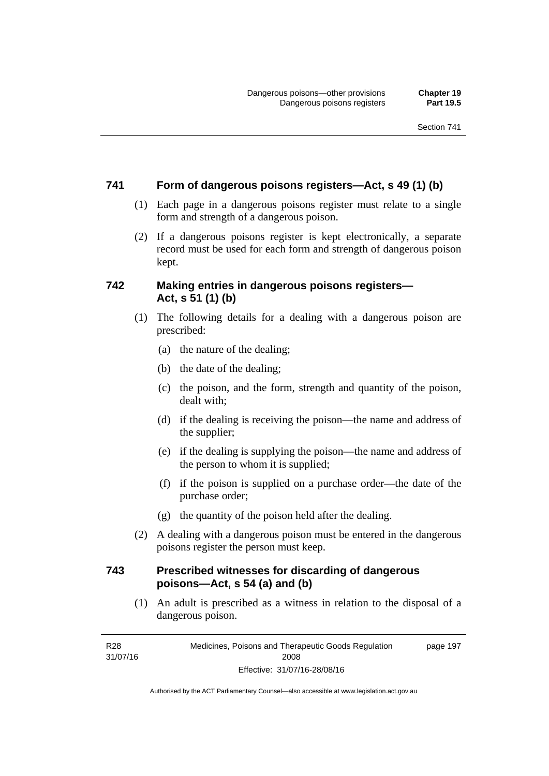#### **741 Form of dangerous poisons registers—Act, s 49 (1) (b)**

- (1) Each page in a dangerous poisons register must relate to a single form and strength of a dangerous poison.
- (2) If a dangerous poisons register is kept electronically, a separate record must be used for each form and strength of dangerous poison kept.

#### **742 Making entries in dangerous poisons registers— Act, s 51 (1) (b)**

- (1) The following details for a dealing with a dangerous poison are prescribed:
	- (a) the nature of the dealing;
	- (b) the date of the dealing;
	- (c) the poison, and the form, strength and quantity of the poison, dealt with;
	- (d) if the dealing is receiving the poison—the name and address of the supplier;
	- (e) if the dealing is supplying the poison—the name and address of the person to whom it is supplied;
	- (f) if the poison is supplied on a purchase order—the date of the purchase order;
	- (g) the quantity of the poison held after the dealing.
- (2) A dealing with a dangerous poison must be entered in the dangerous poisons register the person must keep.

#### **743 Prescribed witnesses for discarding of dangerous poisons—Act, s 54 (a) and (b)**

 (1) An adult is prescribed as a witness in relation to the disposal of a dangerous poison.

R28 31/07/16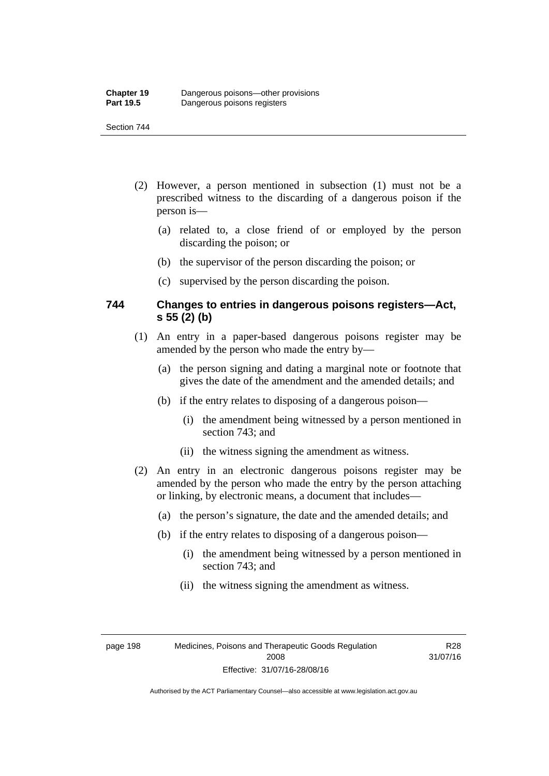#### Section 744

- (2) However, a person mentioned in subsection (1) must not be a prescribed witness to the discarding of a dangerous poison if the person is—
	- (a) related to, a close friend of or employed by the person discarding the poison; or
	- (b) the supervisor of the person discarding the poison; or
	- (c) supervised by the person discarding the poison.

#### **744 Changes to entries in dangerous poisons registers—Act, s 55 (2) (b)**

- (1) An entry in a paper-based dangerous poisons register may be amended by the person who made the entry by—
	- (a) the person signing and dating a marginal note or footnote that gives the date of the amendment and the amended details; and
	- (b) if the entry relates to disposing of a dangerous poison—
		- (i) the amendment being witnessed by a person mentioned in section 743; and
		- (ii) the witness signing the amendment as witness.
- (2) An entry in an electronic dangerous poisons register may be amended by the person who made the entry by the person attaching or linking, by electronic means, a document that includes—
	- (a) the person's signature, the date and the amended details; and
	- (b) if the entry relates to disposing of a dangerous poison—
		- (i) the amendment being witnessed by a person mentioned in section 743; and
		- (ii) the witness signing the amendment as witness.

page 198 Medicines, Poisons and Therapeutic Goods Regulation 2008 Effective: 31/07/16-28/08/16

R28 31/07/16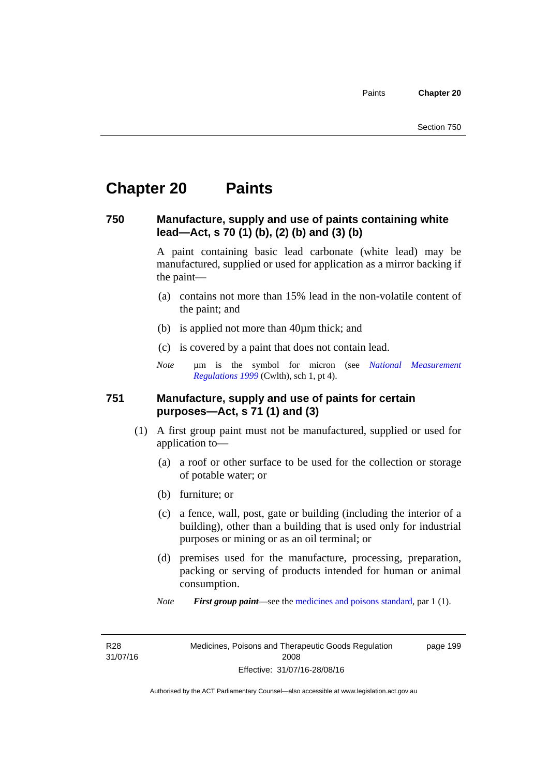#### **Chapter 20 Paints**

#### **750 Manufacture, supply and use of paints containing white lead—Act, s 70 (1) (b), (2) (b) and (3) (b)**

A paint containing basic lead carbonate (white lead) may be manufactured, supplied or used for application as a mirror backing if the paint—

- (a) contains not more than 15% lead in the non-volatile content of the paint; and
- (b) is applied not more than 40µm thick; and
- (c) is covered by a paint that does not contain lead.
- *Note* um is the symbol for micron (see *National Measurement [Regulations 1999](http://www.comlaw.gov.au/Series/F1999B00110)* (Cwlth), sch 1, pt 4).

#### **751 Manufacture, supply and use of paints for certain purposes—Act, s 71 (1) and (3)**

- (1) A first group paint must not be manufactured, supplied or used for application to—
	- (a) a roof or other surface to be used for the collection or storage of potable water; or
	- (b) furniture; or
	- (c) a fence, wall, post, gate or building (including the interior of a building), other than a building that is used only for industrial purposes or mining or as an oil terminal; or
	- (d) premises used for the manufacture, processing, preparation, packing or serving of products intended for human or animal consumption.
	- *Note First group paint*—see the [medicines and poisons standard](http://www.comlaw.gov.au/Series/F2012L01200), par 1 (1).

R28 31/07/16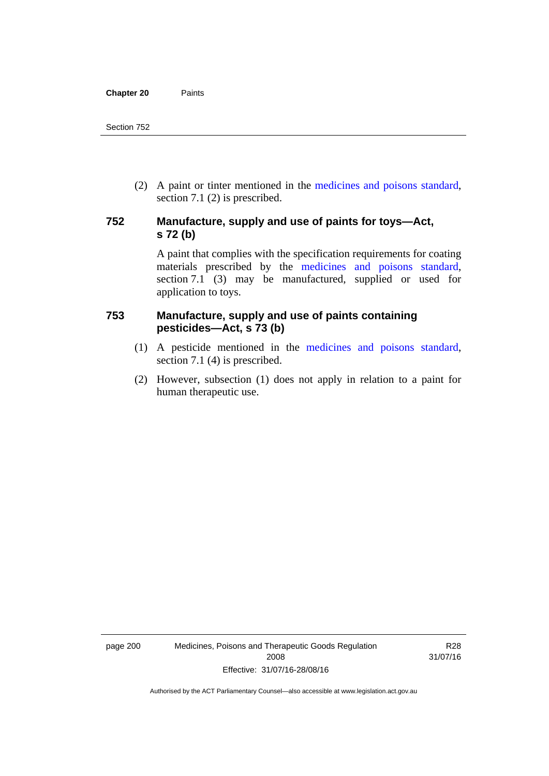(2) A paint or tinter mentioned in the [medicines and poisons standard,](http://www.comlaw.gov.au/Series/F2012L01200) section 7.1 (2) is prescribed.

#### **752 Manufacture, supply and use of paints for toys—Act, s 72 (b)**

A paint that complies with the specification requirements for coating materials prescribed by the [medicines and poisons standard](http://www.comlaw.gov.au/Series/F2012L01200), section 7.1 (3) may be manufactured, supplied or used for application to toys.

#### **753 Manufacture, supply and use of paints containing pesticides—Act, s 73 (b)**

- (1) A pesticide mentioned in the [medicines and poisons standard](http://www.comlaw.gov.au/Series/F2012L01200), section 7.1 (4) is prescribed.
- (2) However, subsection (1) does not apply in relation to a paint for human therapeutic use.

page 200 Medicines, Poisons and Therapeutic Goods Regulation 2008 Effective: 31/07/16-28/08/16

R28 31/07/16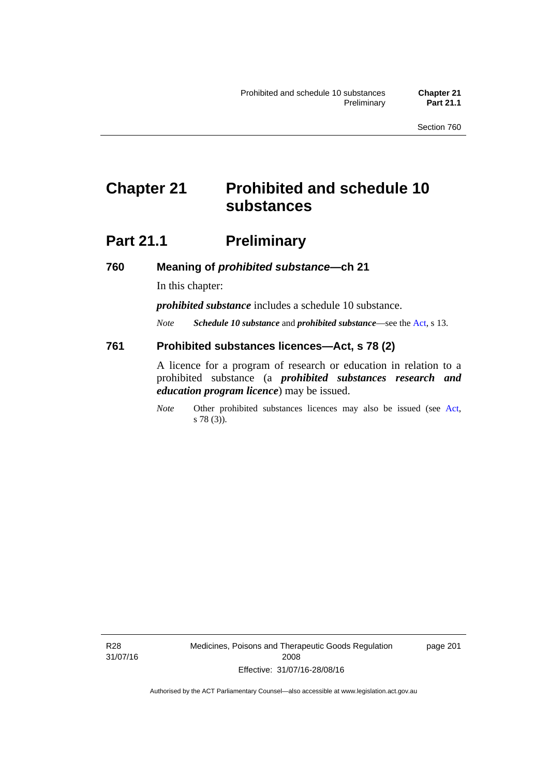#### **Chapter 21 Prohibited and schedule 10 substances**

#### **Part 21.1 Preliminary**

**760 Meaning of** *prohibited substance***—ch 21** 

In this chapter:

*prohibited substance* includes a schedule 10 substance.

*Note Schedule 10 substance* and *prohibited substance*—see the [Act](http://www.legislation.act.gov.au/a/2008-26/default.asp), s 13.

#### **761 Prohibited substances licences—Act, s 78 (2)**

A licence for a program of research or education in relation to a prohibited substance (a *prohibited substances research and education program licence*) may be issued.

*Note* Other prohibited substances licences may also be issued (see [Act,](http://www.legislation.act.gov.au/a/2008-26/default.asp) s 78 (3)).

R28 31/07/16 Medicines, Poisons and Therapeutic Goods Regulation 2008 Effective: 31/07/16-28/08/16

page 201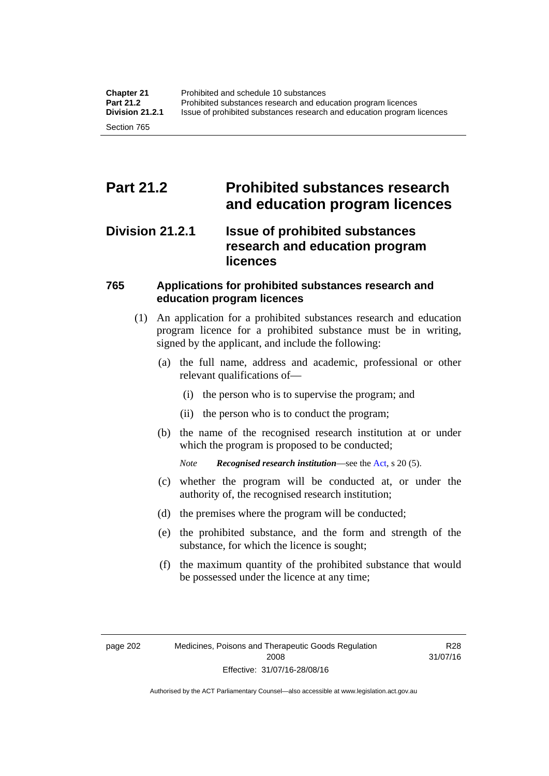#### **Part 21.2 Prohibited substances research and education program licences**

#### **Division 21.2.1 Issue of prohibited substances research and education program licences**

#### **765 Applications for prohibited substances research and education program licences**

- (1) An application for a prohibited substances research and education program licence for a prohibited substance must be in writing, signed by the applicant, and include the following:
	- (a) the full name, address and academic, professional or other relevant qualifications of—
		- (i) the person who is to supervise the program; and
		- (ii) the person who is to conduct the program;
	- (b) the name of the recognised research institution at or under which the program is proposed to be conducted;
		- *Note Recognised research institution*—see the [Act](http://www.legislation.act.gov.au/a/2008-26/default.asp), s 20 (5).
	- (c) whether the program will be conducted at, or under the authority of, the recognised research institution;
	- (d) the premises where the program will be conducted;
	- (e) the prohibited substance, and the form and strength of the substance, for which the licence is sought;
	- (f) the maximum quantity of the prohibited substance that would be possessed under the licence at any time;

R28 31/07/16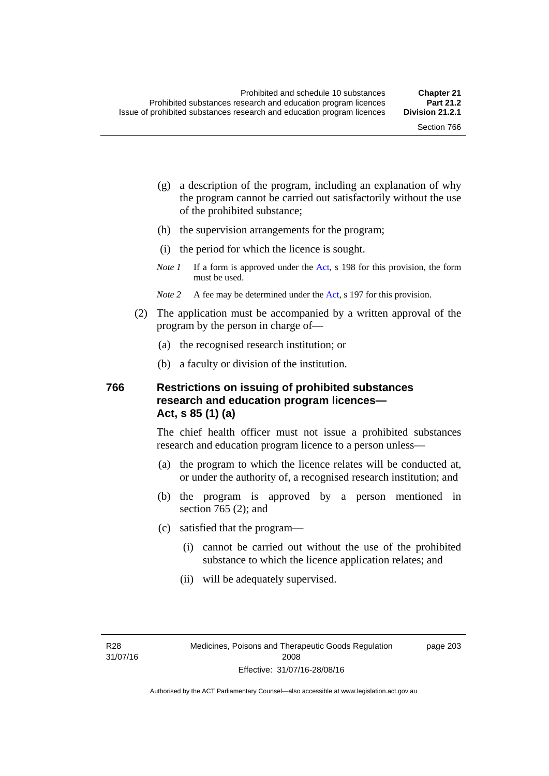page 203

- (g) a description of the program, including an explanation of why the program cannot be carried out satisfactorily without the use of the prohibited substance;
- (h) the supervision arrangements for the program;
- (i) the period for which the licence is sought.
- *Note 1* If a form is approved under the [Act](http://www.legislation.act.gov.au/a/2008-26/default.asp), s 198 for this provision, the form must be used.
- *Note* 2 A fee may be determined under the [Act,](http://www.legislation.act.gov.au/a/2008-26/default.asp) s 197 for this provision.
- (2) The application must be accompanied by a written approval of the program by the person in charge of—
	- (a) the recognised research institution; or
	- (b) a faculty or division of the institution.

#### **766 Restrictions on issuing of prohibited substances research and education program licences— Act, s 85 (1) (a)**

The chief health officer must not issue a prohibited substances research and education program licence to a person unless—

- (a) the program to which the licence relates will be conducted at, or under the authority of, a recognised research institution; and
- (b) the program is approved by a person mentioned in section 765 (2); and
- (c) satisfied that the program—
	- (i) cannot be carried out without the use of the prohibited substance to which the licence application relates; and
	- (ii) will be adequately supervised.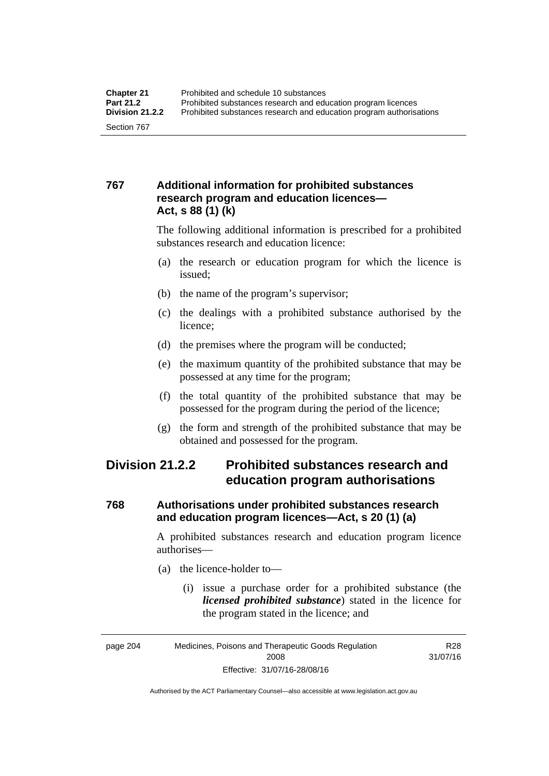#### **767 Additional information for prohibited substances research program and education licences— Act, s 88 (1) (k)**

The following additional information is prescribed for a prohibited substances research and education licence:

- (a) the research or education program for which the licence is issued;
- (b) the name of the program's supervisor;
- (c) the dealings with a prohibited substance authorised by the licence;
- (d) the premises where the program will be conducted;
- (e) the maximum quantity of the prohibited substance that may be possessed at any time for the program;
- (f) the total quantity of the prohibited substance that may be possessed for the program during the period of the licence;
- (g) the form and strength of the prohibited substance that may be obtained and possessed for the program.

#### **Division 21.2.2 Prohibited substances research and education program authorisations**

#### **768 Authorisations under prohibited substances research and education program licences—Act, s 20 (1) (a)**

A prohibited substances research and education program licence authorises—

- (a) the licence-holder to—
	- (i) issue a purchase order for a prohibited substance (the *licensed prohibited substance*) stated in the licence for the program stated in the licence; and

R28

Authorised by the ACT Parliamentary Counsel—also accessible at www.legislation.act.gov.au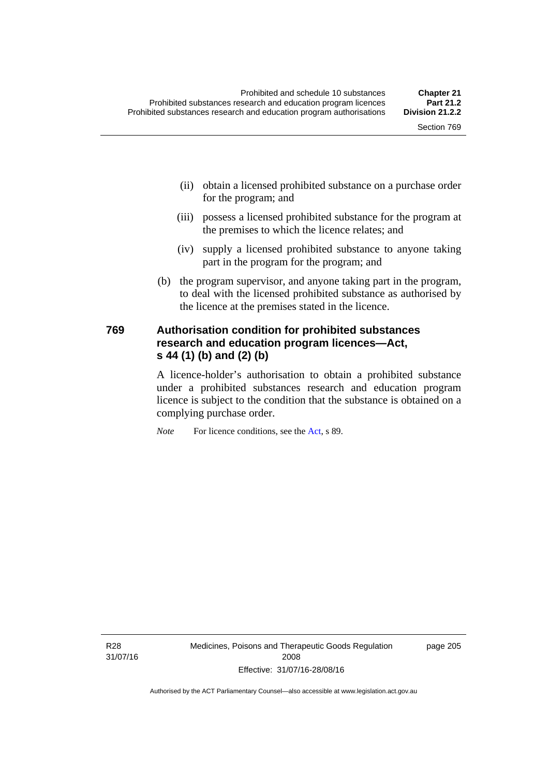- (ii) obtain a licensed prohibited substance on a purchase order for the program; and
- (iii) possess a licensed prohibited substance for the program at the premises to which the licence relates; and
- (iv) supply a licensed prohibited substance to anyone taking part in the program for the program; and
- (b) the program supervisor, and anyone taking part in the program, to deal with the licensed prohibited substance as authorised by the licence at the premises stated in the licence.

#### **769 Authorisation condition for prohibited substances research and education program licences—Act, s 44 (1) (b) and (2) (b)**

A licence-holder's authorisation to obtain a prohibited substance under a prohibited substances research and education program licence is subject to the condition that the substance is obtained on a complying purchase order.

*Note* For licence conditions, see the [Act](http://www.legislation.act.gov.au/a/2008-26/default.asp), s 89.

R28 31/07/16 page 205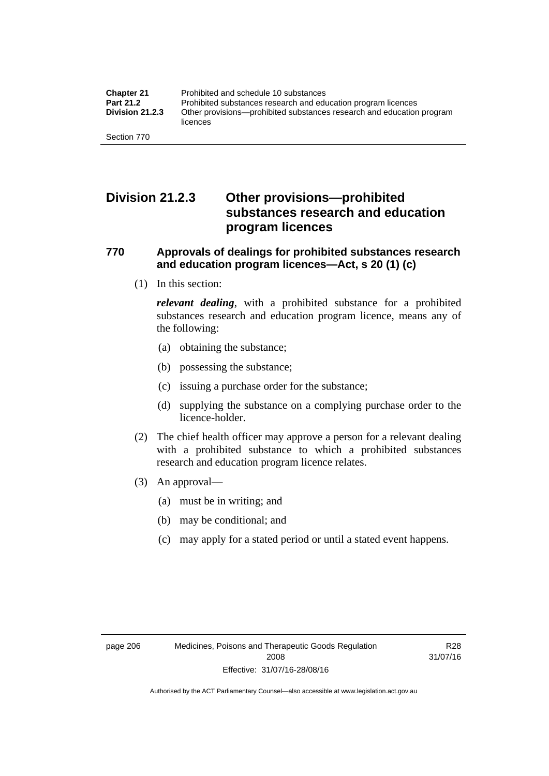#### **Division 21.2.3 Other provisions—prohibited substances research and education program licences**

#### **770 Approvals of dealings for prohibited substances research and education program licences—Act, s 20 (1) (c)**

(1) In this section:

*relevant dealing*, with a prohibited substance for a prohibited substances research and education program licence, means any of the following:

- (a) obtaining the substance;
- (b) possessing the substance;
- (c) issuing a purchase order for the substance;
- (d) supplying the substance on a complying purchase order to the licence-holder.
- (2) The chief health officer may approve a person for a relevant dealing with a prohibited substance to which a prohibited substances research and education program licence relates.
- (3) An approval—
	- (a) must be in writing; and
	- (b) may be conditional; and
	- (c) may apply for a stated period or until a stated event happens.

R28 31/07/16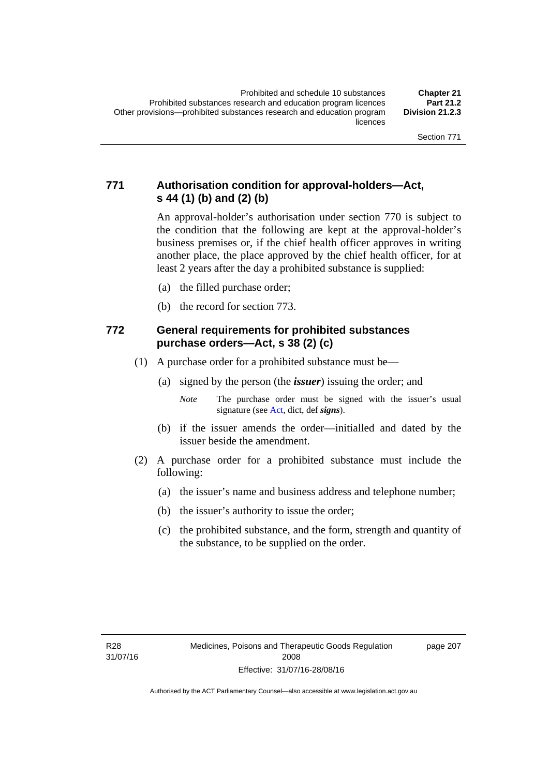#### **771 Authorisation condition for approval-holders—Act, s 44 (1) (b) and (2) (b)**

An approval-holder's authorisation under section 770 is subject to the condition that the following are kept at the approval-holder's business premises or, if the chief health officer approves in writing another place, the place approved by the chief health officer, for at least 2 years after the day a prohibited substance is supplied:

- (a) the filled purchase order;
- (b) the record for section 773.

#### **772 General requirements for prohibited substances purchase orders—Act, s 38 (2) (c)**

- (1) A purchase order for a prohibited substance must be—
	- (a) signed by the person (the *issuer*) issuing the order; and

- (b) if the issuer amends the order—initialled and dated by the issuer beside the amendment.
- (2) A purchase order for a prohibited substance must include the following:
	- (a) the issuer's name and business address and telephone number;
	- (b) the issuer's authority to issue the order;
	- (c) the prohibited substance, and the form, strength and quantity of the substance, to be supplied on the order.

page 207

*Note* The purchase order must be signed with the issuer's usual signature (see [Act](http://www.legislation.act.gov.au/a/2008-26/default.asp), dict, def *signs*).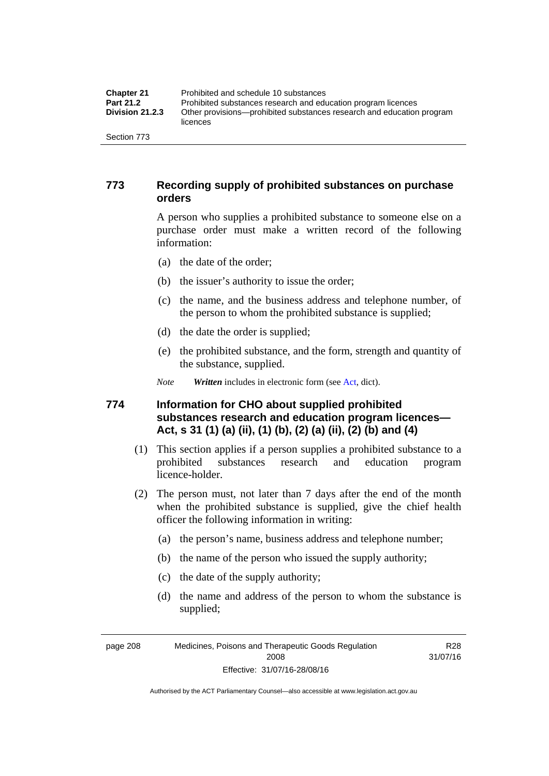| <b>Chapter 21</b>      | Prohibited and schedule 10 substances                                             |
|------------------------|-----------------------------------------------------------------------------------|
| <b>Part 21.2</b>       | Prohibited substances research and education program licences                     |
| <b>Division 21.2.3</b> | Other provisions—prohibited substances research and education program<br>licences |
| Section 773            |                                                                                   |

#### **773 Recording supply of prohibited substances on purchase orders**

A person who supplies a prohibited substance to someone else on a purchase order must make a written record of the following information:

- (a) the date of the order;
- (b) the issuer's authority to issue the order;
- (c) the name, and the business address and telephone number, of the person to whom the prohibited substance is supplied;
- (d) the date the order is supplied;
- (e) the prohibited substance, and the form, strength and quantity of the substance, supplied.
- *Note Written* includes in electronic form (see [Act,](http://www.legislation.act.gov.au/a/2008-26/default.asp) dict).

#### **774 Information for CHO about supplied prohibited substances research and education program licences— Act, s 31 (1) (a) (ii), (1) (b), (2) (a) (ii), (2) (b) and (4)**

- (1) This section applies if a person supplies a prohibited substance to a prohibited substances research and education program licence-holder.
- (2) The person must, not later than 7 days after the end of the month when the prohibited substance is supplied, give the chief health officer the following information in writing:
	- (a) the person's name, business address and telephone number;
	- (b) the name of the person who issued the supply authority;
	- (c) the date of the supply authority;
	- (d) the name and address of the person to whom the substance is supplied;

page 208 Medicines, Poisons and Therapeutic Goods Regulation 2008 Effective: 31/07/16-28/08/16

R28 31/07/16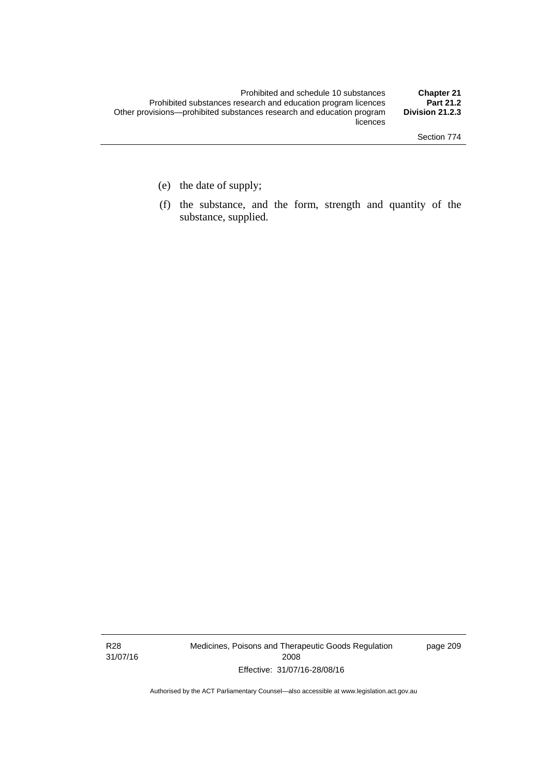- (e) the date of supply;
- (f) the substance, and the form, strength and quantity of the substance, supplied.

R28 31/07/16 Medicines, Poisons and Therapeutic Goods Regulation 2008 Effective: 31/07/16-28/08/16

page 209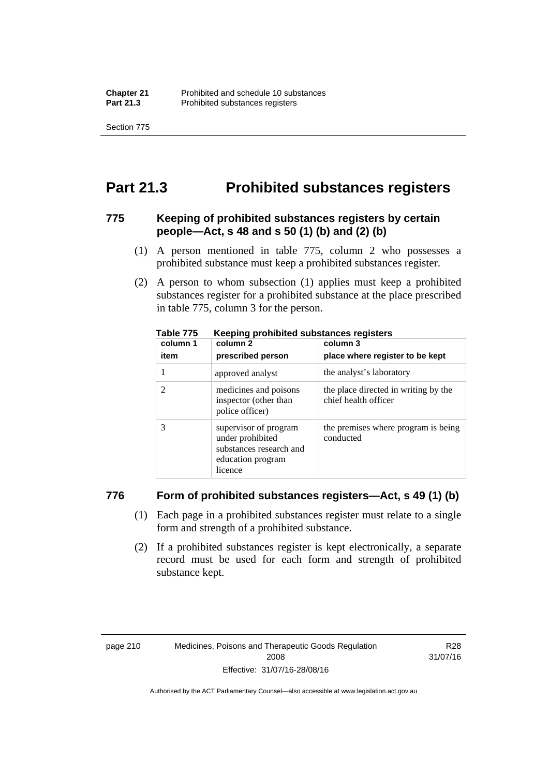Section 775

#### **Part 21.3 Prohibited substances registers**

#### **775 Keeping of prohibited substances registers by certain people—Act, s 48 and s 50 (1) (b) and (2) (b)**

- (1) A person mentioned in table 775, column 2 who possesses a prohibited substance must keep a prohibited substances register.
- (2) A person to whom subsection (1) applies must keep a prohibited substances register for a prohibited substance at the place prescribed in table 775, column 3 for the person.

| column 1 | .<br>column 2                                                                                        | column 3                                                     |
|----------|------------------------------------------------------------------------------------------------------|--------------------------------------------------------------|
| item     | prescribed person                                                                                    | place where register to be kept                              |
|          | approved analyst                                                                                     | the analyst's laboratory                                     |
|          | medicines and poisons<br>inspector (other than<br>police officer)                                    | the place directed in writing by the<br>chief health officer |
|          | supervisor of program<br>under prohibited<br>substances research and<br>education program<br>licence | the premises where program is being<br>conducted             |

**Table 775 Keeping prohibited substances registers** 

#### **776 Form of prohibited substances registers—Act, s 49 (1) (b)**

- (1) Each page in a prohibited substances register must relate to a single form and strength of a prohibited substance.
- (2) If a prohibited substances register is kept electronically, a separate record must be used for each form and strength of prohibited substance kept.

R28 31/07/16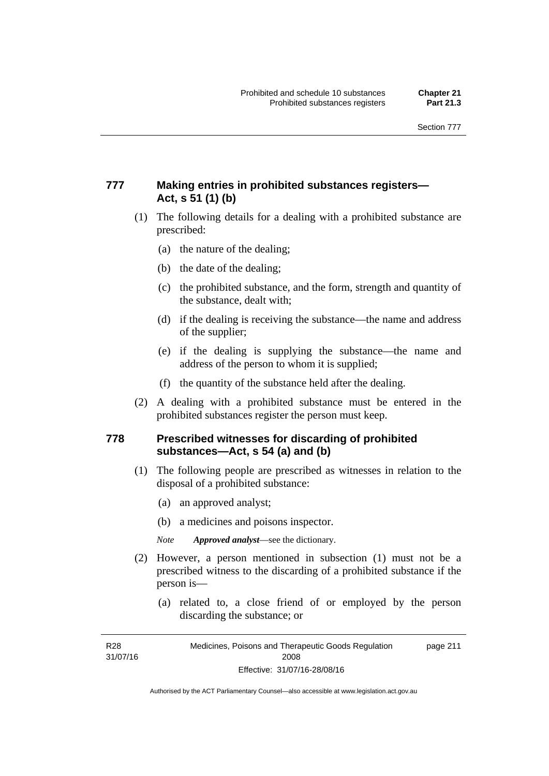#### **777 Making entries in prohibited substances registers— Act, s 51 (1) (b)**

- (1) The following details for a dealing with a prohibited substance are prescribed:
	- (a) the nature of the dealing;
	- (b) the date of the dealing;
	- (c) the prohibited substance, and the form, strength and quantity of the substance, dealt with;
	- (d) if the dealing is receiving the substance—the name and address of the supplier;
	- (e) if the dealing is supplying the substance—the name and address of the person to whom it is supplied;
	- (f) the quantity of the substance held after the dealing.
- (2) A dealing with a prohibited substance must be entered in the prohibited substances register the person must keep.

#### **778 Prescribed witnesses for discarding of prohibited substances—Act, s 54 (a) and (b)**

- (1) The following people are prescribed as witnesses in relation to the disposal of a prohibited substance:
	- (a) an approved analyst;
	- (b) a medicines and poisons inspector.

*Note Approved analyst*—see the dictionary.

- (2) However, a person mentioned in subsection (1) must not be a prescribed witness to the discarding of a prohibited substance if the person is—
	- (a) related to, a close friend of or employed by the person discarding the substance; or

R28 31/07/16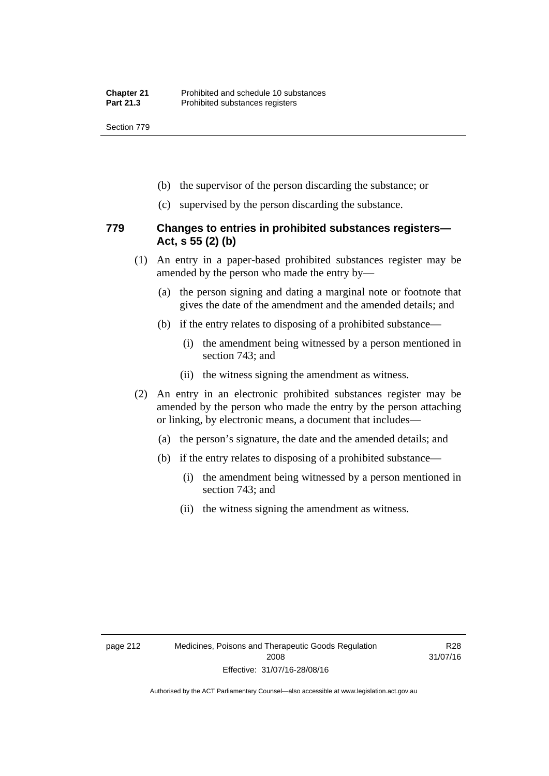Section 779

- (b) the supervisor of the person discarding the substance; or
- (c) supervised by the person discarding the substance.

#### **779 Changes to entries in prohibited substances registers— Act, s 55 (2) (b)**

- (1) An entry in a paper-based prohibited substances register may be amended by the person who made the entry by—
	- (a) the person signing and dating a marginal note or footnote that gives the date of the amendment and the amended details; and
	- (b) if the entry relates to disposing of a prohibited substance—
		- (i) the amendment being witnessed by a person mentioned in section 743; and
		- (ii) the witness signing the amendment as witness.
- (2) An entry in an electronic prohibited substances register may be amended by the person who made the entry by the person attaching or linking, by electronic means, a document that includes—
	- (a) the person's signature, the date and the amended details; and
	- (b) if the entry relates to disposing of a prohibited substance—
		- (i) the amendment being witnessed by a person mentioned in section 743; and
		- (ii) the witness signing the amendment as witness.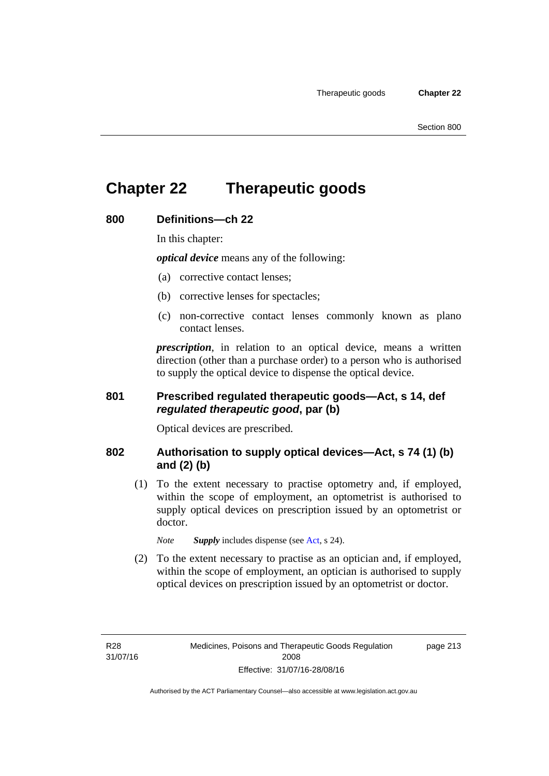#### **Chapter 22 Therapeutic goods**

#### **800 Definitions—ch 22**

In this chapter:

*optical device* means any of the following:

- (a) corrective contact lenses;
- (b) corrective lenses for spectacles;
- (c) non-corrective contact lenses commonly known as plano contact lenses.

*prescription*, in relation to an optical device, means a written direction (other than a purchase order) to a person who is authorised to supply the optical device to dispense the optical device.

#### **801 Prescribed regulated therapeutic goods—Act, s 14, def**  *regulated therapeutic good***, par (b)**

Optical devices are prescribed.

#### **802 Authorisation to supply optical devices—Act, s 74 (1) (b) and (2) (b)**

 (1) To the extent necessary to practise optometry and, if employed, within the scope of employment, an optometrist is authorised to supply optical devices on prescription issued by an optometrist or doctor.

*Note Supply* includes dispense (see [Act,](http://www.legislation.act.gov.au/a/2008-26/default.asp) s 24).

 (2) To the extent necessary to practise as an optician and, if employed, within the scope of employment, an optician is authorised to supply optical devices on prescription issued by an optometrist or doctor.

page 213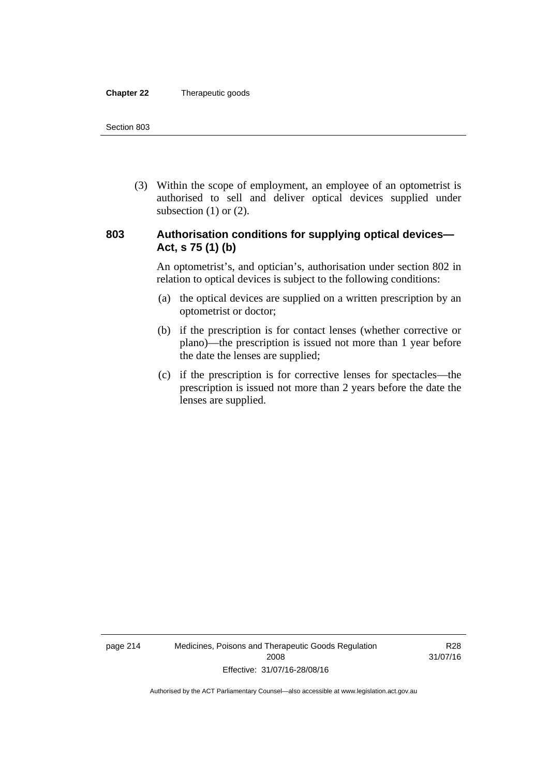#### **Chapter 22** Therapeutic goods

 (3) Within the scope of employment, an employee of an optometrist is authorised to sell and deliver optical devices supplied under subsection  $(1)$  or  $(2)$ .

#### **803 Authorisation conditions for supplying optical devices— Act, s 75 (1) (b)**

An optometrist's, and optician's, authorisation under section 802 in relation to optical devices is subject to the following conditions:

- (a) the optical devices are supplied on a written prescription by an optometrist or doctor;
- (b) if the prescription is for contact lenses (whether corrective or plano)—the prescription is issued not more than 1 year before the date the lenses are supplied;
- (c) if the prescription is for corrective lenses for spectacles—the prescription is issued not more than 2 years before the date the lenses are supplied.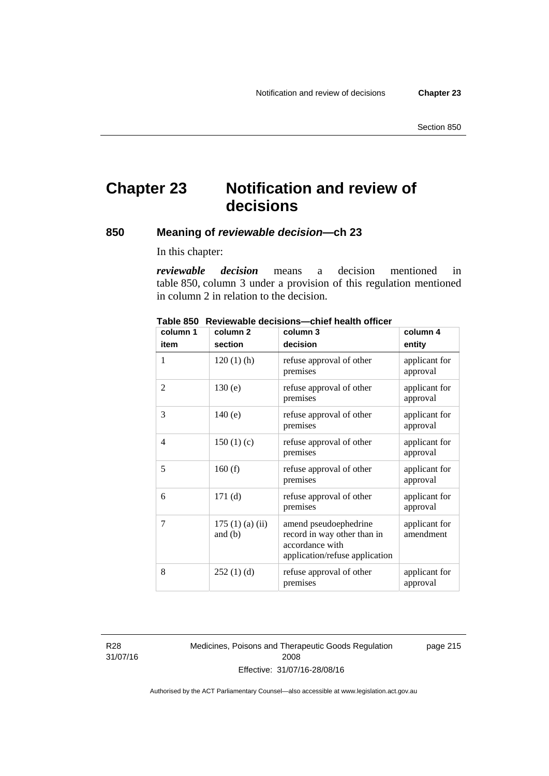#### **Chapter 23 Notification and review of decisions**

#### **850 Meaning of** *reviewable decision—***ch 23**

In this chapter:

*reviewable decision* means a decision mentioned in table 850, column 3 under a provision of this regulation mentioned in column 2 in relation to the decision.

| column 1       | column <sub>2</sub>        | column 3                                                                                                  | column 4                   |
|----------------|----------------------------|-----------------------------------------------------------------------------------------------------------|----------------------------|
| item           | section                    | decision                                                                                                  | entity                     |
| 1              | $120(1)$ (h)               | refuse approval of other<br>premises                                                                      | applicant for<br>approval  |
| $\overline{2}$ | 130(e)                     | refuse approval of other<br>premises                                                                      | applicant for<br>approval  |
| 3              | 140(e)                     | refuse approval of other<br>premises                                                                      | applicant for<br>approval  |
| 4              | 150(1)(c)                  | refuse approval of other<br>premises                                                                      | applicant for<br>approval  |
| 5              | 160(f)                     | refuse approval of other<br>premises                                                                      | applicant for<br>approval  |
| 6              | 171(d)                     | refuse approval of other<br>premises                                                                      | applicant for<br>approval  |
| 7              | 175(1)(a)(ii)<br>and $(b)$ | amend pseudoephedrine<br>record in way other than in<br>accordance with<br>application/refuse application | applicant for<br>amendment |
| 8              | 252(1)(d)                  | refuse approval of other<br>premises                                                                      | applicant for<br>approval  |

**Table 850 Reviewable decisions—chief health officer** 

R28 31/07/16 Medicines, Poisons and Therapeutic Goods Regulation 2008 Effective: 31/07/16-28/08/16

page 215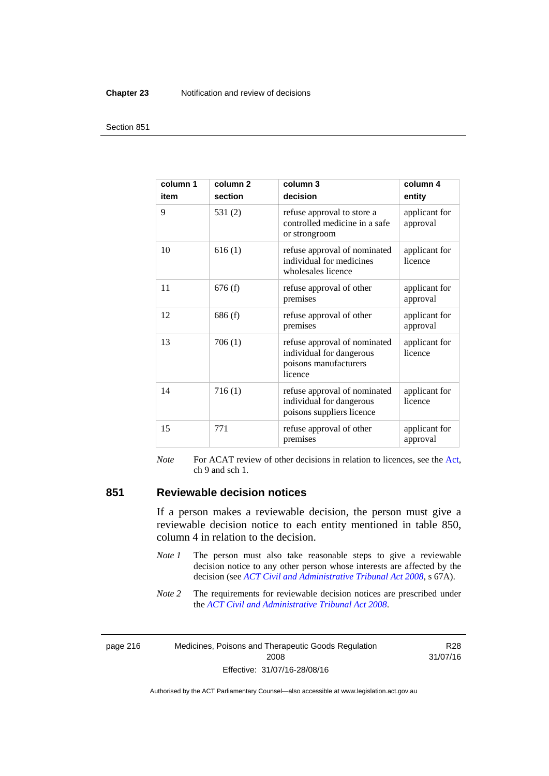#### **Chapter 23** Notification and review of decisions

#### Section 851

| column 1<br>item | column <sub>2</sub><br>section | column 3<br>decision                                                                         | column 4<br>entity        |
|------------------|--------------------------------|----------------------------------------------------------------------------------------------|---------------------------|
| 9                | 531(2)                         | refuse approval to store a<br>controlled medicine in a safe<br>or strongroom                 | applicant for<br>approval |
| 10               | 616(1)                         | refuse approval of nominated<br>individual for medicines<br>wholesales licence               | applicant for<br>licence  |
| 11               | 676(f)                         | refuse approval of other<br>premises                                                         | applicant for<br>approval |
| 12               | 686(f)                         | refuse approval of other<br>premises                                                         | applicant for<br>approval |
| 13               | 706(1)                         | refuse approval of nominated<br>individual for dangerous<br>poisons manufacturers<br>licence | applicant for<br>licence  |
| 14               | 716(1)                         | refuse approval of nominated<br>individual for dangerous<br>poisons suppliers licence        | applicant for<br>licence  |
| 15               | 771                            | refuse approval of other<br>premises                                                         | applicant for<br>approval |

*Note* For ACAT review of other decisions in relation to licences, see the [Act,](http://www.legislation.act.gov.au/a/2008-26/default.asp) ch 9 and sch 1.

#### **851 Reviewable decision notices**

If a person makes a reviewable decision, the person must give a reviewable decision notice to each entity mentioned in table 850, column 4 in relation to the decision.

- *Note 1* The person must also take reasonable steps to give a reviewable decision notice to any other person whose interests are affected by the decision (see *[ACT Civil and Administrative Tribunal Act 2008](http://www.legislation.act.gov.au/a/2008-35)*, s 67A).
- *Note* 2 The requirements for reviewable decision notices are prescribed under the *[ACT Civil and Administrative Tribunal Act 2008](http://www.legislation.act.gov.au/a/2008-35)*.

page 216 Medicines, Poisons and Therapeutic Goods Regulation 2008 Effective: 31/07/16-28/08/16

R28 31/07/16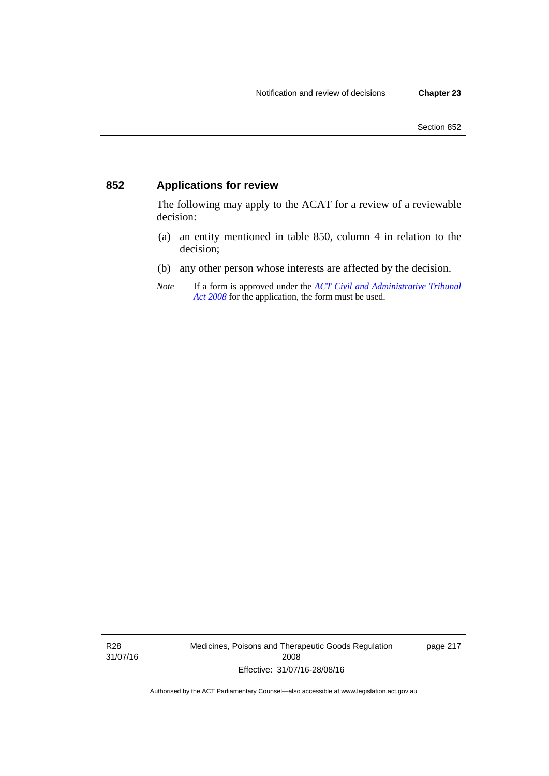#### **852 Applications for review**

The following may apply to the ACAT for a review of a reviewable decision:

- (a) an entity mentioned in table 850, column 4 in relation to the decision;
- (b) any other person whose interests are affected by the decision.
- *Note* If a form is approved under the *[ACT Civil and Administrative Tribunal](http://www.legislation.act.gov.au/a/2008-35)  [Act 2008](http://www.legislation.act.gov.au/a/2008-35)* for the application, the form must be used.

R28 31/07/16 Medicines, Poisons and Therapeutic Goods Regulation 2008 Effective: 31/07/16-28/08/16

page 217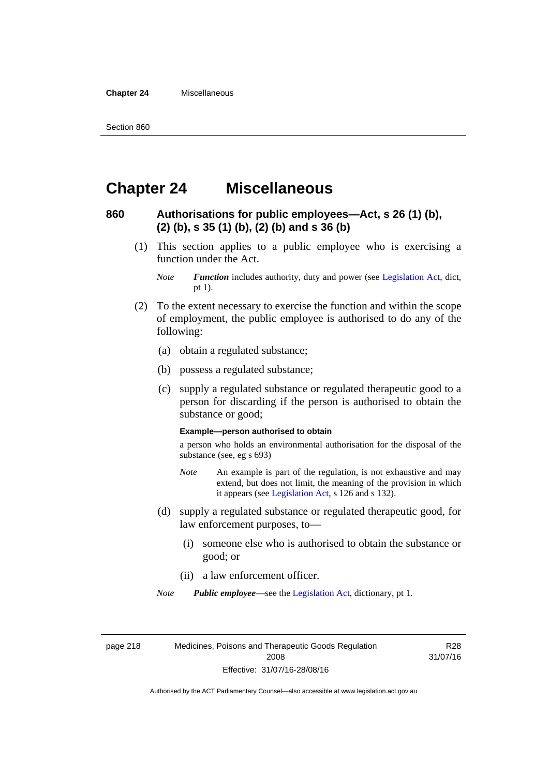**Chapter 24** Miscellaneous

#### **Chapter 24 Miscellaneous**

#### **860 Authorisations for public employees—Act, s 26 (1) (b), (2) (b), s 35 (1) (b), (2) (b) and s 36 (b)**

 (1) This section applies to a public employee who is exercising a function under the Act.

- (2) To the extent necessary to exercise the function and within the scope of employment, the public employee is authorised to do any of the following:
	- (a) obtain a regulated substance;
	- (b) possess a regulated substance;
	- (c) supply a regulated substance or regulated therapeutic good to a person for discarding if the person is authorised to obtain the substance or good;

#### **Example—person authorised to obtain**

a person who holds an environmental authorisation for the disposal of the substance (see, eg s 693)

- *Note* An example is part of the regulation, is not exhaustive and may extend, but does not limit, the meaning of the provision in which it appears (see [Legislation Act,](http://www.legislation.act.gov.au/a/2001-14) s 126 and s 132).
- (d) supply a regulated substance or regulated therapeutic good, for law enforcement purposes, to—
	- (i) someone else who is authorised to obtain the substance or good; or
	- (ii) a law enforcement officer.

*Note Public employee*—see the [Legislation Act,](http://www.legislation.act.gov.au/a/2001-14) dictionary, pt 1.

page 218 Medicines, Poisons and Therapeutic Goods Regulation 2008 Effective: 31/07/16-28/08/16

R28 31/07/16

*Note Function* includes authority, duty and power (see [Legislation Act](http://www.legislation.act.gov.au/a/2001-14), dict, pt 1).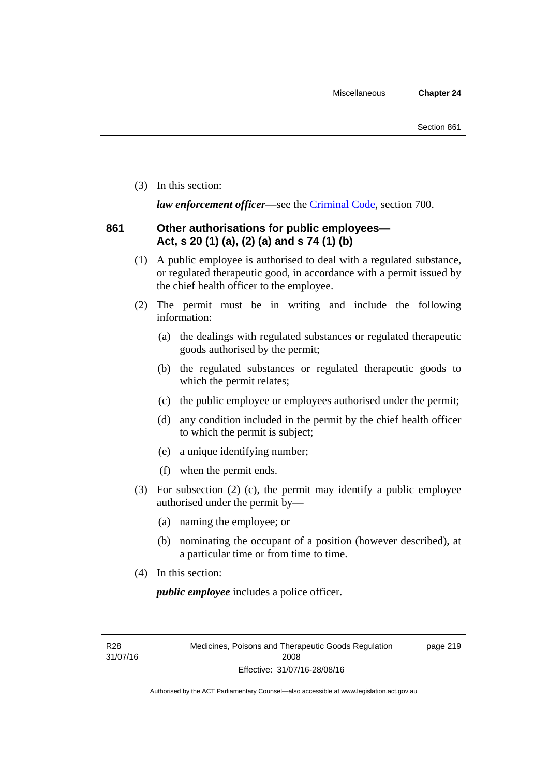(3) In this section:

*law enforcement officer*—see the [Criminal Code,](http://www.legislation.act.gov.au/a/2002-51) section 700.

#### **861 Other authorisations for public employees— Act, s 20 (1) (a), (2) (a) and s 74 (1) (b)**

- (1) A public employee is authorised to deal with a regulated substance, or regulated therapeutic good, in accordance with a permit issued by the chief health officer to the employee.
- (2) The permit must be in writing and include the following information:
	- (a) the dealings with regulated substances or regulated therapeutic goods authorised by the permit;
	- (b) the regulated substances or regulated therapeutic goods to which the permit relates;
	- (c) the public employee or employees authorised under the permit;
	- (d) any condition included in the permit by the chief health officer to which the permit is subject;
	- (e) a unique identifying number;
	- (f) when the permit ends.
- (3) For subsection (2) (c), the permit may identify a public employee authorised under the permit by—
	- (a) naming the employee; or
	- (b) nominating the occupant of a position (however described), at a particular time or from time to time.
- (4) In this section:

*public employee* includes a police officer.

R28 31/07/16 page 219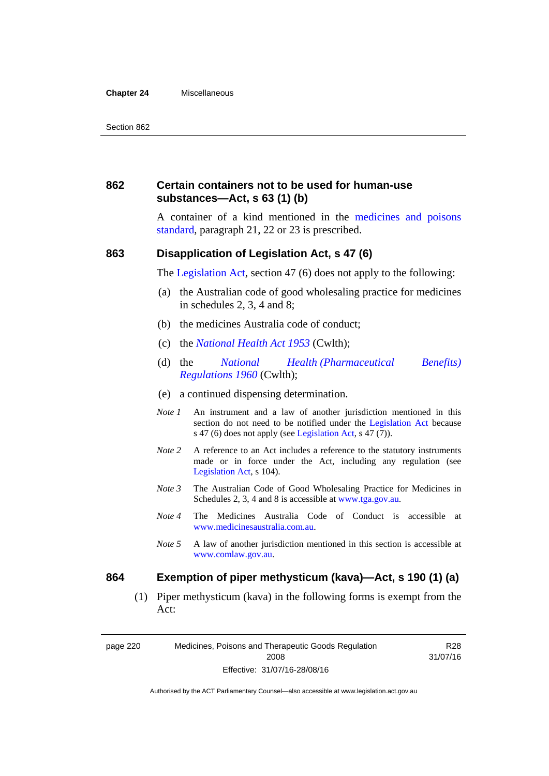#### **Chapter 24** Miscellaneous

#### **862 Certain containers not to be used for human-use substances—Act, s 63 (1) (b)**

A container of a kind mentioned in the [medicines and poisons](http://www.comlaw.gov.au/Series/F2012L01200)  [standard,](http://www.comlaw.gov.au/Series/F2012L01200) paragraph 21, 22 or 23 is prescribed.

#### **863 Disapplication of Legislation Act, s 47 (6)**

The [Legislation Act](http://www.legislation.act.gov.au/a/2001-14), section 47 (6) does not apply to the following:

- (a) the Australian code of good wholesaling practice for medicines in schedules 2, 3, 4 and 8;
- (b) the medicines Australia code of conduct;
- (c) the *[National Health Act 1953](http://www.comlaw.gov.au/Series/C1953A00095)* (Cwlth);
- (d) the *[National Health \(Pharmaceutical Benefits\)](http://www.comlaw.gov.au/Series/F1996B02844)  [Regulations 1960](http://www.comlaw.gov.au/Series/F1996B02844)* (Cwlth);
- (e) a continued dispensing determination.
- *Note 1* An instrument and a law of another jurisdiction mentioned in this section do not need to be notified under the [Legislation Act](http://www.legislation.act.gov.au/a/2001-14) because s 47 (6) does not apply (see [Legislation Act](http://www.legislation.act.gov.au/a/2001-14), s 47 (7)).
- *Note 2* A reference to an Act includes a reference to the statutory instruments made or in force under the Act, including any regulation (see [Legislation Act,](http://www.legislation.act.gov.au/a/2001-14) s 104).
- *Note 3* The Australian Code of Good Wholesaling Practice for Medicines in Schedules 2, 3, 4 and 8 is accessible at [www.tga.gov.au.](http://www.tga.gov.au/)
- *Note 4* The Medicines Australia Code of Conduct is accessible at [www.medicinesaustralia.com.au](http://www.medicinesaustralia.com.au/).
- *Note 5* A law of another jurisdiction mentioned in this section is accessible at [www.comlaw.gov.au](http://www.comlaw.gov.au/).

#### **864 Exemption of piper methysticum (kava)—Act, s 190 (1) (a)**

 (1) Piper methysticum (kava) in the following forms is exempt from the Act:

page 220 Medicines, Poisons and Therapeutic Goods Regulation 2008 Effective: 31/07/16-28/08/16

R28 31/07/16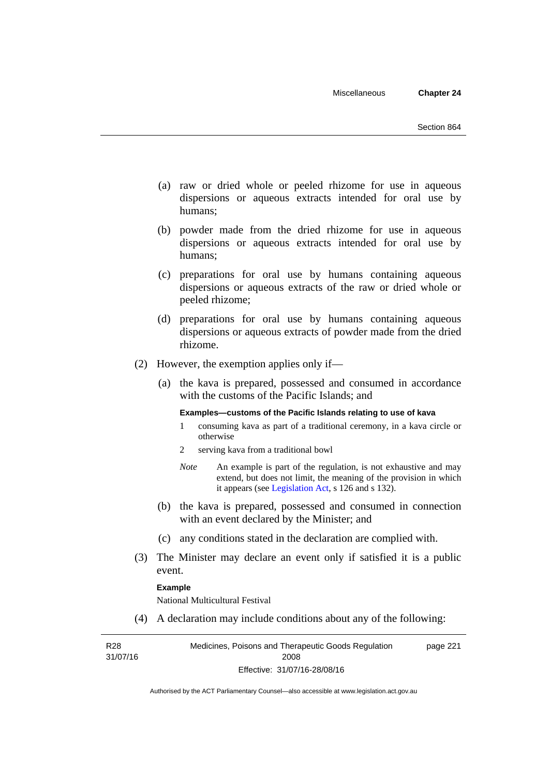- (a) raw or dried whole or peeled rhizome for use in aqueous dispersions or aqueous extracts intended for oral use by humans;
- (b) powder made from the dried rhizome for use in aqueous dispersions or aqueous extracts intended for oral use by humans;
- (c) preparations for oral use by humans containing aqueous dispersions or aqueous extracts of the raw or dried whole or peeled rhizome;
- (d) preparations for oral use by humans containing aqueous dispersions or aqueous extracts of powder made from the dried rhizome.
- (2) However, the exemption applies only if—
	- (a) the kava is prepared, possessed and consumed in accordance with the customs of the Pacific Islands; and

#### **Examples—customs of the Pacific Islands relating to use of kava**

- 1 consuming kava as part of a traditional ceremony, in a kava circle or otherwise
- 2 serving kava from a traditional bowl
- *Note* An example is part of the regulation, is not exhaustive and may extend, but does not limit, the meaning of the provision in which it appears (see [Legislation Act,](http://www.legislation.act.gov.au/a/2001-14) s 126 and s 132).
- (b) the kava is prepared, possessed and consumed in connection with an event declared by the Minister; and
- (c) any conditions stated in the declaration are complied with.
- (3) The Minister may declare an event only if satisfied it is a public event.

#### **Example**

National Multicultural Festival

(4) A declaration may include conditions about any of the following:

R28 31/07/16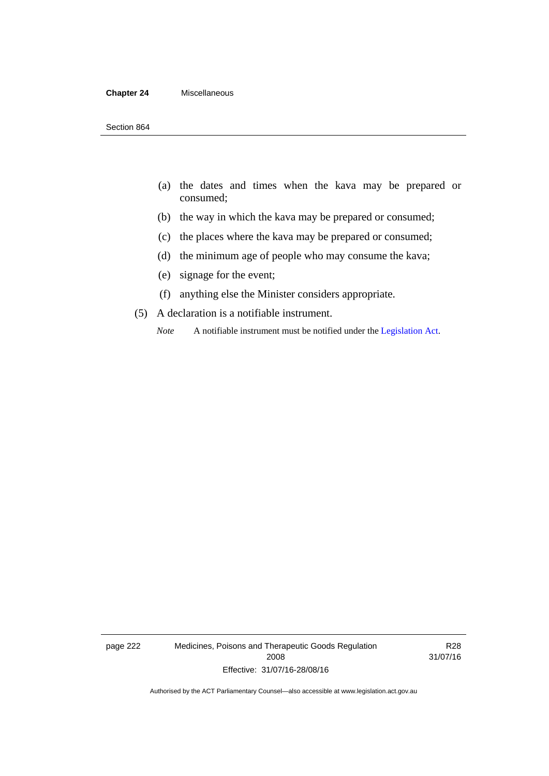#### **Chapter 24** Miscellaneous

- (a) the dates and times when the kava may be prepared or consumed;
- (b) the way in which the kava may be prepared or consumed;
- (c) the places where the kava may be prepared or consumed;
- (d) the minimum age of people who may consume the kava;
- (e) signage for the event;
- (f) anything else the Minister considers appropriate.
- (5) A declaration is a notifiable instrument.
	- *Note* A notifiable instrument must be notified under the [Legislation Act](http://www.legislation.act.gov.au/a/2001-14).

page 222 Medicines, Poisons and Therapeutic Goods Regulation 2008 Effective: 31/07/16-28/08/16

R28 31/07/16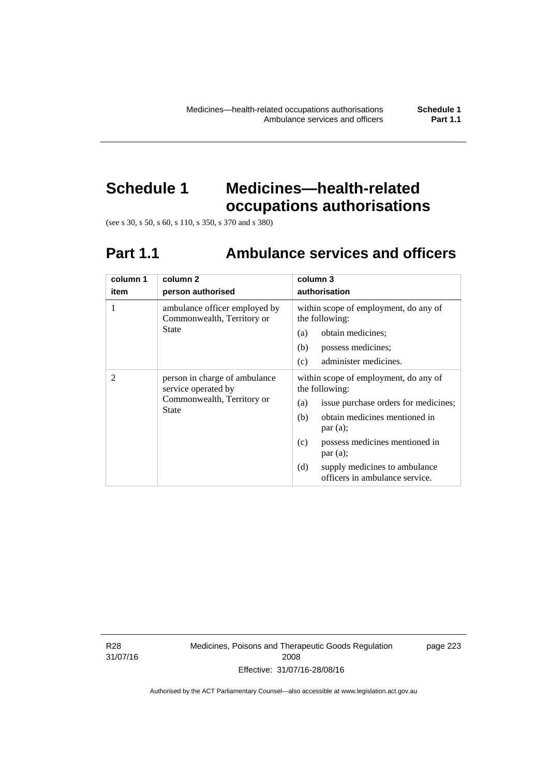# **Schedule 1 Medicines—health-related**

**occupations authorisations** 

(see s 30, s 50, s 60, s 110, s 350, s 370 and s 380)

### **Part 1.1 Ambulance services and officers**

| column 1<br>item | column <sub>2</sub><br>person authorised                                                           | column 3<br>authorisation                                                                                                                                                                                                                                                                                               |
|------------------|----------------------------------------------------------------------------------------------------|-------------------------------------------------------------------------------------------------------------------------------------------------------------------------------------------------------------------------------------------------------------------------------------------------------------------------|
| 1                | ambulance officer employed by<br>Commonwealth, Territory or<br><b>State</b>                        | within scope of employment, do any of<br>the following:<br>obtain medicines;<br>(a)<br>possess medicines;<br>(b)                                                                                                                                                                                                        |
| 2                | person in charge of ambulance<br>service operated by<br>Commonwealth, Territory or<br><b>State</b> | administer medicines.<br>(c)<br>within scope of employment, do any of<br>the following:<br>issue purchase orders for medicines;<br>(a)<br>obtain medicines mentioned in<br>(b)<br>par(a);<br>possess medicines mentioned in<br>(c)<br>par(a);<br>(d)<br>supply medicines to ambulance<br>officers in ambulance service. |

R28 31/07/16 Medicines, Poisons and Therapeutic Goods Regulation 2008 Effective: 31/07/16-28/08/16

page 223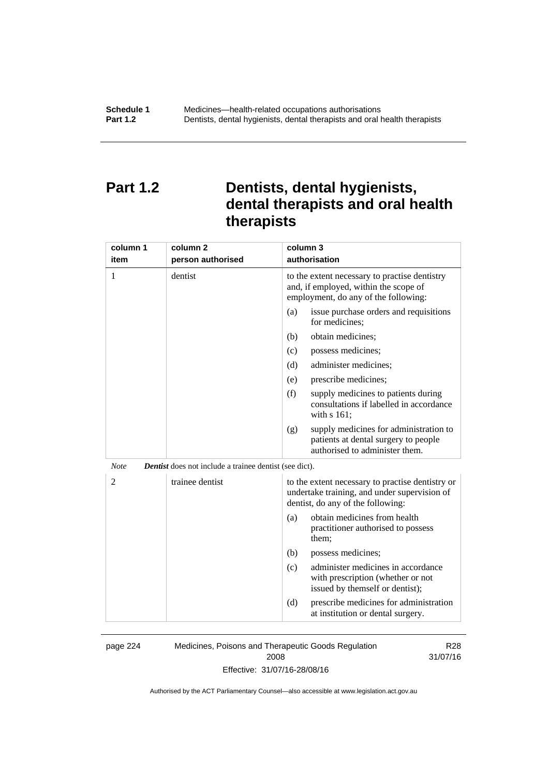#### **Part 1.2 Dentists, dental hygienists, dental therapists and oral health therapists**

| column 1<br>item | column <sub>2</sub><br>person authorised                      | column 3<br>authorisation                                                                                                             |
|------------------|---------------------------------------------------------------|---------------------------------------------------------------------------------------------------------------------------------------|
| 1                | dentist                                                       | to the extent necessary to practise dentistry<br>and, if employed, within the scope of<br>employment, do any of the following:        |
|                  |                                                               | issue purchase orders and requisitions<br>(a)<br>for medicines;                                                                       |
|                  |                                                               | obtain medicines;<br>(b)                                                                                                              |
|                  |                                                               | (c)<br>possess medicines;                                                                                                             |
|                  |                                                               | administer medicines;<br>(d)                                                                                                          |
|                  |                                                               | prescribe medicines;<br>(e)                                                                                                           |
|                  |                                                               | (f)<br>supply medicines to patients during<br>consultations if labelled in accordance<br>with s 161;                                  |
|                  |                                                               | supply medicines for administration to<br>(g)<br>patients at dental surgery to people<br>authorised to administer them.               |
| <b>Note</b>      | <b>Dentist</b> does not include a trainee dentist (see dict). |                                                                                                                                       |
| $\overline{2}$   | trainee dentist                                               | to the extent necessary to practise dentistry or<br>undertake training, and under supervision of<br>dentist, do any of the following: |
|                  |                                                               | obtain medicines from health<br>(a)<br>practitioner authorised to possess<br>them;                                                    |
|                  |                                                               | (b)<br>possess medicines;                                                                                                             |
|                  |                                                               | administer medicines in accordance<br>(c)<br>with prescription (whether or not<br>issued by themself or dentist);                     |
|                  |                                                               | (d)<br>prescribe medicines for administration<br>at institution or dental surgery.                                                    |

page 224 Medicines, Poisons and Therapeutic Goods Regulation 2008

R28 31/07/16

Effective: 31/07/16-28/08/16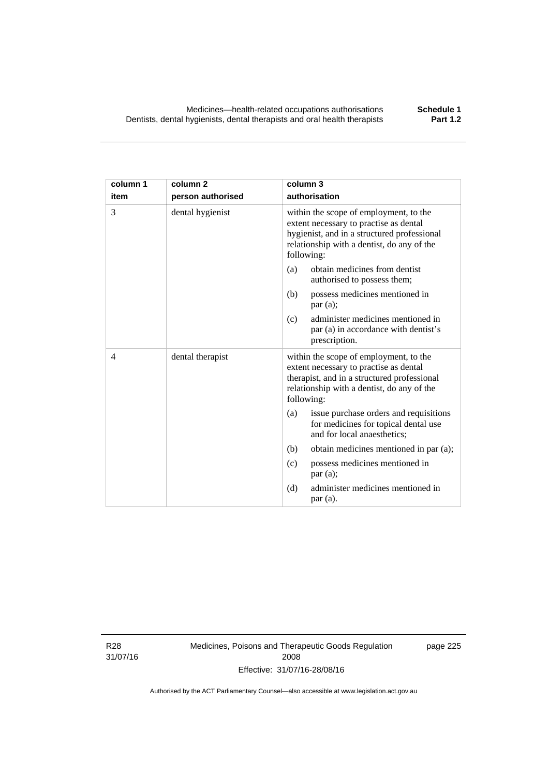| column 1<br>item | column <sub>2</sub><br>person authorised | column 3<br>authorisation                                                                                                                                                                   |
|------------------|------------------------------------------|---------------------------------------------------------------------------------------------------------------------------------------------------------------------------------------------|
| 3                | dental hygienist                         | within the scope of employment, to the<br>extent necessary to practise as dental<br>hygienist, and in a structured professional<br>relationship with a dentist, do any of the<br>following: |
|                  |                                          | obtain medicines from dentist<br>(a)<br>authorised to possess them;                                                                                                                         |
|                  |                                          | (b)<br>possess medicines mentioned in<br>par(a);                                                                                                                                            |
|                  |                                          | administer medicines mentioned in<br>(c)<br>par (a) in accordance with dentist's<br>prescription.                                                                                           |
| $\overline{4}$   | dental therapist                         | within the scope of employment, to the<br>extent necessary to practise as dental<br>therapist, and in a structured professional<br>relationship with a dentist, do any of the<br>following: |
|                  |                                          | issue purchase orders and requisitions<br>(a)<br>for medicines for topical dental use<br>and for local anaesthetics;                                                                        |
|                  |                                          | (b)<br>obtain medicines mentioned in par (a);                                                                                                                                               |
|                  |                                          | possess medicines mentioned in<br>(c)<br>par(a);                                                                                                                                            |
|                  |                                          | (d)<br>administer medicines mentioned in<br>par(a).                                                                                                                                         |

R28 31/07/16 Medicines, Poisons and Therapeutic Goods Regulation 2008 Effective: 31/07/16-28/08/16

page 225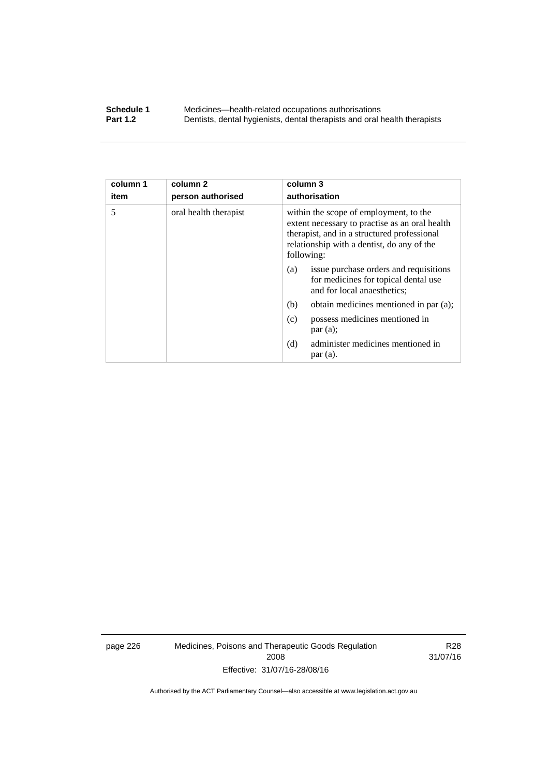#### **Schedule 1** Medicines—health-related occupations authorisations<br>**Part 1.2** Dentists, dental hygienists, dental therapists and oral health **Part 1.2** Dentists, dental hygienists, dental therapists and oral health therapists

| column 1<br>item | column 2<br>person authorised | column 3<br>authorisation                                                                                                                                                                           |
|------------------|-------------------------------|-----------------------------------------------------------------------------------------------------------------------------------------------------------------------------------------------------|
| 5                | oral health therapist         | within the scope of employment, to the<br>extent necessary to practise as an oral health<br>therapist, and in a structured professional<br>relationship with a dentist, do any of the<br>following: |
|                  |                               | issue purchase orders and requisitions<br>(a)<br>for medicines for topical dental use<br>and for local anaesthetics;                                                                                |
|                  |                               | obtain medicines mentioned in par (a);<br>(b)                                                                                                                                                       |
|                  |                               | possess medicines mentioned in<br>(c)<br>par(a);                                                                                                                                                    |
|                  |                               | administer medicines mentioned in<br>(d)<br>par(a).                                                                                                                                                 |

page 226 Medicines, Poisons and Therapeutic Goods Regulation 2008 Effective: 31/07/16-28/08/16

R28 31/07/16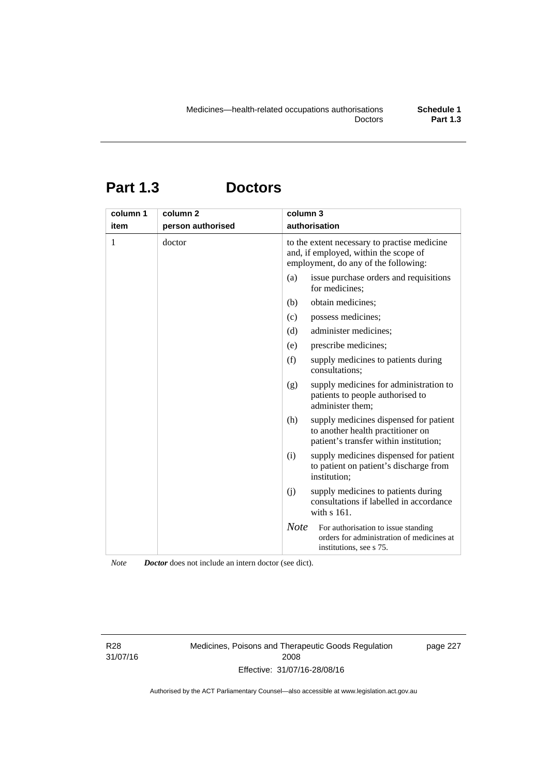## **Part 1.3 Doctors**

| column 1 | column <sub>2</sub> | column 3                                                                                                                      |
|----------|---------------------|-------------------------------------------------------------------------------------------------------------------------------|
| item     | person authorised   | authorisation                                                                                                                 |
| 1        | doctor              | to the extent necessary to practise medicine<br>and, if employed, within the scope of<br>employment, do any of the following: |
|          |                     | issue purchase orders and requisitions<br>(a)<br>for medicines;                                                               |
|          |                     | obtain medicines;<br>(b)                                                                                                      |
|          |                     | (c)<br>possess medicines;                                                                                                     |
|          |                     | administer medicines;<br>(d)                                                                                                  |
|          |                     | prescribe medicines;<br>(e)                                                                                                   |
|          |                     | (f)<br>supply medicines to patients during<br>consultations;                                                                  |
|          |                     | supply medicines for administration to<br>(g)<br>patients to people authorised to<br>administer them;                         |
|          |                     | (h)<br>supply medicines dispensed for patient<br>to another health practitioner on<br>patient's transfer within institution;  |
|          |                     | supply medicines dispensed for patient<br>(i)<br>to patient on patient's discharge from<br>institution;                       |
|          |                     | (j)<br>supply medicines to patients during<br>consultations if labelled in accordance<br>with $s$ 161.                        |
|          |                     | <b>Note</b><br>For authorisation to issue standing<br>orders for administration of medicines at<br>institutions, see s 75.    |

*Note Doctor* does not include an intern doctor (see dict).

R28 31/07/16 Medicines, Poisons and Therapeutic Goods Regulation 2008 Effective: 31/07/16-28/08/16

page 227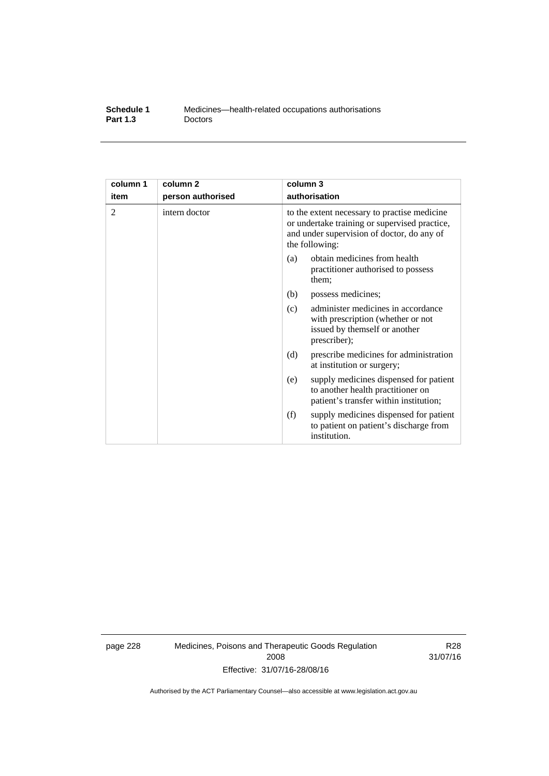| Schedule 1      | Medicines—health-related occupations authorisations |
|-----------------|-----------------------------------------------------|
| <b>Part 1.3</b> | <b>Doctors</b>                                      |

| column 1 | column <sub>2</sub> | column 3                                                                                                                                                      |
|----------|---------------------|---------------------------------------------------------------------------------------------------------------------------------------------------------------|
| item     | person authorised   | authorisation                                                                                                                                                 |
| 2        | intern doctor       | to the extent necessary to practise medicine<br>or undertake training or supervised practice,<br>and under supervision of doctor, do any of<br>the following: |
|          |                     | obtain medicines from health<br>(a)<br>practitioner authorised to possess<br>them:                                                                            |
|          |                     | (b)<br>possess medicines;                                                                                                                                     |
|          |                     | administer medicines in accordance<br>(c)<br>with prescription (whether or not<br>issued by themself or another<br>prescriber);                               |
|          |                     | (d)<br>prescribe medicines for administration<br>at institution or surgery;                                                                                   |
|          |                     | supply medicines dispensed for patient<br>(e)<br>to another health practitioner on<br>patient's transfer within institution;                                  |
|          |                     | (f)<br>supply medicines dispensed for patient<br>to patient on patient's discharge from<br>institution.                                                       |

page 228 Medicines, Poisons and Therapeutic Goods Regulation 2008 Effective: 31/07/16-28/08/16

R28 31/07/16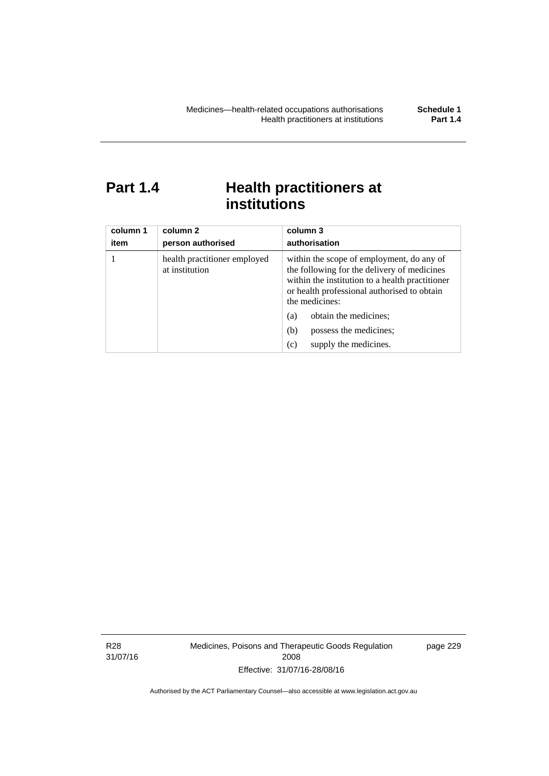### **Part 1.4 Health practitioners at institutions**

| column 1<br>item | column 2<br>person authorised                  | column 3<br>authorisation                                                                                                                                                                                    |  |
|------------------|------------------------------------------------|--------------------------------------------------------------------------------------------------------------------------------------------------------------------------------------------------------------|--|
|                  | health practitioner employed<br>at institution | within the scope of employment, do any of<br>the following for the delivery of medicines<br>within the institution to a health practitioner<br>or health professional authorised to obtain<br>the medicines: |  |
|                  |                                                | obtain the medicines;<br>(a)                                                                                                                                                                                 |  |
|                  |                                                | possess the medicines;<br>(b)                                                                                                                                                                                |  |
|                  |                                                | supply the medicines.<br>(c)                                                                                                                                                                                 |  |

R28 31/07/16 Medicines, Poisons and Therapeutic Goods Regulation 2008 Effective: 31/07/16-28/08/16

page 229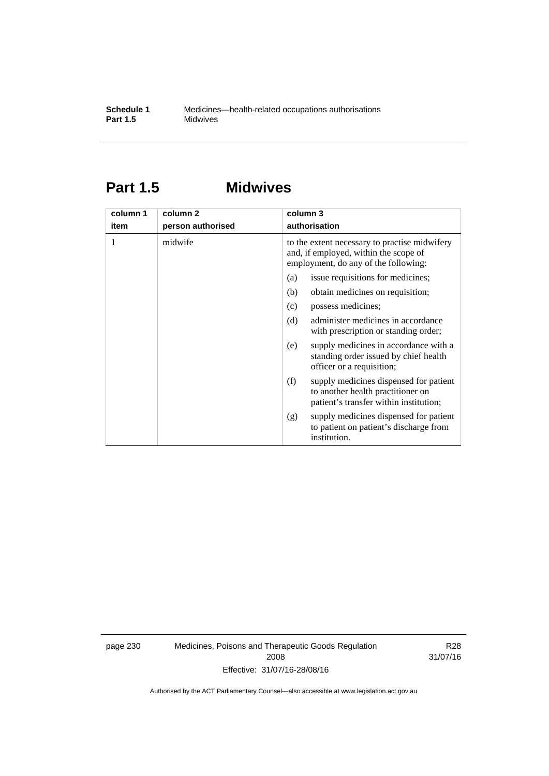### **Part 1.5 Midwives**

| column 1 | column 2          | column 3                                                                                                                       |  |  |
|----------|-------------------|--------------------------------------------------------------------------------------------------------------------------------|--|--|
| item     | person authorised | authorisation                                                                                                                  |  |  |
| 1        | midwife           | to the extent necessary to practise midwifery<br>and, if employed, within the scope of<br>employment, do any of the following: |  |  |
|          |                   | issue requisitions for medicines;<br>(a)                                                                                       |  |  |
|          |                   | (b)<br>obtain medicines on requisition;                                                                                        |  |  |
|          |                   | possess medicines;<br>(c)                                                                                                      |  |  |
|          |                   | administer medicines in accordance<br>(d)<br>with prescription or standing order;                                              |  |  |
|          |                   | supply medicines in accordance with a<br>(e)<br>standing order issued by chief health<br>officer or a requisition;             |  |  |
|          |                   | supply medicines dispensed for patient<br>(f)<br>to another health practitioner on<br>patient's transfer within institution;   |  |  |
|          |                   | supply medicines dispensed for patient<br>(g)<br>to patient on patient's discharge from<br>institution.                        |  |  |

page 230 Medicines, Poisons and Therapeutic Goods Regulation 2008 Effective: 31/07/16-28/08/16

R28 31/07/16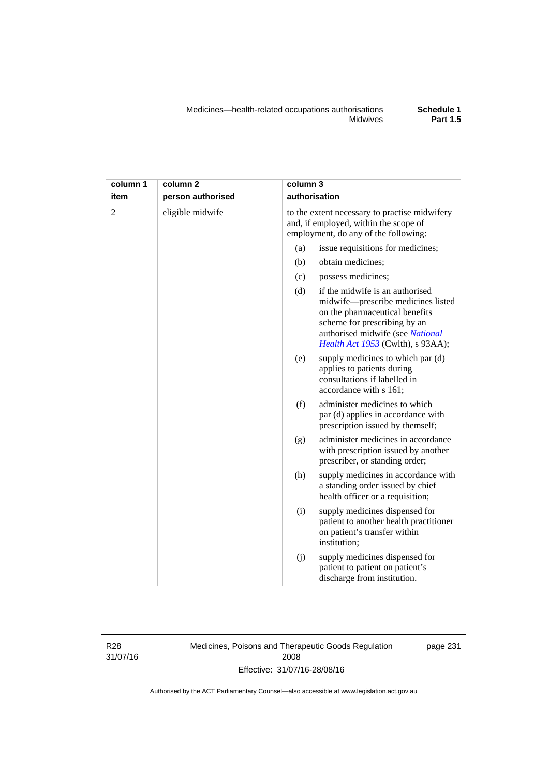| column 1       | column <sub>2</sub> | column 3                                                                                                                                                                                                                |
|----------------|---------------------|-------------------------------------------------------------------------------------------------------------------------------------------------------------------------------------------------------------------------|
| item           | person authorised   | authorisation                                                                                                                                                                                                           |
| $\overline{2}$ | eligible midwife    | to the extent necessary to practise midwifery<br>and, if employed, within the scope of<br>employment, do any of the following:                                                                                          |
|                |                     | issue requisitions for medicines;<br>(a)                                                                                                                                                                                |
|                |                     | (b)<br>obtain medicines;                                                                                                                                                                                                |
|                |                     | (c)<br>possess medicines;                                                                                                                                                                                               |
|                |                     | (d)<br>if the midwife is an authorised<br>midwife-prescribe medicines listed<br>on the pharmaceutical benefits<br>scheme for prescribing by an<br>authorised midwife (see National<br>Health Act 1953 (Cwlth), s 93AA); |
|                |                     | (e)<br>supply medicines to which par (d)<br>applies to patients during<br>consultations if labelled in<br>accordance with s 161;                                                                                        |
|                |                     | (f)<br>administer medicines to which<br>par (d) applies in accordance with<br>prescription issued by themself;                                                                                                          |
|                |                     | administer medicines in accordance<br>(g)<br>with prescription issued by another<br>prescriber, or standing order;                                                                                                      |
|                |                     | (h)<br>supply medicines in accordance with<br>a standing order issued by chief<br>health officer or a requisition;                                                                                                      |
|                |                     | supply medicines dispensed for<br>(i)<br>patient to another health practitioner<br>on patient's transfer within<br>institution;                                                                                         |
|                |                     | (j)<br>supply medicines dispensed for<br>patient to patient on patient's<br>discharge from institution.                                                                                                                 |

R28 31/07/16 Medicines, Poisons and Therapeutic Goods Regulation 2008 Effective: 31/07/16-28/08/16

page 231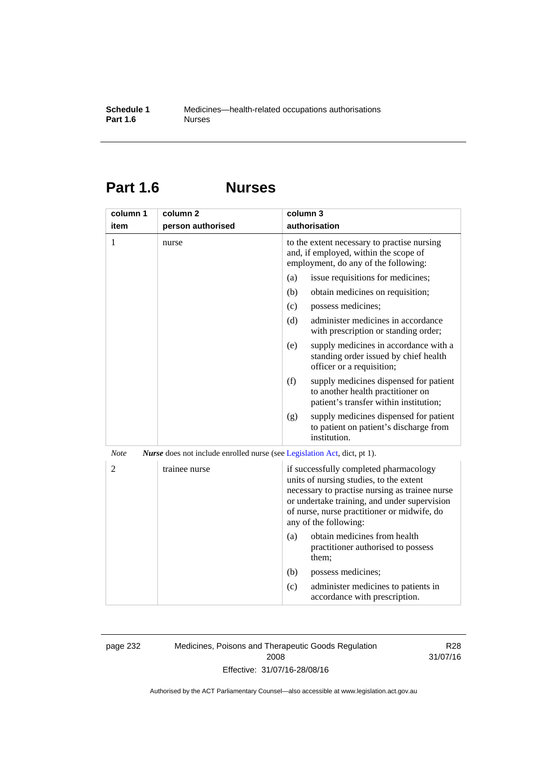# **Part 1.6 Nurses**

| column 1       | column 2                                                                        | column 3                                                                                                                                                                                                                                                    |
|----------------|---------------------------------------------------------------------------------|-------------------------------------------------------------------------------------------------------------------------------------------------------------------------------------------------------------------------------------------------------------|
| item           | person authorised                                                               | authorisation                                                                                                                                                                                                                                               |
| 1              | nurse                                                                           | to the extent necessary to practise nursing<br>and, if employed, within the scope of<br>employment, do any of the following:                                                                                                                                |
|                |                                                                                 | issue requisitions for medicines;<br>(a)                                                                                                                                                                                                                    |
|                |                                                                                 | (b)<br>obtain medicines on requisition;                                                                                                                                                                                                                     |
|                |                                                                                 | (c)<br>possess medicines;                                                                                                                                                                                                                                   |
|                |                                                                                 | administer medicines in accordance<br>(d)<br>with prescription or standing order;                                                                                                                                                                           |
|                |                                                                                 | supply medicines in accordance with a<br>(e)<br>standing order issued by chief health<br>officer or a requisition;                                                                                                                                          |
|                |                                                                                 | (f)<br>supply medicines dispensed for patient<br>to another health practitioner on<br>patient's transfer within institution;                                                                                                                                |
|                |                                                                                 | supply medicines dispensed for patient<br>(g)<br>to patient on patient's discharge from<br>institution.                                                                                                                                                     |
| <b>Note</b>    | <i>Nurse</i> does not include enrolled nurse (see Legislation Act, dict, pt 1). |                                                                                                                                                                                                                                                             |
| $\overline{2}$ | trainee nurse                                                                   | if successfully completed pharmacology<br>units of nursing studies, to the extent<br>necessary to practise nursing as trainee nurse<br>or undertake training, and under supervision<br>of nurse, nurse practitioner or midwife, do<br>any of the following: |
|                |                                                                                 | obtain medicines from health<br>(a)<br>practitioner authorised to possess<br>them:                                                                                                                                                                          |
|                |                                                                                 | (b)<br>possess medicines;                                                                                                                                                                                                                                   |
|                |                                                                                 | administer medicines to patients in<br>(c)<br>accordance with prescription.                                                                                                                                                                                 |

page 232 Medicines, Poisons and Therapeutic Goods Regulation 2008 Effective: 31/07/16-28/08/16

R28 31/07/16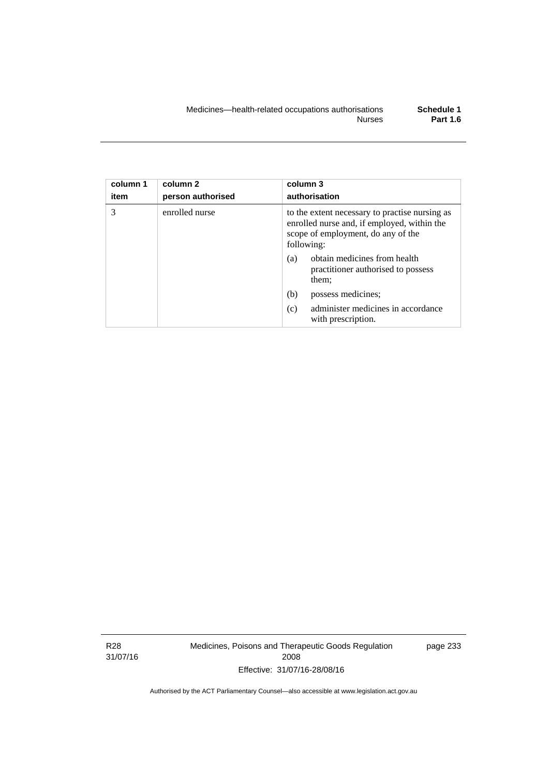| column 1<br>item | column 2<br>person authorised | column 3<br>authorisation                                                                                                                         |
|------------------|-------------------------------|---------------------------------------------------------------------------------------------------------------------------------------------------|
| 3                | enrolled nurse                | to the extent necessary to practise nursing as<br>enrolled nurse and, if employed, within the<br>scope of employment, do any of the<br>following: |
|                  |                               | obtain medicines from health<br>(a)<br>practitioner authorised to possess<br>them;                                                                |
|                  |                               | (b)<br>possess medicines;                                                                                                                         |
|                  |                               | administer medicines in accordance<br>(c)<br>with prescription.                                                                                   |

R28 31/07/16 Medicines, Poisons and Therapeutic Goods Regulation 2008 Effective: 31/07/16-28/08/16

page 233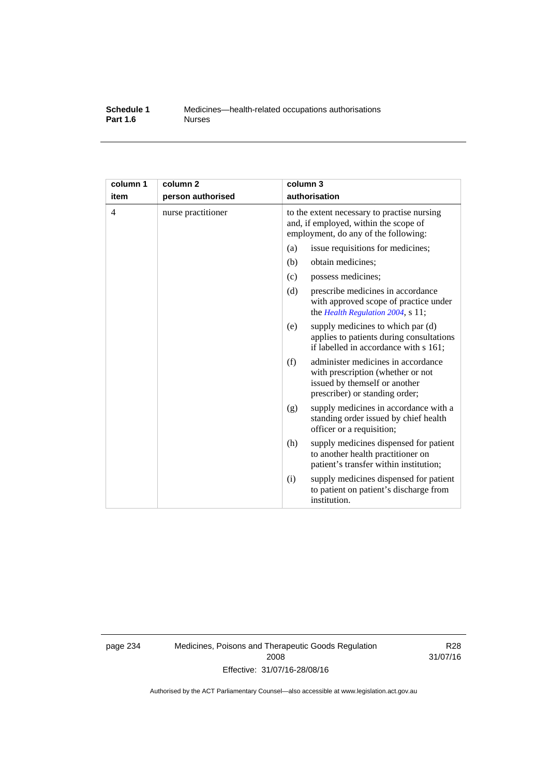#### **Schedule 1** Medicines—health-related occupations authorisations<br>**Part 1.6** Murses **Part 1.6**

| column 1<br>item | column <sub>2</sub><br>person authorised | column 3<br>authorisation                                                                                                                         |  |
|------------------|------------------------------------------|---------------------------------------------------------------------------------------------------------------------------------------------------|--|
| $\overline{4}$   | nurse practitioner                       | to the extent necessary to practise nursing<br>and, if employed, within the scope of<br>employment, do any of the following:                      |  |
|                  |                                          | (a)<br>issue requisitions for medicines;                                                                                                          |  |
|                  |                                          | (b)<br>obtain medicines;                                                                                                                          |  |
|                  |                                          | possess medicines;<br>(c)                                                                                                                         |  |
|                  |                                          | (d)<br>prescribe medicines in accordance<br>with approved scope of practice under<br>the Health Regulation 2004, s 11;                            |  |
|                  |                                          | supply medicines to which par (d)<br>(e)<br>applies to patients during consultations<br>if labelled in accordance with s 161;                     |  |
|                  |                                          | administer medicines in accordance<br>(f)<br>with prescription (whether or not<br>issued by themself or another<br>prescriber) or standing order; |  |
|                  |                                          | supply medicines in accordance with a<br>(g)<br>standing order issued by chief health<br>officer or a requisition;                                |  |
|                  |                                          | (h)<br>supply medicines dispensed for patient<br>to another health practitioner on<br>patient's transfer within institution;                      |  |
|                  |                                          | supply medicines dispensed for patient<br>(i)<br>to patient on patient's discharge from<br>institution.                                           |  |

page 234 Medicines, Poisons and Therapeutic Goods Regulation 2008 Effective: 31/07/16-28/08/16

R28 31/07/16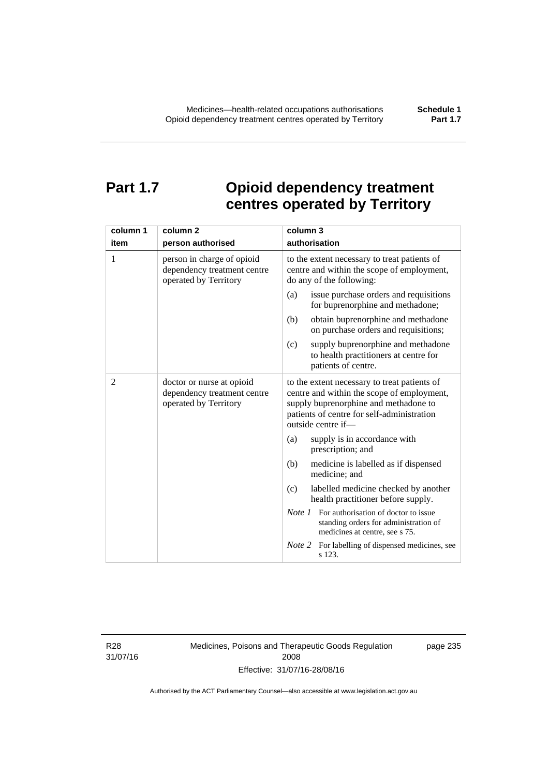# **Part 1.7 Opioid dependency treatment centres operated by Territory**

| column 1       | column <sub>2</sub>                                                                | column 3                                                                                                                                                                                                |
|----------------|------------------------------------------------------------------------------------|---------------------------------------------------------------------------------------------------------------------------------------------------------------------------------------------------------|
| item           | person authorised                                                                  | authorisation                                                                                                                                                                                           |
| 1              | person in charge of opioid<br>dependency treatment centre<br>operated by Territory | to the extent necessary to treat patients of<br>centre and within the scope of employment,<br>do any of the following:                                                                                  |
|                |                                                                                    | issue purchase orders and requisitions<br>(a)<br>for buprenorphine and methadone;                                                                                                                       |
|                |                                                                                    | obtain buprenorphine and methadone<br>(b)<br>on purchase orders and requisitions;                                                                                                                       |
|                |                                                                                    | supply buprenorphine and methadone<br>(c)<br>to health practitioners at centre for<br>patients of centre.                                                                                               |
| $\overline{2}$ | doctor or nurse at opioid<br>dependency treatment centre<br>operated by Territory  | to the extent necessary to treat patients of<br>centre and within the scope of employment,<br>supply buprenorphine and methadone to<br>patients of centre for self-administration<br>outside centre if- |
|                |                                                                                    | supply is in accordance with<br>(a)<br>prescription; and                                                                                                                                                |
|                |                                                                                    | (b)<br>medicine is labelled as if dispensed<br>medicine; and                                                                                                                                            |
|                |                                                                                    | (c)<br>labelled medicine checked by another<br>health practitioner before supply.                                                                                                                       |
|                |                                                                                    | <i>Note 1</i> For authorisation of doctor to issue<br>standing orders for administration of<br>medicines at centre, see s 75.                                                                           |
|                |                                                                                    | Note 2<br>For labelling of dispensed medicines, see<br>s 123.                                                                                                                                           |

R28 31/07/16 Medicines, Poisons and Therapeutic Goods Regulation 2008 Effective: 31/07/16-28/08/16

page 235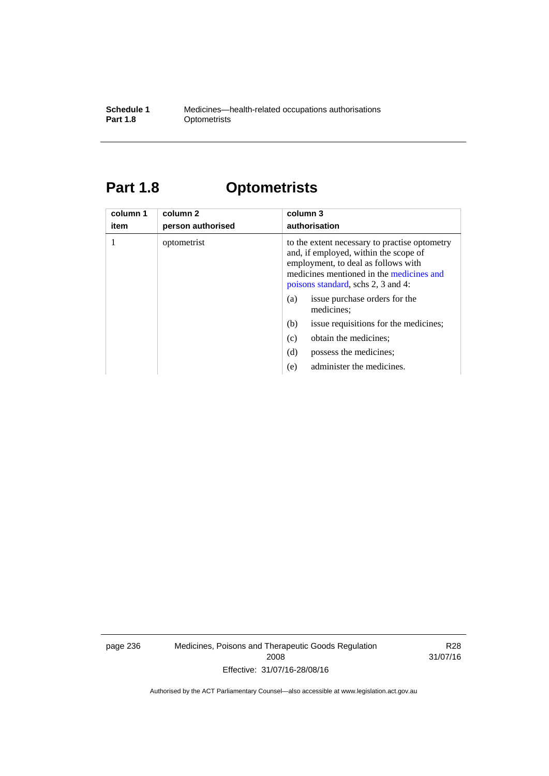#### **Schedule 1** Medicines—health-related occupations authorisations<br>**Part 1.8** Optometrists **Optometrists**

# **Part 1.8 Optometrists**

| column 1<br>item | column 2<br>person authorised | column 3<br>authorisation                                                                                                                                                                                       |
|------------------|-------------------------------|-----------------------------------------------------------------------------------------------------------------------------------------------------------------------------------------------------------------|
|                  | optometrist                   | to the extent necessary to practise optometry<br>and, if employed, within the scope of<br>employment, to deal as follows with<br>medicines mentioned in the medicines and<br>poisons standard, schs 2, 3 and 4: |
|                  |                               | issue purchase orders for the<br>(a)<br>medicines;                                                                                                                                                              |
|                  |                               | issue requisitions for the medicines;<br>(b)                                                                                                                                                                    |
|                  |                               | obtain the medicines;<br>(c)                                                                                                                                                                                    |
|                  |                               | (d)<br>possess the medicines:                                                                                                                                                                                   |
|                  |                               | administer the medicines.<br>(e)                                                                                                                                                                                |

page 236 Medicines, Poisons and Therapeutic Goods Regulation 2008 Effective: 31/07/16-28/08/16

R28 31/07/16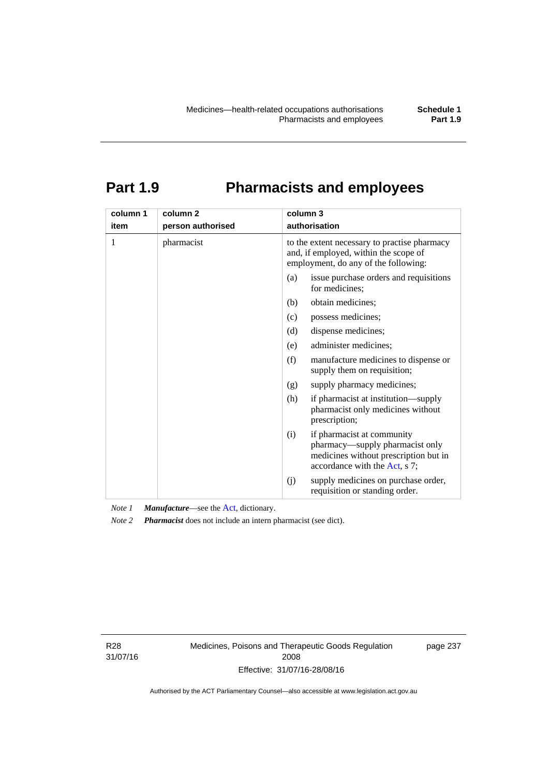# **Part 1.9 Pharmacists and employees**

| column 1<br>item | column <sub>2</sub><br>person authorised | column 3<br>authorisation                                                                                                     |                                                                                                                                         |  |
|------------------|------------------------------------------|-------------------------------------------------------------------------------------------------------------------------------|-----------------------------------------------------------------------------------------------------------------------------------------|--|
| 1                | pharmacist                               | to the extent necessary to practise pharmacy<br>and, if employed, within the scope of<br>employment, do any of the following: |                                                                                                                                         |  |
|                  |                                          | (a)                                                                                                                           | issue purchase orders and requisitions<br>for medicines;                                                                                |  |
|                  |                                          | (b)                                                                                                                           | obtain medicines;                                                                                                                       |  |
|                  |                                          | (c)                                                                                                                           | possess medicines;                                                                                                                      |  |
|                  |                                          | (d)                                                                                                                           | dispense medicines;                                                                                                                     |  |
|                  |                                          | (e)                                                                                                                           | administer medicines;                                                                                                                   |  |
|                  |                                          | (f)                                                                                                                           | manufacture medicines to dispense or<br>supply them on requisition;                                                                     |  |
|                  |                                          | (g)                                                                                                                           | supply pharmacy medicines;                                                                                                              |  |
|                  |                                          | (h)                                                                                                                           | if pharmacist at institution—supply<br>pharmacist only medicines without<br>prescription;                                               |  |
|                  |                                          | (i)                                                                                                                           | if pharmacist at community<br>pharmacy—supply pharmacist only<br>medicines without prescription but in<br>accordance with the Act, s 7; |  |
|                  |                                          | (j)                                                                                                                           | supply medicines on purchase order,<br>requisition or standing order.                                                                   |  |

*Note 1 Manufacture*—see the [Act,](http://www.legislation.act.gov.au/a/2008-26/default.asp) dictionary.

*Note 2 Pharmacist* does not include an intern pharmacist (see dict).

R28 31/07/16 Medicines, Poisons and Therapeutic Goods Regulation 2008 Effective: 31/07/16-28/08/16

page 237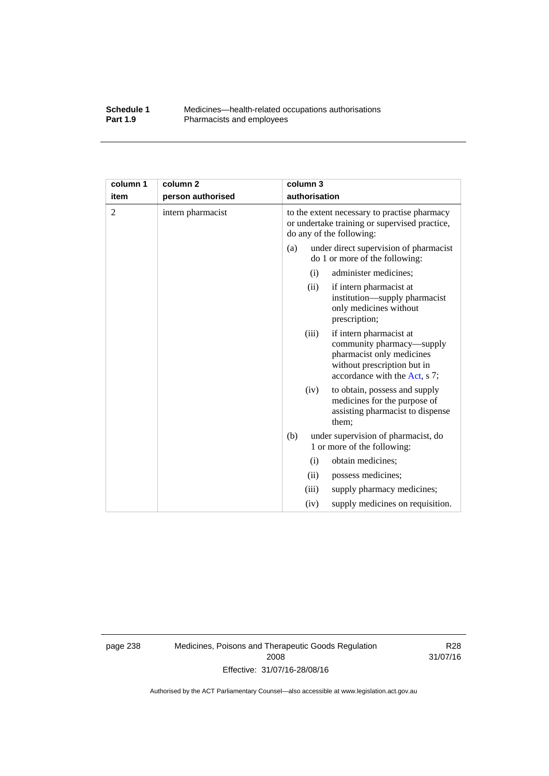#### **Schedule 1** Medicines—health-related occupations authorisations<br>**Part 1.9** Pharmacists and employees Pharmacists and employees

| column 1       | column <sub>2</sub> |                                                                                                                           | column 3      |                                                                                                                                                   |
|----------------|---------------------|---------------------------------------------------------------------------------------------------------------------------|---------------|---------------------------------------------------------------------------------------------------------------------------------------------------|
| item           | person authorised   |                                                                                                                           | authorisation |                                                                                                                                                   |
| $\overline{2}$ | intern pharmacist   | to the extent necessary to practise pharmacy<br>or undertake training or supervised practice,<br>do any of the following: |               |                                                                                                                                                   |
|                |                     | (a)                                                                                                                       |               | under direct supervision of pharmacist<br>do 1 or more of the following:                                                                          |
|                |                     |                                                                                                                           | (i)           | administer medicines;                                                                                                                             |
|                |                     |                                                                                                                           | (ii)          | if intern pharmacist at<br>institution—supply pharmacist<br>only medicines without<br>prescription;                                               |
|                |                     |                                                                                                                           | (iii)         | if intern pharmacist at<br>community pharmacy—supply<br>pharmacist only medicines<br>without prescription but in<br>accordance with the Act, s 7; |
|                |                     |                                                                                                                           | (iv)          | to obtain, possess and supply<br>medicines for the purpose of<br>assisting pharmacist to dispense<br>them;                                        |
|                |                     | (b)                                                                                                                       |               | under supervision of pharmacist, do<br>1 or more of the following:                                                                                |
|                |                     |                                                                                                                           | (i)           | obtain medicines;                                                                                                                                 |
|                |                     |                                                                                                                           | (ii)          | possess medicines;                                                                                                                                |
|                |                     |                                                                                                                           | (iii)         | supply pharmacy medicines;                                                                                                                        |
|                |                     |                                                                                                                           | (iv)          | supply medicines on requisition.                                                                                                                  |

page 238 Medicines, Poisons and Therapeutic Goods Regulation 2008 Effective: 31/07/16-28/08/16

R28 31/07/16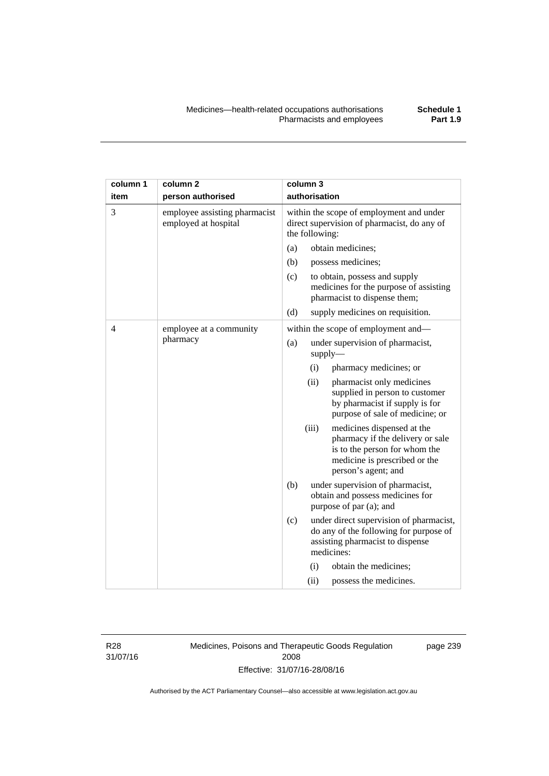| column 1 | column <sub>2</sub>                                   |                                                                                                           | column 3 |                                                                                                                                                         |
|----------|-------------------------------------------------------|-----------------------------------------------------------------------------------------------------------|----------|---------------------------------------------------------------------------------------------------------------------------------------------------------|
| item     | person authorised                                     | authorisation                                                                                             |          |                                                                                                                                                         |
| 3        | employee assisting pharmacist<br>employed at hospital | within the scope of employment and under<br>direct supervision of pharmacist, do any of<br>the following: |          |                                                                                                                                                         |
|          |                                                       | (a)                                                                                                       |          | obtain medicines;                                                                                                                                       |
|          |                                                       | (b)                                                                                                       |          | possess medicines;                                                                                                                                      |
|          |                                                       | (c)                                                                                                       |          | to obtain, possess and supply<br>medicines for the purpose of assisting<br>pharmacist to dispense them;                                                 |
|          |                                                       | (d)                                                                                                       |          | supply medicines on requisition.                                                                                                                        |
| 4        | employee at a community<br>pharmacy                   |                                                                                                           |          | within the scope of employment and-                                                                                                                     |
|          |                                                       | (a)                                                                                                       |          | under supervision of pharmacist,<br>supply                                                                                                              |
|          |                                                       |                                                                                                           | (i)      | pharmacy medicines; or                                                                                                                                  |
|          |                                                       |                                                                                                           | (ii)     | pharmacist only medicines<br>supplied in person to customer<br>by pharmacist if supply is for<br>purpose of sale of medicine; or                        |
|          |                                                       |                                                                                                           | (iii)    | medicines dispensed at the<br>pharmacy if the delivery or sale<br>is to the person for whom the<br>medicine is prescribed or the<br>person's agent; and |
|          |                                                       | (b)                                                                                                       |          | under supervision of pharmacist,<br>obtain and possess medicines for<br>purpose of par (a); and                                                         |
|          |                                                       | (c)                                                                                                       |          | under direct supervision of pharmacist,<br>do any of the following for purpose of<br>assisting pharmacist to dispense<br>medicines:                     |
|          |                                                       |                                                                                                           | (i)      | obtain the medicines;                                                                                                                                   |
|          |                                                       |                                                                                                           | (ii)     | possess the medicines.                                                                                                                                  |

R28 31/07/16 Medicines, Poisons and Therapeutic Goods Regulation 2008 Effective: 31/07/16-28/08/16

page 239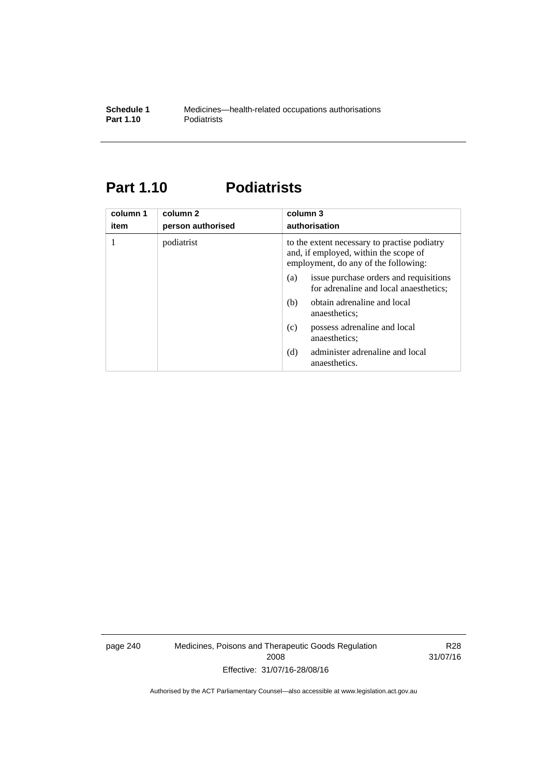### **Part 1.10 Podiatrists**

| column 1<br>item | column 2<br>person authorised | column 3<br>authorisation                                                                                                     |  |
|------------------|-------------------------------|-------------------------------------------------------------------------------------------------------------------------------|--|
|                  | podiatrist                    | to the extent necessary to practise podiatry<br>and, if employed, within the scope of<br>employment, do any of the following: |  |
|                  |                               | issue purchase orders and requisitions<br>(a)<br>for adrenaline and local anaesthetics;                                       |  |
|                  |                               | obtain adrenaline and local<br>(b)<br>anaesthetics:                                                                           |  |
|                  |                               | possess adrenaline and local<br>(c)<br>anaesthetics;                                                                          |  |
|                  |                               | administer adrenaline and local<br>(d)<br>anaesthetics.                                                                       |  |

page 240 Medicines, Poisons and Therapeutic Goods Regulation 2008 Effective: 31/07/16-28/08/16

R28 31/07/16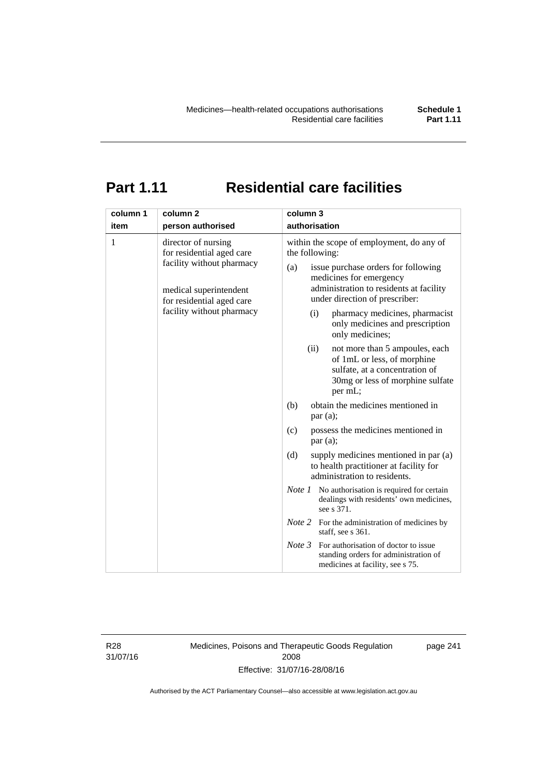# **Part 1.11 Residential care facilities**

| column 1 | column <sub>2</sub>                                                                                                                                               | column 3                                                                                                                                                                                                                                                                                                                                                                                  |
|----------|-------------------------------------------------------------------------------------------------------------------------------------------------------------------|-------------------------------------------------------------------------------------------------------------------------------------------------------------------------------------------------------------------------------------------------------------------------------------------------------------------------------------------------------------------------------------------|
| item     | person authorised                                                                                                                                                 | authorisation                                                                                                                                                                                                                                                                                                                                                                             |
| 1        | director of nursing<br>for residential aged care<br>facility without pharmacy<br>medical superintendent<br>for residential aged care<br>facility without pharmacy | within the scope of employment, do any of<br>the following:<br>issue purchase orders for following<br>(a)<br>medicines for emergency<br>administration to residents at facility<br>under direction of prescriber:<br>pharmacy medicines, pharmacist<br>(i)<br>only medicines and prescription<br>only medicines;<br>(ii)<br>not more than 5 ampoules, each<br>of 1mL or less, of morphine |
|          |                                                                                                                                                                   | sulfate, at a concentration of<br>30mg or less of morphine sulfate<br>per mL;                                                                                                                                                                                                                                                                                                             |
|          |                                                                                                                                                                   | obtain the medicines mentioned in<br>(b)<br>par(a);                                                                                                                                                                                                                                                                                                                                       |
|          |                                                                                                                                                                   | possess the medicines mentioned in<br>(c)<br>par(a);                                                                                                                                                                                                                                                                                                                                      |
|          |                                                                                                                                                                   | (d)<br>supply medicines mentioned in par (a)<br>to health practitioner at facility for<br>administration to residents.                                                                                                                                                                                                                                                                    |
|          |                                                                                                                                                                   | <i>Note 1</i> No authorisation is required for certain<br>dealings with residents' own medicines,<br>see s 371.                                                                                                                                                                                                                                                                           |
|          |                                                                                                                                                                   | <i>Note</i> 2 For the administration of medicines by<br>staff, see s 361.                                                                                                                                                                                                                                                                                                                 |
|          |                                                                                                                                                                   | Note 3<br>For authorisation of doctor to issue<br>standing orders for administration of<br>medicines at facility, see s 75.                                                                                                                                                                                                                                                               |

R28 31/07/16 Medicines, Poisons and Therapeutic Goods Regulation 2008 Effective: 31/07/16-28/08/16

page 241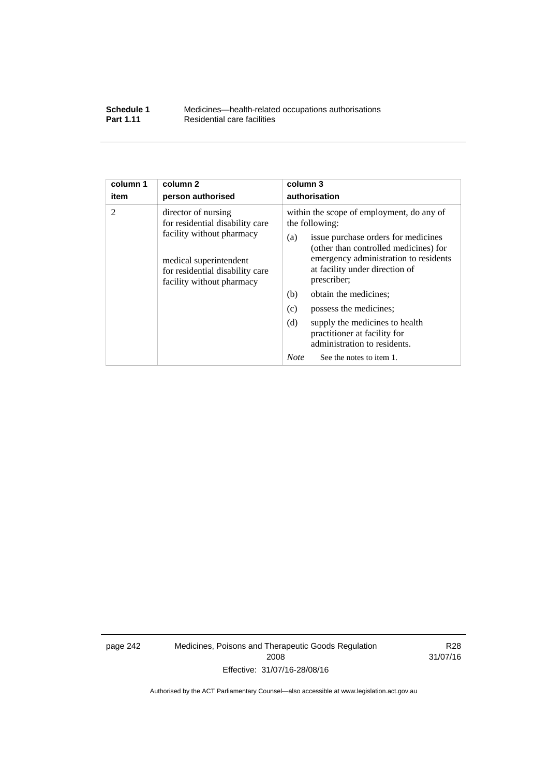| Schedule 1       | Medicines—health-related occupations authorisations |
|------------------|-----------------------------------------------------|
| <b>Part 1.11</b> | Residential care facilities                         |

| column 1       | column <sub>2</sub>                                                                                                                                                           | column 3                                                                                                                                                                                                                                                                                                                                                                                                                                                          |  |  |
|----------------|-------------------------------------------------------------------------------------------------------------------------------------------------------------------------------|-------------------------------------------------------------------------------------------------------------------------------------------------------------------------------------------------------------------------------------------------------------------------------------------------------------------------------------------------------------------------------------------------------------------------------------------------------------------|--|--|
| item           | person authorised                                                                                                                                                             | authorisation                                                                                                                                                                                                                                                                                                                                                                                                                                                     |  |  |
| $\overline{2}$ | director of nursing<br>for residential disability care<br>facility without pharmacy<br>medical superintendent<br>for residential disability care<br>facility without pharmacy | within the scope of employment, do any of<br>the following:<br>issue purchase orders for medicines<br>(a)<br>(other than controlled medicines) for<br>emergency administration to residents<br>at facility under direction of<br>prescriber;<br>(b)<br>obtain the medicines;<br>(c)<br>possess the medicines;<br>(d)<br>supply the medicines to health<br>practitioner at facility for<br>administration to residents.<br><b>Note</b><br>See the notes to item 1. |  |  |
|                |                                                                                                                                                                               |                                                                                                                                                                                                                                                                                                                                                                                                                                                                   |  |  |

page 242 Medicines, Poisons and Therapeutic Goods Regulation 2008 Effective: 31/07/16-28/08/16

R28 31/07/16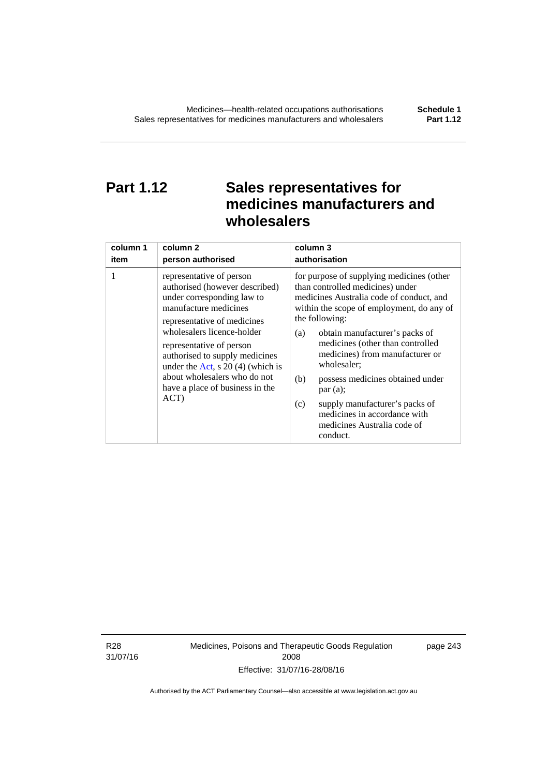# **Part 1.12 Sales representatives for medicines manufacturers and wholesalers**

| column 1 | column 2                                                                                                                                                                                                                                                                                                                                                      | column 3                                                                                                                                                                                                                                                                                                                                                                                                                                                                                          |  |  |
|----------|---------------------------------------------------------------------------------------------------------------------------------------------------------------------------------------------------------------------------------------------------------------------------------------------------------------------------------------------------------------|---------------------------------------------------------------------------------------------------------------------------------------------------------------------------------------------------------------------------------------------------------------------------------------------------------------------------------------------------------------------------------------------------------------------------------------------------------------------------------------------------|--|--|
| item     | person authorised                                                                                                                                                                                                                                                                                                                                             | authorisation                                                                                                                                                                                                                                                                                                                                                                                                                                                                                     |  |  |
| 1        | representative of person<br>authorised (however described)<br>under corresponding law to<br>manufacture medicines<br>representative of medicines<br>wholesalers licence-holder<br>representative of person<br>authorised to supply medicines<br>under the Act, s $20(4)$ (which is<br>about wholesalers who do not<br>have a place of business in the<br>ACT) | for purpose of supplying medicines (other<br>than controlled medicines) under<br>medicines Australia code of conduct, and<br>within the scope of employment, do any of<br>the following:<br>obtain manufacturer's packs of<br>(a)<br>medicines (other than controlled<br>medicines) from manufacturer or<br>wholesaler;<br>(b)<br>possess medicines obtained under<br>par(a);<br>supply manufacturer's packs of<br>(c)<br>medicines in accordance with<br>medicines Australia code of<br>conduct. |  |  |

R28 31/07/16 Medicines, Poisons and Therapeutic Goods Regulation 2008 Effective: 31/07/16-28/08/16

page 243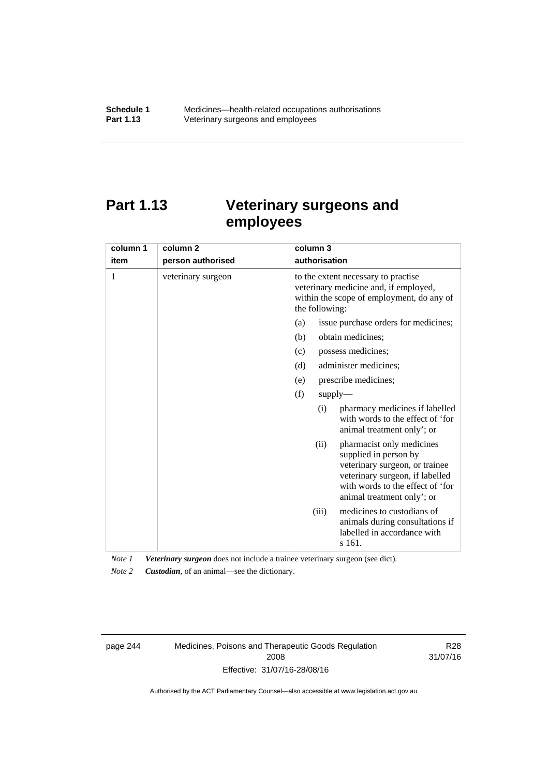# **Part 1.13 Veterinary surgeons and employees**

| column 1 | column <sub>2</sub> | column 3                                                                                                                                                                                          |  |
|----------|---------------------|---------------------------------------------------------------------------------------------------------------------------------------------------------------------------------------------------|--|
| item     | person authorised   | authorisation                                                                                                                                                                                     |  |
| 1        | veterinary surgeon  | to the extent necessary to practise<br>veterinary medicine and, if employed,<br>within the scope of employment, do any of<br>the following:                                                       |  |
|          |                     | issue purchase orders for medicines;<br>(a)                                                                                                                                                       |  |
|          |                     | (b)<br>obtain medicines;                                                                                                                                                                          |  |
|          |                     | possess medicines;<br>(c)                                                                                                                                                                         |  |
|          |                     | administer medicines;<br>(d)                                                                                                                                                                      |  |
|          |                     | prescribe medicines;<br>(e)                                                                                                                                                                       |  |
|          |                     | (f)<br>supply                                                                                                                                                                                     |  |
|          |                     | pharmacy medicines if labelled<br>(i)<br>with words to the effect of 'for<br>animal treatment only'; or                                                                                           |  |
|          |                     | pharmacist only medicines<br>(ii)<br>supplied in person by<br>veterinary surgeon, or trainee<br>veterinary surgeon, if labelled<br>with words to the effect of 'for<br>animal treatment only'; or |  |
|          |                     | medicines to custodians of<br>(iii)<br>animals during consultations if<br>labelled in accordance with<br>s 161.                                                                                   |  |

*Note 1 Veterinary surgeon* does not include a trainee veterinary surgeon (see dict).

*Note 2 Custodian*, of an animal—see the dictionary.

page 244 Medicines, Poisons and Therapeutic Goods Regulation 2008 Effective: 31/07/16-28/08/16

R28 31/07/16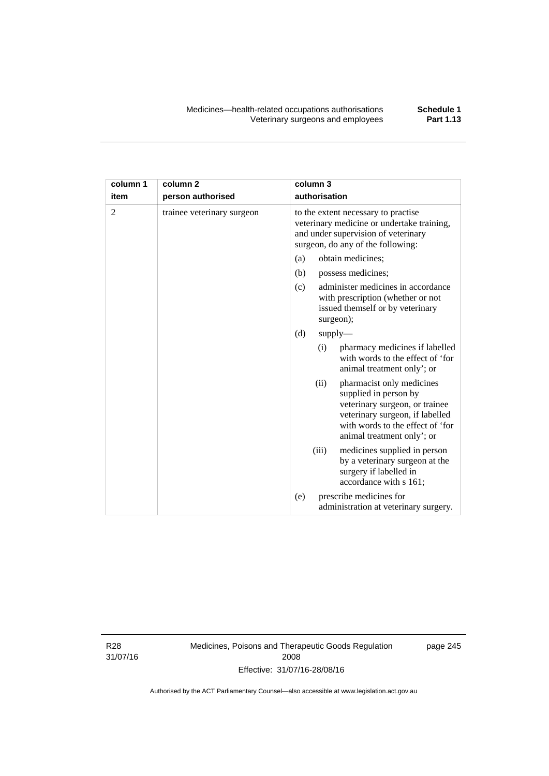| column 1 | column <sub>2</sub>        | column 3                                                                                                                                                                                          |  |  |
|----------|----------------------------|---------------------------------------------------------------------------------------------------------------------------------------------------------------------------------------------------|--|--|
| item     | person authorised          | authorisation                                                                                                                                                                                     |  |  |
| 2        | trainee veterinary surgeon | to the extent necessary to practise<br>veterinary medicine or undertake training,<br>and under supervision of veterinary<br>surgeon, do any of the following:                                     |  |  |
|          |                            | (a)<br>obtain medicines;                                                                                                                                                                          |  |  |
|          |                            | (b)<br>possess medicines;                                                                                                                                                                         |  |  |
|          |                            | administer medicines in accordance<br>(c)<br>with prescription (whether or not<br>issued themself or by veterinary<br>surgeon);                                                                   |  |  |
|          |                            | (d)<br>supply                                                                                                                                                                                     |  |  |
|          |                            | pharmacy medicines if labelled<br>(i)<br>with words to the effect of 'for<br>animal treatment only'; or                                                                                           |  |  |
|          |                            | (ii)<br>pharmacist only medicines<br>supplied in person by<br>veterinary surgeon, or trainee<br>veterinary surgeon, if labelled<br>with words to the effect of 'for<br>animal treatment only'; or |  |  |
|          |                            | (iii)<br>medicines supplied in person<br>by a veterinary surgeon at the<br>surgery if labelled in<br>accordance with s 161;                                                                       |  |  |
|          |                            | prescribe medicines for<br>(e)<br>administration at veterinary surgery.                                                                                                                           |  |  |

R28 31/07/16 Medicines, Poisons and Therapeutic Goods Regulation 2008 Effective: 31/07/16-28/08/16

page 245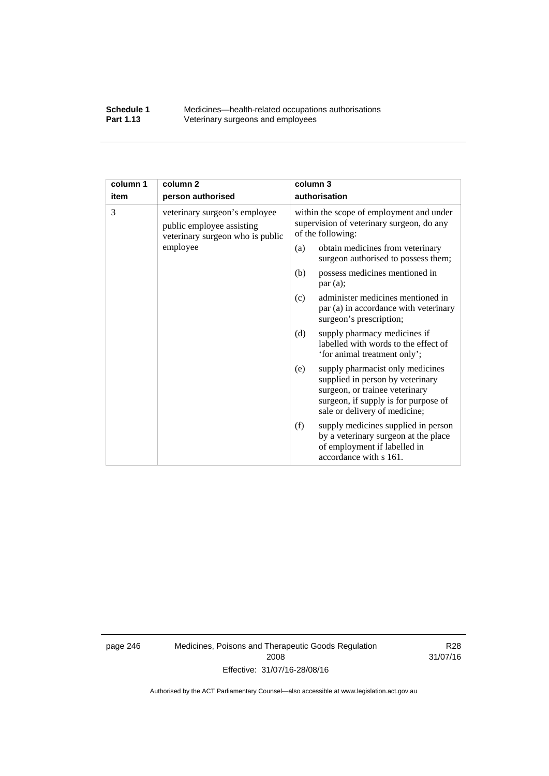#### **Schedule 1** Medicines—health-related occupations authorisations<br>**Part 1.13** Veterinary surgeons and employees Veterinary surgeons and employees

| column 1 | column <sub>2</sub>                                                                            | column 3                                                                                                                                                                               |  |
|----------|------------------------------------------------------------------------------------------------|----------------------------------------------------------------------------------------------------------------------------------------------------------------------------------------|--|
| item     | person authorised                                                                              | authorisation                                                                                                                                                                          |  |
| 3        | veterinary surgeon's employee<br>public employee assisting<br>veterinary surgeon who is public | within the scope of employment and under<br>supervision of veterinary surgeon, do any<br>of the following:                                                                             |  |
|          | employee                                                                                       | obtain medicines from veterinary<br>(a)<br>surgeon authorised to possess them;                                                                                                         |  |
|          |                                                                                                | possess medicines mentioned in<br>(b)<br>par $(a)$ ;                                                                                                                                   |  |
|          |                                                                                                | administer medicines mentioned in<br>(c)<br>par (a) in accordance with veterinary<br>surgeon's prescription;                                                                           |  |
|          |                                                                                                | (d)<br>supply pharmacy medicines if<br>labelled with words to the effect of<br>'for animal treatment only';                                                                            |  |
|          |                                                                                                | supply pharmacist only medicines<br>(e)<br>supplied in person by veterinary<br>surgeon, or trainee veterinary<br>surgeon, if supply is for purpose of<br>sale or delivery of medicine; |  |
|          |                                                                                                | supply medicines supplied in person<br>(f)<br>by a veterinary surgeon at the place<br>of employment if labelled in<br>accordance with s 161.                                           |  |

page 246 Medicines, Poisons and Therapeutic Goods Regulation 2008 Effective: 31/07/16-28/08/16

R28 31/07/16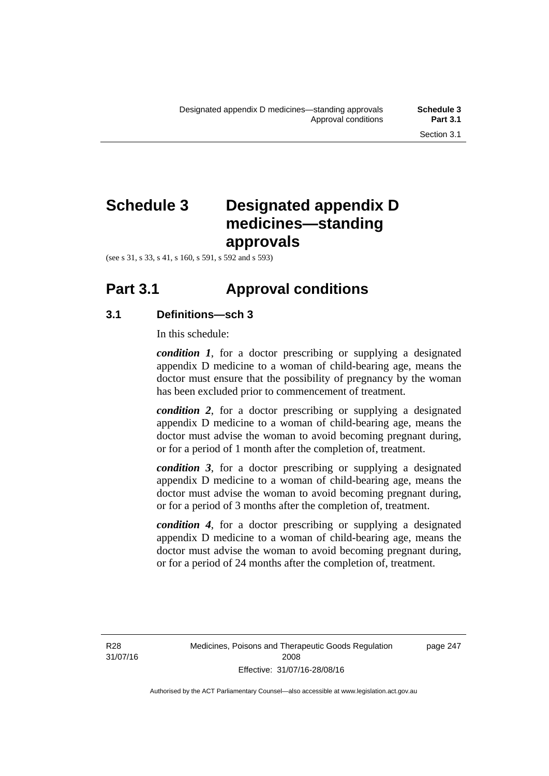# **Schedule 3 Designated appendix D medicines—standing approvals**

(see s 31, s 33, s 41, s 160, s 591, s 592 and s 593)

# **Part 3.1 Approval conditions**

#### **3.1 Definitions—sch 3**

In this schedule:

*condition 1*, for a doctor prescribing or supplying a designated appendix D medicine to a woman of child-bearing age, means the doctor must ensure that the possibility of pregnancy by the woman has been excluded prior to commencement of treatment.

*condition 2*, for a doctor prescribing or supplying a designated appendix D medicine to a woman of child-bearing age, means the doctor must advise the woman to avoid becoming pregnant during, or for a period of 1 month after the completion of, treatment.

*condition 3*, for a doctor prescribing or supplying a designated appendix D medicine to a woman of child-bearing age, means the doctor must advise the woman to avoid becoming pregnant during, or for a period of 3 months after the completion of, treatment.

*condition 4*, for a doctor prescribing or supplying a designated appendix D medicine to a woman of child-bearing age, means the doctor must advise the woman to avoid becoming pregnant during, or for a period of 24 months after the completion of, treatment.

R28 31/07/16 page 247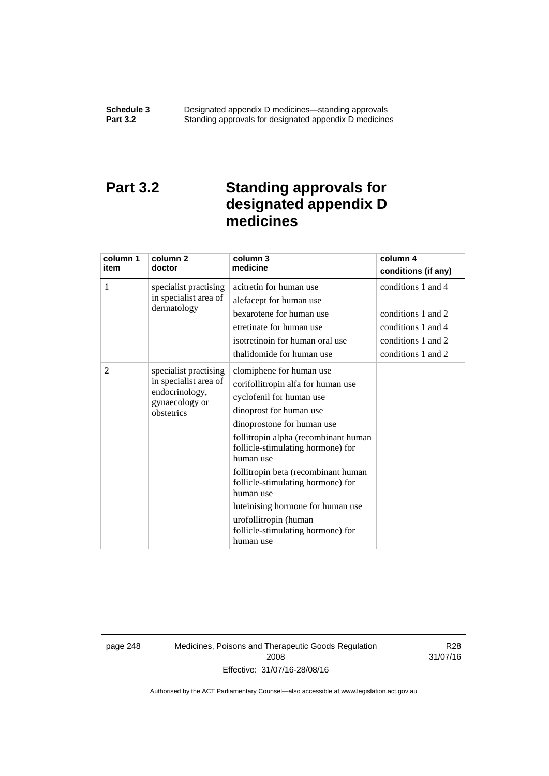### **Part 3.2 Standing approvals for designated appendix D medicines**

| column 1<br>item | column <sub>2</sub><br>doctor                                                                    | column 3<br>medicine                                                                                                                                                                                                                                                                                                                                                                                                                                   | column 4<br>conditions (if any)                                                                            |
|------------------|--------------------------------------------------------------------------------------------------|--------------------------------------------------------------------------------------------------------------------------------------------------------------------------------------------------------------------------------------------------------------------------------------------------------------------------------------------------------------------------------------------------------------------------------------------------------|------------------------------------------------------------------------------------------------------------|
| 1                | specialist practising<br>in specialist area of<br>dermatology                                    | acitretin for human use<br>alefacept for human use<br>bexarotene for human use<br>etretinate for human use<br>isotretinoin for human oral use<br>thalidomide for human use                                                                                                                                                                                                                                                                             | conditions 1 and 4<br>conditions 1 and 2<br>conditions 1 and 4<br>conditions 1 and 2<br>conditions 1 and 2 |
| 2                | specialist practising<br>in specialist area of<br>endocrinology,<br>gynaecology or<br>obstetrics | clomiphene for human use<br>corifollitropin alfa for human use<br>cyclofenil for human use<br>dinoprost for human use<br>dinoprostone for human use<br>follitropin alpha (recombinant human<br>follicle-stimulating hormone) for<br>human use<br>follitropin beta (recombinant human<br>follicle-stimulating hormone) for<br>human use<br>luteinising hormone for human use<br>urofollitropin (human<br>follicle-stimulating hormone) for<br>human use |                                                                                                            |

page 248 Medicines, Poisons and Therapeutic Goods Regulation 2008 Effective: 31/07/16-28/08/16

R28 31/07/16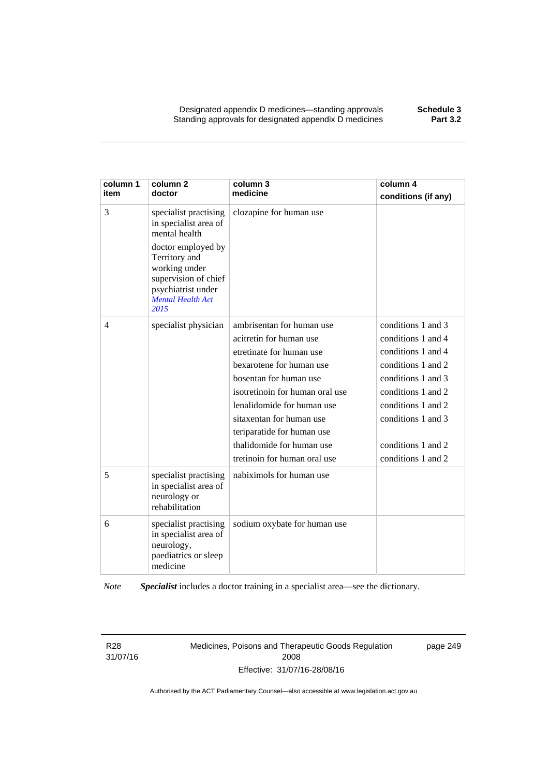| column 1<br>item | column <sub>2</sub><br>doctor                                                                                                                                                                             | column 3<br>medicine                                                                                                                                                                                                                                                                                                           | column 4<br>conditions (if any)                                                                                                                                                                                          |
|------------------|-----------------------------------------------------------------------------------------------------------------------------------------------------------------------------------------------------------|--------------------------------------------------------------------------------------------------------------------------------------------------------------------------------------------------------------------------------------------------------------------------------------------------------------------------------|--------------------------------------------------------------------------------------------------------------------------------------------------------------------------------------------------------------------------|
| 3                | specialist practising<br>in specialist area of<br>mental health<br>doctor employed by<br>Territory and<br>working under<br>supervision of chief<br>psychiatrist under<br><b>Mental Health Act</b><br>2015 | clozapine for human use                                                                                                                                                                                                                                                                                                        |                                                                                                                                                                                                                          |
| $\overline{4}$   | specialist physician                                                                                                                                                                                      | ambrisentan for human use<br>acitretin for human use<br>etretinate for human use<br>bexarotene for human use<br>bosentan for human use<br>isotretinoin for human oral use<br>lenalidomide for human use<br>sitaxentan for human use<br>teriparatide for human use<br>thalidomide for human use<br>tretinoin for human oral use | conditions 1 and 3<br>conditions 1 and 4<br>conditions 1 and 4<br>conditions 1 and 2<br>conditions 1 and 3<br>conditions 1 and 2<br>conditions 1 and 2<br>conditions 1 and 3<br>conditions 1 and 2<br>conditions 1 and 2 |
| 5                | specialist practising<br>in specialist area of<br>neurology or<br>rehabilitation                                                                                                                          | nabiximols for human use                                                                                                                                                                                                                                                                                                       |                                                                                                                                                                                                                          |
| 6                | specialist practising<br>in specialist area of<br>neurology,<br>paediatrics or sleep<br>medicine                                                                                                          | sodium oxybate for human use                                                                                                                                                                                                                                                                                                   |                                                                                                                                                                                                                          |

*Note Specialist* includes a doctor training in a specialist area—see the dictionary.

R28 31/07/16 Medicines, Poisons and Therapeutic Goods Regulation 2008 Effective: 31/07/16-28/08/16

page 249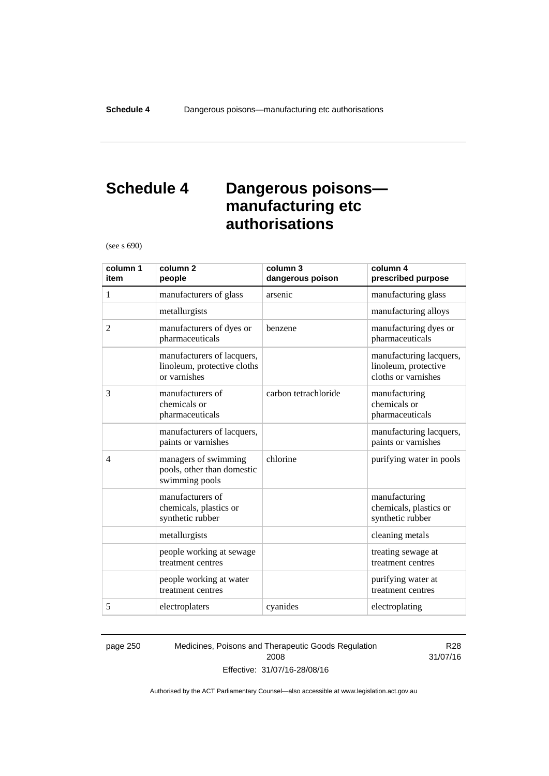### **Schedule 4 Dangerous poisons manufacturing etc authorisations**

(see s 690)

| column 1<br>item | column <sub>2</sub><br>people                                             | column 3<br>dangerous poison | column 4<br>prescribed purpose                                         |
|------------------|---------------------------------------------------------------------------|------------------------------|------------------------------------------------------------------------|
| 1                | manufacturers of glass                                                    | arsenic                      | manufacturing glass                                                    |
|                  | metallurgists                                                             |                              | manufacturing alloys                                                   |
| $\overline{2}$   | manufacturers of dyes or<br>pharmaceuticals                               | benzene                      | manufacturing dyes or<br>pharmaceuticals                               |
|                  | manufacturers of lacquers,<br>linoleum, protective cloths<br>or varnishes |                              | manufacturing lacquers,<br>linoleum, protective<br>cloths or varnishes |
| 3                | manufacturers of<br>chemicals or<br>pharmaceuticals                       | carbon tetrachloride         | manufacturing<br>chemicals or<br>pharmaceuticals                       |
|                  | manufacturers of lacquers,<br>paints or varnishes                         |                              | manufacturing lacquers,<br>paints or varnishes                         |
| $\overline{4}$   | managers of swimming<br>pools, other than domestic<br>swimming pools      | chlorine                     | purifying water in pools                                               |
|                  | manufacturers of<br>chemicals, plastics or<br>synthetic rubber            |                              | manufacturing<br>chemicals, plastics or<br>synthetic rubber            |
|                  | metallurgists                                                             |                              | cleaning metals                                                        |
|                  | people working at sewage<br>treatment centres                             |                              | treating sewage at<br>treatment centres                                |
|                  | people working at water<br>treatment centres                              |                              | purifying water at<br>treatment centres                                |
| 5                | electroplaters                                                            | cyanides                     | electroplating                                                         |

page 250 Medicines, Poisons and Therapeutic Goods Regulation 2008 Effective: 31/07/16-28/08/16

R28 31/07/16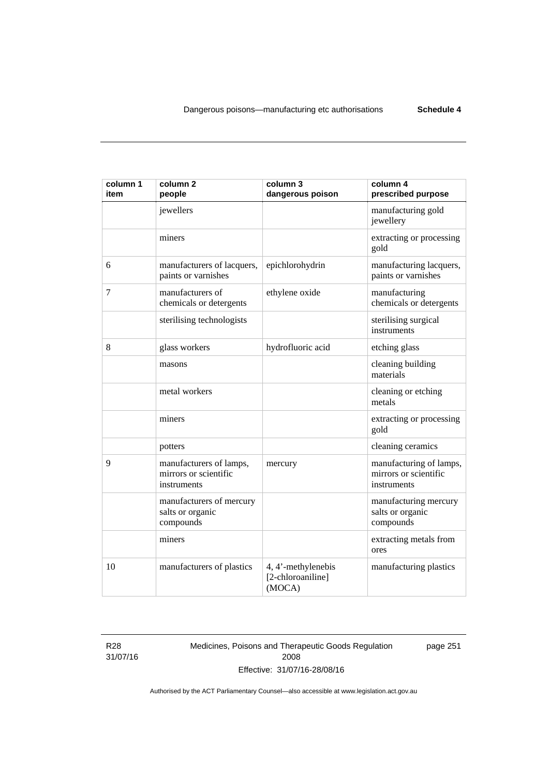| column 1<br>item | column <sub>2</sub><br>people                                   | column 3<br>dangerous poison                      | column 4<br>prescribed purpose                                  |
|------------------|-----------------------------------------------------------------|---------------------------------------------------|-----------------------------------------------------------------|
|                  | jewellers                                                       |                                                   | manufacturing gold<br>jewellery                                 |
|                  | miners                                                          |                                                   | extracting or processing<br>gold                                |
| 6                | manufacturers of lacquers,<br>paints or varnishes               | epichlorohydrin                                   | manufacturing lacquers,<br>paints or varnishes                  |
| 7                | manufacturers of<br>chemicals or detergents                     | ethylene oxide                                    | manufacturing<br>chemicals or detergents                        |
|                  | sterilising technologists                                       |                                                   | sterilising surgical<br>instruments                             |
| 8                | glass workers                                                   | hydrofluoric acid                                 | etching glass                                                   |
|                  | masons                                                          |                                                   | cleaning building<br>materials                                  |
|                  | metal workers                                                   |                                                   | cleaning or etching<br>metals                                   |
|                  | miners                                                          |                                                   | extracting or processing<br>gold                                |
|                  | potters                                                         |                                                   | cleaning ceramics                                               |
| 9                | manufacturers of lamps,<br>mirrors or scientific<br>instruments | mercury                                           | manufacturing of lamps,<br>mirrors or scientific<br>instruments |
|                  | manufacturers of mercury<br>salts or organic<br>compounds       |                                                   | manufacturing mercury<br>salts or organic<br>compounds          |
|                  | miners                                                          |                                                   | extracting metals from<br>ores                                  |
| 10               | manufacturers of plastics                                       | 4, 4'-methylenebis<br>[2-chloroaniline]<br>(MOCA) | manufacturing plastics                                          |

R28 31/07/16 Medicines, Poisons and Therapeutic Goods Regulation 2008 Effective: 31/07/16-28/08/16

page 251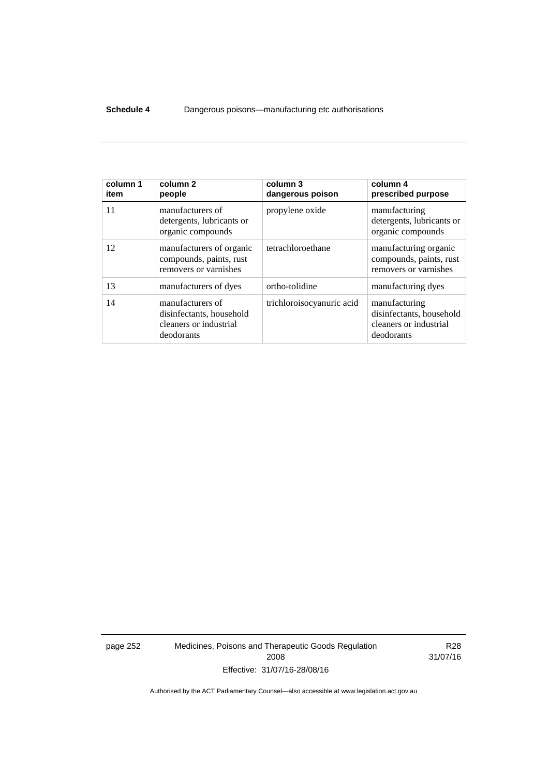#### **Schedule 4** Dangerous poisons—manufacturing etc authorisations

| column 1<br>item | column <sub>2</sub><br>people                                                        | column 3<br>dangerous poison | column 4<br>prescribed purpose                                                    |
|------------------|--------------------------------------------------------------------------------------|------------------------------|-----------------------------------------------------------------------------------|
| 11               | manufacturers of<br>detergents, lubricants or<br>organic compounds                   | propylene oxide              | manufacturing<br>detergents, lubricants or<br>organic compounds                   |
| 12               | manufacturers of organic<br>compounds, paints, rust<br>removers or varnishes         | tetrachloroethane            | manufacturing organic<br>compounds, paints, rust<br>removers or varnishes         |
| 13               | manufacturers of dyes                                                                | ortho-tolidine               | manufacturing dyes                                                                |
| 14               | manufacturers of<br>disinfectants, household<br>cleaners or industrial<br>deodorants | trichloroisocyanuric acid    | manufacturing<br>disinfectants, household<br>cleaners or industrial<br>deodorants |

page 252 Medicines, Poisons and Therapeutic Goods Regulation 2008 Effective: 31/07/16-28/08/16

R28 31/07/16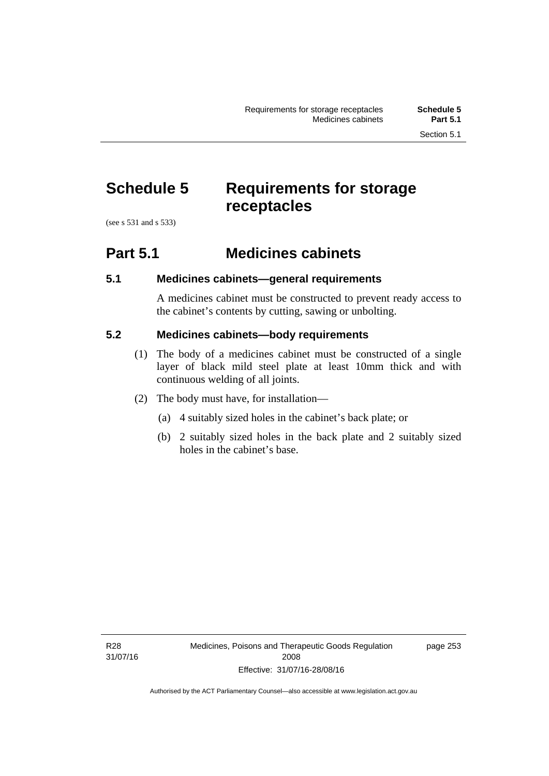# **Schedule 5 Requirements for storage receptacles**

(see s 531 and s 533)

#### **Part 5.1 Medicines cabinets**

#### **5.1 Medicines cabinets—general requirements**

A medicines cabinet must be constructed to prevent ready access to the cabinet's contents by cutting, sawing or unbolting.

#### **5.2 Medicines cabinets—body requirements**

- (1) The body of a medicines cabinet must be constructed of a single layer of black mild steel plate at least 10mm thick and with continuous welding of all joints.
- (2) The body must have, for installation—
	- (a) 4 suitably sized holes in the cabinet's back plate; or
	- (b) 2 suitably sized holes in the back plate and 2 suitably sized holes in the cabinet's base.

page 253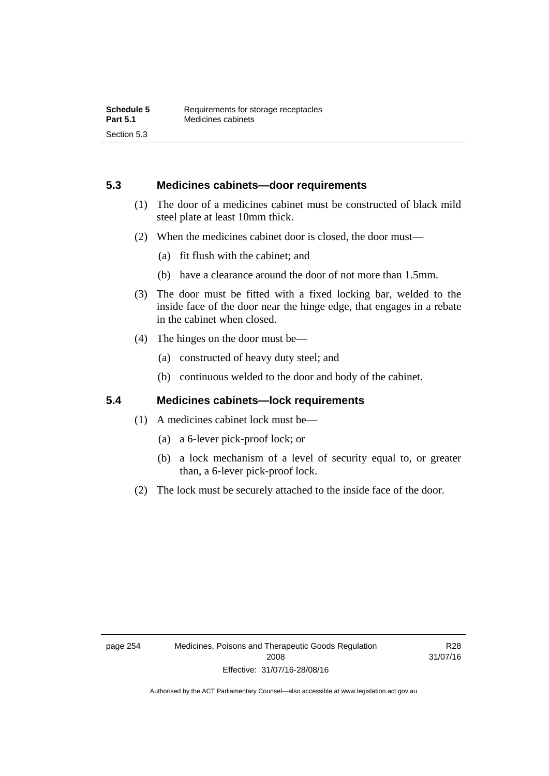#### **5.3 Medicines cabinets—door requirements**

- (1) The door of a medicines cabinet must be constructed of black mild steel plate at least 10mm thick.
- (2) When the medicines cabinet door is closed, the door must—
	- (a) fit flush with the cabinet; and
	- (b) have a clearance around the door of not more than 1.5mm.
- (3) The door must be fitted with a fixed locking bar, welded to the inside face of the door near the hinge edge, that engages in a rebate in the cabinet when closed.
- (4) The hinges on the door must be—
	- (a) constructed of heavy duty steel; and
	- (b) continuous welded to the door and body of the cabinet.

#### **5.4 Medicines cabinets—lock requirements**

- (1) A medicines cabinet lock must be—
	- (a) a 6-lever pick-proof lock; or
	- (b) a lock mechanism of a level of security equal to, or greater than, a 6-lever pick-proof lock.
- (2) The lock must be securely attached to the inside face of the door.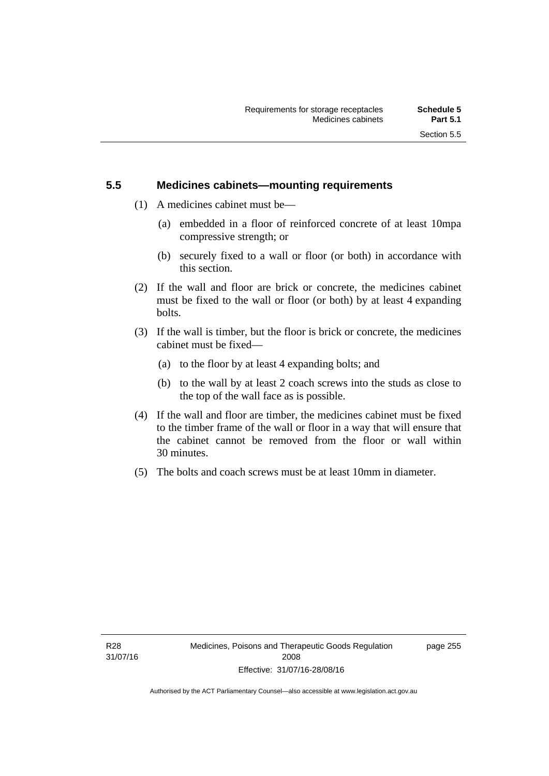#### **5.5 Medicines cabinets—mounting requirements**

- (1) A medicines cabinet must be—
	- (a) embedded in a floor of reinforced concrete of at least 10mpa compressive strength; or
	- (b) securely fixed to a wall or floor (or both) in accordance with this section.
- (2) If the wall and floor are brick or concrete, the medicines cabinet must be fixed to the wall or floor (or both) by at least 4 expanding bolts.
- (3) If the wall is timber, but the floor is brick or concrete, the medicines cabinet must be fixed—
	- (a) to the floor by at least 4 expanding bolts; and
	- (b) to the wall by at least 2 coach screws into the studs as close to the top of the wall face as is possible.
- (4) If the wall and floor are timber, the medicines cabinet must be fixed to the timber frame of the wall or floor in a way that will ensure that the cabinet cannot be removed from the floor or wall within 30 minutes.
- (5) The bolts and coach screws must be at least 10mm in diameter.

page 255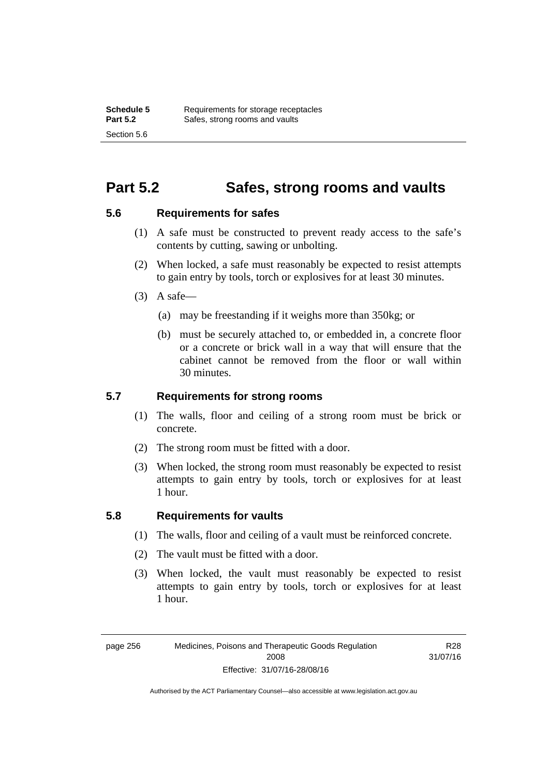#### **Part 5.2 Safes, strong rooms and vaults**

#### **5.6 Requirements for safes**

- (1) A safe must be constructed to prevent ready access to the safe's contents by cutting, sawing or unbolting.
- (2) When locked, a safe must reasonably be expected to resist attempts to gain entry by tools, torch or explosives for at least 30 minutes.
- $(3)$  A safe-
	- (a) may be freestanding if it weighs more than 350kg; or
	- (b) must be securely attached to, or embedded in, a concrete floor or a concrete or brick wall in a way that will ensure that the cabinet cannot be removed from the floor or wall within 30 minutes.

#### **5.7 Requirements for strong rooms**

- (1) The walls, floor and ceiling of a strong room must be brick or concrete.
- (2) The strong room must be fitted with a door.
- (3) When locked, the strong room must reasonably be expected to resist attempts to gain entry by tools, torch or explosives for at least 1 hour.

#### **5.8 Requirements for vaults**

- (1) The walls, floor and ceiling of a vault must be reinforced concrete.
- (2) The vault must be fitted with a door.
- (3) When locked, the vault must reasonably be expected to resist attempts to gain entry by tools, torch or explosives for at least 1 hour.

R28 31/07/16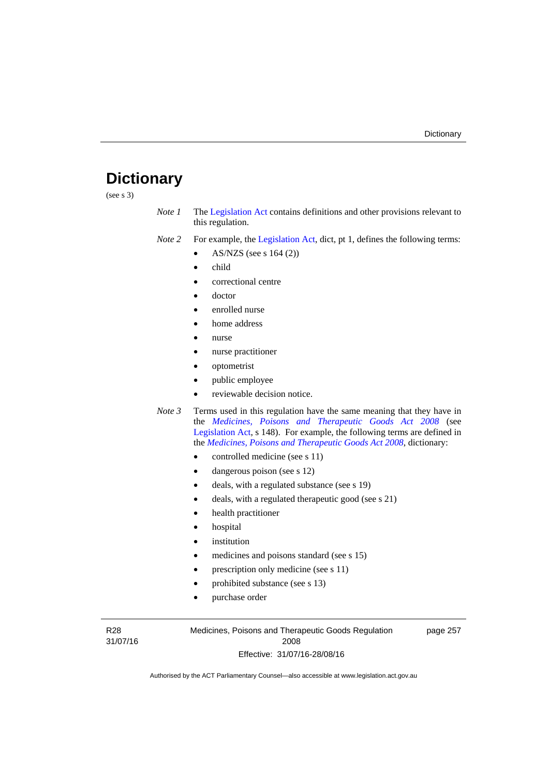### **Dictionary**

(see s 3)

- *Note 1* The [Legislation Act](http://www.legislation.act.gov.au/a/2001-14) contains definitions and other provisions relevant to this regulation.
- *Note 2* For example, the [Legislation Act,](http://www.legislation.act.gov.au/a/2001-14) dict, pt 1, defines the following terms:
	- AS/NZS (see s 164 (2))
	- child
	- correctional centre
	- doctor
	- enrolled nurse
	- home address
	- nurse
	- nurse practitioner
	- optometrist
	- public employee
	- reviewable decision notice.
- *Note 3* Terms used in this regulation have the same meaning that they have in the *[Medicines, Poisons and Therapeutic Goods Act 2008](http://www.legislation.act.gov.au/a/2008-26)* (see [Legislation Act,](http://www.legislation.act.gov.au/a/2001-14) s 148). For example, the following terms are defined in the *[Medicines, Poisons and Therapeutic Goods Act 2008](http://www.legislation.act.gov.au/a/2008-26)*, dictionary:
	- controlled medicine (see s 11)
	- dangerous poison (see s 12)
	- deals, with a regulated substance (see s 19)
	- deals, with a regulated therapeutic good (see s 21)
	- health practitioner
	- hospital
	- institution
	- medicines and poisons standard (see s 15)
	- prescription only medicine (see s 11)
	- prohibited substance (see s 13)
	- purchase order

R28 31/07/16 Medicines, Poisons and Therapeutic Goods Regulation 2008 Effective: 31/07/16-28/08/16

page 257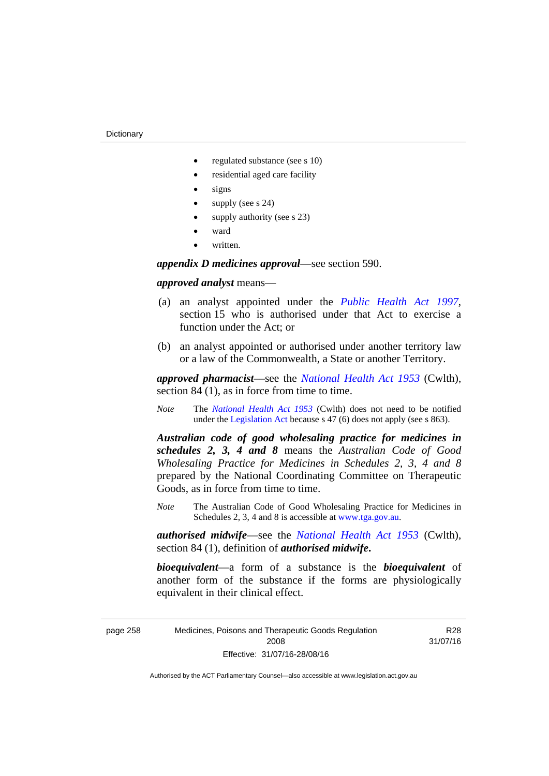- regulated substance (see s 10)
- residential aged care facility
- signs
- supply (see s 24)
- supply authority (see s 23)
- ward
- written.

*appendix D medicines approval*—see section 590.

#### *approved analyst* means—

- (a) an analyst appointed under the *[Public Health Act 1997](http://www.legislation.act.gov.au/a/1997-69)*, section 15 who is authorised under that Act to exercise a function under the Act; or
- (b) an analyst appointed or authorised under another territory law or a law of the Commonwealth, a State or another Territory.

*approved pharmacist*––see the *[National Health Act 1953](http://www.comlaw.gov.au/Series/C1953A00095)* (Cwlth), section 84 (1), as in force from time to time.

*Note* The *[National Health Act 1953](http://www.comlaw.gov.au/Series/C1953A00095)* (Cwlth) does not need to be notified under the [Legislation Act](http://www.legislation.act.gov.au/a/2001-14) because s 47 (6) does not apply (see s 863).

*Australian code of good wholesaling practice for medicines in schedules 2, 3, 4 and 8* means the *Australian Code of Good Wholesaling Practice for Medicines in Schedules 2, 3, 4 and 8* prepared by the National Coordinating Committee on Therapeutic Goods, as in force from time to time.

*Note* The Australian Code of Good Wholesaling Practice for Medicines in Schedules 2, 3, 4 and 8 is accessible at [www.tga.gov.au.](http://www.tga.gov.au/)

*authorised midwife*—see the *[National Health Act 1953](http://www.comlaw.gov.au/Series/C1953A00095)* (Cwlth), section 84 (1), definition of *authorised midwife***.**

*bioequivalent*—a form of a substance is the *bioequivalent* of another form of the substance if the forms are physiologically equivalent in their clinical effect.

page 258 Medicines, Poisons and Therapeutic Goods Regulation 2008 Effective: 31/07/16-28/08/16

R28 31/07/16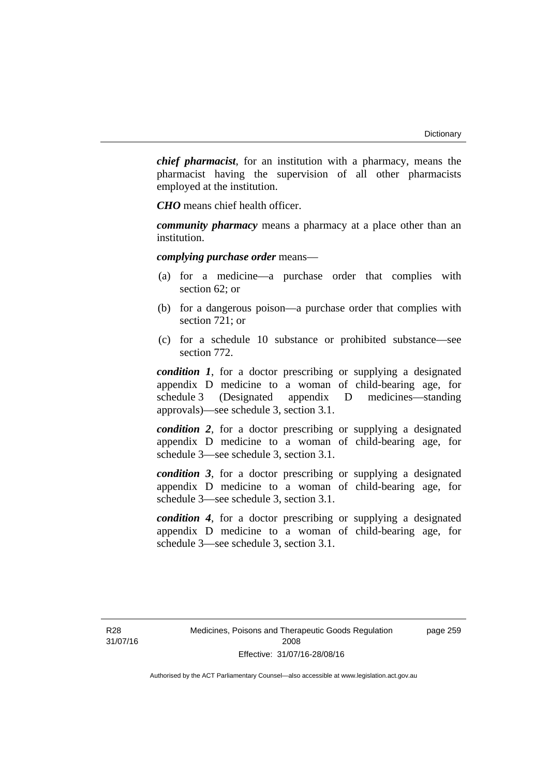*chief pharmacist*, for an institution with a pharmacy, means the pharmacist having the supervision of all other pharmacists employed at the institution.

*CHO* means chief health officer.

*community pharmacy* means a pharmacy at a place other than an institution.

*complying purchase order* means—

- (a) for a medicine—a purchase order that complies with section 62; or
- (b) for a dangerous poison—a purchase order that complies with section 721; or
- (c) for a schedule 10 substance or prohibited substance—see section 772.

*condition 1*, for a doctor prescribing or supplying a designated appendix D medicine to a woman of child-bearing age, for schedule 3 (Designated appendix D medicines—standing approvals)—see schedule 3, section 3.1.

*condition 2*, for a doctor prescribing or supplying a designated appendix D medicine to a woman of child-bearing age, for schedule 3—see schedule 3, section 3.1.

*condition 3*, for a doctor prescribing or supplying a designated appendix D medicine to a woman of child-bearing age, for schedule 3—see schedule 3, section 3.1.

*condition 4*, for a doctor prescribing or supplying a designated appendix D medicine to a woman of child-bearing age, for schedule 3—see schedule 3, section 3.1.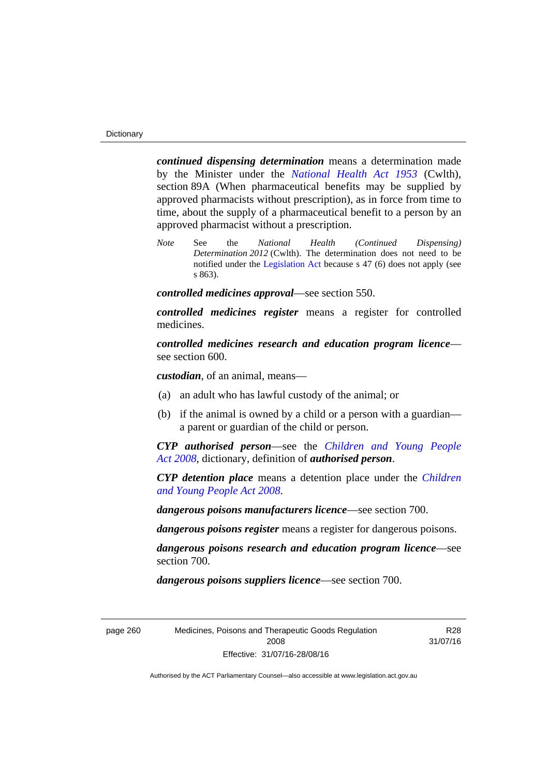*continued dispensing determination* means a determination made by the Minister under the *[National Health Act 1953](http://www.comlaw.gov.au/Series/C1953A00095)* (Cwlth), section 89A (When pharmaceutical benefits may be supplied by approved pharmacists without prescription), as in force from time to time, about the supply of a pharmaceutical benefit to a person by an approved pharmacist without a prescription.

*Note* See the *National Health (Continued Dispensing) Determination 2012* (Cwlth). The determination does not need to be notified under the [Legislation Act](http://www.legislation.act.gov.au/a/2001-14) because s 47 (6) does not apply (see s 863).

*controlled medicines approval*—see section 550.

*controlled medicines register* means a register for controlled medicines.

*controlled medicines research and education program licence* see section 600.

*custodian*, of an animal, means—

- (a) an adult who has lawful custody of the animal; or
- (b) if the animal is owned by a child or a person with a guardian a parent or guardian of the child or person.

*CYP authorised person*—see the *[Children and Young People](http://www.legislation.act.gov.au/a/2008-19)  [Act 2008](http://www.legislation.act.gov.au/a/2008-19)*, dictionary, definition of *authorised person*.

*CYP detention place* means a detention place under the *[Children](http://www.legislation.act.gov.au/a/2008-19)  [and Young People Act 2008](http://www.legislation.act.gov.au/a/2008-19)*.

*dangerous poisons manufacturers licence*—see section 700.

*dangerous poisons register* means a register for dangerous poisons.

*dangerous poisons research and education program licence*—see section 700.

*dangerous poisons suppliers licence*—see section 700.

page 260 Medicines, Poisons and Therapeutic Goods Regulation 2008 Effective: 31/07/16-28/08/16

R28 31/07/16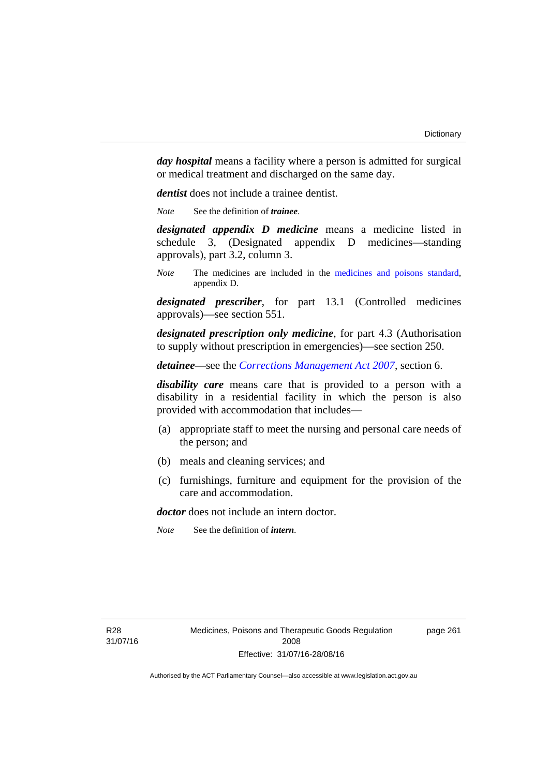*day hospital* means a facility where a person is admitted for surgical or medical treatment and discharged on the same day.

*dentist* does not include a trainee dentist.

*Note* See the definition of *trainee*.

*designated appendix D medicine* means a medicine listed in schedule 3, (Designated appendix D medicines—standing approvals), part 3.2, column 3.

*Note* The medicines are included in the [medicines and poisons standard,](http://www.comlaw.gov.au/Series/F2012L01200) appendix D.

*designated prescriber*, for part 13.1 (Controlled medicines approvals)—see section 551.

*designated prescription only medicine*, for part 4.3 (Authorisation to supply without prescription in emergencies)—see section 250.

*detainee*—see the *[Corrections Management Act 2007](http://www.legislation.act.gov.au/a/2007-15)*, section 6.

*disability care* means care that is provided to a person with a disability in a residential facility in which the person is also provided with accommodation that includes—

- (a) appropriate staff to meet the nursing and personal care needs of the person; and
- (b) meals and cleaning services; and
- (c) furnishings, furniture and equipment for the provision of the care and accommodation.

*doctor* does not include an intern doctor.

*Note* See the definition of *intern*.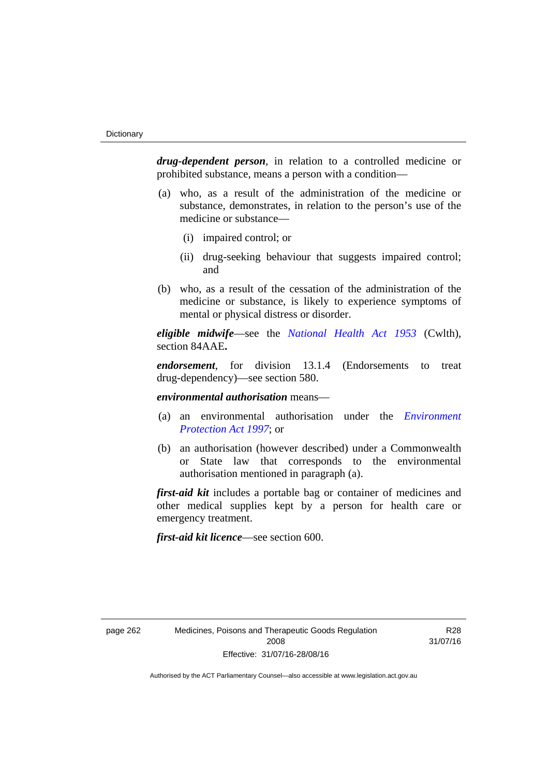*drug-dependent person*, in relation to a controlled medicine or prohibited substance, means a person with a condition—

- (a) who, as a result of the administration of the medicine or substance, demonstrates, in relation to the person's use of the medicine or substance—
	- (i) impaired control; or
	- (ii) drug-seeking behaviour that suggests impaired control; and
- (b) who, as a result of the cessation of the administration of the medicine or substance, is likely to experience symptoms of mental or physical distress or disorder.

*eligible midwife*—see the *[National Health Act 1953](http://www.comlaw.gov.au/Series/C1953A00095)* (Cwlth), section 84AAE**.**

*endorsement*, for division 13.1.4 (Endorsements to treat drug-dependency)—see section 580.

*environmental authorisation* means—

- (a) an environmental authorisation under the *[Environment](http://www.legislation.act.gov.au/a/1997-92)  [Protection Act 1997](http://www.legislation.act.gov.au/a/1997-92)*; or
- (b) an authorisation (however described) under a Commonwealth or State law that corresponds to the environmental authorisation mentioned in paragraph (a).

*first-aid kit* includes a portable bag or container of medicines and other medical supplies kept by a person for health care or emergency treatment.

*first-aid kit licence*—see section 600.

R28 31/07/16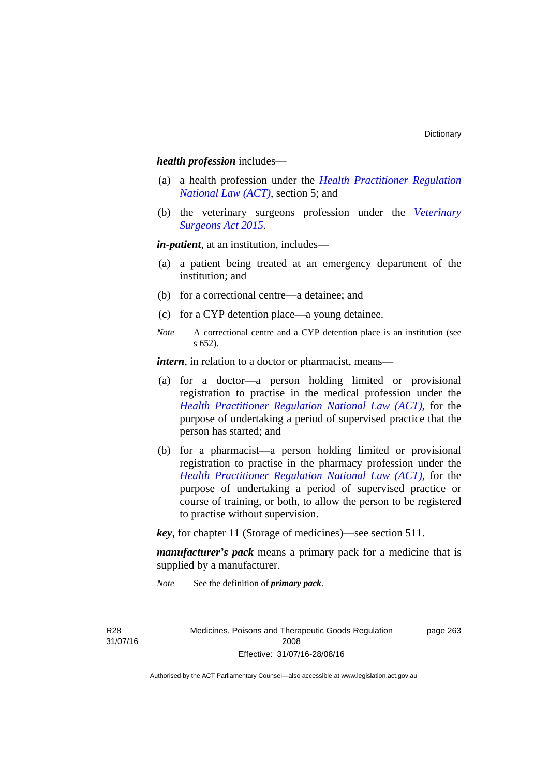*health profession* includes—

- (a) a health profession under the *[Health Practitioner Regulation](http://www.legislation.act.gov.au/a/db_39269/default.asp)  [National Law \(ACT\)](http://www.legislation.act.gov.au/a/db_39269/default.asp)*, section 5; and
- (b) the veterinary surgeons profession under the *[Veterinary](http://www.legislation.act.gov.au/a/2015-29/default.asp)  [Surgeons Act 2015](http://www.legislation.act.gov.au/a/2015-29/default.asp)*.

*in-patient*, at an institution, includes—

- (a) a patient being treated at an emergency department of the institution; and
- (b) for a correctional centre—a detainee; and
- (c) for a CYP detention place—a young detainee.
- *Note* A correctional centre and a CYP detention place is an institution (see s 652).

*intern*, in relation to a doctor or pharmacist, means—

- (a) for a doctor—a person holding limited or provisional registration to practise in the medical profession under the *[Health Practitioner Regulation National Law \(ACT\)](http://www.legislation.act.gov.au/a/db_39269/default.asp)*, for the purpose of undertaking a period of supervised practice that the person has started; and
- (b) for a pharmacist—a person holding limited or provisional registration to practise in the pharmacy profession under the *[Health Practitioner Regulation National Law \(ACT\)](http://www.legislation.act.gov.au/a/db_39269/default.asp)*, for the purpose of undertaking a period of supervised practice or course of training, or both, to allow the person to be registered to practise without supervision.

*key*, for chapter 11 (Storage of medicines)—see section 511.

*manufacturer's pack* means a primary pack for a medicine that is supplied by a manufacturer.

*Note* See the definition of *primary pack*.

R28 31/07/16 Medicines, Poisons and Therapeutic Goods Regulation 2008 Effective: 31/07/16-28/08/16

page 263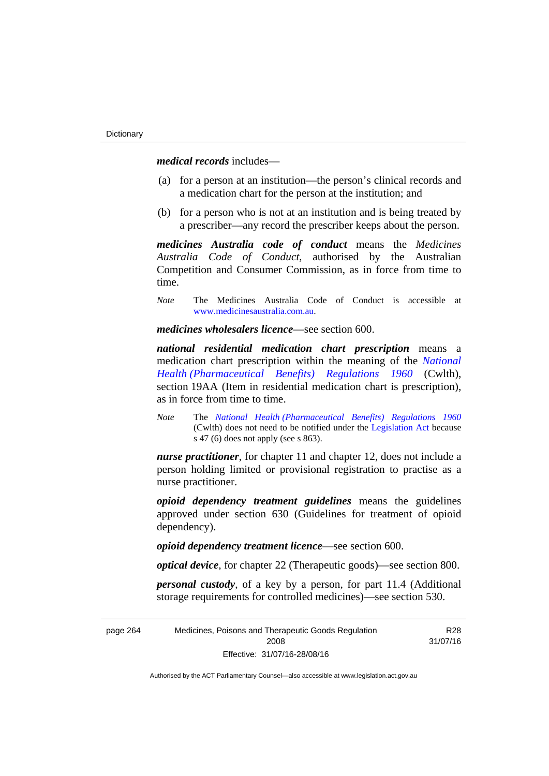*medical records* includes—

- (a) for a person at an institution—the person's clinical records and a medication chart for the person at the institution; and
- (b) for a person who is not at an institution and is being treated by a prescriber—any record the prescriber keeps about the person.

*medicines Australia code of conduct* means the *Medicines Australia Code of Conduct*, authorised by the Australian Competition and Consumer Commission, as in force from time to time.

*Note* The Medicines Australia Code of Conduct is accessible at [www.medicinesaustralia.com.au](http://www.medicinesaustralia.com.au/).

*medicines wholesalers licence*—see section 600.

*national residential medication chart prescription* means a medication chart prescription within the meaning of the *[National](http://www.comlaw.gov.au/Series/F1996B02844)  [Health \(Pharmaceutical Benefits\) Regulations 1960](http://www.comlaw.gov.au/Series/F1996B02844)* (Cwlth), section 19AA (Item in residential medication chart is prescription), as in force from time to time.

*Note* The *[National Health \(Pharmaceutical Benefits\) Regulations 1960](http://www.comlaw.gov.au/Series/F1996B02844)* (Cwlth) does not need to be notified under the [Legislation Act](http://www.legislation.act.gov.au/a/2001-14) because s 47 (6) does not apply (see s 863).

*nurse practitioner*, for chapter 11 and chapter 12, does not include a person holding limited or provisional registration to practise as a nurse practitioner.

*opioid dependency treatment guidelines* means the guidelines approved under section 630 (Guidelines for treatment of opioid dependency).

*opioid dependency treatment licence*—see section 600.

*optical device*, for chapter 22 (Therapeutic goods)—see section 800.

*personal custody*, of a key by a person, for part 11.4 (Additional storage requirements for controlled medicines)—see section 530.

| page 264 | Medicines, Poisons and Therapeutic Goods Regulation | R28      |
|----------|-----------------------------------------------------|----------|
|          | 2008                                                | 31/07/16 |
|          | Effective: 31/07/16-28/08/16                        |          |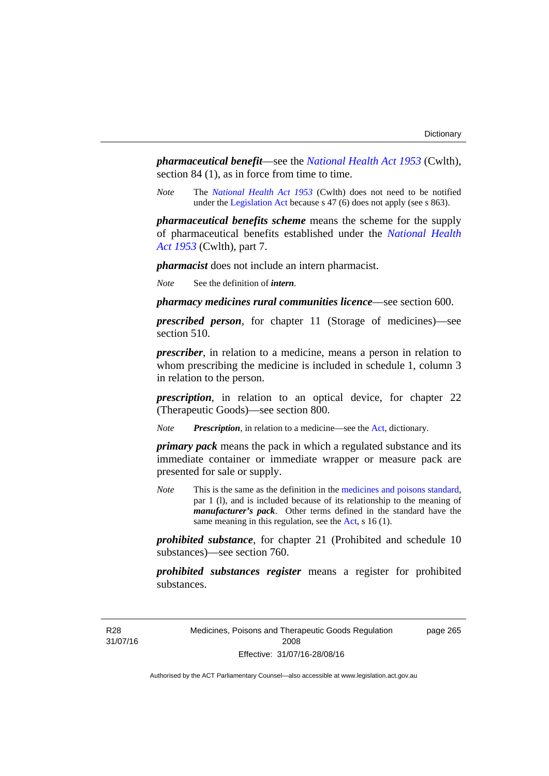*pharmaceutical benefit*—see the *[National Health Act 1953](http://www.comlaw.gov.au/Series/C1953A00095)* (Cwlth), section 84 (1), as in force from time to time.

*Note* The *[National Health Act 1953](http://www.comlaw.gov.au/Series/C1953A00095)* (Cwlth) does not need to be notified under the [Legislation Act](http://www.legislation.act.gov.au/a/2001-14) because s 47 (6) does not apply (see s 863).

*pharmaceutical benefits scheme* means the scheme for the supply of pharmaceutical benefits established under the *[National Health](http://www.comlaw.gov.au/Series/C1953A00095)  [Act 1953](http://www.comlaw.gov.au/Series/C1953A00095)* (Cwlth), part 7.

*pharmacist* does not include an intern pharmacist.

*Note* See the definition of *intern*.

*pharmacy medicines rural communities licence*—see section 600.

*prescribed person*, for chapter 11 (Storage of medicines)—see section 510.

*prescriber*, in relation to a medicine, means a person in relation to whom prescribing the medicine is included in schedule 1, column 3 in relation to the person.

*prescription*, in relation to an optical device, for chapter 22 (Therapeutic Goods)—see section 800.

*Note Prescription*, in relation to a medicine—see the [Act](http://www.legislation.act.gov.au/a/2008-26/default.asp), dictionary.

*primary pack* means the pack in which a regulated substance and its immediate container or immediate wrapper or measure pack are presented for sale or supply.

*Note* This is the same as the definition in the [medicines and poisons standard,](http://www.comlaw.gov.au/Series/F2012L01200) par 1 (l), and is included because of its relationship to the meaning of *manufacturer's pack*. Other terms defined in the standard have the same meaning in this regulation, see the [Act](http://www.legislation.act.gov.au/a/2008-26/default.asp), s 16 (1).

*prohibited substance*, for chapter 21 (Prohibited and schedule 10 substances)—see section 760.

*prohibited substances register* means a register for prohibited substances.

R28 31/07/16 Medicines, Poisons and Therapeutic Goods Regulation 2008 Effective: 31/07/16-28/08/16

page 265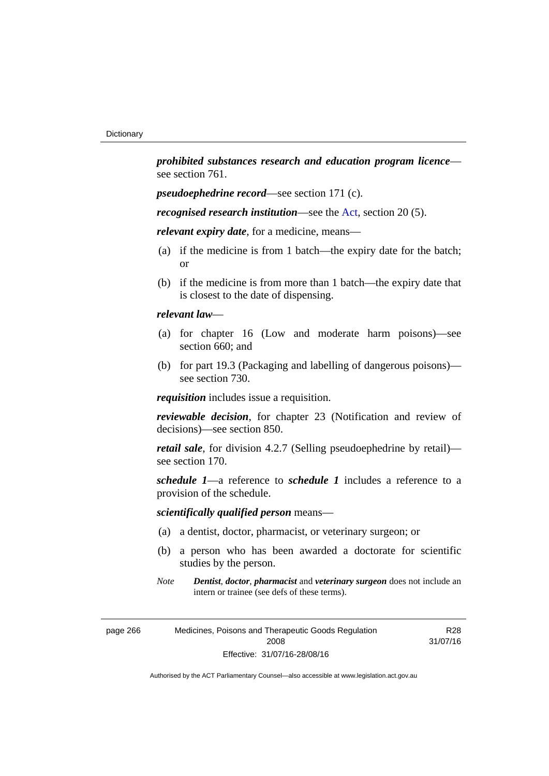*prohibited substances research and education program licence* see section 761.

*pseudoephedrine record*—see section 171 (c).

*recognised research institution*—see the [Act](http://www.legislation.act.gov.au/a/2008-26/default.asp), section 20 (5).

*relevant expiry date*, for a medicine, means—

- (a) if the medicine is from 1 batch—the expiry date for the batch; or
- (b) if the medicine is from more than 1 batch—the expiry date that is closest to the date of dispensing.

## *relevant law*—

- (a) for chapter 16 (Low and moderate harm poisons)—see section 660; and
- (b) for part 19.3 (Packaging and labelling of dangerous poisons) see section 730.

*requisition* includes issue a requisition.

*reviewable decision*, for chapter 23 (Notification and review of decisions)—see section 850.

*retail sale*, for division 4.2.7 (Selling pseudoephedrine by retail) see section 170.

*schedule 1*—a reference to *schedule 1* includes a reference to a provision of the schedule.

## *scientifically qualified person* means—

- (a) a dentist, doctor, pharmacist, or veterinary surgeon; or
- (b) a person who has been awarded a doctorate for scientific studies by the person.
- *Note Dentist*, *doctor*, *pharmacist* and *veterinary surgeon* does not include an intern or trainee (see defs of these terms).

R28 31/07/16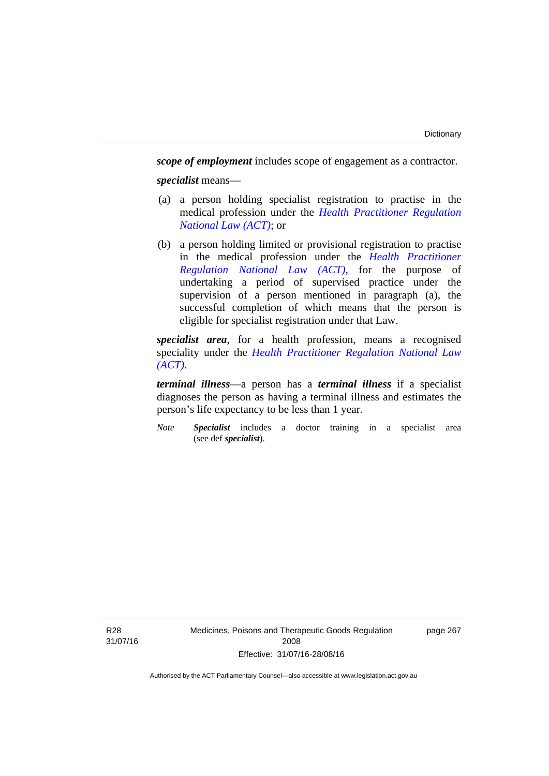*scope of employment* includes scope of engagement as a contractor. *specialist* means—

- (a) a person holding specialist registration to practise in the medical profession under the *[Health Practitioner Regulation](http://www.legislation.act.gov.au/a/db_39269/default.asp)  [National Law \(ACT\)](http://www.legislation.act.gov.au/a/db_39269/default.asp)*; or
- (b) a person holding limited or provisional registration to practise in the medical profession under the *[Health Practitioner](http://www.legislation.act.gov.au/a/db_39269/default.asp)  [Regulation National Law \(ACT\)](http://www.legislation.act.gov.au/a/db_39269/default.asp)*, for the purpose of undertaking a period of supervised practice under the supervision of a person mentioned in paragraph (a), the successful completion of which means that the person is eligible for specialist registration under that Law.

*specialist area*, for a health profession, means a recognised speciality under the *[Health Practitioner Regulation National Law](http://www.legislation.act.gov.au/a/db_39269/default.asp)  [\(ACT\)](http://www.legislation.act.gov.au/a/db_39269/default.asp)*.

*terminal illness*—a person has a *terminal illness* if a specialist diagnoses the person as having a terminal illness and estimates the person's life expectancy to be less than 1 year.

*Note Specialist* includes a doctor training in a specialist area (see def *specialist*).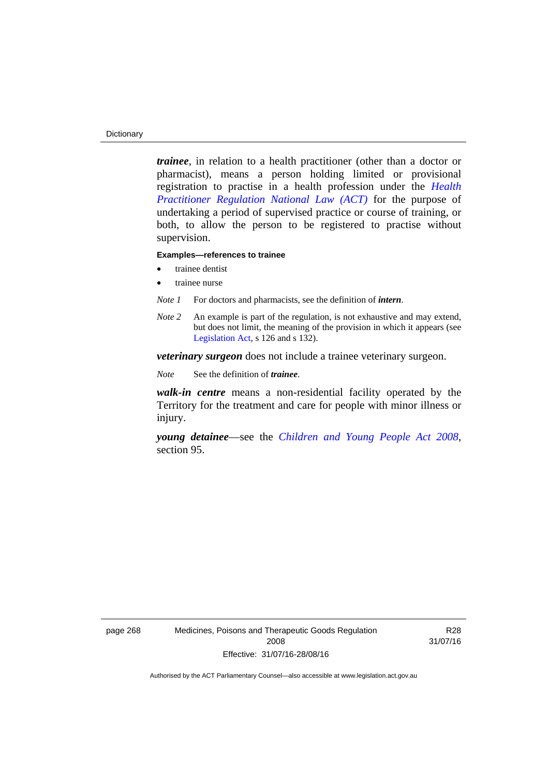#### **Dictionary**

*trainee*, in relation to a health practitioner (other than a doctor or pharmacist), means a person holding limited or provisional registration to practise in a health profession under the *[Health](http://www.legislation.act.gov.au/a/db_39269/default.asp)  [Practitioner Regulation National Law \(ACT\)](http://www.legislation.act.gov.au/a/db_39269/default.asp)* for the purpose of undertaking a period of supervised practice or course of training, or both, to allow the person to be registered to practise without supervision.

#### **Examples—references to trainee**

- trainee dentist
- trainee nurse
- *Note 1* For doctors and pharmacists, see the definition of *intern*.
- *Note 2* An example is part of the regulation, is not exhaustive and may extend, but does not limit, the meaning of the provision in which it appears (see [Legislation Act,](http://www.legislation.act.gov.au/a/2001-14) s 126 and s 132).

*veterinary surgeon* does not include a trainee veterinary surgeon.

*Note* See the definition of *trainee*.

*walk-in centre* means a non-residential facility operated by the Territory for the treatment and care for people with minor illness or injury.

*young detainee*—see the *[Children and Young People Act 2008](http://www.legislation.act.gov.au/a/2008-19)*, section 95.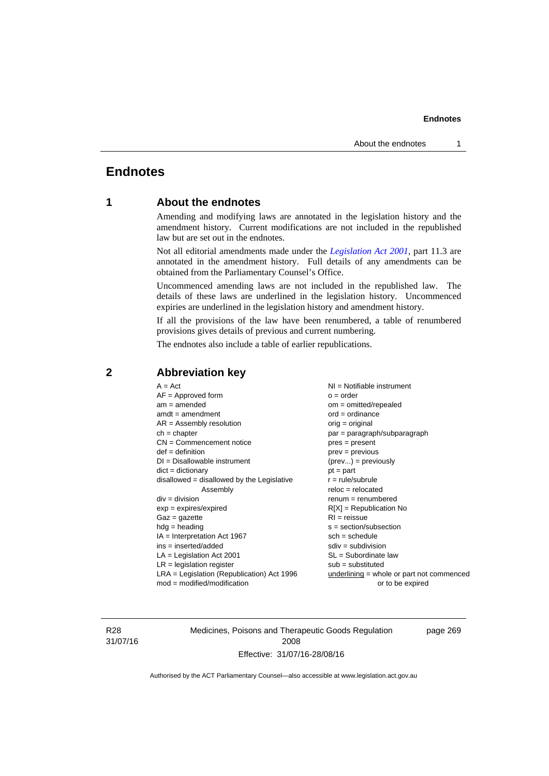# **Endnotes**

# **1 About the endnotes**

Amending and modifying laws are annotated in the legislation history and the amendment history. Current modifications are not included in the republished law but are set out in the endnotes.

Not all editorial amendments made under the *[Legislation Act 2001](http://www.legislation.act.gov.au/a/2001-14)*, part 11.3 are annotated in the amendment history. Full details of any amendments can be obtained from the Parliamentary Counsel's Office.

Uncommenced amending laws are not included in the republished law. The details of these laws are underlined in the legislation history. Uncommenced expiries are underlined in the legislation history and amendment history.

If all the provisions of the law have been renumbered, a table of renumbered provisions gives details of previous and current numbering.

The endnotes also include a table of earlier republications.

| $A = Act$<br>$AF =$ Approved form<br>$am = amended$<br>$amdt = amendment$<br>$AR = Assembly resolution$<br>$ch = chapter$<br>$CN =$ Commencement notice<br>$def = definition$<br>$DI = Disallowable instrument$<br>$dict = dictionary$<br>disallowed = disallowed by the Legislative<br>Assembly<br>$div = division$<br>$exp = expires/expired$<br>$Gaz = gazette$<br>$hdg = heading$<br>$IA = Interpretation Act 1967$<br>$ins = inserted/added$<br>$LA =$ Legislation Act 2001<br>$LR =$ legislation register | NI = Notifiable instrument<br>$o = order$<br>$om = omitted/repealed$<br>$ord = ordinance$<br>$orig = original$<br>par = paragraph/subparagraph<br>$pres = present$<br>$prev = previous$<br>$(\text{prev}) = \text{previously}$<br>$pt = part$<br>$r = rule/subrule$<br>$reloc = relocated$<br>$renum = renumbered$<br>$R[X]$ = Republication No<br>$RI = reissue$<br>$s = section/subsection$<br>$sch = schedule$<br>$sdiv = subdivision$<br>$SL = Subordinate$ law<br>$sub =$ substituted |
|-----------------------------------------------------------------------------------------------------------------------------------------------------------------------------------------------------------------------------------------------------------------------------------------------------------------------------------------------------------------------------------------------------------------------------------------------------------------------------------------------------------------|--------------------------------------------------------------------------------------------------------------------------------------------------------------------------------------------------------------------------------------------------------------------------------------------------------------------------------------------------------------------------------------------------------------------------------------------------------------------------------------------|
|                                                                                                                                                                                                                                                                                                                                                                                                                                                                                                                 |                                                                                                                                                                                                                                                                                                                                                                                                                                                                                            |
| $LRA =$ Legislation (Republication) Act 1996<br>$mod = modified/modification$                                                                                                                                                                                                                                                                                                                                                                                                                                   | $underlining = whole or part not commenced$<br>or to be expired                                                                                                                                                                                                                                                                                                                                                                                                                            |
|                                                                                                                                                                                                                                                                                                                                                                                                                                                                                                                 |                                                                                                                                                                                                                                                                                                                                                                                                                                                                                            |

## **2 Abbreviation key**

R28 31/07/16 Medicines, Poisons and Therapeutic Goods Regulation 2008 Effective: 31/07/16-28/08/16

page 269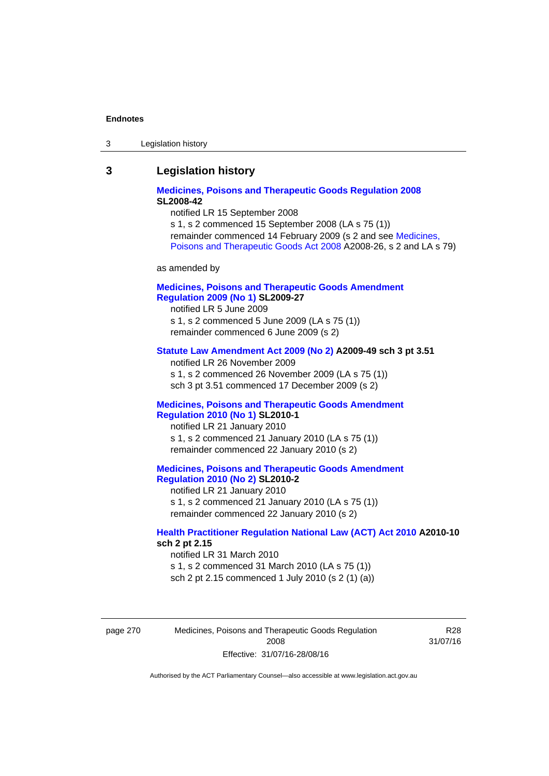| Legislation history<br>-3 |
|---------------------------|
|---------------------------|

## **3 Legislation history**

## **[Medicines, Poisons and Therapeutic Goods Regulation 2008](http://www.legislation.act.gov.au/sl/2008-42) SL2008-42**

notified LR 15 September 2008

s 1, s 2 commenced 15 September 2008 (LA s 75 (1)) remainder commenced 14 February 2009 (s 2 and see [Medicines,](http://www.legislation.act.gov.au/a/2008-26)  [Poisons and Therapeutic Goods Act 2008](http://www.legislation.act.gov.au/a/2008-26) A2008-26, s 2 and LA s 79)

as amended by

## **[Medicines, Poisons and Therapeutic Goods Amendment](http://www.legislation.act.gov.au/sl/2009-27)  [Regulation 2009 \(No 1\)](http://www.legislation.act.gov.au/sl/2009-27) SL2009-27**

notified LR 5 June 2009 s 1, s 2 commenced 5 June 2009 (LA s 75 (1)) remainder commenced 6 June 2009 (s 2)

#### **[Statute Law Amendment Act 2009 \(No 2\)](http://www.legislation.act.gov.au/a/2009-49) A2009-49 sch 3 pt 3.51**

notified LR 26 November 2009 s 1, s 2 commenced 26 November 2009 (LA s 75 (1)) sch 3 pt 3.51 commenced 17 December 2009 (s 2)

#### **[Medicines, Poisons and Therapeutic Goods Amendment](http://www.legislation.act.gov.au/sl/2010-1)  [Regulation 2010 \(No 1\)](http://www.legislation.act.gov.au/sl/2010-1) SL2010-1**

notified LR 21 January 2010 s 1, s 2 commenced 21 January 2010 (LA s 75 (1)) remainder commenced 22 January 2010 (s 2)

#### **[Medicines, Poisons and Therapeutic Goods Amendment](http://www.legislation.act.gov.au/sl/2010-2)  [Regulation 2010 \(No 2\)](http://www.legislation.act.gov.au/sl/2010-2) SL2010-2**

notified LR 21 January 2010 s 1, s 2 commenced 21 January 2010 (LA s 75 (1)) remainder commenced 22 January 2010 (s 2)

## **[Health Practitioner Regulation National Law \(ACT\) Act 2010](http://www.legislation.act.gov.au/a/2010-10) A2010-10 sch 2 pt 2.15**

notified LR 31 March 2010 s 1, s 2 commenced 31 March 2010 (LA s 75 (1)) sch 2 pt 2.15 commenced 1 July 2010 (s 2 (1) (a))

page 270 Medicines, Poisons and Therapeutic Goods Regulation 2008 Effective: 31/07/16-28/08/16

R28 31/07/16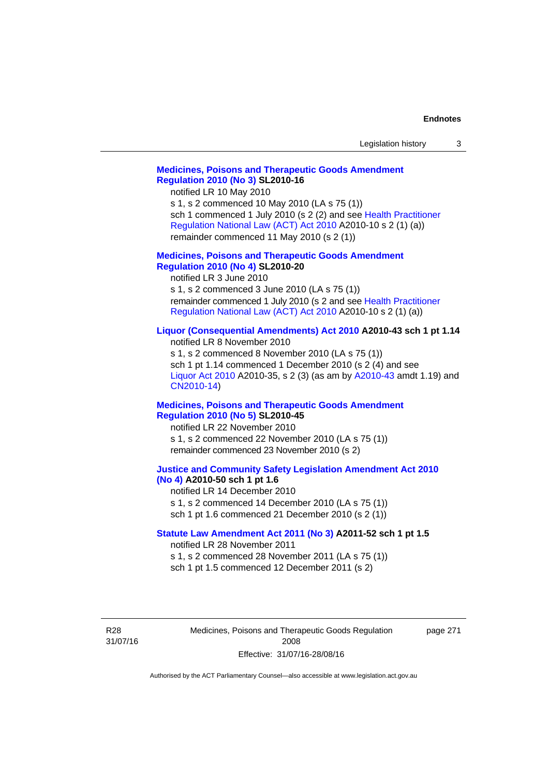| Legislation history |  |
|---------------------|--|
|---------------------|--|

## **[Medicines, Poisons and Therapeutic Goods Amendment](http://www.legislation.act.gov.au/sl/2010-16)  [Regulation 2010 \(No 3\)](http://www.legislation.act.gov.au/sl/2010-16) SL2010-16**

notified LR 10 May 2010

s 1, s 2 commenced 10 May 2010 (LA s 75 (1)) sch 1 commenced 1 July 2010 (s 2 (2) and see [Health Practitioner](http://www.legislation.act.gov.au/a/2010-10)  [Regulation National Law \(ACT\) Act 2010](http://www.legislation.act.gov.au/a/2010-10) A2010-10 s 2 (1) (a)) remainder commenced 11 May 2010 (s 2 (1))

#### **[Medicines, Poisons and Therapeutic Goods Amendment](http://www.legislation.act.gov.au/sl/2010-20)  [Regulation 2010 \(No 4\)](http://www.legislation.act.gov.au/sl/2010-20) SL2010-20**

notified LR 3 June 2010 s 1, s 2 commenced 3 June 2010 (LA s 75 (1)) remainder commenced 1 July 2010 (s 2 and see [Health Practitioner](http://www.legislation.act.gov.au/a/2010-10)  [Regulation National Law \(ACT\) Act 2010](http://www.legislation.act.gov.au/a/2010-10) A2010-10 s 2 (1) (a))

## **[Liquor \(Consequential Amendments\) Act 2010](http://www.legislation.act.gov.au/a/2010-43) A2010-43 sch 1 pt 1.14**

notified LR 8 November 2010 s 1, s 2 commenced 8 November 2010 (LA s 75 (1)) sch 1 pt 1.14 commenced 1 December 2010 (s 2 (4) and see [Liquor Act 2010](http://www.legislation.act.gov.au/a/2010-35) A2010-35, s 2 (3) (as am by [A2010-43](http://www.legislation.act.gov.au/a/2010-43) amdt 1.19) and [CN2010-14](http://www.legislation.act.gov.au/cn/2010-14/default.asp))

#### **[Medicines, Poisons and Therapeutic Goods Amendment](http://www.legislation.act.gov.au/sl/2010-45)  [Regulation 2010 \(No 5\)](http://www.legislation.act.gov.au/sl/2010-45) SL2010-45**

notified LR 22 November 2010 s 1, s 2 commenced 22 November 2010 (LA s 75 (1)) remainder commenced 23 November 2010 (s 2)

#### **[Justice and Community Safety Legislation Amendment Act 2010](http://www.legislation.act.gov.au/a/2010-50)  [\(No 4\)](http://www.legislation.act.gov.au/a/2010-50) A2010-50 sch 1 pt 1.6**

notified LR 14 December 2010 s 1, s 2 commenced 14 December 2010 (LA s 75 (1)) sch 1 pt 1.6 commenced 21 December 2010 (s 2 (1))

#### **[Statute Law Amendment Act 2011 \(No 3\)](http://www.legislation.act.gov.au/a/2011-52) A2011-52 sch 1 pt 1.5**  notified LR 28 November 2011

s 1, s 2 commenced 28 November 2011 (LA s 75 (1))

sch 1 pt 1.5 commenced 12 December 2011 (s 2)

R28 31/07/16 Medicines, Poisons and Therapeutic Goods Regulation 2008 Effective: 31/07/16-28/08/16

page 271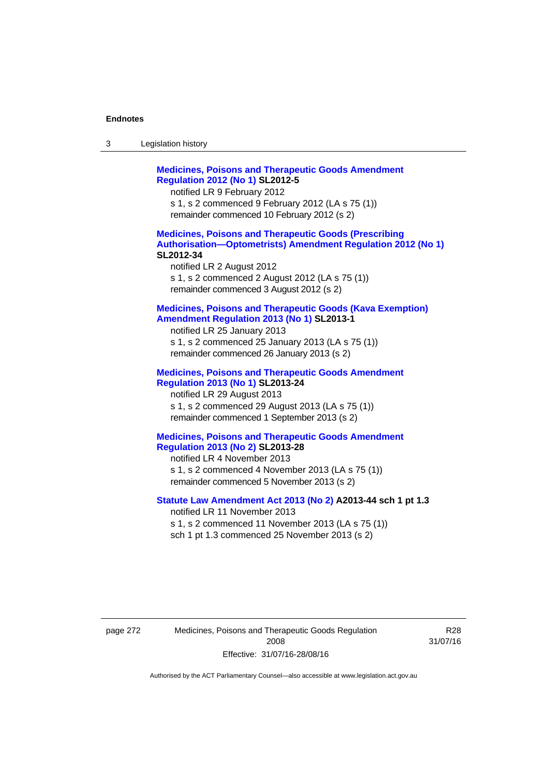| -3 | Legislation history |  |
|----|---------------------|--|
|----|---------------------|--|

**[Medicines, Poisons and Therapeutic Goods Amendment](http://www.legislation.act.gov.au/sl/2012-5)  [Regulation 2012 \(No 1\)](http://www.legislation.act.gov.au/sl/2012-5) SL2012-5**  notified LR 9 February 2012 s 1, s 2 commenced 9 February 2012 (LA s 75 (1)) remainder commenced 10 February 2012 (s 2) **[Medicines, Poisons and Therapeutic Goods \(Prescribing](http://www.legislation.act.gov.au/sl/2012-34)  [Authorisation—Optometrists\) Amendment Regulation 2012 \(No 1\)](http://www.legislation.act.gov.au/sl/2012-34) SL2012-34**  notified LR 2 August 2012 s 1, s 2 commenced 2 August 2012 (LA s 75 (1)) remainder commenced 3 August 2012 (s 2) **[Medicines, Poisons and Therapeutic Goods \(Kava Exemption\)](http://www.legislation.act.gov.au/sl/2013-1/default.asp)  [Amendment Regulation 2013 \(No 1\)](http://www.legislation.act.gov.au/sl/2013-1/default.asp) SL2013-1**  notified LR 25 January 2013 s 1, s 2 commenced 25 January 2013 (LA s 75 (1)) remainder commenced 26 January 2013 (s 2) **[Medicines, Poisons and Therapeutic Goods Amendment](http://www.legislation.act.gov.au/sl/2013-24/default.asp)  [Regulation 2013 \(No 1\)](http://www.legislation.act.gov.au/sl/2013-24/default.asp) SL2013-24**  notified LR 29 August 2013 s 1, s 2 commenced 29 August 2013 (LA s 75 (1)) remainder commenced 1 September 2013 (s 2) **[Medicines, Poisons and Therapeutic Goods Amendment](http://www.legislation.act.gov.au/sl/2013-28)  [Regulation 2013 \(No 2\)](http://www.legislation.act.gov.au/sl/2013-28) SL2013-28**  notified LR 4 November 2013 s 1, s 2 commenced 4 November 2013 (LA s 75 (1)) remainder commenced 5 November 2013 (s 2) **[Statute Law Amendment Act 2013 \(No 2\)](http://www.legislation.act.gov.au/a/2013-44) A2013-44 sch 1 pt 1.3**  notified LR 11 November 2013 s 1, s 2 commenced 11 November 2013 (LA s 75 (1)) sch 1 pt 1.3 commenced 25 November 2013 (s 2)

page 272 Medicines, Poisons and Therapeutic Goods Regulation 2008 Effective: 31/07/16-28/08/16

R28 31/07/16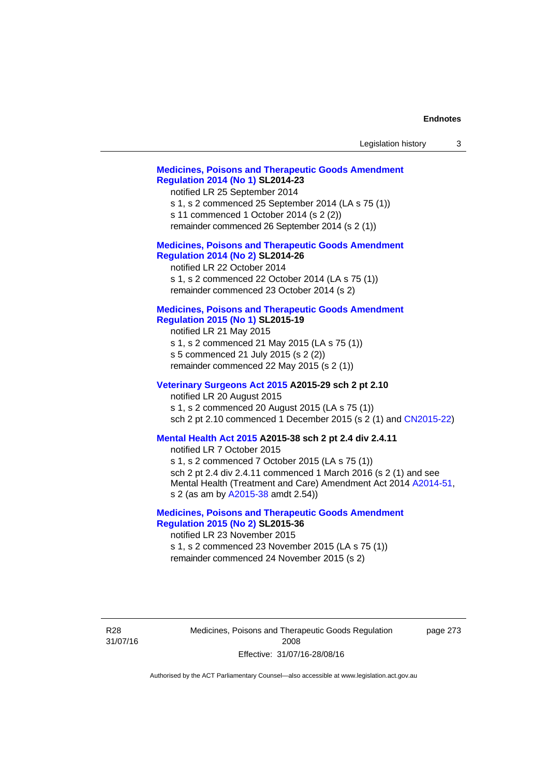| Legislation history                                                                                                                                                                                                                                                                                                  |          | 3 |
|----------------------------------------------------------------------------------------------------------------------------------------------------------------------------------------------------------------------------------------------------------------------------------------------------------------------|----------|---|
| <b>Medicines, Poisons and Therapeutic Goods Amendment</b><br><b>Regulation 2014 (No 1) SL2014-23</b><br>notified LR 25 September 2014<br>s 1, s 2 commenced 25 September 2014 (LA s 75 (1))<br>s 11 commenced 1 October 2014 (s 2 (2))<br>remainder commenced 26 September 2014 (s 2 (1))                            |          |   |
| <b>Medicines, Poisons and Therapeutic Goods Amendment</b><br><b>Regulation 2014 (No 2) SL2014-26</b><br>notified LR 22 October 2014<br>s 1, s 2 commenced 22 October 2014 (LA s 75 (1))<br>remainder commenced 23 October 2014 (s 2)                                                                                 |          |   |
| <b>Medicines, Poisons and Therapeutic Goods Amendment</b><br><b>Regulation 2015 (No 1) SL2015-19</b><br>notified LR 21 May 2015<br>s 1, s 2 commenced 21 May 2015 (LA s 75 (1))<br>s 5 commenced 21 July 2015 (s 2 (2))<br>remainder commenced 22 May 2015 (s 2 (1))                                                 |          |   |
| Veterinary Surgeons Act 2015 A2015-29 sch 2 pt 2.10<br>notified LR 20 August 2015<br>s 1, s 2 commenced 20 August 2015 (LA s 75 (1))<br>sch 2 pt 2.10 commenced 1 December 2015 (s 2 (1) and CN2015-22)                                                                                                              |          |   |
| Mental Health Act 2015 A2015-38 sch 2 pt 2.4 div 2.4.11<br>notified LR 7 October 2015<br>s 1, s 2 commenced 7 October 2015 (LA s 75 (1))<br>sch 2 pt 2.4 div 2.4.11 commenced 1 March 2016 (s 2 (1) and see<br>Mental Health (Treatment and Care) Amendment Act 2014 A2014-51,<br>s 2 (as am by A2015-38 amdt 2.54)) |          |   |
| <b>Medicines, Poisons and Therapeutic Goods Amendment</b><br><b>Regulation 2015 (No 2) SL2015-36</b><br>notified LR 23 November 2015<br>s 1, s 2 commenced 23 November 2015 (LA s 75 (1))<br>remainder commenced 24 November 2015 (s 2)                                                                              |          |   |
| Medicines, Poisons and Therapeutic Goods Regulation<br>2008<br>Effective: 31/07/16-28/08/16                                                                                                                                                                                                                          | page 273 |   |

Authorised by the ACT Parliamentary Counsel—also accessible at www.legislation.act.gov.au

R28 31/07/16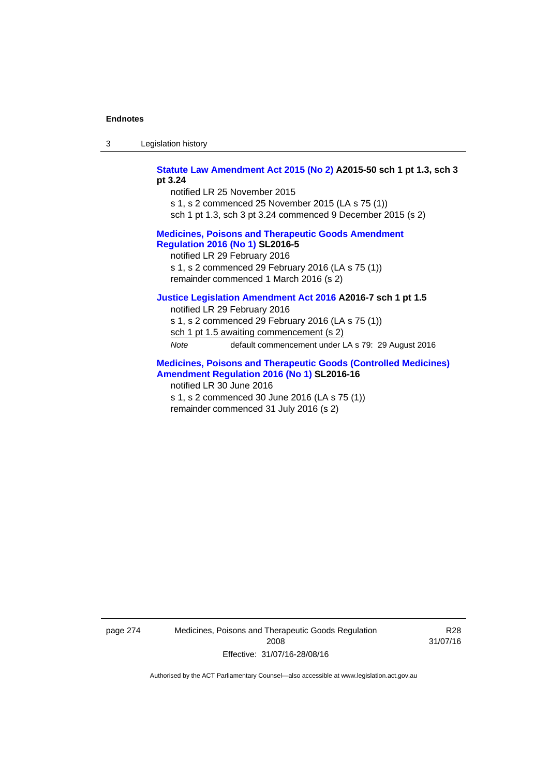| -3 | Legislation history |  |
|----|---------------------|--|
|----|---------------------|--|

**[Statute Law Amendment Act 2015 \(No 2\)](http://www.legislation.act.gov.au/a/2015-50) A2015-50 sch 1 pt 1.3, sch 3 pt 3.24** 

notified LR 25 November 2015 s 1, s 2 commenced 25 November 2015 (LA s 75 (1)) sch 1 pt 1.3, sch 3 pt 3.24 commenced 9 December 2015 (s 2)

## **[Medicines, Poisons and Therapeutic Goods Amendment](http://www.legislation.act.gov.au/sl/2016-5)  [Regulation 2016 \(No 1\)](http://www.legislation.act.gov.au/sl/2016-5) SL2016-5**

notified LR 29 February 2016 s 1, s 2 commenced 29 February 2016 (LA s 75 (1)) remainder commenced 1 March 2016 (s 2)

## **[Justice Legislation Amendment Act 2016](http://www.legislation.act.gov.au/a/2016-7/default.asp) A2016-7 sch 1 pt 1.5**

notified LR 29 February 2016 s 1, s 2 commenced 29 February 2016 (LA s 75 (1)) sch 1 pt 1.5 awaiting commencement (s 2) *Note* default commencement under LA s 79: 29 August 2016

## **[Medicines, Poisons and Therapeutic Goods \(Controlled Medicines\)](http://www.legislation.act.gov.au/sl/2016-16)  [Amendment Regulation 2016 \(No 1\)](http://www.legislation.act.gov.au/sl/2016-16) SL2016-16**

notified LR 30 June 2016 s 1, s 2 commenced 30 June 2016 (LA s 75 (1)) remainder commenced 31 July 2016 (s 2)

page 274 Medicines, Poisons and Therapeutic Goods Regulation 2008 Effective: 31/07/16-28/08/16

R28 31/07/16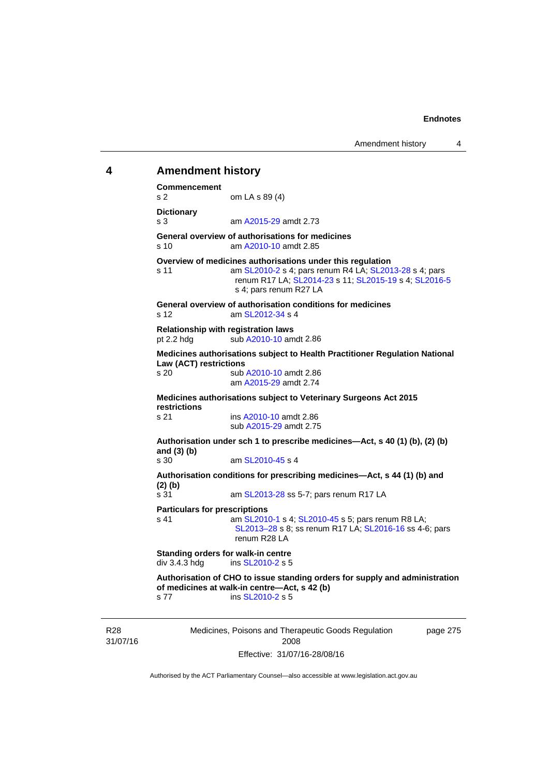# **4 Amendment history Commencement**  s 2 om LA s 89 (4) **Dictionary**  s 3 am [A2015-29](http://www.legislation.act.gov.au/a/2015-29) amdt 2.73 **General overview of authorisations for medicines**  s 10 am [A2010-10](http://www.legislation.act.gov.au/a/2010-10) amdt 2.85 **Overview of medicines authorisations under this regulation**  s 11 am [SL2010-2](http://www.legislation.act.gov.au/sl/2010-2) s 4; pars renum R4 LA; [SL2013-28](http://www.legislation.act.gov.au/sl/2013-28) s 4; pars renum R17 LA; [SL2014-23](http://www.legislation.act.gov.au/sl/2014-23) s 11; [SL2015-19](http://www.legislation.act.gov.au/sl/2015-19) s 4; [SL2016-5](http://www.legislation.act.gov.au/sl/2016-5) s 4; pars renum R27 LA **General overview of authorisation conditions for medicines**  s 12  $\frac{12}{12}$  am SI  $\frac{2012-34}{54}$  s 4 **Relationship with registration laws**  pt 2.2 hdg sub  $A2010-10$  amdt 2.86 **Medicines authorisations subject to Health Practitioner Regulation National Law (ACT) restrictions**  s 20 sub [A2010-10](http://www.legislation.act.gov.au/a/2010-10) amdt 2.86 am [A2015-29](http://www.legislation.act.gov.au/a/2015-29) amdt 2.74 **Medicines authorisations subject to Veterinary Surgeons Act 2015 restrictions**  s 21 ins [A2010-10](http://www.legislation.act.gov.au/a/2010-10) amdt 2.86 sub [A2015-29](http://www.legislation.act.gov.au/a/2015-29) amdt 2.75 **Authorisation under sch 1 to prescribe medicines—Act, s 40 (1) (b), (2) (b) and (3) (b)**  am [SL2010-45](http://www.legislation.act.gov.au/sl/2010-45) s 4 **Authorisation conditions for prescribing medicines—Act, s 44 (1) (b) and (2) (b)**  s 31 **am [SL2013-28](http://www.legislation.act.gov.au/sl/2013-28) ss 5-7; pars renum R17 LA Particulars for prescriptions**  s 41 **am [SL2010-1](http://www.legislation.act.gov.au/sl/2010-1) s 4; [SL2010-45](http://www.legislation.act.gov.au/sl/2010-45) s 5; pars renum R8 LA;** [SL2013–28](http://www.legislation.act.gov.au/sl/2013-28) s 8; ss renum R17 LA; [SL2016-16](http://www.legislation.act.gov.au/sl/2016-16) ss 4-6; pars renum R28 LA **Standing orders for walk-in centre div 3.4.3 hdg ins SL2010-2 s 5** ins [SL2010-2](http://www.legislation.act.gov.au/sl/2010-2) s 5 **Authorisation of CHO to issue standing orders for supply and administration of medicines at walk-in centre—Act, s 42 (b)**  s 77 ins [SL2010-2](http://www.legislation.act.gov.au/sl/2010-2) s 5

R28 31/07/16 Medicines, Poisons and Therapeutic Goods Regulation 2008 Effective: 31/07/16-28/08/16

page 275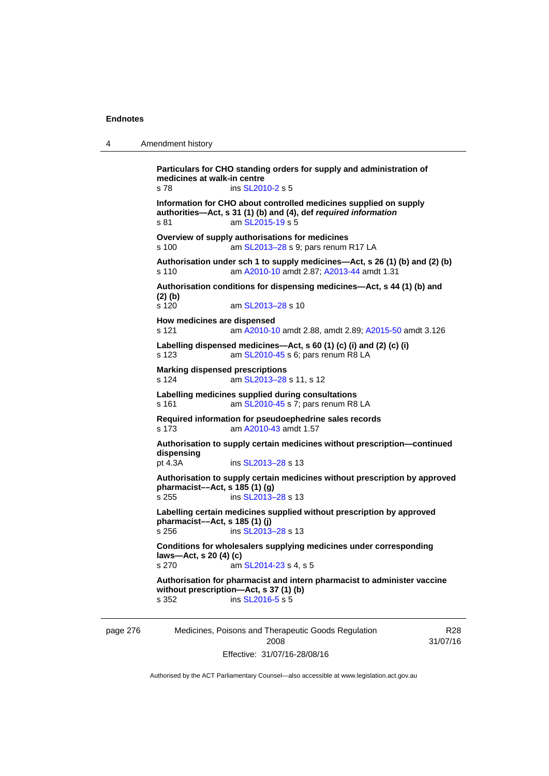| $\boldsymbol{\Lambda}$ | Amendment history |
|------------------------|-------------------|
|------------------------|-------------------|

**Particulars for CHO standing orders for supply and administration of medicines at walk-in centre**  s 78 ins [SL2010-2](http://www.legislation.act.gov.au/sl/2010-2) s 5 **Information for CHO about controlled medicines supplied on supply authorities—Act, s 31 (1) (b) and (4), def** *required information*  s 81 am [SL2015-19](http://www.legislation.act.gov.au/sl/2015-19) s 5 **Overview of supply authorisations for medicines**  s 100 am SL2013-28 s 9; pars renum R17 LA **Authorisation under sch 1 to supply medicines—Act, s 26 (1) (b) and (2) (b)**  s 110 am [A2010-10](http://www.legislation.act.gov.au/a/2010-10) amdt 2.87; [A2013-44](http://www.legislation.act.gov.au/a/2013-44) amdt 1.31 **Authorisation conditions for dispensing medicines—Act, s 44 (1) (b) and (2) (b)**  s 120 am [SL2013–28](http://www.legislation.act.gov.au/sl/2013-28) s 10 **How medicines are dispensed**  s 121 am [A2010-10](http://www.legislation.act.gov.au/a/2010-10) amdt 2.88, amdt 2.89; [A2015-50](http://www.legislation.act.gov.au/a/2015-50) amdt 3.126 **Labelling dispensed medicines—Act, s 60 (1) (c) (i) and (2) (c) (i)**  s 123 am [SL2010-45](http://www.legislation.act.gov.au/sl/2010-45) s 6; pars renum R8 LA **Marking dispensed prescriptions**  s 124 am [SL2013–28](http://www.legislation.act.gov.au/sl/2013-28) s 11, s 12 **Labelling medicines supplied during consultations**  s 161 **am [SL2010-45](http://www.legislation.act.gov.au/sl/2010-45) s 7; pars renum R8 LA Required information for pseudoephedrine sales records**  s 173 am [A2010-43](http://www.legislation.act.gov.au/a/2010-43) amdt 1.57 **Authorisation to supply certain medicines without prescription—continued dispensing**  pt 4.3A ins [SL2013–28](http://www.legislation.act.gov.au/sl/2013-28) s 13 **Authorisation to supply certain medicines without prescription by approved pharmacist––Act, s 185 (1) (g)**  s 255 ins [SL2013–28](http://www.legislation.act.gov.au/sl/2013-28) s 13 **Labelling certain medicines supplied without prescription by approved pharmacist––Act, s 185 (1) (j)**  s 256 ins [SL2013–28](http://www.legislation.act.gov.au/sl/2013-28) s 13 **Conditions for wholesalers supplying medicines under corresponding laws—Act, s 20 (4) (c)**  s 270 am [SL2014-23](http://www.legislation.act.gov.au/sl/2014-23) s 4, s 5 **Authorisation for pharmacist and intern pharmacist to administer vaccine without prescription—Act, s 37 (1) (b)**  s 352 ins [SL2016-5](http://www.legislation.act.gov.au/sl/2016-5) s 5

page 276 Medicines, Poisons and Therapeutic Goods Regulation 2008 Effective: 31/07/16-28/08/16

R28 31/07/16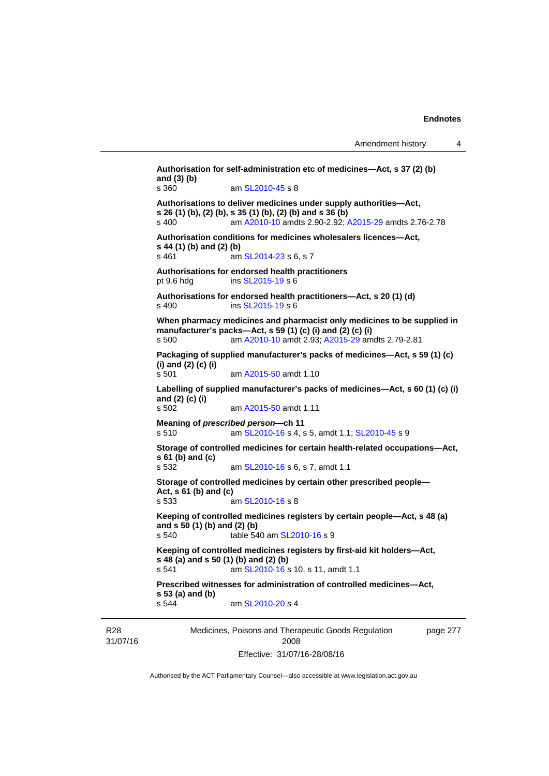```
Medicines, Poisons and Therapeutic Goods Regulation 
                                                                page 277 
Authorisation for self-administration etc of medicines—Act, s 37 (2) (b) 
and (3) (b) 
s 360 am SL2010-45 s 8 
Authorisations to deliver medicines under supply authorities—Act, 
s 26 (1) (b), (2) (b), s 35 (1) (b), (2) (b) and s 36 (b) 
s 400 am A2010-10 amdts 2.90-2.92; A2015-29 amdts 2.76-2.78 
Authorisation conditions for medicines wholesalers licences—Act, 
s 44 (1) (b) and (2) (b)<br>s 461 am
                  SL2014-23 s 6, s 7
Authorisations for endorsed health practitioners 
pt 9.6 hdg ins SL2015-19 s 6 
Authorisations for endorsed health practitioners—Act, s 20 (1) (d) 
s 490 ins SL2015-19 s 6 
When pharmacy medicines and pharmacist only medicines to be supplied in 
manufacturer's packs—Act, s 59 (1) (c) (i) and (2) (c) (i) 
s 500 am A2010-10 amdt 2.93; A2015-29 amdts 2.79-2.81 
Packaging of supplied manufacturer's packs of medicines—Act, s 59 (1) (c) 
(i) and (2) (c) (i) 
s 501 am A2015-50 amdt 1.10
Labelling of supplied manufacturer's packs of medicines—Act, s 60 (1) (c) (i) 
and (2) (c) (i) 
s 502 am A2015-50 amdt 1.11
Meaning of prescribed person—ch 11 
s 510 am SL2010-16 s 4, s 5, amdt 1.1; SL2010-45 s 9 
Storage of controlled medicines for certain health-related occupations—Act, 
s 61 (b) and (c) 
s 532 am SL2010-16 s 6, s 7, amdt 1.1 
Storage of controlled medicines by certain other prescribed people—
Act, s 61 (b) and (c) 
s 533 am SL2010-16 s 8 
Keeping of controlled medicines registers by certain people—Act, s 48 (a) 
and s 50 (1) (b) and (2) (b) 
s 540 table 540 am SL2010-16 s 9 
Keeping of controlled medicines registers by first-aid kit holders—Act, 
s 48 (a) and s 50 (1) (b) and (2) (b) 
s 541 SL2010-16 s 10, s 11, amdt 1.1
Prescribed witnesses for administration of controlled medicines—Act, 
s 53 (a) and (b) 
s 544 am SL2010-20 s 4
```
R28 31/07/16

2008 Effective: 31/07/16-28/08/16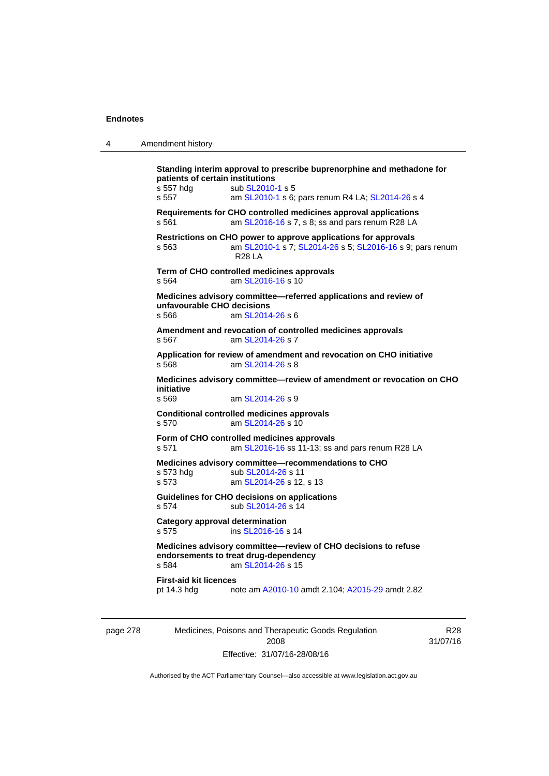| 4        | Amendment history                                                                                                                                                                                        |
|----------|----------------------------------------------------------------------------------------------------------------------------------------------------------------------------------------------------------|
|          | Standing interim approval to prescribe buprenorphine and methadone for<br>patients of certain institutions<br>s 557 hdg<br>sub SL2010-1 s 5<br>s 557<br>am SL2010-1 s 6; pars renum R4 LA; SL2014-26 s 4 |
|          | Requirements for CHO controlled medicines approval applications<br>s 561<br>am SL2016-16 s 7, s 8; ss and pars renum R28 LA                                                                              |
|          | Restrictions on CHO power to approve applications for approvals<br>am SL2010-1 s 7; SL2014-26 s 5; SL2016-16 s 9; pars renum<br>s 563<br><b>R28 LA</b>                                                   |
|          | Term of CHO controlled medicines approvals<br>am SL2016-16 s 10<br>s 564                                                                                                                                 |
|          | Medicines advisory committee—referred applications and review of<br>unfavourable CHO decisions<br>am SL2014-26 s 6<br>s 566                                                                              |
|          | Amendment and revocation of controlled medicines approvals<br>am SL2014-26 s 7<br>s 567                                                                                                                  |
|          | Application for review of amendment and revocation on CHO initiative<br>s 568<br>am SL2014-26 s 8                                                                                                        |
|          | Medicines advisory committee-review of amendment or revocation on CHO<br>initiative<br>s 569<br>am SL2014-26 s 9                                                                                         |
|          | <b>Conditional controlled medicines approvals</b><br>am SL2014-26 s 10<br>s 570                                                                                                                          |
|          | Form of CHO controlled medicines approvals<br>s 571<br>am SL2016-16 ss 11-13; ss and pars renum R28 LA                                                                                                   |
|          | Medicines advisory committee-recommendations to CHO<br>s 573 hdg<br>sub SL2014-26 s 11<br>s 573<br>am SL2014-26 s 12, s 13                                                                               |
|          | Guidelines for CHO decisions on applications<br>sub SL2014-26 s 14<br>s 574                                                                                                                              |
|          | <b>Category approval determination</b><br>s 575<br>ins SL2016-16 s 14                                                                                                                                    |
|          | Medicines advisory committee-review of CHO decisions to refuse<br>endorsements to treat drug-dependency<br>s 584<br>am SL2014-26 s 15                                                                    |
|          | <b>First-aid kit licences</b><br>pt 14.3 hdg<br>note am A2010-10 amdt 2.104; A2015-29 amdt 2.82                                                                                                          |
| page 278 | Medicines, Poisons and Therapeutic Goods Regulation<br>R <sub>28</sub>                                                                                                                                   |

Authorised by the ACT Parliamentary Counsel—also accessible at www.legislation.act.gov.au

2008 Effective: 31/07/16-28/08/16 31/07/16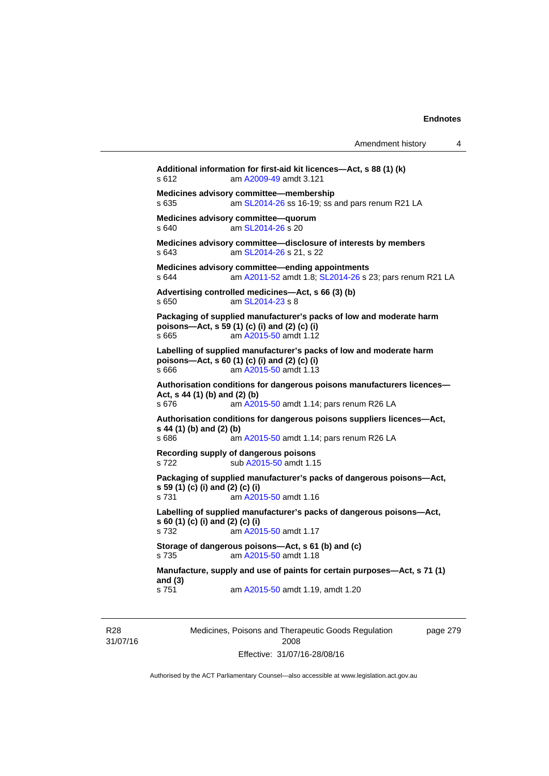|                                           |                                                                                                                                               | Amendment history | 4 |
|-------------------------------------------|-----------------------------------------------------------------------------------------------------------------------------------------------|-------------------|---|
| s 612                                     | Additional information for first-aid kit licences-Act, s 88 (1) (k)<br>am A2009-49 amdt 3.121                                                 |                   |   |
| s 635                                     | Medicines advisory committee-membership<br>am SL2014-26 ss 16-19; ss and pars renum R21 LA                                                    |                   |   |
| s 640                                     | Medicines advisory committee-quorum<br>am SL2014-26 s 20                                                                                      |                   |   |
| s643                                      | Medicines advisory committee-disclosure of interests by members<br>am SL2014-26 s 21, s 22                                                    |                   |   |
| s 644                                     | Medicines advisory committee-ending appointments<br>am A2011-52 amdt 1.8; SL2014-26 s 23; pars renum R21 LA                                   |                   |   |
| s 650                                     | Advertising controlled medicines-Act, s 66 (3) (b)<br>am SL2014-23 s 8                                                                        |                   |   |
| s 665                                     | Packaging of supplied manufacturer's packs of low and moderate harm<br>poisons-Act, s 59 (1) (c) (i) and (2) (c) (i)<br>am A2015-50 amdt 1.12 |                   |   |
| s 666                                     | Labelling of supplied manufacturer's packs of low and moderate harm<br>poisons-Act, s 60 (1) (c) (i) and (2) (c) (i)<br>am A2015-50 amdt 1.13 |                   |   |
| Act, s 44 (1) (b) and (2) (b)<br>s 676    | Authorisation conditions for dangerous poisons manufacturers licences-<br>am A2015-50 amdt 1.14; pars renum R26 LA                            |                   |   |
| s 44 (1) (b) and (2) (b)<br>s 686         | Authorisation conditions for dangerous poisons suppliers licences-Act,<br>am A2015-50 amdt 1.14; pars renum R26 LA                            |                   |   |
| s 722                                     | Recording supply of dangerous poisons<br>sub A2015-50 amdt 1.15                                                                               |                   |   |
| s 59 (1) (c) (i) and (2) (c) (i)<br>s 731 | Packaging of supplied manufacturer's packs of dangerous poisons—Act,<br>am A2015-50 amdt 1.16                                                 |                   |   |
| s 60 (1) (c) (i) and (2) (c) (i)<br>s 732 | Labelling of supplied manufacturer's packs of dangerous poisons-Act,<br>am A2015-50 amdt 1.17                                                 |                   |   |
| s 735                                     | Storage of dangerous poisons-Act, s 61 (b) and (c)<br>am A2015-50 amdt 1.18                                                                   |                   |   |
| and $(3)$                                 | Manufacture, supply and use of paints for certain purposes—Act, s 71 (1)                                                                      |                   |   |
| s 751                                     | am A2015-50 amdt 1.19, amdt 1.20                                                                                                              |                   |   |
|                                           |                                                                                                                                               |                   |   |

R28 31/07/16 Medicines, Poisons and Therapeutic Goods Regulation 2008 Effective: 31/07/16-28/08/16

page 279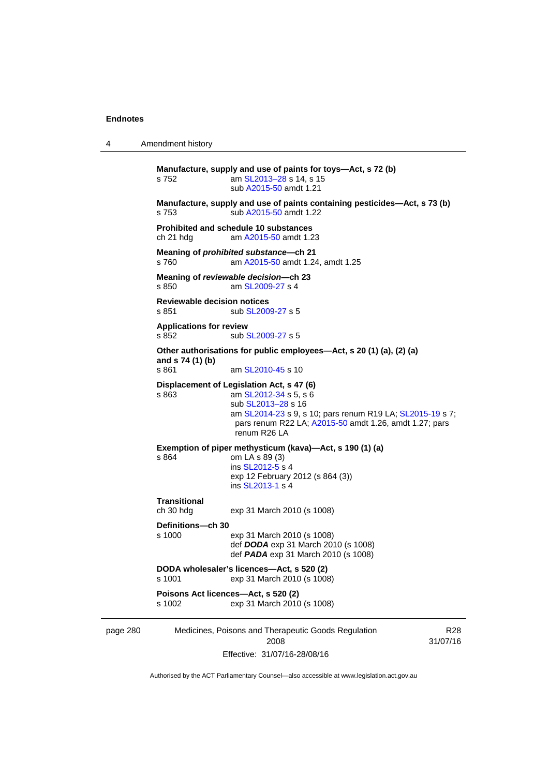| 4        | Amendment history                           |                                                                                                                                                                                                                                 |                             |
|----------|---------------------------------------------|---------------------------------------------------------------------------------------------------------------------------------------------------------------------------------------------------------------------------------|-----------------------------|
|          | s 752                                       | Manufacture, supply and use of paints for toys-Act, s 72 (b)<br>am SL2013-28 s 14, s 15<br>sub A2015-50 amdt 1.21                                                                                                               |                             |
|          | s 753                                       | Manufacture, supply and use of paints containing pesticides-Act, s 73 (b)<br>sub A2015-50 amdt 1.22                                                                                                                             |                             |
|          | ch 21 hdg                                   | <b>Prohibited and schedule 10 substances</b><br>am A2015-50 amdt 1.23                                                                                                                                                           |                             |
|          | s 760                                       | Meaning of <i>prohibited substance</i> -ch 21<br>am A2015-50 amdt 1.24, amdt 1.25                                                                                                                                               |                             |
|          | s 850                                       | Meaning of reviewable decision--- ch 23<br>am SL2009-27 s 4                                                                                                                                                                     |                             |
|          | <b>Reviewable decision notices</b><br>s 851 | sub SL2009-27 s 5                                                                                                                                                                                                               |                             |
|          | <b>Applications for review</b><br>s 852     | sub SL2009-27 s 5                                                                                                                                                                                                               |                             |
|          | and s 74 (1) (b)<br>s 861                   | Other authorisations for public employees—Act, s 20 (1) (a), (2) (a)<br>am SL2010-45 s 10                                                                                                                                       |                             |
|          | s 863                                       | Displacement of Legislation Act, s 47 (6)<br>am SL2012-34 s 5, s 6<br>sub SL2013-28 s 16<br>am SL2014-23 s 9, s 10; pars renum R19 LA; SL2015-19 s 7;<br>pars renum R22 LA; A2015-50 amdt 1.26, amdt 1.27; pars<br>renum R26 LA |                             |
|          | s 864                                       | Exemption of piper methysticum (kava)-Act, s 190 (1) (a)<br>om LA s 89 (3)<br>ins SL2012-5 s 4<br>exp 12 February 2012 (s 864 (3))<br>ins SL2013-1 s 4                                                                          |                             |
|          | <b>Transitional</b><br>ch 30 hdg            | exp 31 March 2010 (s 1008)                                                                                                                                                                                                      |                             |
|          | Definitions—ch 30<br>s 1000                 | exp 31 March 2010 (s 1008)<br>def DODA exp 31 March 2010 (s 1008)<br>def <b>PADA</b> exp 31 March 2010 (s 1008)                                                                                                                 |                             |
|          | s 1001                                      | DODA wholesaler's licences-Act, s 520 (2)<br>exp 31 March 2010 (s 1008)                                                                                                                                                         |                             |
|          | s 1002                                      | Poisons Act licences-Act, s 520 (2)<br>exp 31 March 2010 (s 1008)                                                                                                                                                               |                             |
| page 280 |                                             | Medicines, Poisons and Therapeutic Goods Regulation<br>2008                                                                                                                                                                     | R <sub>28</sub><br>31/07/16 |

Effective: 31/07/16-28/08/16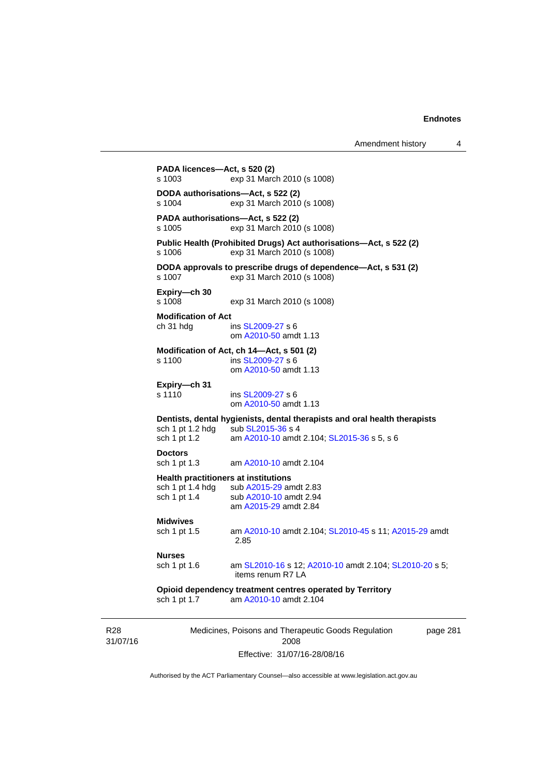| s 1003                                  | exp 31 March 2010 (s 1008)                                                                                                                   |
|-----------------------------------------|----------------------------------------------------------------------------------------------------------------------------------------------|
| s 1004                                  | DODA authorisations-Act, s 522 (2)<br>exp 31 March 2010 (s 1008)                                                                             |
| s 1005                                  | PADA authorisations-Act, s 522 (2)<br>exp 31 March 2010 (s 1008)                                                                             |
| s 1006                                  | Public Health (Prohibited Drugs) Act authorisations-Act, s 522 (2)<br>exp 31 March 2010 (s 1008)                                             |
| s 1007                                  | DODA approvals to prescribe drugs of dependence-Act, s 531 (2)<br>exp 31 March 2010 (s 1008)                                                 |
| Expiry-ch 30<br>s 1008                  | exp 31 March 2010 (s 1008)                                                                                                                   |
| <b>Modification of Act</b><br>ch 31 hdg | ins SL2009-27 s 6<br>om A2010-50 amdt 1.13                                                                                                   |
| s 1100                                  | Modification of Act, ch 14-Act, s 501 (2)<br>ins SL2009-27 s 6<br>om A2010-50 amdt 1.13                                                      |
| Expiry-ch 31<br>s 1110                  | ins SL2009-27 s 6<br>om A2010-50 amdt 1.13                                                                                                   |
| sch 1 pt 1.2 hdg<br>sch 1 pt 1.2        | Dentists, dental hygienists, dental therapists and oral health therapists<br>sub SL2015-36 s 4<br>am A2010-10 amdt 2.104; SL2015-36 s 5, s 6 |
| <b>Doctors</b><br>sch 1 pt 1.3          | am A2010-10 amdt 2.104                                                                                                                       |
| sch 1 pt 1.4 hdg<br>sch 1 pt 1.4        | <b>Health practitioners at institutions</b><br>sub A2015-29 amdt 2.83<br>sub A2010-10 amdt 2.94<br>am A2015-29 amdt 2.84                     |
| <b>Midwives</b><br>sch 1 pt 1.5         | am A2010-10 amdt 2.104; SL2010-45 s 11; A2015-29 amdt<br>2.85                                                                                |
| Nurses                                  |                                                                                                                                              |
| sch 1 pt 1.6                            | am SL2010-16 s 12; A2010-10 amdt 2.104; SL2010-20 s 5;<br>items renum R7 LA                                                                  |
| sch 1 pt 1.7                            | Opioid dependency treatment centres operated by Territory<br>am A2010-10 amdt 2.104                                                          |

31/07/16

R28

2008 Effective: 31/07/16-28/08/16 page 281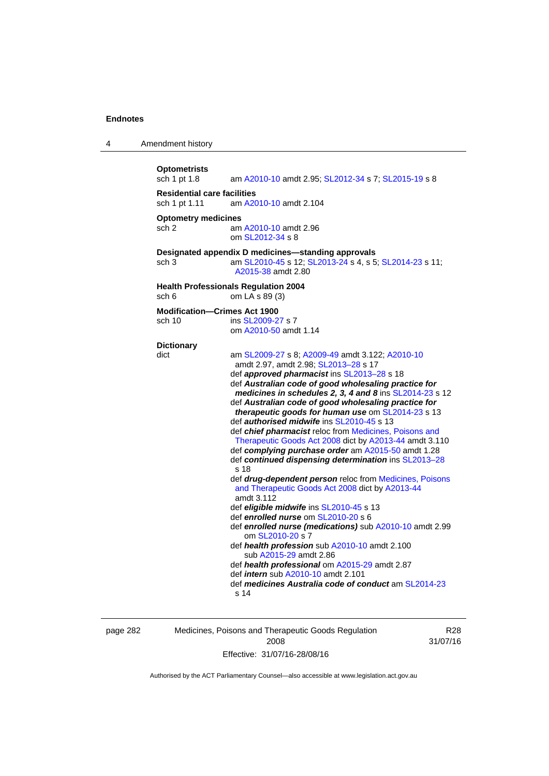| 4 | Amendment history                                   |                                                                                                                                                                                                                                                                                                                                                                                                                                                                                                                                                                                                                                                                                                                                                                                                                                                                                                                                                                                                                                                                                                                                                                                                               |
|---|-----------------------------------------------------|---------------------------------------------------------------------------------------------------------------------------------------------------------------------------------------------------------------------------------------------------------------------------------------------------------------------------------------------------------------------------------------------------------------------------------------------------------------------------------------------------------------------------------------------------------------------------------------------------------------------------------------------------------------------------------------------------------------------------------------------------------------------------------------------------------------------------------------------------------------------------------------------------------------------------------------------------------------------------------------------------------------------------------------------------------------------------------------------------------------------------------------------------------------------------------------------------------------|
|   | <b>Optometrists</b><br>sch 1 pt 1.8                 | am A2010-10 amdt 2.95; SL2012-34 s 7; SL2015-19 s 8                                                                                                                                                                                                                                                                                                                                                                                                                                                                                                                                                                                                                                                                                                                                                                                                                                                                                                                                                                                                                                                                                                                                                           |
|   | <b>Residential care facilities</b><br>sch 1 pt 1.11 | am A2010-10 amdt 2.104                                                                                                                                                                                                                                                                                                                                                                                                                                                                                                                                                                                                                                                                                                                                                                                                                                                                                                                                                                                                                                                                                                                                                                                        |
|   | <b>Optometry medicines</b><br>sch <sub>2</sub>      | am A2010-10 amdt 2.96<br>om SL2012-34 s 8                                                                                                                                                                                                                                                                                                                                                                                                                                                                                                                                                                                                                                                                                                                                                                                                                                                                                                                                                                                                                                                                                                                                                                     |
|   | sch <sub>3</sub>                                    | Designated appendix D medicines-standing approvals<br>am SL2010-45 s 12; SL2013-24 s 4, s 5; SL2014-23 s 11;<br>A2015-38 amdt 2.80                                                                                                                                                                                                                                                                                                                                                                                                                                                                                                                                                                                                                                                                                                                                                                                                                                                                                                                                                                                                                                                                            |
|   | sch 6                                               | <b>Health Professionals Regulation 2004</b><br>om LA s 89 (3)                                                                                                                                                                                                                                                                                                                                                                                                                                                                                                                                                                                                                                                                                                                                                                                                                                                                                                                                                                                                                                                                                                                                                 |
|   | <b>Modification-Crimes Act 1900</b><br>sch 10       | ins SL2009-27 s 7<br>om A2010-50 amdt 1.14                                                                                                                                                                                                                                                                                                                                                                                                                                                                                                                                                                                                                                                                                                                                                                                                                                                                                                                                                                                                                                                                                                                                                                    |
|   | <b>Dictionary</b><br>dict                           | am SL2009-27 s 8; A2009-49 amdt 3.122; A2010-10<br>amdt 2.97, amdt 2.98; SL2013-28 s 17<br>def approved pharmacist ins SL2013-28 s 18<br>def Australian code of good wholesaling practice for<br>medicines in schedules 2, 3, 4 and 8 ins SL2014-23 s 12<br>def Australian code of good wholesaling practice for<br>therapeutic goods for human use om SL2014-23 s 13<br>def authorised midwife ins SL2010-45 s 13<br>def chief pharmacist reloc from Medicines, Poisons and<br>Therapeutic Goods Act 2008 dict by A2013-44 amdt 3.110<br>def complying purchase order am A2015-50 amdt 1.28<br>def continued dispensing determination ins SL2013-28<br>s <sub>18</sub><br>def drug-dependent person reloc from Medicines, Poisons<br>and Therapeutic Goods Act 2008 dict by A2013-44<br>amdt 3.112<br>def eligible midwife ins SL2010-45 s 13<br>def enrolled nurse om SL2010-20 s 6<br>def enrolled nurse (medications) sub A2010-10 amdt 2.99<br>om SL2010-20 s 7<br>def health profession sub A2010-10 amdt 2.100<br>sub A2015-29 amdt 2.86<br>def health professional om A2015-29 amdt 2.87<br>def <i>intern</i> sub A2010-10 amdt 2.101<br>def medicines Australia code of conduct am SL2014-23<br>s 14 |

page 282 Medicines, Poisons and Therapeutic Goods Regulation 2008 Effective: 31/07/16-28/08/16

R28 31/07/16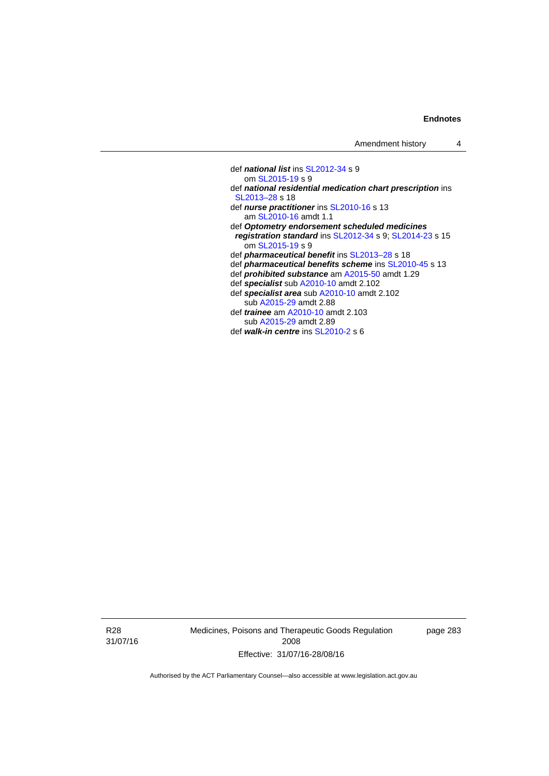def *national list* ins [SL2012-34](http://www.legislation.act.gov.au/sl/2012-34) s 9 om [SL2015-19](http://www.legislation.act.gov.au/sl/2015-19) s 9 def *national residential medication chart prescription* ins [SL2013–28](http://www.legislation.act.gov.au/sl/2013-28) s 18 def *nurse practitioner* ins [SL2010-16](http://www.legislation.act.gov.au/sl/2010-16) s 13 am [SL2010-16](http://www.legislation.act.gov.au/sl/2010-16) amdt 1.1 def *Optometry endorsement scheduled medicines registration standard* ins [SL2012-34](http://www.legislation.act.gov.au/sl/2012-34) s 9; [SL2014-23](http://www.legislation.act.gov.au/sl/2014-23) s 15 om [SL2015-19](http://www.legislation.act.gov.au/sl/2015-19) s 9 def *pharmaceutical benefit* ins [SL2013–28](http://www.legislation.act.gov.au/sl/2013-28) s 18 def *pharmaceutical benefits scheme* ins [SL2010-45](http://www.legislation.act.gov.au/sl/2010-45) s 13 def *prohibited substance* am [A2015-50](http://www.legislation.act.gov.au/a/2015-50) amdt 1.29 def *specialist* sub [A2010-10](http://www.legislation.act.gov.au/a/2010-10) amdt 2.102 def *specialist area* sub [A2010-10](http://www.legislation.act.gov.au/a/2010-10) amdt 2.102 sub [A2015-29](http://www.legislation.act.gov.au/a/2015-29) amdt 2.88 def *trainee* am [A2010-10](http://www.legislation.act.gov.au/a/2010-10) amdt 2.103 sub [A2015-29](http://www.legislation.act.gov.au/a/2015-29) amdt 2.89 def *walk-in centre* ins [SL2010-2](http://www.legislation.act.gov.au/sl/2010-2) s 6

R28 31/07/16 Medicines, Poisons and Therapeutic Goods Regulation 2008 Effective: 31/07/16-28/08/16

page 283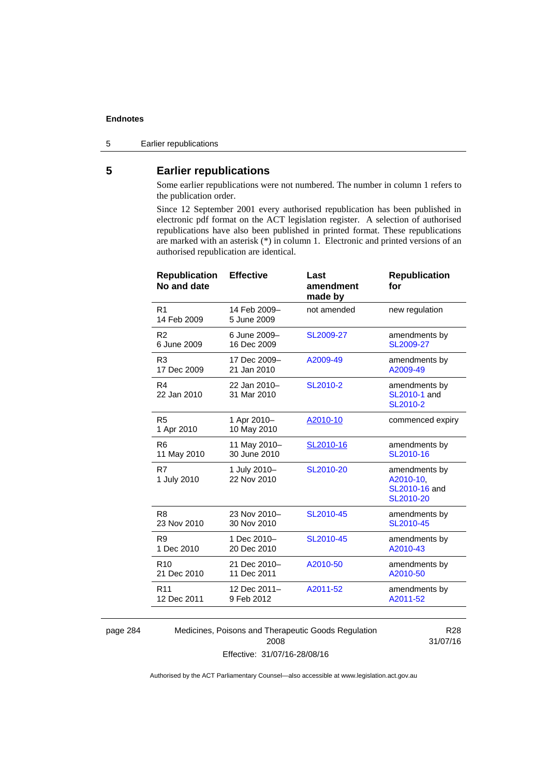5 Earlier republications

# **5 Earlier republications**

Some earlier republications were not numbered. The number in column 1 refers to the publication order.

Since 12 September 2001 every authorised republication has been published in electronic pdf format on the ACT legislation register. A selection of authorised republications have also been published in printed format. These republications are marked with an asterisk (\*) in column 1. Electronic and printed versions of an authorised republication are identical.

| <b>Republication</b><br>No and date | <b>Effective</b>            | Last<br>amendment<br>made by | <b>Republication</b><br>for                              |
|-------------------------------------|-----------------------------|------------------------------|----------------------------------------------------------|
| R <sub>1</sub><br>14 Feb 2009       | 14 Feb 2009-<br>5 June 2009 | not amended                  | new regulation                                           |
| R <sub>2</sub>                      | 6 June 2009-                | SL2009-27                    | amendments by                                            |
| 6 June 2009                         | 16 Dec 2009                 |                              | SL2009-27                                                |
| R <sub>3</sub>                      | 17 Dec 2009-                | A2009-49                     | amendments by                                            |
| 17 Dec 2009                         | 21 Jan 2010                 |                              | A2009-49                                                 |
| R <sub>4</sub><br>22 Jan 2010       | 22 Jan 2010-<br>31 Mar 2010 | SL2010-2                     | amendments by<br>SL2010-1 and<br>SL2010-2                |
| R <sub>5</sub><br>1 Apr 2010        | 1 Apr 2010-<br>10 May 2010  | A2010-10                     | commenced expiry                                         |
| R <sub>6</sub>                      | 11 May 2010-                | SL2010-16                    | amendments by                                            |
| 11 May 2010                         | 30 June 2010                |                              | SL2010-16                                                |
| R7<br>1 July 2010                   | 1 July 2010-<br>22 Nov 2010 | SL2010-20                    | amendments by<br>A2010-10,<br>SL2010-16 and<br>SL2010-20 |
| R <sub>8</sub>                      | 23 Nov 2010-                | SL2010-45                    | amendments by                                            |
| 23 Nov 2010                         | 30 Nov 2010                 |                              | SL2010-45                                                |
| R <sub>9</sub>                      | 1 Dec 2010-                 | SL2010-45                    | amendments by                                            |
| 1 Dec 2010                          | 20 Dec 2010                 |                              | A2010-43                                                 |
| R <sub>10</sub>                     | 21 Dec 2010-                | A2010-50                     | amendments by                                            |
| 21 Dec 2010                         | 11 Dec 2011                 |                              | A2010-50                                                 |
| R <sub>11</sub>                     | 12 Dec 2011-                | A2011-52                     | amendments by                                            |
| 12 Dec 2011                         | 9 Feb 2012                  |                              | A2011-52                                                 |
|                                     |                             |                              |                                                          |

page 284 Medicines, Poisons and Therapeutic Goods Regulation 2008 Effective: 31/07/16-28/08/16

R28 31/07/16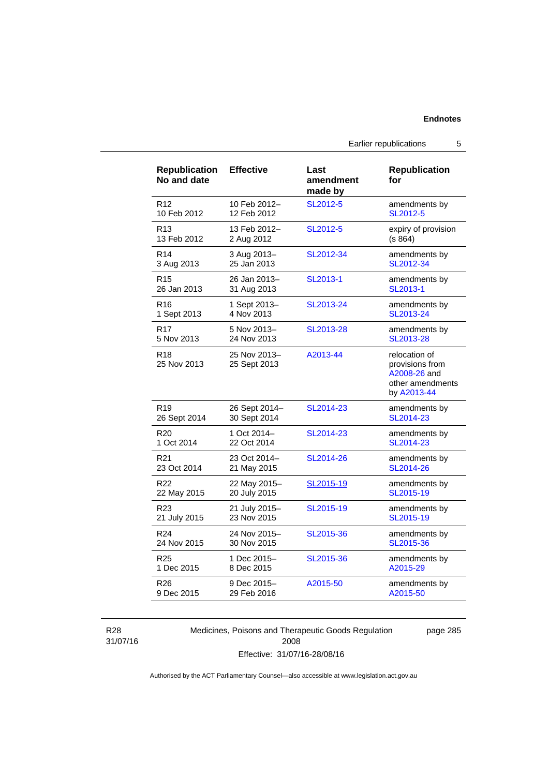| <b>Republication</b><br>No and date | <b>Effective</b>             | Last<br>amendment<br>made by | <b>Republication</b><br>for                                                         |
|-------------------------------------|------------------------------|------------------------------|-------------------------------------------------------------------------------------|
| R <sub>12</sub>                     | 10 Feb 2012-                 | SL2012-5                     | amendments by                                                                       |
| 10 Feb 2012                         | 12 Feb 2012                  |                              | SL2012-5                                                                            |
| R <sub>13</sub>                     | 13 Feb 2012-                 | SL2012-5                     | expiry of provision                                                                 |
| 13 Feb 2012                         | 2 Aug 2012                   |                              | (s 864)                                                                             |
| R <sub>14</sub>                     | 3 Aug 2013-                  | SL2012-34                    | amendments by                                                                       |
| 3 Aug 2013                          | 25 Jan 2013                  |                              | SL2012-34                                                                           |
| R <sub>15</sub>                     | 26 Jan 2013-                 | SL2013-1                     | amendments by                                                                       |
| 26 Jan 2013                         | 31 Aug 2013                  |                              | SL2013-1                                                                            |
| R <sub>16</sub>                     | 1 Sept 2013-                 | SL2013-24                    | amendments by                                                                       |
| 1 Sept 2013                         | 4 Nov 2013                   |                              | SL2013-24                                                                           |
| R <sub>17</sub>                     | 5 Nov 2013-                  | SL2013-28                    | amendments by                                                                       |
| 5 Nov 2013                          | 24 Nov 2013                  |                              | SL2013-28                                                                           |
| R <sub>18</sub><br>25 Nov 2013      | 25 Nov 2013-<br>25 Sept 2013 | A2013-44                     | relocation of<br>provisions from<br>A2008-26 and<br>other amendments<br>by A2013-44 |
| R <sub>19</sub>                     | 26 Sept 2014-                | SL2014-23                    | amendments by                                                                       |
| 26 Sept 2014                        | 30 Sept 2014                 |                              | SL2014-23                                                                           |
| R <sub>20</sub>                     | 1 Oct 2014-                  | SL2014-23                    | amendments by                                                                       |
| 1 Oct 2014                          | 22 Oct 2014                  |                              | SL2014-23                                                                           |
| R <sub>21</sub>                     | 23 Oct 2014-                 | SL2014-26                    | amendments by                                                                       |
| 23 Oct 2014                         | 21 May 2015                  |                              | SL2014-26                                                                           |
| R <sub>22</sub>                     | 22 May 2015-                 | SL2015-19                    | amendments by                                                                       |
| 22 May 2015                         | 20 July 2015                 |                              | SL2015-19                                                                           |
| R23                                 | 21 July 2015–                | SL2015-19                    | amendments by                                                                       |
| 21 July 2015                        | 23 Nov 2015                  |                              | SL2015-19                                                                           |
| R <sub>24</sub>                     | 24 Nov 2015-                 | SL2015-36                    | amendments by                                                                       |
| 24 Nov 2015                         | 30 Nov 2015                  |                              | SL2015-36                                                                           |
| R <sub>25</sub>                     | 1 Dec 2015-                  | SL2015-36                    | amendments by                                                                       |
| 1 Dec 2015                          | 8 Dec 2015                   |                              | A2015-29                                                                            |
| R <sub>26</sub>                     | 9 Dec 2015-                  | A2015-50                     | amendments by                                                                       |
| 9 Dec 2015                          | 29 Feb 2016                  |                              | A2015-50                                                                            |

R28 31/07/16 Medicines, Poisons and Therapeutic Goods Regulation 2008 Effective: 31/07/16-28/08/16

page 285